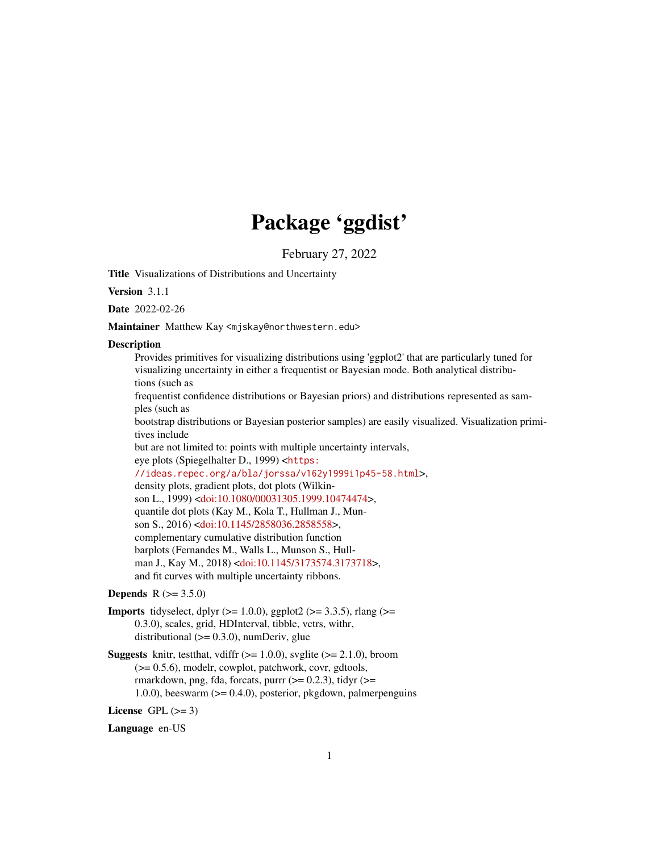# Package 'ggdist'

February 27, 2022

<span id="page-0-0"></span>Title Visualizations of Distributions and Uncertainty

Version 3.1.1

Date 2022-02-26

Maintainer Matthew Kay <mjskay@northwestern.edu>

#### **Description**

Provides primitives for visualizing distributions using 'ggplot2' that are particularly tuned for visualizing uncertainty in either a frequentist or Bayesian mode. Both analytical distributions (such as

frequentist confidence distributions or Bayesian priors) and distributions represented as samples (such as

bootstrap distributions or Bayesian posterior samples) are easily visualized. Visualization primitives include

but are not limited to: points with multiple uncertainty intervals,

eye plots (Spiegelhalter D., 1999) <[https:](https://ideas.repec.org/a/bla/jorssa/v162y1999i1p45-58.html) [//ideas.repec.org/a/bla/jorssa/v162y1999i1p45-58.html](https://ideas.repec.org/a/bla/jorssa/v162y1999i1p45-58.html)>, density plots, gradient plots, dot plots (Wilkinson L., 1999) [<doi:10.1080/00031305.1999.10474474>](https://doi.org/10.1080/00031305.1999.10474474), quantile dot plots (Kay M., Kola T., Hullman J., Munson S., 2016) [<doi:10.1145/2858036.2858558>](https://doi.org/10.1145/2858036.2858558), complementary cumulative distribution function barplots (Fernandes M., Walls L., Munson S., Hullman J., Kay M., 2018) [<doi:10.1145/3173574.3173718>](https://doi.org/10.1145/3173574.3173718), and fit curves with multiple uncertainty ribbons.

## **Depends**  $R (= 3.5.0)$

- **Imports** tidyselect, dplyr  $(>= 1.0.0)$ , ggplot2  $(>= 3.3.5)$ , rlang  $(>=$ 0.3.0), scales, grid, HDInterval, tibble, vctrs, withr, distributional  $(>= 0.3.0)$ , numDeriv, glue
- **Suggests** knitr, test that, vdiffr  $(>= 1.0.0)$ , svglite  $(>= 2.1.0)$ , broom (>= 0.5.6), modelr, cowplot, patchwork, covr, gdtools, rmarkdown, png, fda, forcats, purrr  $(>= 0.2.3)$ , tidyr  $(>=$ 1.0.0), beeswarm  $(>= 0.4.0)$ , posterior, pkgdown, palmerpenguins

License GPL  $(>= 3)$ 

Language en-US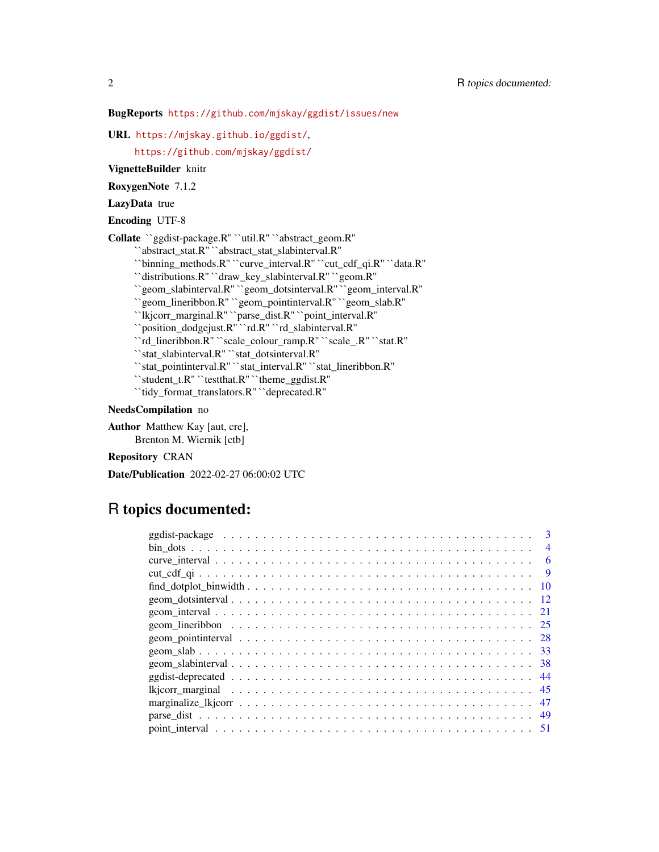## BugReports <https://github.com/mjskay/ggdist/issues/new>

URL <https://mjskay.github.io/ggdist/>,

<https://github.com/mjskay/ggdist/>

VignetteBuilder knitr

RoxygenNote 7.1.2

LazyData true

Encoding UTF-8

Collate ``ggdist-package.R'' ``util.R'' ``abstract\_geom.R''

``abstract\_stat.R'' ``abstract\_stat\_slabinterval.R''

``binning\_methods.R'' ``curve\_interval.R'' ``cut\_cdf\_qi.R'' ``data.R''

``distributions.R'' ``draw\_key\_slabinterval.R'' ``geom.R''

``geom\_slabinterval.R'' ``geom\_dotsinterval.R'' ``geom\_interval.R''

``geom\_lineribbon.R'' ``geom\_pointinterval.R'' ``geom\_slab.R''

``lkjcorr\_marginal.R'' ``parse\_dist.R'' ``point\_interval.R''

``position\_dodgejust.R'' ``rd.R'' ``rd\_slabinterval.R''

``rd\_lineribbon.R'' ``scale\_colour\_ramp.R'' ``scale\_.R'' ``stat.R''

``stat\_slabinterval.R'' ``stat\_dotsinterval.R''

``stat\_pointinterval.R'' ``stat\_interval.R'' ``stat\_lineribbon.R''

``student\_t.R'' ``testthat.R'' ``theme\_ggdist.R''

``tidy\_format\_translators.R'' ``deprecated.R''

## NeedsCompilation no

Author Matthew Kay [aut, cre], Brenton M. Wiernik [ctb]

Repository CRAN

Date/Publication 2022-02-27 06:00:02 UTC

# R topics documented:

| 3              |
|----------------|
| $\overline{4}$ |
| 6              |
| -9             |
| 10             |
| -12            |
|                |
| 25             |
|                |
|                |
|                |
|                |
|                |
| 47             |
|                |
|                |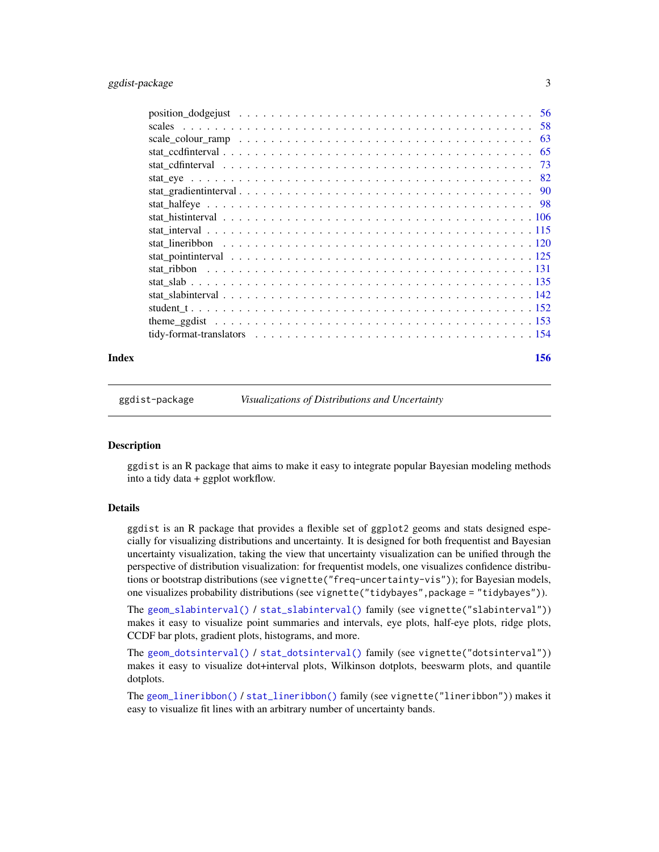<span id="page-2-0"></span>

|                                                                                                                | 58 |
|----------------------------------------------------------------------------------------------------------------|----|
| scale colour ramp $\ldots \ldots \ldots \ldots \ldots \ldots \ldots \ldots \ldots \ldots \ldots \ldots \ldots$ | 63 |
|                                                                                                                | 65 |
|                                                                                                                | 73 |
|                                                                                                                |    |
|                                                                                                                |    |
|                                                                                                                |    |
|                                                                                                                |    |
|                                                                                                                |    |
|                                                                                                                |    |
|                                                                                                                |    |
|                                                                                                                |    |
|                                                                                                                |    |
|                                                                                                                |    |
|                                                                                                                |    |
|                                                                                                                |    |
|                                                                                                                |    |
|                                                                                                                |    |

#### **Index** 2008 **[156](#page-155-0)**

ggdist-package *Visualizations of Distributions and Uncertainty*

#### **Description**

ggdist is an R package that aims to make it easy to integrate popular Bayesian modeling methods into a tidy data + ggplot workflow.

## Details

ggdist is an R package that provides a flexible set of ggplot2 geoms and stats designed especially for visualizing distributions and uncertainty. It is designed for both frequentist and Bayesian uncertainty visualization, taking the view that uncertainty visualization can be unified through the perspective of distribution visualization: for frequentist models, one visualizes confidence distributions or bootstrap distributions (see vignette("freq-uncertainty-vis")); for Bayesian models, one visualizes probability distributions (see vignette("tidybayes",package = "tidybayes")).

The [geom\\_slabinterval\(\)](#page-37-1) / [stat\\_slabinterval\(\)](#page-141-1) family (see vignette("slabinterval")) makes it easy to visualize point summaries and intervals, eye plots, half-eye plots, ridge plots, CCDF bar plots, gradient plots, histograms, and more.

The [geom\\_dotsinterval\(\)](#page-11-1) / [stat\\_dotsinterval\(\)](#page-11-2) family (see vignette("dotsinterval")) makes it easy to visualize dot+interval plots, Wilkinson dotplots, beeswarm plots, and quantile dotplots.

The [geom\\_lineribbon\(\)](#page-24-1) / [stat\\_lineribbon\(\)](#page-119-1) family (see vignette("lineribbon")) makes it easy to visualize fit lines with an arbitrary number of uncertainty bands.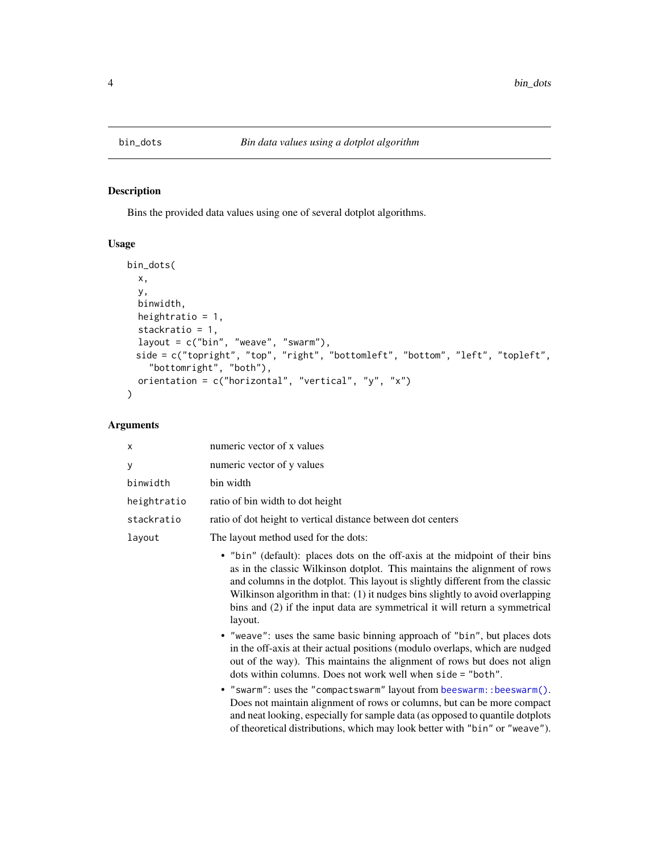<span id="page-3-1"></span><span id="page-3-0"></span>

## Description

Bins the provided data values using one of several dotplot algorithms.

## Usage

```
bin_dots(
  x,
 y,
 binwidth,
 heightratio = 1,
  stackratio = 1,
  layout = c("bin", "weave", "swarm"),
  side = c("topright", "top", "right", "bottomleft", "bottom", "left", "topleft",
    "bottomright", "both"),
 orientation = c("horizontal", "vertical", "y", "x")\mathcal{L}
```

| X           | numeric vector of x values                                                                                                                                                                                                                                                                                                                                                                                             |
|-------------|------------------------------------------------------------------------------------------------------------------------------------------------------------------------------------------------------------------------------------------------------------------------------------------------------------------------------------------------------------------------------------------------------------------------|
| У           | numeric vector of y values                                                                                                                                                                                                                                                                                                                                                                                             |
| binwidth    | bin width                                                                                                                                                                                                                                                                                                                                                                                                              |
| heightratio | ratio of bin width to dot height                                                                                                                                                                                                                                                                                                                                                                                       |
| stackratio  | ratio of dot height to vertical distance between dot centers                                                                                                                                                                                                                                                                                                                                                           |
| layout      | The layout method used for the dots:                                                                                                                                                                                                                                                                                                                                                                                   |
|             | • "bin" (default): places dots on the off-axis at the midpoint of their bins<br>as in the classic Wilkinson dotplot. This maintains the alignment of rows<br>and columns in the dotplot. This layout is slightly different from the classic<br>Wilkinson algorithm in that: (1) it nudges bins slightly to avoid overlapping<br>bins and (2) if the input data are symmetrical it will return a symmetrical<br>layout. |
|             | • "weave": uses the same basic binning approach of "bin", but places dots<br>in the off-axis at their actual positions (modulo overlaps, which are nudged<br>out of the way). This maintains the alignment of rows but does not align<br>dots within columns. Does not work well when side = "both".                                                                                                                   |
|             | • "swarm": uses the "compactswarm" layout from beeswarm:: beeswarm().<br>Does not maintain alignment of rows or columns, but can be more compact<br>and neat looking, especially for sample data (as opposed to quantile dotplots)<br>of theoretical distributions, which may look better with "bin" or "weave").                                                                                                      |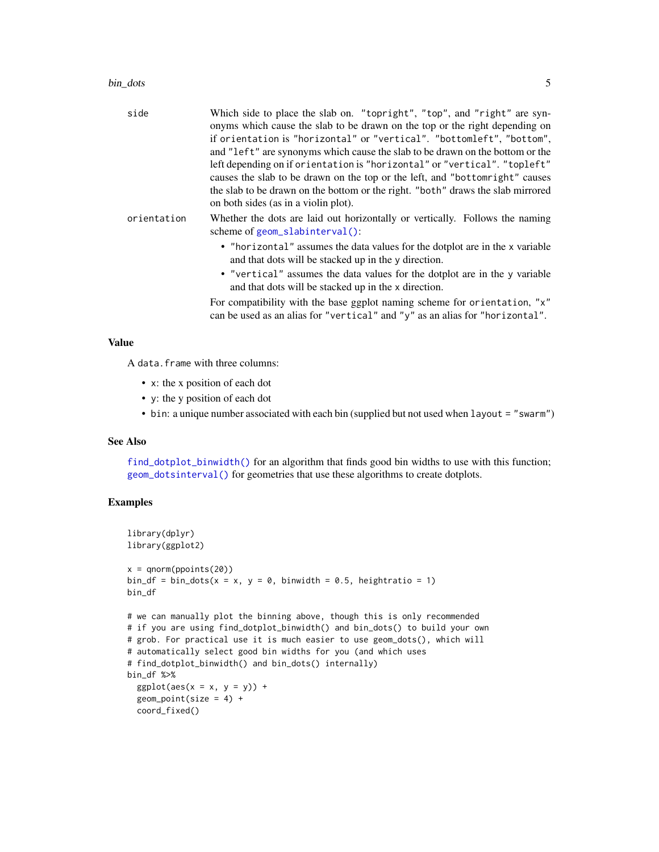#### bin\_dots 5

| side        | Which side to place the slab on. "topright", "top", and "right" are syn-<br>onyms which cause the slab to be drawn on the top or the right depending on<br>if orientation is "horizontal" or "vertical". "bottomleft", "bottom",<br>and "left" are synonyms which cause the slab to be drawn on the bottom or the<br>left depending on if orientation is "horizontal" or "vertical". "topleft"<br>causes the slab to be drawn on the top or the left, and "bottom right" causes<br>the slab to be drawn on the bottom or the right. "both" draws the slab mirrored<br>on both sides (as in a violin plot). |
|-------------|------------------------------------------------------------------------------------------------------------------------------------------------------------------------------------------------------------------------------------------------------------------------------------------------------------------------------------------------------------------------------------------------------------------------------------------------------------------------------------------------------------------------------------------------------------------------------------------------------------|
| orientation | Whether the dots are laid out horizontally or vertically. Follows the naming<br>scheme of geom_slabinterval():                                                                                                                                                                                                                                                                                                                                                                                                                                                                                             |
|             | • "horizontal" assumes the data values for the dotplot are in the x variable<br>and that dots will be stacked up in the y direction.                                                                                                                                                                                                                                                                                                                                                                                                                                                                       |
|             | • "vertical" assumes the data values for the dotplot are in the y variable<br>and that dots will be stacked up in the x direction.                                                                                                                                                                                                                                                                                                                                                                                                                                                                         |
|             | For compatibility with the base ggplot naming scheme for orientation, "x"<br>can be used as an alias for "vertical" and "y" as an alias for "horizontal".                                                                                                                                                                                                                                                                                                                                                                                                                                                  |

#### Value

A data.frame with three columns:

- x: the x position of each dot
- y: the y position of each dot
- bin: a unique number associated with each bin (supplied but not used when layout = "swarm")

## See Also

[find\\_dotplot\\_binwidth\(\)](#page-9-1) for an algorithm that finds good bin widths to use with this function; [geom\\_dotsinterval\(\)](#page-11-1) for geometries that use these algorithms to create dotplots.

## Examples

```
library(dplyr)
library(ggplot2)
x = qnorm(ppoints(20))bin_df = bin_dots(x = x, y = 0, binwidth = 0.5, heightratio = 1)
bin_df
# we can manually plot the binning above, though this is only recommended
# if you are using find_dotplot_binwidth() and bin_dots() to build your own
# grob. For practical use it is much easier to use geom_dots(), which will
# automatically select good bin widths for you (and which uses
# find_dotplot_binwidth() and bin_dots() internally)
bin_df %>%
  ggplot(aes(x = x, y = y)) +
  geom\_point(size = 4) +coord_fixed()
```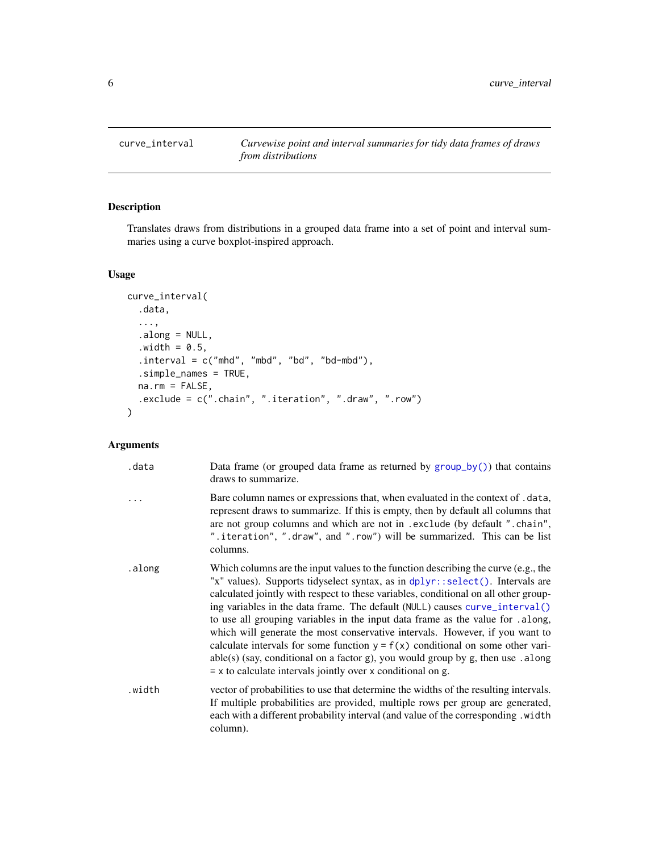<span id="page-5-1"></span><span id="page-5-0"></span>

## Description

Translates draws from distributions in a grouped data frame into a set of point and interval summaries using a curve boxplot-inspired approach.

## Usage

```
curve_interval(
  .data,
  ...,
  .along = NULL,
  .width = 0.5,
  .interval = c("mhd", "mbd", "bd", "bd-mbd"),.simple_names = TRUE,
  na.rm = FALSE,
  .exclude = c(".chain", ".iteration", ".draw", ".row")
)
```

| .data  | Data frame (or grouped data frame as returned by group_by()) that contains<br>draws to summarize.                                                                                                                                                                                                                                                                                                                                                                                                                                                                                                                                                                                                                                                      |
|--------|--------------------------------------------------------------------------------------------------------------------------------------------------------------------------------------------------------------------------------------------------------------------------------------------------------------------------------------------------------------------------------------------------------------------------------------------------------------------------------------------------------------------------------------------------------------------------------------------------------------------------------------------------------------------------------------------------------------------------------------------------------|
|        | Bare column names or expressions that, when evaluated in the context of .data,<br>represent draws to summarize. If this is empty, then by default all columns that<br>are not group columns and which are not in . exclude (by default ". chain",<br>".iteration", ".draw", and ".row") will be summarized. This can be list<br>columns.                                                                                                                                                                                                                                                                                                                                                                                                               |
| .along | Which columns are the input values to the function describing the curve (e.g., the<br>"x" values). Supports tidyselect syntax, as in dplyr::select(). Intervals are<br>calculated jointly with respect to these variables, conditional on all other group-<br>ing variables in the data frame. The default (NULL) causes curve_interval()<br>to use all grouping variables in the input data frame as the value for .along,<br>which will generate the most conservative intervals. However, if you want to<br>calculate intervals for some function $y = f(x)$ conditional on some other vari-<br>$able(s)$ (say, conditional on a factor g), you would group by g, then use . along<br>$= x$ to calculate intervals jointly over x conditional on g. |
| .width | vector of probabilities to use that determine the widths of the resulting intervals.<br>If multiple probabilities are provided, multiple rows per group are generated,<br>each with a different probability interval (and value of the corresponding. width<br>column).                                                                                                                                                                                                                                                                                                                                                                                                                                                                                |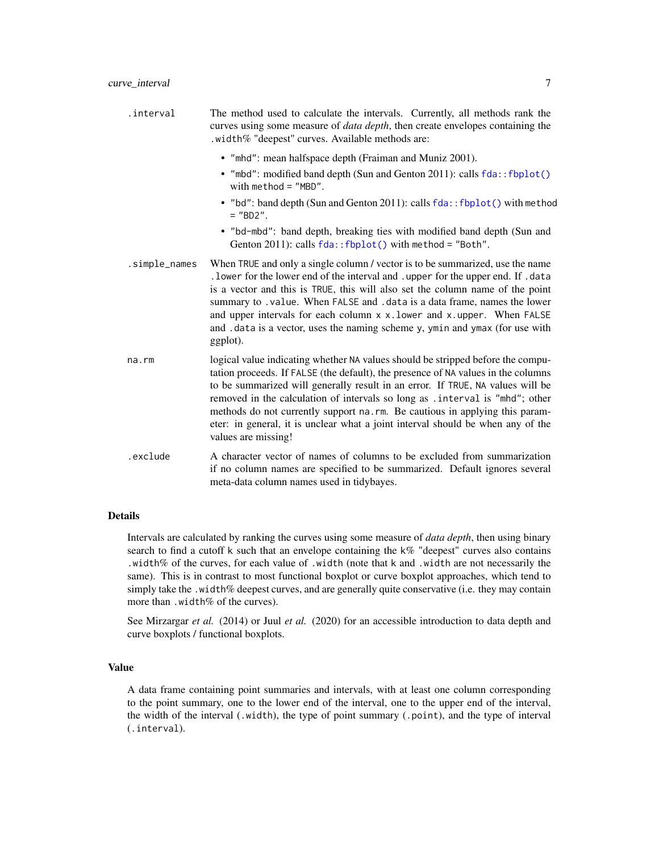| .interval | The method used to calculate the intervals. Currently, all methods rank the           |
|-----------|---------------------------------------------------------------------------------------|
|           | curves using some measure of <i>data depth</i> , then create envelopes containing the |
|           | . width $\%$ "deepest" curves. Available methods are:                                 |

- "mhd": mean halfspace depth (Fraiman and Muniz 2001).
- "mbd": modified band depth (Sun and Genton 2011): calls fda:: fbplot() with method = "MBD".
- "bd": band depth (Sun and Genton 2011): calls  $fda::fbplot()$  with method  $=$  "BD2".
- "bd-mbd": band depth, breaking ties with modified band depth (Sun and Genton 2011): calls fda:: fbplot() with method = "Both".
- .simple\_names When TRUE and only a single column / vector is to be summarized, use the name .lower for the lower end of the interval and .upper for the upper end. If .data is a vector and this is TRUE, this will also set the column name of the point summary to .value. When FALSE and .data is a data frame, names the lower and upper intervals for each column x x.lower and x.upper. When FALSE and .data is a vector, uses the naming scheme y, ymin and ymax (for use with ggplot).
- na.rm logical value indicating whether NA values should be stripped before the computation proceeds. If FALSE (the default), the presence of NA values in the columns to be summarized will generally result in an error. If TRUE, NA values will be removed in the calculation of intervals so long as .interval is "mhd"; other methods do not currently support na.rm. Be cautious in applying this parameter: in general, it is unclear what a joint interval should be when any of the values are missing!
- .exclude A character vector of names of columns to be excluded from summarization if no column names are specified to be summarized. Default ignores several meta-data column names used in tidybayes.

#### Details

Intervals are calculated by ranking the curves using some measure of *data depth*, then using binary search to find a cutoff k such that an envelope containing the  $k\%$  "deepest" curves also contains .width% of the curves, for each value of .width (note that k and .width are not necessarily the same). This is in contrast to most functional boxplot or curve boxplot approaches, which tend to simply take the .width% deepest curves, and are generally quite conservative (i.e. they may contain more than .width% of the curves).

See Mirzargar *et al.* (2014) or Juul *et al.* (2020) for an accessible introduction to data depth and curve boxplots / functional boxplots.

## Value

A data frame containing point summaries and intervals, with at least one column corresponding to the point summary, one to the lower end of the interval, one to the upper end of the interval, the width of the interval (.width), the type of point summary (.point), and the type of interval (.interval).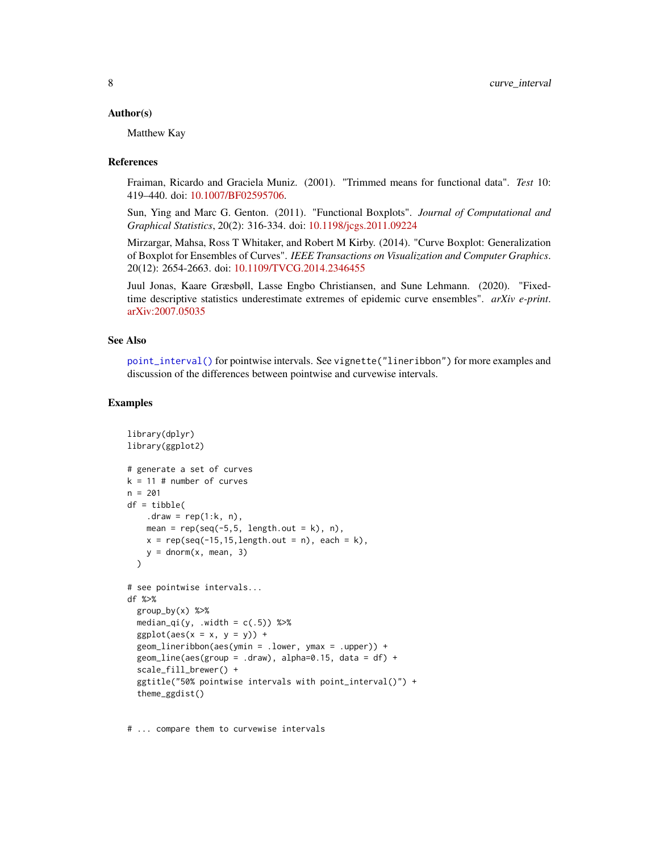#### Author(s)

Matthew Kay

#### References

Fraiman, Ricardo and Graciela Muniz. (2001). "Trimmed means for functional data". *Test* 10: 419–440. doi: [10.1007/BF02595706.](https://doi.org/10.1007/BF02595706)

Sun, Ying and Marc G. Genton. (2011). "Functional Boxplots". *Journal of Computational and Graphical Statistics*, 20(2): 316-334. doi: [10.1198/jcgs.2011.09224](https://doi.org/10.1198/jcgs.2011.09224)

Mirzargar, Mahsa, Ross T Whitaker, and Robert M Kirby. (2014). "Curve Boxplot: Generalization of Boxplot for Ensembles of Curves". *IEEE Transactions on Visualization and Computer Graphics*. 20(12): 2654-2663. doi: [10.1109/TVCG.2014.2346455](https://doi.org/10.1109/TVCG.2014.2346455)

Juul Jonas, Kaare Græsbøll, Lasse Engbo Christiansen, and Sune Lehmann. (2020). "Fixedtime descriptive statistics underestimate extremes of epidemic curve ensembles". *arXiv e-print*. [arXiv:2007.05035](https://arxiv.org/abs/2007.05035)

#### See Also

[point\\_interval\(\)](#page-50-1) for pointwise intervals. See vignette("lineribbon") for more examples and discussion of the differences between pointwise and curvewise intervals.

#### Examples

```
library(dplyr)
library(ggplot2)
# generate a set of curves
k = 11 # number of curves
n = 201
df = tibble(.draw = rep(1:k, n),
    mean = rep(seq(-5,5, length.out = k), n),x = rep(seq(-15, 15, length.out = n), each = k),y = \text{dnorm}(x, \text{ mean}, 3))
# see pointwise intervals...
df %>%
  group_by(x) %>%
  median_qi(y, .width = c(.5)) %>%
  ggplot(aes(x = x, y = y)) +
  geom_lineribbon(aes(ymin = .lower, ymax = .upper)) +
  geom\_line(aes(group = .draw), alpha=0.15, data = df) +scale_fill_brewer() +
  ggtitle("50% pointwise intervals with point_interval()") +
  theme_ggdist()
```
# ... compare them to curvewise intervals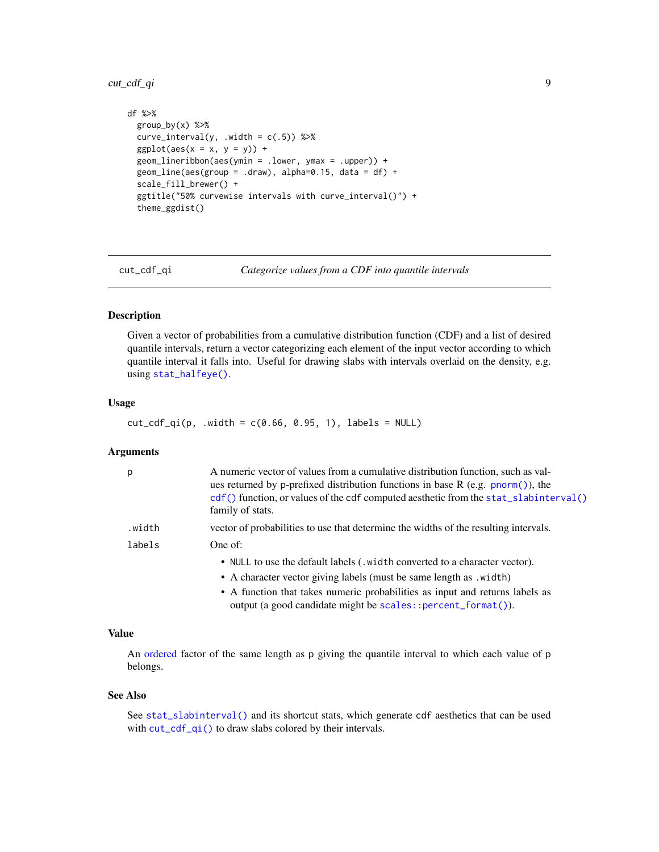## <span id="page-8-0"></span>cut\_cdf\_qi 9

```
df %>%
 group_by(x) %>%
 curve\_interval(y, .width = c(.5)) %>%
 ggplot(aes(x = x, y = y)) +geom_lineribbon(aes(ymin = .lower, ymax = .upper)) +
 geom\_line(aes(group = .draw), alpha=0.15, data = df) +scale_fill_brewer() +
 ggtitle("50% curvewise intervals with curve_interval()") +
 theme_ggdist()
```
cut\_cdf\_qi *Categorize values from a CDF into quantile intervals*

#### Description

Given a vector of probabilities from a cumulative distribution function (CDF) and a list of desired quantile intervals, return a vector categorizing each element of the input vector according to which quantile interval it falls into. Useful for drawing slabs with intervals overlaid on the density, e.g. using [stat\\_halfeye\(\)](#page-97-1).

#### Usage

```
cut_cdf_qi(p, .width = c(0.66, 0.95, 1), labels = NULL)
```
#### Arguments

| p      | A numeric vector of values from a cumulative distribution function, such as val-<br>ues returned by p-prefixed distribution functions in base R (e.g. pnorm()), the<br>$cdf()$ function, or values of the cdf computed aesthetic from the stat_slabinterval $()$<br>family of stats. |
|--------|--------------------------------------------------------------------------------------------------------------------------------------------------------------------------------------------------------------------------------------------------------------------------------------|
| .width | vector of probabilities to use that determine the widths of the resulting intervals.                                                                                                                                                                                                 |
| labels | One of:                                                                                                                                                                                                                                                                              |
|        | • NULL to use the default labels (, width converted to a character vector).                                                                                                                                                                                                          |
|        | • A character vector giving labels (must be same length as .width)                                                                                                                                                                                                                   |
|        | • A function that takes numeric probabilities as input and returns labels as<br>output (a good candidate might be scales::percent_format()).                                                                                                                                         |

## Value

An [ordered](#page-0-0) factor of the same length as p giving the quantile interval to which each value of p belongs.

#### See Also

See [stat\\_slabinterval\(\)](#page-141-1) and its shortcut stats, which generate cdf aesthetics that can be used with  $cut_cdf_qi()$  to draw slabs colored by their intervals.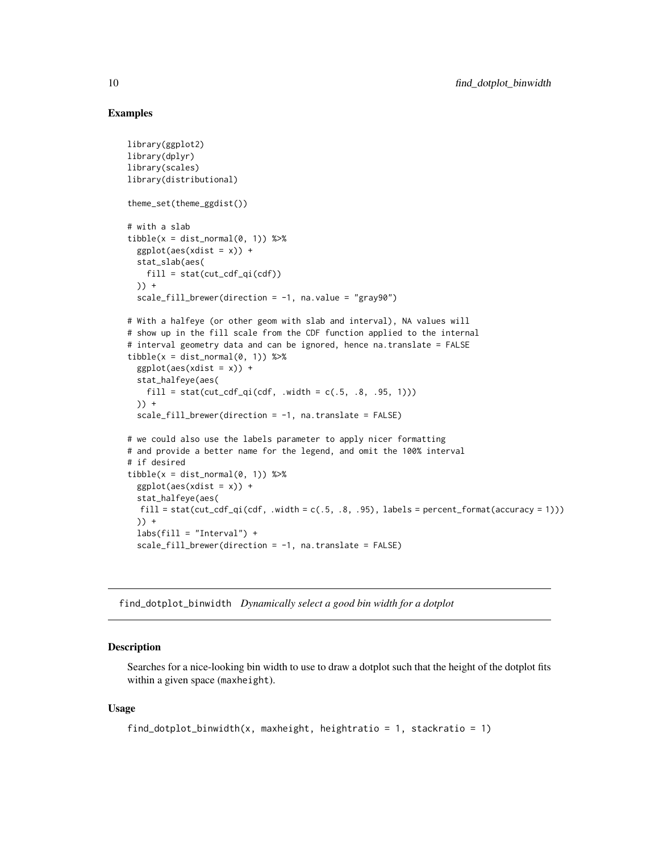## Examples

```
library(ggplot2)
library(dplyr)
library(scales)
library(distributional)
theme_set(theme_ggdist())
# with a slab
tible(x = dist\_normal(0, 1)) %>%
  ggplot(aes(xdist = x)) +stat_slab(aes(
   fill = stat(cut_cdf_qi(cd)))) +
  scale_fill_brewer(direction = -1, na.value = "gray90")
# With a halfeye (or other geom with slab and interval), NA values will
# show up in the fill scale from the CDF function applied to the internal
# interval geometry data and can be ignored, hence na.translate = FALSE
tible(x = dist\_normal(0, 1)) %>%
  ggplot(aes(xdist = x)) +stat_halfeye(aes(
    fill = stat(cut_cdf_qi(cd, width = c(.5, .8, .95, 1))))) +scale_fill_brewer(direction = -1, na.translate = FALSE)
# we could also use the labels parameter to apply nicer formatting
# and provide a better name for the legend, and omit the 100% interval
# if desired
tibble(x = dist\_normal(0, 1)) %>%
  ggplot(aes(xdist = x)) +stat_halfeye(aes(
  fill = stat(cut_cdf_qi(cdf, .width = c(.5, .8, .95), labels = percent_format(accuracy = 1)))
  )) +
  labs(fill = "Interval") +scale_fill_brewer(direction = -1, na.translate = FALSE)
```
<span id="page-9-1"></span>find\_dotplot\_binwidth *Dynamically select a good bin width for a dotplot*

#### **Description**

Searches for a nice-looking bin width to use to draw a dotplot such that the height of the dotplot fits within a given space (maxheight).

## Usage

```
find_dotplot_binwidth(x, maxheight, heightratio = 1, stackratio = 1)
```
<span id="page-9-0"></span>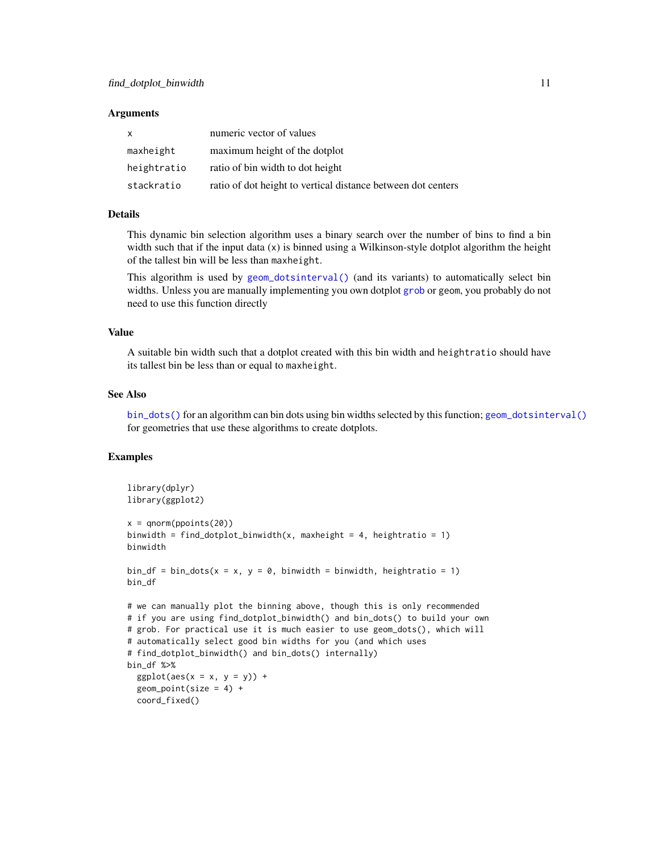#### **Arguments**

| $\mathsf{x}$ | numeric vector of values                                     |
|--------------|--------------------------------------------------------------|
| maxheight    | maximum height of the dotplot                                |
| heightratio  | ratio of bin width to dot height                             |
| stackratio   | ratio of dot height to vertical distance between dot centers |

## Details

This dynamic bin selection algorithm uses a binary search over the number of bins to find a bin width such that if the input data  $(x)$  is binned using a Wilkinson-style dotplot algorithm the height of the tallest bin will be less than maxheight.

This algorithm is used by [geom\\_dotsinterval\(\)](#page-11-1) (and its variants) to automatically select bin widths. Unless you are manually implementing you own dotplot [grob](#page-0-0) or geom, you probably do not need to use this function directly

#### Value

A suitable bin width such that a dotplot created with this bin width and heightratio should have its tallest bin be less than or equal to maxheight.

#### See Also

[bin\\_dots\(\)](#page-3-1) for an algorithm can bin dots using bin widths selected by this function; [geom\\_dotsinterval\(\)](#page-11-1) for geometries that use these algorithms to create dotplots.

#### Examples

```
library(dplyr)
library(ggplot2)
x = qnorm(ppoints(20))binwidth = find_dotplot_binwidth(x, maxheight = 4, heightratio = 1)
binwidth
bin_df = bin_dots(x = x, y = 0, binwidth = binwidth, heightratio = 1)
bin_df
# we can manually plot the binning above, though this is only recommended
# if you are using find_dotplot_binwidth() and bin_dots() to build your own
# grob. For practical use it is much easier to use geom_dots(), which will
# automatically select good bin widths for you (and which uses
# find_dotplot_binwidth() and bin_dots() internally)
bin_df %>%
  ggplot(aes(x = x, y = y)) +geom\_point(size = 4) +coord_fixed()
```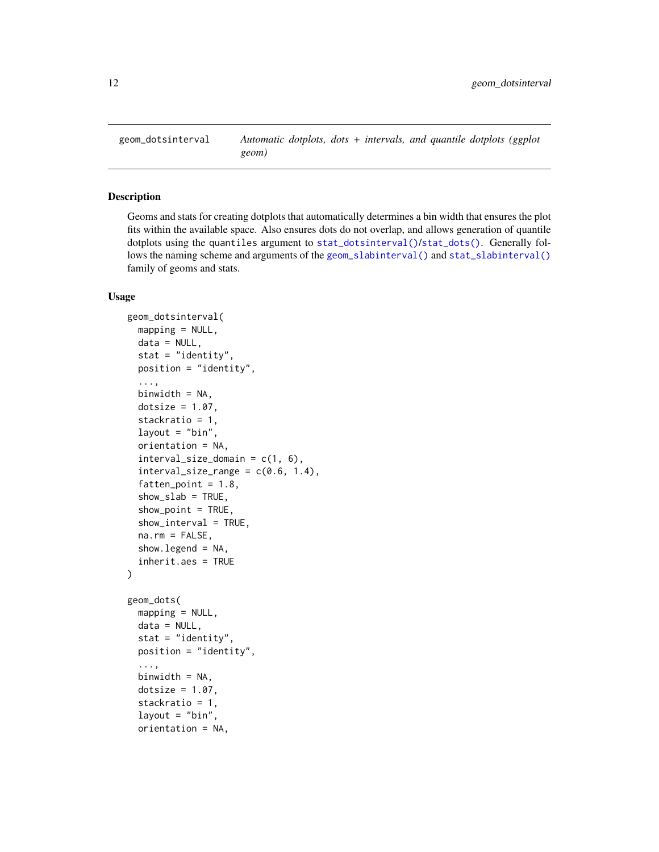<span id="page-11-1"></span><span id="page-11-0"></span>

## <span id="page-11-2"></span>Description

Geoms and stats for creating dotplots that automatically determines a bin width that ensures the plot fits within the available space. Also ensures dots do not overlap, and allows generation of quantile dotplots using the quantiles argument to [stat\\_dotsinterval\(\)](#page-11-2)/[stat\\_dots\(\)](#page-11-2). Generally follows the naming scheme and arguments of the [geom\\_slabinterval\(\)](#page-37-1) and [stat\\_slabinterval\(\)](#page-141-1) family of geoms and stats.

#### Usage

```
geom_dotsinterval(
 mapping = NULL,
 data = NULL,stat = "identity",
 position = "identity",
  ...,
 binwidth = NA,
  dotsize = 1.07,
  stackratio = 1,
  layout = "bin",
  orientation = NA,
  interval_size\_domain = c(1, 6),interval_size_range = c(0.6, 1.4),
  fatten\_point = 1.8,
  show\_slab = TRUE,show\_point = TRUE,show\_interval = TRUE,na.rm = FALSE,show.legend = NA,
  inherit.aes = TRUE
)
geom_dots(
 mapping = NULL,data = NULL,stat = "identity",
 position = "identity",
  ...,
 binwidth = NA,
  dotsize = 1.07.
  stackratio = 1,
  layout = "bin",
  orientation = NA,
```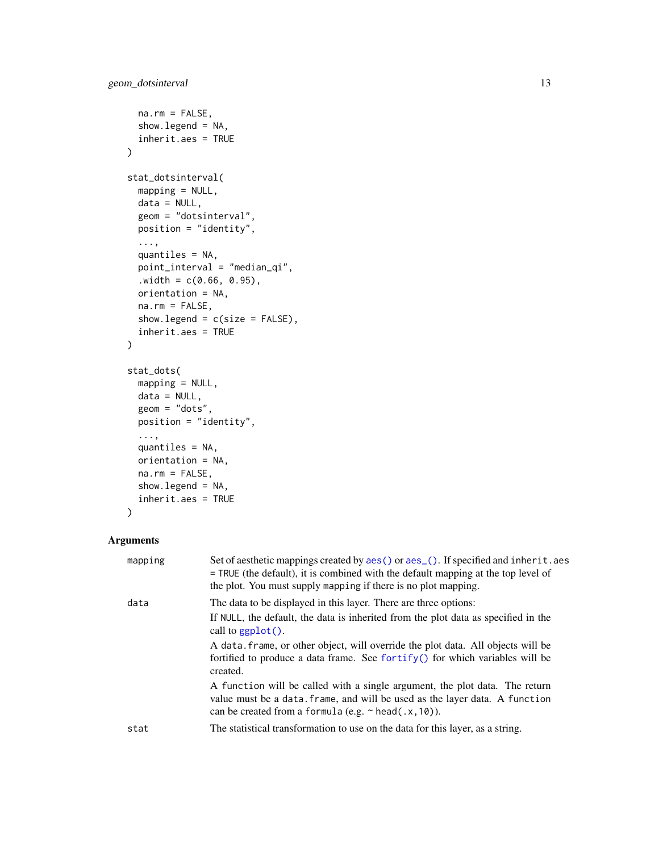```
na.rm = FALSE,show.legend = NA,
  inherit.aes = TRUE
\mathcal{L}stat_dotsinterval(
 mapping = NULL,
 data = NULL,geom = "dotsinterval",
 position = "identity",
  ...,
  quantiles = NA,
 point_interval = "median_qi",
  . width = c(0.66, 0.95),orientation = NA,
 na.rm = FALSE,show.legend = c(size = FALSE),
  inherit.aes = TRUE
\mathcal{L}stat_dots(
 mapping = NULL,
 data = NULL,geom = "dots",
 position = "identity",
  ...,
  quantiles = NA,
 orientation = NA,
 na.rm = FALSE,
 show.legend = NA,
  inherit.aes = TRUE
)
```

| mapping | Set of aesthetic mappings created by aes () or aes (). If specified and inherit. aes<br>$=$ TRUE (the default), it is combined with the default mapping at the top level of<br>the plot. You must supply mapping if there is no plot mapping. |
|---------|-----------------------------------------------------------------------------------------------------------------------------------------------------------------------------------------------------------------------------------------------|
| data    | The data to be displayed in this layer. There are three options:<br>If NULL, the default, the data is inherited from the plot data as specified in the<br>call to $ggplot()$ .                                                                |
|         | A data frame, or other object, will override the plot data. All objects will be<br>fortified to produce a data frame. See fortify() for which variables will be<br>created.                                                                   |
|         | A function will be called with a single argument, the plot data. The return<br>value must be a data. frame, and will be used as the layer data. A function<br>can be created from a formula (e.g. $\sim$ head(.x, 10)).                       |
| stat    | The statistical transformation to use on the data for this layer, as a string.                                                                                                                                                                |
|         |                                                                                                                                                                                                                                               |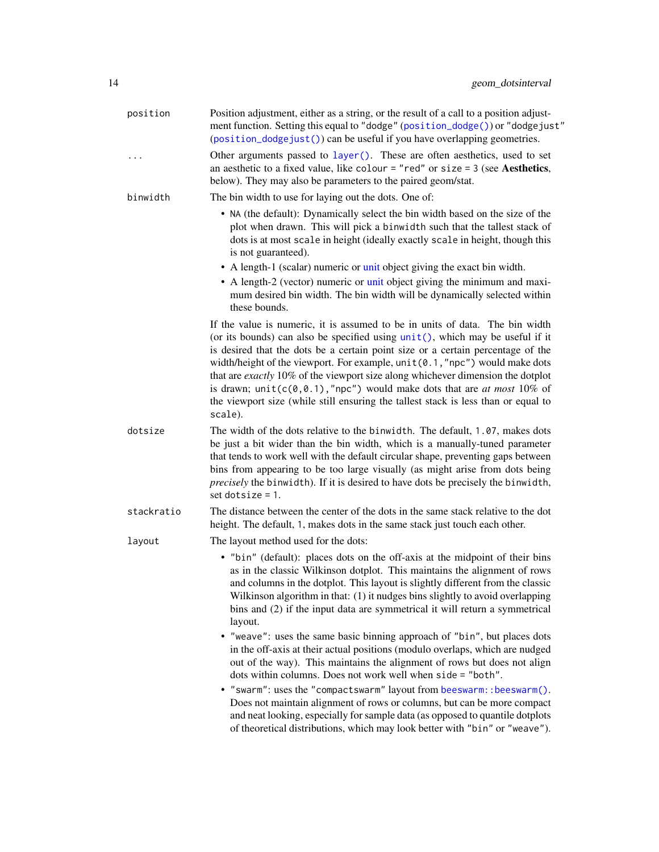| position   | Position adjustment, either as a string, or the result of a call to a position adjust-<br>ment function. Setting this equal to "dodge" (position_dodge()) or "dodgejust"<br>(position_dodgejust()) can be useful if you have overlapping geometries.                                                                                                                                                                                                                                                                                                                                                      |
|------------|-----------------------------------------------------------------------------------------------------------------------------------------------------------------------------------------------------------------------------------------------------------------------------------------------------------------------------------------------------------------------------------------------------------------------------------------------------------------------------------------------------------------------------------------------------------------------------------------------------------|
| .          | Other arguments passed to layer(). These are often aesthetics, used to set<br>an aesthetic to a fixed value, like colour = "red" or size = $3$ (see Aesthetics,<br>below). They may also be parameters to the paired geom/stat.                                                                                                                                                                                                                                                                                                                                                                           |
| binwidth   | The bin width to use for laying out the dots. One of:                                                                                                                                                                                                                                                                                                                                                                                                                                                                                                                                                     |
|            | • NA (the default): Dynamically select the bin width based on the size of the<br>plot when drawn. This will pick a binwidth such that the tallest stack of<br>dots is at most scale in height (ideally exactly scale in height, though this<br>is not guaranteed).<br>• A length-1 (scalar) numeric or unit object giving the exact bin width.                                                                                                                                                                                                                                                            |
|            | • A length-2 (vector) numeric or unit object giving the minimum and maxi-<br>mum desired bin width. The bin width will be dynamically selected within<br>these bounds.                                                                                                                                                                                                                                                                                                                                                                                                                                    |
|            | If the value is numeric, it is assumed to be in units of data. The bin width<br>(or its bounds) can also be specified using unit(), which may be useful if it<br>is desired that the dots be a certain point size or a certain percentage of the<br>width/height of the viewport. For example, unit (0.1, "npc") would make dots<br>that are exactly 10% of the viewport size along whichever dimension the dotplot<br>is drawn; $unit(c(0, 0.1), "npc")$ would make dots that are <i>at most</i> 10% of<br>the viewport size (while still ensuring the tallest stack is less than or equal to<br>scale). |
| dotsize    | The width of the dots relative to the binwidth. The default, 1.07, makes dots<br>be just a bit wider than the bin width, which is a manually-tuned parameter<br>that tends to work well with the default circular shape, preventing gaps between<br>bins from appearing to be too large visually (as might arise from dots being<br>precisely the binwidth). If it is desired to have dots be precisely the binwidth,<br>set dotsize = $1$ .                                                                                                                                                              |
| stackratio | The distance between the center of the dots in the same stack relative to the dot<br>height. The default, 1, makes dots in the same stack just touch each other.                                                                                                                                                                                                                                                                                                                                                                                                                                          |
| layout     | The layout method used for the dots:                                                                                                                                                                                                                                                                                                                                                                                                                                                                                                                                                                      |
|            | • "bin" (default): places dots on the off-axis at the midpoint of their bins<br>as in the classic Wilkinson dotplot. This maintains the alignment of rows<br>and columns in the dotplot. This layout is slightly different from the classic<br>Wilkinson algorithm in that: (1) it nudges bins slightly to avoid overlapping<br>bins and (2) if the input data are symmetrical it will return a symmetrical<br>layout.                                                                                                                                                                                    |
|            | • "weave": uses the same basic binning approach of "bin", but places dots<br>in the off-axis at their actual positions (modulo overlaps, which are nudged<br>out of the way). This maintains the alignment of rows but does not align<br>dots within columns. Does not work well when side = "both".                                                                                                                                                                                                                                                                                                      |
|            | • "swarm": uses the "compactswarm" layout from beeswarm:: beeswarm().<br>Does not maintain alignment of rows or columns, but can be more compact<br>and neat looking, especially for sample data (as opposed to quantile dotplots<br>of theoretical distributions, which may look better with "bin" or "weave").                                                                                                                                                                                                                                                                                          |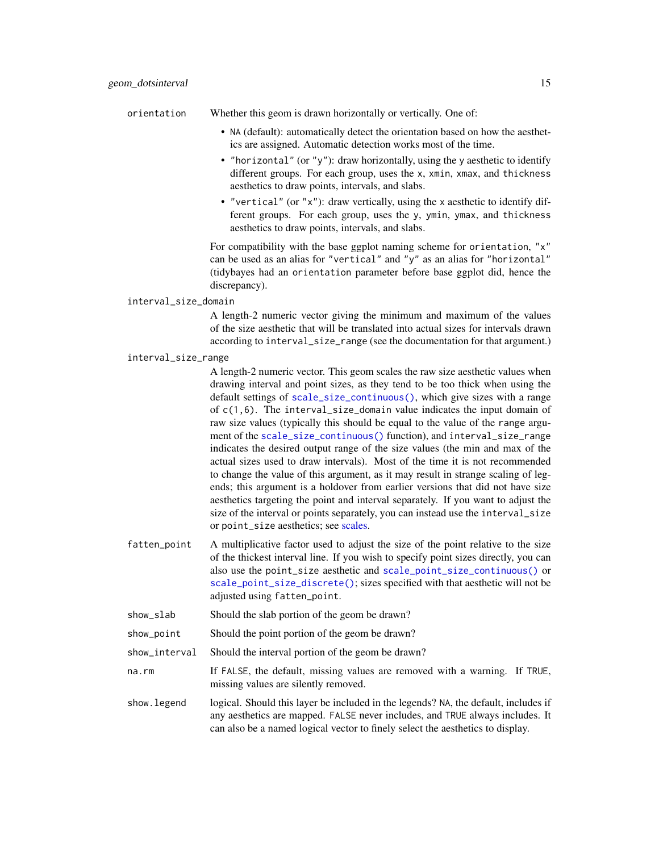orientation Whether this geom is drawn horizontally or vertically. One of:

- NA (default): automatically detect the orientation based on how the aesthetics are assigned. Automatic detection works most of the time.
- "horizontal" (or "y"): draw horizontally, using the y aesthetic to identify different groups. For each group, uses the x, xmin, xmax, and thickness aesthetics to draw points, intervals, and slabs.
- "vertical" (or "x"): draw vertically, using the x aesthetic to identify different groups. For each group, uses the y, ymin, ymax, and thickness aesthetics to draw points, intervals, and slabs.

For compatibility with the base ggplot naming scheme for orientation, "x" can be used as an alias for "vertical" and "y" as an alias for "horizontal" (tidybayes had an orientation parameter before base ggplot did, hence the discrepancy).

#### interval\_size\_domain

A length-2 numeric vector giving the minimum and maximum of the values of the size aesthetic that will be translated into actual sizes for intervals drawn according to interval\_size\_range (see the documentation for that argument.)

#### interval\_size\_range

A length-2 numeric vector. This geom scales the raw size aesthetic values when drawing interval and point sizes, as they tend to be too thick when using the default settings of [scale\\_size\\_continuous\(\)](#page-0-0), which give sizes with a range of c(1,6). The interval\_size\_domain value indicates the input domain of raw size values (typically this should be equal to the value of the range argument of the [scale\\_size\\_continuous\(\)](#page-0-0) function), and interval\_size\_range indicates the desired output range of the size values (the min and max of the actual sizes used to draw intervals). Most of the time it is not recommended to change the value of this argument, as it may result in strange scaling of legends; this argument is a holdover from earlier versions that did not have size aesthetics targeting the point and interval separately. If you want to adjust the size of the interval or points separately, you can instead use the interval\_size or point\_size aesthetics; see [scales.](#page-57-1)

- fatten\_point A multiplicative factor used to adjust the size of the point relative to the size of the thickest interval line. If you wish to specify point sizes directly, you can also use the point\_size aesthetic and [scale\\_point\\_size\\_continuous\(\)](#page-57-2) or [scale\\_point\\_size\\_discrete\(\)](#page-57-2); sizes specified with that aesthetic will not be adjusted using fatten\_point.
- show\_slab Should the slab portion of the geom be drawn?
- show\_point Should the point portion of the geom be drawn?
- show\_interval Should the interval portion of the geom be drawn?
- na.rm If FALSE, the default, missing values are removed with a warning. If TRUE, missing values are silently removed.
- show. legend logical. Should this layer be included in the legends? NA, the default, includes if any aesthetics are mapped. FALSE never includes, and TRUE always includes. It can also be a named logical vector to finely select the aesthetics to display.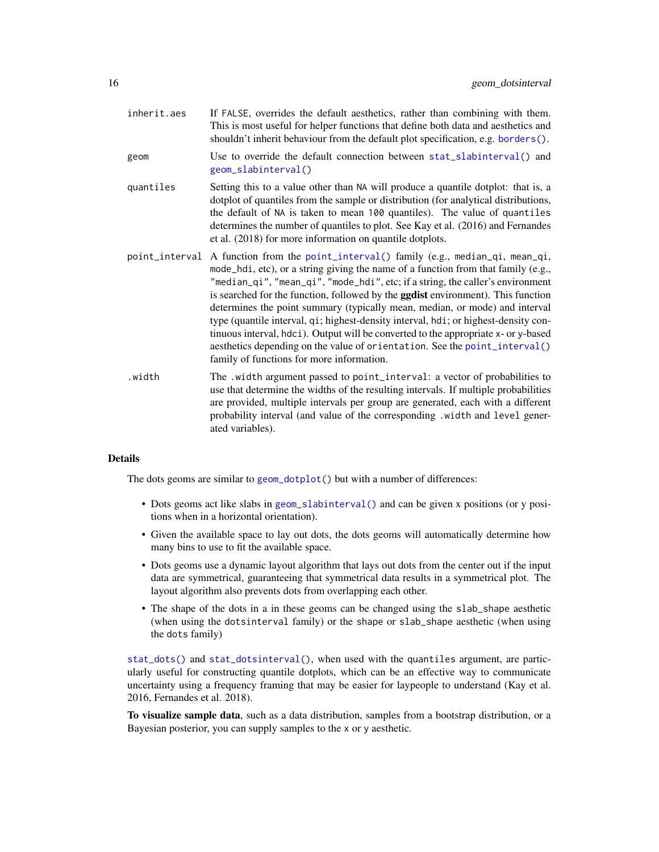| inherit.aes | If FALSE, overrides the default aesthetics, rather than combining with them.<br>This is most useful for helper functions that define both data and aesthetics and<br>shouldn't inherit behaviour from the default plot specification, e.g. borders().                                                                                                                                                                                                                                                                                                                                                                                                                                                                                          |
|-------------|------------------------------------------------------------------------------------------------------------------------------------------------------------------------------------------------------------------------------------------------------------------------------------------------------------------------------------------------------------------------------------------------------------------------------------------------------------------------------------------------------------------------------------------------------------------------------------------------------------------------------------------------------------------------------------------------------------------------------------------------|
| geom        | Use to override the default connection between stat_slabinterval() and<br>geom_slabinterval()                                                                                                                                                                                                                                                                                                                                                                                                                                                                                                                                                                                                                                                  |
| quantiles   | Setting this to a value other than NA will produce a quantile dotplot: that is, a<br>dotplot of quantiles from the sample or distribution (for analytical distributions,<br>the default of NA is taken to mean 100 quantiles). The value of quantiles<br>determines the number of quantiles to plot. See Kay et al. (2016) and Fernandes<br>et al. (2018) for more information on quantile dotplots.                                                                                                                                                                                                                                                                                                                                           |
|             | point_interval A function from the point_interval() family (e.g., median_qi, mean_qi,<br>mode_hdi, etc), or a string giving the name of a function from that family (e.g.,<br>"median_qi", "mean_qi", "mode_hdi", etc; if a string, the caller's environment<br>is searched for the function, followed by the <b>ggdist</b> environment). This function<br>determines the point summary (typically mean, median, or mode) and interval<br>type (quantile interval, qi; highest-density interval, hdi; or highest-density con-<br>tinuous interval, hdci). Output will be converted to the appropriate x- or y-based<br>aesthetics depending on the value of orientation. See the point_interval()<br>family of functions for more information. |
| .width      | The .width argument passed to point_interval: a vector of probabilities to<br>use that determine the widths of the resulting intervals. If multiple probabilities<br>are provided, multiple intervals per group are generated, each with a different<br>probability interval (and value of the corresponding .width and level gener-<br>ated variables).                                                                                                                                                                                                                                                                                                                                                                                       |

#### Details

The dots geoms are similar to [geom\\_dotplot\(\)](#page-0-0) but with a number of differences:

- Dots geoms act like slabs in [geom\\_slabinterval\(\)](#page-37-1) and can be given x positions (or y positions when in a horizontal orientation).
- Given the available space to lay out dots, the dots geoms will automatically determine how many bins to use to fit the available space.
- Dots geoms use a dynamic layout algorithm that lays out dots from the center out if the input data are symmetrical, guaranteeing that symmetrical data results in a symmetrical plot. The layout algorithm also prevents dots from overlapping each other.
- The shape of the dots in a in these geoms can be changed using the slab\_shape aesthetic (when using the dotsinterval family) or the shape or slab\_shape aesthetic (when using the dots family)

[stat\\_dots\(\)](#page-11-2) and [stat\\_dotsinterval\(\)](#page-11-2), when used with the quantiles argument, are particularly useful for constructing quantile dotplots, which can be an effective way to communicate uncertainty using a frequency framing that may be easier for laypeople to understand (Kay et al. 2016, Fernandes et al. 2018).

To visualize sample data, such as a data distribution, samples from a bootstrap distribution, or a Bayesian posterior, you can supply samples to the x or y aesthetic.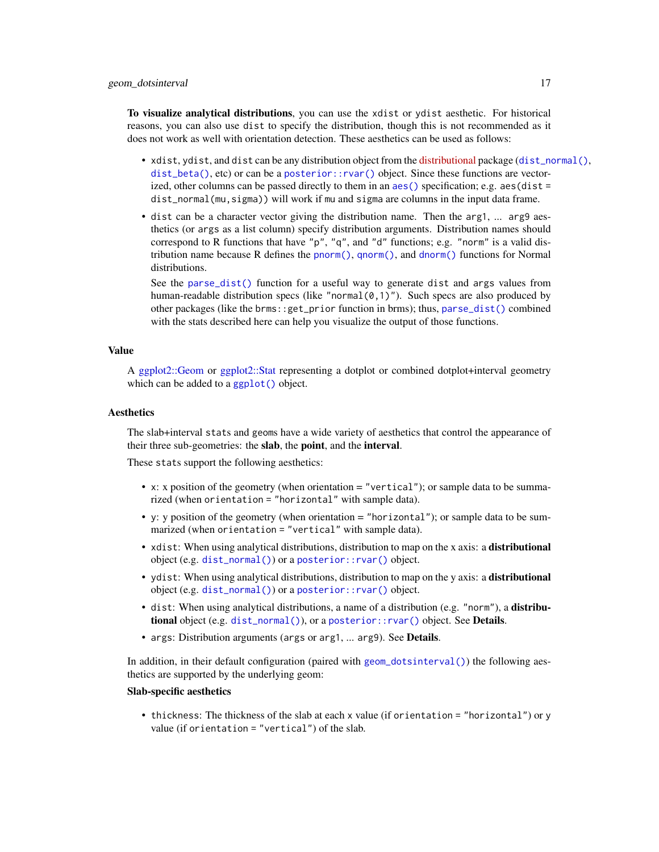To visualize analytical distributions, you can use the xdist or ydist aesthetic. For historical reasons, you can also use dist to specify the distribution, though this is not recommended as it does not work as well with orientation detection. These aesthetics can be used as follows:

- xdist, ydist, and dist can be any distribution object from the [distributional](https://pkg.mitchelloharawild.com/distributional/) package ([dist\\_normal\(\)](#page-0-0),  $dist_{\text{beta}}($ , etc) or can be a posterior:: $rvar()$  object. Since these functions are vectorized, other columns can be passed directly to them in an  $aes()$  specification; e.g.  $aes(dist =$ dist\_normal(mu,sigma)) will work if mu and sigma are columns in the input data frame.
- dist can be a character vector giving the distribution name. Then the arg1, ... arg9 aesthetics (or args as a list column) specify distribution arguments. Distribution names should correspond to R functions that have "p", "q", and "d" functions; e.g. "norm" is a valid distribution name because R defines the [pnorm\(\)](#page-0-0), [qnorm\(\)](#page-0-0), and [dnorm\(\)](#page-0-0) functions for Normal distributions.

See the [parse\\_dist\(\)](#page-48-1) function for a useful way to generate dist and args values from human-readable distribution specs (like "normal $(0,1)$ "). Such specs are also produced by other packages (like the brms::get\_prior function in brms); thus, [parse\\_dist\(\)](#page-48-1) combined with the stats described here can help you visualize the output of those functions.

#### Value

A [ggplot2::Geom](#page-0-0) or [ggplot2::Stat](#page-0-0) representing a dotplot or combined dotplot+interval geometry which can be added to a [ggplot\(\)](#page-0-0) object.

#### **Aesthetics**

The slab+interval stats and geoms have a wide variety of aesthetics that control the appearance of their three sub-geometries: the slab, the point, and the interval.

These stats support the following aesthetics:

- x: x position of the geometry (when orientation = "vertical"); or sample data to be summarized (when orientation = "horizontal" with sample data).
- y: y position of the geometry (when orientation = "horizontal"); or sample data to be summarized (when orientation = "vertical" with sample data).
- xdist: When using analytical distributions, distribution to map on the x axis: a distributional object (e.g. [dist\\_normal\(\)](#page-0-0)) or a [posterior::rvar\(\)](#page-0-0) object.
- ydist: When using analytical distributions, distribution to map on the y axis: a distributional object (e.g. [dist\\_normal\(\)](#page-0-0)) or a [posterior::rvar\(\)](#page-0-0) object.
- dist: When using analytical distributions, a name of a distribution (e.g. "norm"), a distributional object (e.g. [dist\\_normal\(\)](#page-0-0)), or a [posterior::rvar\(\)](#page-0-0) object. See Details.
- args: Distribution arguments (args or arg1, ... arg9). See Details.

In addition, in their default configuration (paired with [geom\\_dotsinterval\(\)](#page-11-1)) the following aesthetics are supported by the underlying geom:

## Slab-specific aesthetics

• thickness: The thickness of the slab at each x value (if orientation = "horizontal") or y value (if orientation = "vertical") of the slab.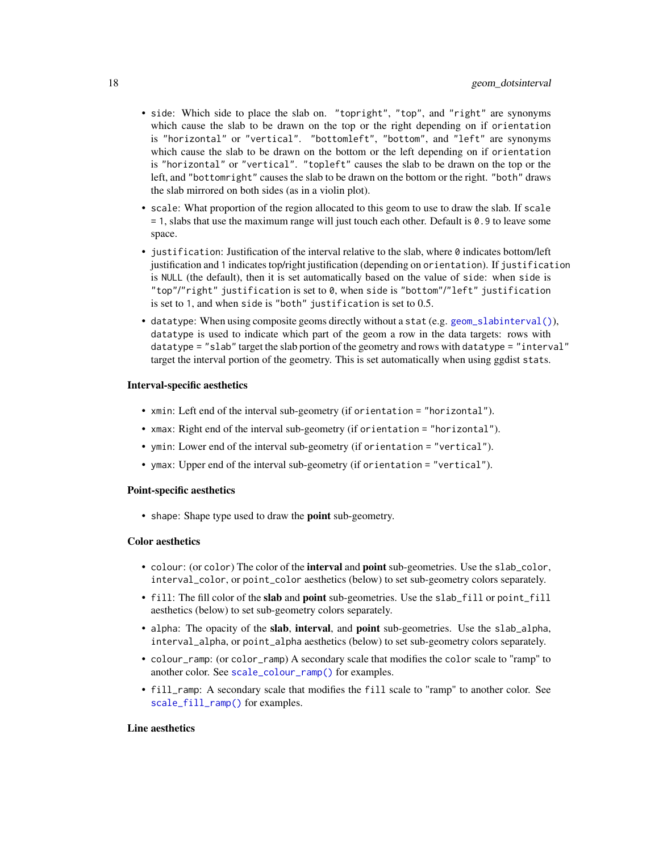- side: Which side to place the slab on. "topright", "top", and "right" are synonyms which cause the slab to be drawn on the top or the right depending on if orientation is "horizontal" or "vertical". "bottomleft", "bottom", and "left" are synonyms which cause the slab to be drawn on the bottom or the left depending on if orientation is "horizontal" or "vertical". "topleft" causes the slab to be drawn on the top or the left, and "bottomright" causes the slab to be drawn on the bottom or the right. "both" draws the slab mirrored on both sides (as in a violin plot).
- scale: What proportion of the region allocated to this geom to use to draw the slab. If scale  $= 1$ , slabs that use the maximum range will just touch each other. Default is 0.9 to leave some space.
- justification: Justification of the interval relative to the slab, where  $\theta$  indicates bottom/left justification and 1 indicates top/right justification (depending on orientation). If justification is NULL (the default), then it is set automatically based on the value of side: when side is "top"/"right" justification is set to 0, when side is "bottom"/"left" justification is set to 1, and when side is "both" justification is set to 0.5.
- datatype: When using composite geoms directly without a stat (e.g. [geom\\_slabinterval\(\)](#page-37-1)), datatype is used to indicate which part of the geom a row in the data targets: rows with datatype = "slab" target the slab portion of the geometry and rows with datatype = "interval" target the interval portion of the geometry. This is set automatically when using ggdist stats.

#### Interval-specific aesthetics

- xmin: Left end of the interval sub-geometry (if orientation = "horizontal").
- xmax: Right end of the interval sub-geometry (if orientation = "horizontal").
- ymin: Lower end of the interval sub-geometry (if orientation = "vertical").
- ymax: Upper end of the interval sub-geometry (if orientation = "vertical").

## Point-specific aesthetics

• shape: Shape type used to draw the **point** sub-geometry.

#### Color aesthetics

- colour: (or color) The color of the interval and point sub-geometries. Use the slab\_color, interval\_color, or point\_color aesthetics (below) to set sub-geometry colors separately.
- fill: The fill color of the slab and point sub-geometries. Use the slab\_fill or point\_fill aesthetics (below) to set sub-geometry colors separately.
- alpha: The opacity of the slab, interval, and point sub-geometries. Use the slab\_alpha, interval\_alpha, or point\_alpha aesthetics (below) to set sub-geometry colors separately.
- colour\_ramp: (or color\_ramp) A secondary scale that modifies the color scale to "ramp" to another color. See [scale\\_colour\\_ramp\(\)](#page-62-1) for examples.
- fill\_ramp: A secondary scale that modifies the fill scale to "ramp" to another color. See [scale\\_fill\\_ramp\(\)](#page-62-2) for examples.

#### Line aesthetics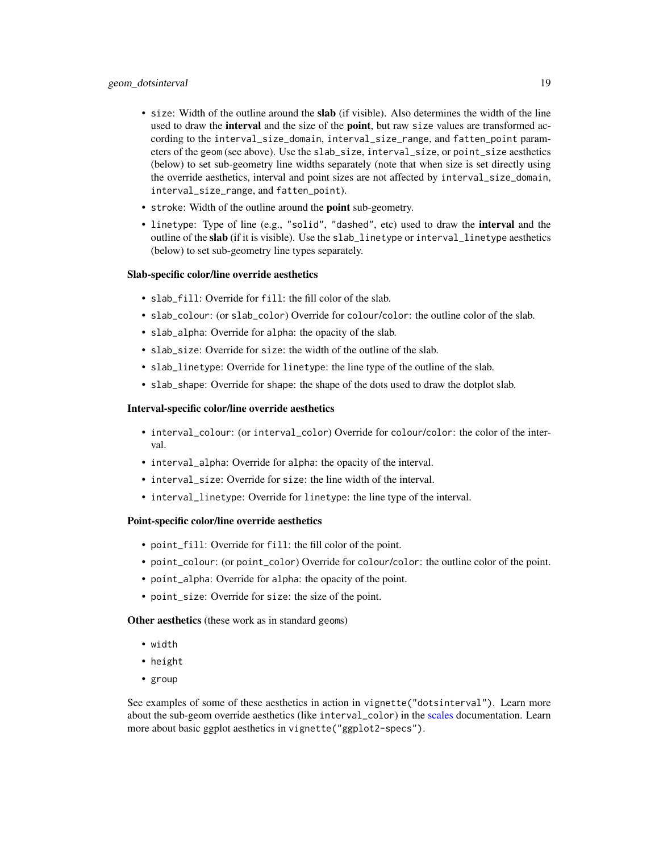- size: Width of the outline around the slab (if visible). Also determines the width of the line used to draw the **interval** and the size of the **point**, but raw size values are transformed according to the interval\_size\_domain, interval\_size\_range, and fatten\_point parameters of the geom (see above). Use the slab\_size, interval\_size, or point\_size aesthetics (below) to set sub-geometry line widths separately (note that when size is set directly using the override aesthetics, interval and point sizes are not affected by interval\_size\_domain, interval\_size\_range, and fatten\_point).
- stroke: Width of the outline around the point sub-geometry.
- linetype: Type of line (e.g., "solid", "dashed", etc) used to draw the interval and the outline of the slab (if it is visible). Use the slab\_linetype or interval\_linetype aesthetics (below) to set sub-geometry line types separately.

#### Slab-specific color/line override aesthetics

- slab fill: Override for fill: the fill color of the slab.
- slab\_colour: (or slab\_color) Override for colour/color: the outline color of the slab.
- slab\_alpha: Override for alpha: the opacity of the slab.
- slab\_size: Override for size: the width of the outline of the slab.
- slab\_linetype: Override for linetype: the line type of the outline of the slab.
- slab\_shape: Override for shape: the shape of the dots used to draw the dotplot slab.

#### Interval-specific color/line override aesthetics

- interval\_colour: (or interval\_color) Override for colour/color: the color of the interval.
- interval\_alpha: Override for alpha: the opacity of the interval.
- interval size: Override for size: the line width of the interval.
- interval\_linetype: Override for linetype: the line type of the interval.

## Point-specific color/line override aesthetics

- point\_fill: Override for fill: the fill color of the point.
- point\_colour: (or point\_color) Override for colour/color: the outline color of the point.
- point\_alpha: Override for alpha: the opacity of the point.
- point\_size: Override for size: the size of the point.

Other aesthetics (these work as in standard geoms)

- width
- height
- group

See examples of some of these aesthetics in action in vignette("dotsinterval"). Learn more about the sub-geom override aesthetics (like interval\_color) in the [scales](#page-57-1) documentation. Learn more about basic ggplot aesthetics in vignette("ggplot2-specs").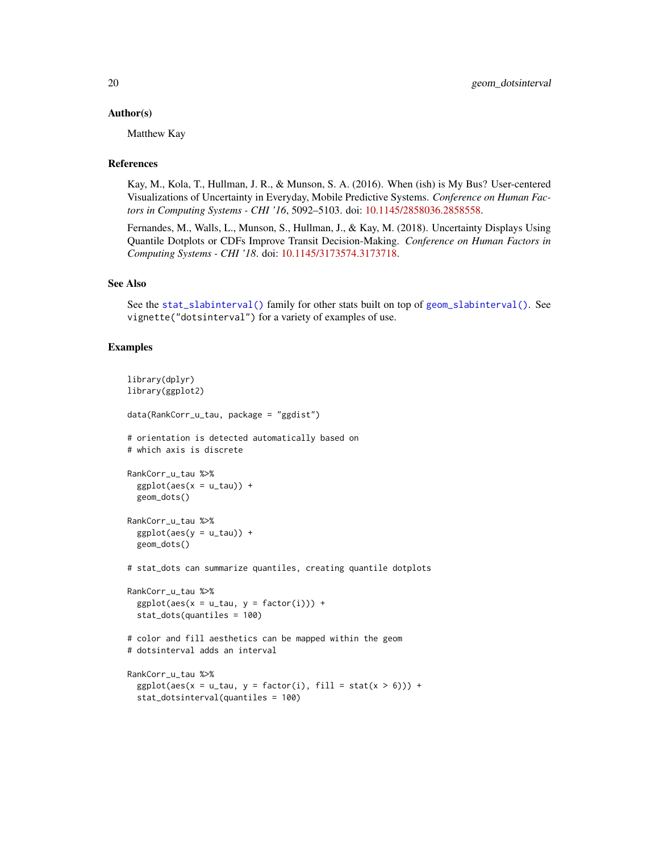#### Author(s)

Matthew Kay

#### References

Kay, M., Kola, T., Hullman, J. R., & Munson, S. A. (2016). When (ish) is My Bus? User-centered Visualizations of Uncertainty in Everyday, Mobile Predictive Systems. *Conference on Human Factors in Computing Systems - CHI '16*, 5092–5103. doi: [10.1145/2858036.2858558.](https://doi.org/10.1145/2858036.2858558)

Fernandes, M., Walls, L., Munson, S., Hullman, J., & Kay, M. (2018). Uncertainty Displays Using Quantile Dotplots or CDFs Improve Transit Decision-Making. *Conference on Human Factors in Computing Systems - CHI '18*. doi: [10.1145/3173574.3173718.](https://doi.org/10.1145/3173574.3173718)

## See Also

See the [stat\\_slabinterval\(\)](#page-141-1) family for other stats built on top of [geom\\_slabinterval\(\)](#page-37-1). See vignette("dotsinterval") for a variety of examples of use.

#### Examples

```
library(dplyr)
library(ggplot2)
data(RankCorr_u_tau, package = "ggdist")
# orientation is detected automatically based on
# which axis is discrete
RankCorr_u_tau %>%
 ggplot(aes(x = u_tau)) +geom_dots()
RankCorr_u_tau %>%
 ggplot(aes(y = u_tau)) +geom_dots()
# stat_dots can summarize quantiles, creating quantile dotplots
RankCorr_u_tau %>%
 ggplot(aes(x = u_t, y = factor(i))) +
 stat_dots(quantiles = 100)
# color and fill aesthetics can be mapped within the geom
# dotsinterval adds an interval
RankCorr_u_tau %>%
 ggplot(aes(x = u\_tau, y = factor(i), fill = stat(x > 6))) +stat_dotsinterval(quantiles = 100)
```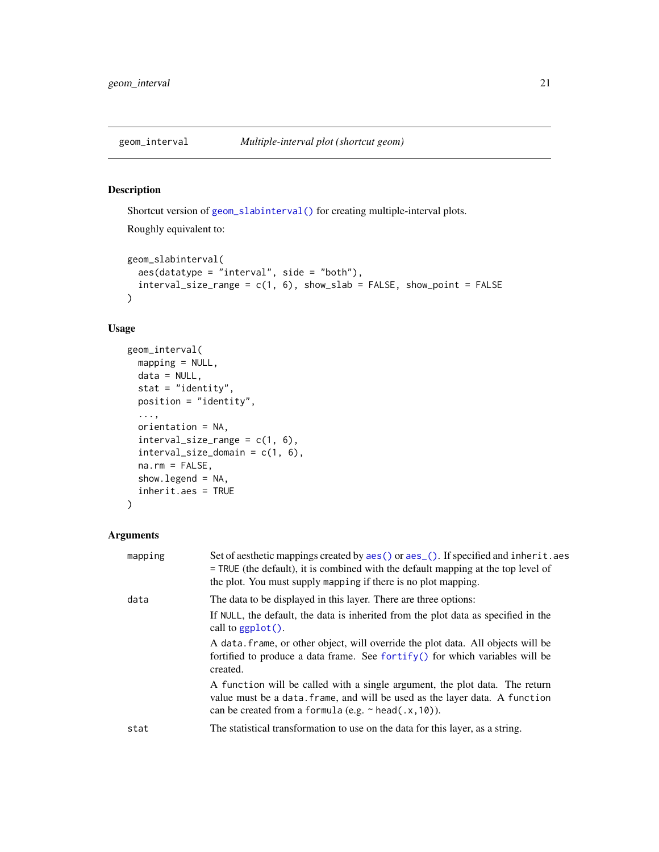<span id="page-20-1"></span><span id="page-20-0"></span>

## Description

Shortcut version of [geom\\_slabinterval\(\)](#page-37-1) for creating multiple-interval plots.

Roughly equivalent to:

```
geom_slabinterval(
  aes(datatype = "interval", side = "both"),
  interval\_size\_range = c(1, 6), show\_slab = FALSE, show\_point = FALSE\lambda
```
## Usage

```
geom_interval(
 mapping = NULL,
 data = NULL,
  stat = "identity",
 position = "identity",
  ...,
 orientation = NA,
  interval_size_range = c(1, 6),interval_size_domain = c(1, 6),
  na.rm = FALSE,show.legend = NA,
  inherit.aes = TRUE
\mathcal{E}
```

| mapping | Set of aesthetic mappings created by aes () or aes (). If specified and inherit. aes<br>= TRUE (the default), it is combined with the default mapping at the top level of<br>the plot. You must supply mapping if there is no plot mapping. |
|---------|---------------------------------------------------------------------------------------------------------------------------------------------------------------------------------------------------------------------------------------------|
| data    | The data to be displayed in this layer. There are three options:                                                                                                                                                                            |
|         | If NULL, the default, the data is inherited from the plot data as specified in the<br>call to $ggplot()$ .                                                                                                                                  |
|         | A data frame, or other object, will override the plot data. All objects will be<br>fortified to produce a data frame. See fortify() for which variables will be<br>created.                                                                 |
|         | A function will be called with a single argument, the plot data. The return<br>value must be a data. frame, and will be used as the layer data. A function<br>can be created from a formula (e.g. $\sim$ head(.x, 10)).                     |
| stat    | The statistical transformation to use on the data for this layer, as a string.                                                                                                                                                              |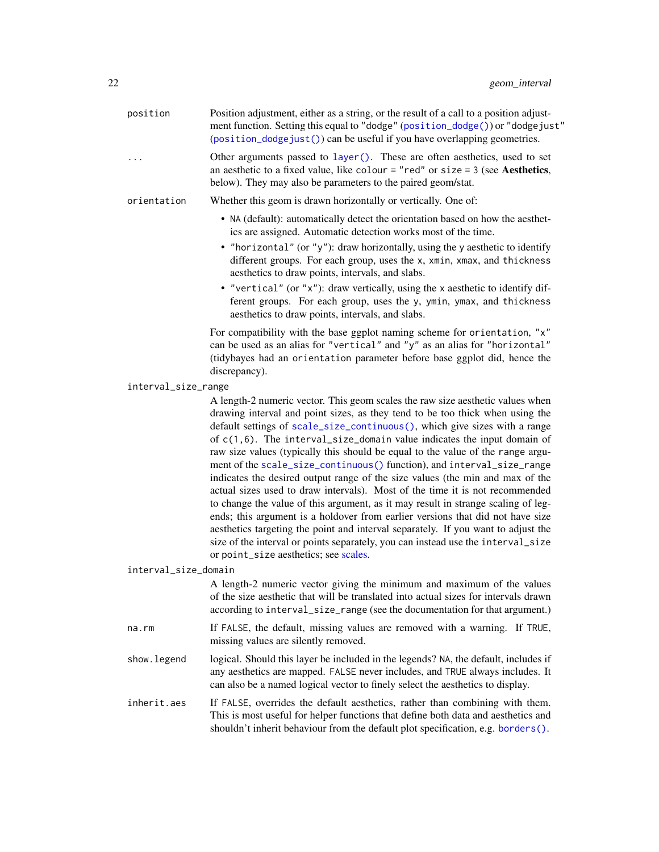| position             | Position adjustment, either as a string, or the result of a call to a position adjust-<br>ment function. Setting this equal to "dodge" (position_dodge()) or "dodgejust"<br>(position_dodgejust()) can be useful if you have overlapping geometries.                                                                                                                                                                                                                                                                                                                                                                                                                                                                                                                                                                                                                                                                                                                                                                                               |
|----------------------|----------------------------------------------------------------------------------------------------------------------------------------------------------------------------------------------------------------------------------------------------------------------------------------------------------------------------------------------------------------------------------------------------------------------------------------------------------------------------------------------------------------------------------------------------------------------------------------------------------------------------------------------------------------------------------------------------------------------------------------------------------------------------------------------------------------------------------------------------------------------------------------------------------------------------------------------------------------------------------------------------------------------------------------------------|
| .                    | Other arguments passed to layer(). These are often aesthetics, used to set<br>an aesthetic to a fixed value, like colour = "red" or size = $3$ (see Aesthetics,<br>below). They may also be parameters to the paired geom/stat.                                                                                                                                                                                                                                                                                                                                                                                                                                                                                                                                                                                                                                                                                                                                                                                                                    |
| orientation          | Whether this geom is drawn horizontally or vertically. One of:                                                                                                                                                                                                                                                                                                                                                                                                                                                                                                                                                                                                                                                                                                                                                                                                                                                                                                                                                                                     |
|                      | • NA (default): automatically detect the orientation based on how the aesthet-<br>ics are assigned. Automatic detection works most of the time.                                                                                                                                                                                                                                                                                                                                                                                                                                                                                                                                                                                                                                                                                                                                                                                                                                                                                                    |
|                      | • "horizontal" (or "y"): draw horizontally, using the y aesthetic to identify<br>different groups. For each group, uses the x, xmin, xmax, and thickness<br>aesthetics to draw points, intervals, and slabs.                                                                                                                                                                                                                                                                                                                                                                                                                                                                                                                                                                                                                                                                                                                                                                                                                                       |
|                      | • "vertical" (or "x"): draw vertically, using the x aesthetic to identify dif-<br>ferent groups. For each group, uses the y, ymin, ymax, and thickness<br>aesthetics to draw points, intervals, and slabs.                                                                                                                                                                                                                                                                                                                                                                                                                                                                                                                                                                                                                                                                                                                                                                                                                                         |
|                      | For compatibility with the base ggplot naming scheme for orientation, "x"<br>can be used as an alias for "vertical" and "y" as an alias for "horizontal"<br>(tidybayes had an orientation parameter before base ggplot did, hence the<br>discrepancy).                                                                                                                                                                                                                                                                                                                                                                                                                                                                                                                                                                                                                                                                                                                                                                                             |
| interval_size_range  |                                                                                                                                                                                                                                                                                                                                                                                                                                                                                                                                                                                                                                                                                                                                                                                                                                                                                                                                                                                                                                                    |
|                      | A length-2 numeric vector. This geom scales the raw size aesthetic values when<br>drawing interval and point sizes, as they tend to be too thick when using the<br>default settings of scale_size_continuous(), which give sizes with a range<br>of $c(1,6)$ . The interval_size_domain value indicates the input domain of<br>raw size values (typically this should be equal to the value of the range argu-<br>ment of the scale_size_continuous() function), and interval_size_range<br>indicates the desired output range of the size values (the min and max of the<br>actual sizes used to draw intervals). Most of the time it is not recommended<br>to change the value of this argument, as it may result in strange scaling of leg-<br>ends; this argument is a holdover from earlier versions that did not have size<br>aesthetics targeting the point and interval separately. If you want to adjust the<br>size of the interval or points separately, you can instead use the interval_size<br>or point_size aesthetics; see scales. |
| interval_size_domain |                                                                                                                                                                                                                                                                                                                                                                                                                                                                                                                                                                                                                                                                                                                                                                                                                                                                                                                                                                                                                                                    |
|                      | A length-2 numeric vector giving the minimum and maximum of the values<br>of the size aesthetic that will be translated into actual sizes for intervals drawn<br>according to interval_size_range (see the documentation for that argument.)                                                                                                                                                                                                                                                                                                                                                                                                                                                                                                                                                                                                                                                                                                                                                                                                       |
| na.rm                | If FALSE, the default, missing values are removed with a warning. If TRUE,<br>missing values are silently removed.                                                                                                                                                                                                                                                                                                                                                                                                                                                                                                                                                                                                                                                                                                                                                                                                                                                                                                                                 |
| show.legend          | logical. Should this layer be included in the legends? NA, the default, includes if<br>any aesthetics are mapped. FALSE never includes, and TRUE always includes. It<br>can also be a named logical vector to finely select the aesthetics to display.                                                                                                                                                                                                                                                                                                                                                                                                                                                                                                                                                                                                                                                                                                                                                                                             |
| inherit.aes          | If FALSE, overrides the default aesthetics, rather than combining with them.<br>This is most useful for helper functions that define both data and aesthetics and<br>shouldn't inherit behaviour from the default plot specification, e.g. borders().                                                                                                                                                                                                                                                                                                                                                                                                                                                                                                                                                                                                                                                                                                                                                                                              |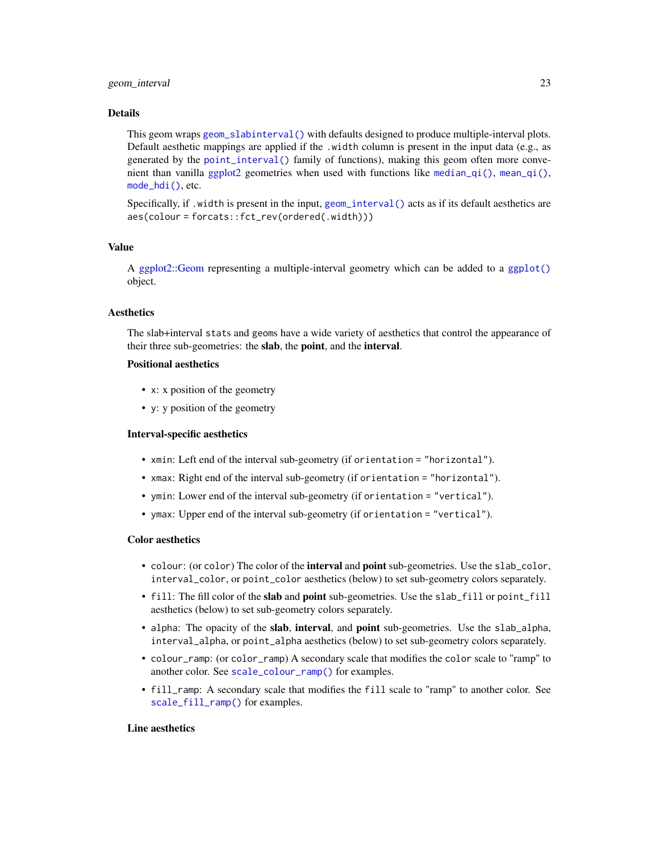#### geom\_interval 23

#### Details

This geom wraps [geom\\_slabinterval\(\)](#page-37-1) with defaults designed to produce multiple-interval plots. Default aesthetic mappings are applied if the .width column is present in the input data (e.g., as generated by the [point\\_interval\(\)](#page-50-1) family of functions), making this geom often more convenient than vanilla [ggplot2](#page-0-0) geometries when used with functions like [median\\_qi\(\)](#page-50-2), [mean\\_qi\(\)](#page-50-2), [mode\\_hdi\(\)](#page-50-2), etc.

Specifically, if .width is present in the input, [geom\\_interval\(\)](#page-20-1) acts as if its default aesthetics are aes(colour = forcats::fct\_rev(ordered(.width)))

## Value

A [ggplot2::Geom](#page-0-0) representing a multiple-interval geometry which can be added to a [ggplot\(\)](#page-0-0) object.

#### **Aesthetics**

The slab+interval stats and geoms have a wide variety of aesthetics that control the appearance of their three sub-geometries: the slab, the point, and the interval.

#### Positional aesthetics

- x: x position of the geometry
- y: y position of the geometry

#### Interval-specific aesthetics

- xmin: Left end of the interval sub-geometry (if orientation = "horizontal").
- xmax: Right end of the interval sub-geometry (if orientation = "horizontal").
- ymin: Lower end of the interval sub-geometry (if orientation = "vertical").
- ymax: Upper end of the interval sub-geometry (if orientation = "vertical").

#### Color aesthetics

- colour: (or color) The color of the interval and point sub-geometries. Use the slab\_color, interval\_color, or point\_color aesthetics (below) to set sub-geometry colors separately.
- fill: The fill color of the slab and point sub-geometries. Use the slab\_fill or point\_fill aesthetics (below) to set sub-geometry colors separately.
- alpha: The opacity of the slab, interval, and point sub-geometries. Use the slab\_alpha, interval\_alpha, or point\_alpha aesthetics (below) to set sub-geometry colors separately.
- colour\_ramp: (or color\_ramp) A secondary scale that modifies the color scale to "ramp" to another color. See [scale\\_colour\\_ramp\(\)](#page-62-1) for examples.
- fill\_ramp: A secondary scale that modifies the fill scale to "ramp" to another color. See [scale\\_fill\\_ramp\(\)](#page-62-2) for examples.

#### Line aesthetics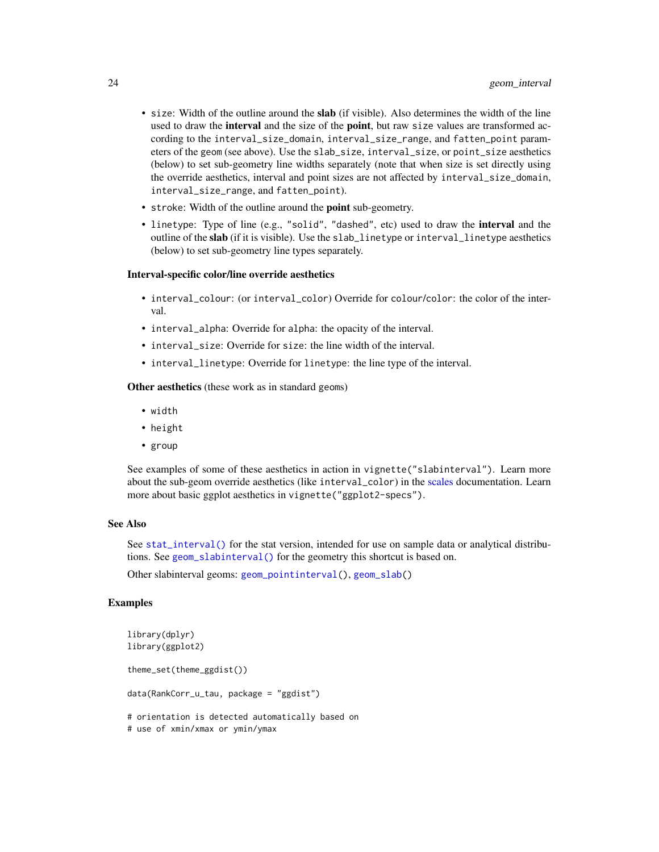- size: Width of the outline around the slab (if visible). Also determines the width of the line used to draw the **interval** and the size of the **point**, but raw size values are transformed according to the interval\_size\_domain, interval\_size\_range, and fatten\_point parameters of the geom (see above). Use the slab\_size, interval\_size, or point\_size aesthetics (below) to set sub-geometry line widths separately (note that when size is set directly using the override aesthetics, interval and point sizes are not affected by interval\_size\_domain, interval\_size\_range, and fatten\_point).
- stroke: Width of the outline around the point sub-geometry.
- linetype: Type of line (e.g., "solid", "dashed", etc) used to draw the interval and the outline of the slab (if it is visible). Use the slab\_linetype or interval\_linetype aesthetics (below) to set sub-geometry line types separately.

#### Interval-specific color/line override aesthetics

- interval\_colour: (or interval\_color) Override for colour/color: the color of the interval.
- interval\_alpha: Override for alpha: the opacity of the interval.
- interval size: Override for size: the line width of the interval.
- interval\_linetype: Override for linetype: the line type of the interval.

Other aesthetics (these work as in standard geoms)

- width
- height
- group

See examples of some of these aesthetics in action in vignette("slabinterval"). Learn more about the sub-geom override aesthetics (like interval\_color) in the [scales](#page-57-1) documentation. Learn more about basic ggplot aesthetics in vignette("ggplot2-specs").

#### See Also

See [stat\\_interval\(\)](#page-114-1) for the stat version, intended for use on sample data or analytical distributions. See [geom\\_slabinterval\(\)](#page-37-1) for the geometry this shortcut is based on.

Other slabinterval geoms: [geom\\_pointinterval\(](#page-27-1)), [geom\\_slab\(](#page-32-1))

#### Examples

```
library(dplyr)
library(ggplot2)
theme_set(theme_ggdist())
data(RankCorr_u_tau, package = "ggdist")
# orientation is detected automatically based on
# use of xmin/xmax or ymin/ymax
```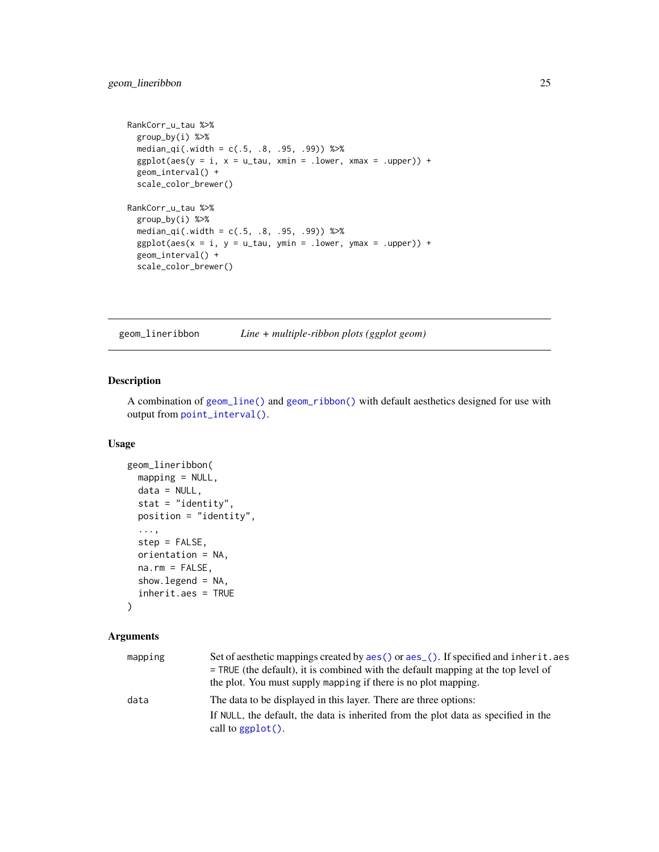```
RankCorr_u_tau %>%
  group_by(i) %>%
  median_qi(.width = c(.5, .8, .95, .99)) %>%
  ggplot(aes(y = i, x = u\_tau, xmin = .lower, xmax = .upper)) +geom_interval() +
  scale_color_brewer()
RankCorr_u_tau %>%
  group_by(i) %>%
  median_qi(.width = c(.5, .8, .95, .99)) %>%
  ggplot(aes(x = i, y = u_t, ymin = .lower, ymax = .upper)) +geom_interval() +
  scale_color_brewer()
```
<span id="page-24-1"></span>geom\_lineribbon *Line + multiple-ribbon plots (ggplot geom)*

## Description

A combination of [geom\\_line\(\)](#page-0-0) and [geom\\_ribbon\(\)](#page-0-0) with default aesthetics designed for use with output from [point\\_interval\(\)](#page-50-1).

## Usage

```
geom_lineribbon(
 mapping = NULL,
 data = NULL,stat = "identity",
 position = "identity",
  ...,
 step = FALSE,orientation = NA,
 na.rm = FALSE,show.legend = NA,
  inherit.aes = TRUE
```
## $\mathcal{L}$

| mapping | Set of aesthetic mappings created by aes () or aes (). If specified and inherit. aes<br>$=$ TRUE (the default), it is combined with the default mapping at the top level of<br>the plot. You must supply mapping if there is no plot mapping. |
|---------|-----------------------------------------------------------------------------------------------------------------------------------------------------------------------------------------------------------------------------------------------|
| data    | The data to be displayed in this layer. There are three options:                                                                                                                                                                              |
|         | If NULL, the default, the data is inherited from the plot data as specified in the<br>call to $ggplot()$ .                                                                                                                                    |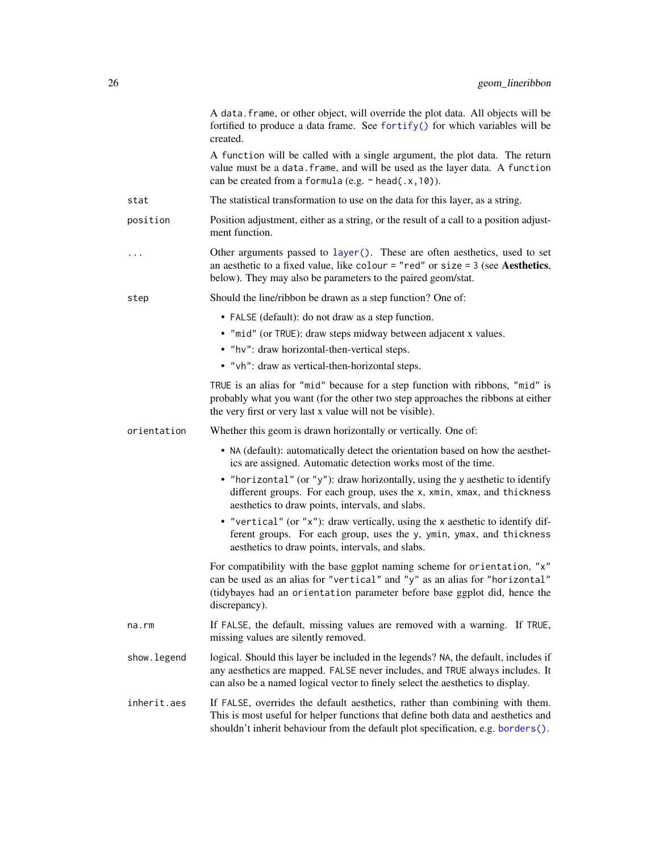|              | A data. frame, or other object, will override the plot data. All objects will be<br>fortified to produce a data frame. See fortify() for which variables will be<br>created.                                                                           |
|--------------|--------------------------------------------------------------------------------------------------------------------------------------------------------------------------------------------------------------------------------------------------------|
|              | A function will be called with a single argument, the plot data. The return<br>value must be a data. frame, and will be used as the layer data. A function<br>can be created from a formula (e.g. $\sim$ head(.x, 10)).                                |
| stat         | The statistical transformation to use on the data for this layer, as a string.                                                                                                                                                                         |
| position     | Position adjustment, either as a string, or the result of a call to a position adjust-<br>ment function.                                                                                                                                               |
| .            | Other arguments passed to layer(). These are often aesthetics, used to set<br>an aesthetic to a fixed value, like colour = "red" or size = $3$ (see Aesthetics,<br>below). They may also be parameters to the paired geom/stat.                        |
| step         | Should the line/ribbon be drawn as a step function? One of:                                                                                                                                                                                            |
|              | • FALSE (default): do not draw as a step function.                                                                                                                                                                                                     |
|              | • "mid" (or TRUE): draw steps midway between adjacent x values.                                                                                                                                                                                        |
|              | • "hv": draw horizontal-then-vertical steps.                                                                                                                                                                                                           |
|              | • "vh": draw as vertical-then-horizontal steps.                                                                                                                                                                                                        |
|              | TRUE is an alias for "mid" because for a step function with ribbons, "mid" is<br>probably what you want (for the other two step approaches the ribbons at either<br>the very first or very last x value will not be visible).                          |
| orientation  | Whether this geom is drawn horizontally or vertically. One of:                                                                                                                                                                                         |
|              | • NA (default): automatically detect the orientation based on how the aesthet-<br>ics are assigned. Automatic detection works most of the time.                                                                                                        |
|              | • "horizontal" (or "y"): draw horizontally, using the y aesthetic to identify<br>different groups. For each group, uses the x, xmin, xmax, and thickness<br>aesthetics to draw points, intervals, and slabs.                                           |
|              | • "vertical" (or "x"): draw vertically, using the x aesthetic to identify dif-<br>ferent groups. For each group, uses the y, ymin, ymax, and thickness<br>aesthetics to draw points, intervals, and slabs.                                             |
|              | For compatibility with the base ggplot naming scheme for orientation, "x"<br>can be used as an alias for "vertical" and "y" as an alias for "horizontal"<br>(tidybayes had an orientation parameter before base ggplot did, hence the<br>discrepancy). |
| $na$ . $rm$  | If FALSE, the default, missing values are removed with a warning. If TRUE,<br>missing values are silently removed.                                                                                                                                     |
| show. legend | logical. Should this layer be included in the legends? NA, the default, includes if<br>any aesthetics are mapped. FALSE never includes, and TRUE always includes. It<br>can also be a named logical vector to finely select the aesthetics to display. |
| inherit.aes  | If FALSE, overrides the default aesthetics, rather than combining with them.<br>This is most useful for helper functions that define both data and aesthetics and<br>shouldn't inherit behaviour from the default plot specification, e.g. borders().  |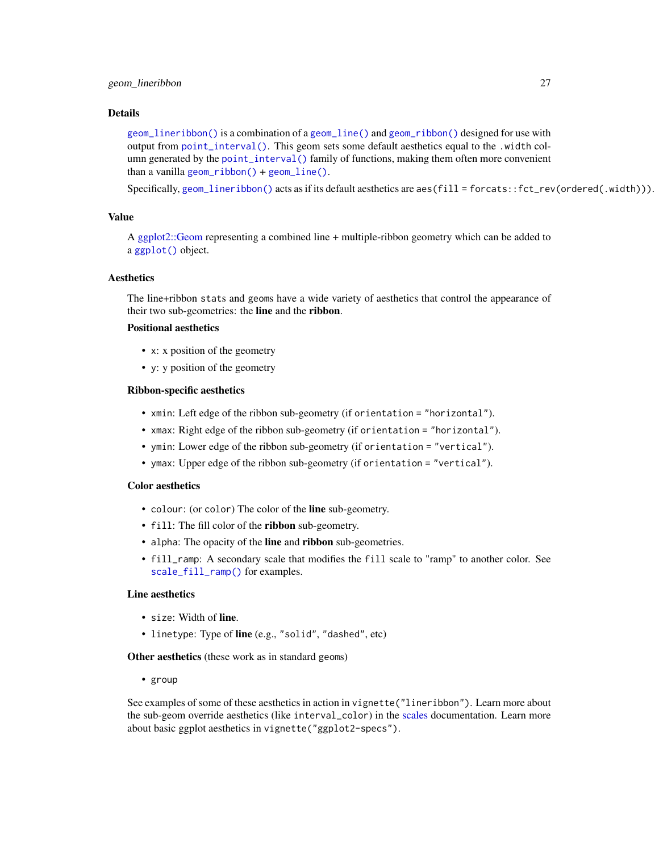#### Details

[geom\\_lineribbon\(\)](#page-24-1) is a combination of a [geom\\_line\(\)](#page-0-0) and [geom\\_ribbon\(\)](#page-0-0) designed for use with output from [point\\_interval\(\)](#page-50-1). This geom sets some default aesthetics equal to the .width column generated by the [point\\_interval\(\)](#page-50-1) family of functions, making them often more convenient than a vanilla [geom\\_ribbon\(\)](#page-0-0) + [geom\\_line\(\)](#page-0-0).

Specifically, [geom\\_lineribbon\(\)](#page-24-1) acts as if its default aesthetics are aes(fill = forcats::fct\_rev(ordered(.width))).

#### Value

A [ggplot2::Geom](#page-0-0) representing a combined line + multiple-ribbon geometry which can be added to a [ggplot\(\)](#page-0-0) object.

#### Aesthetics

The line+ribbon stats and geoms have a wide variety of aesthetics that control the appearance of their two sub-geometries: the line and the ribbon.

## Positional aesthetics

- x: x position of the geometry
- y: y position of the geometry

## Ribbon-specific aesthetics

- xmin: Left edge of the ribbon sub-geometry (if orientation = "horizontal").
- xmax: Right edge of the ribbon sub-geometry (if orientation = "horizontal").
- ymin: Lower edge of the ribbon sub-geometry (if orientation = "vertical").
- ymax: Upper edge of the ribbon sub-geometry (if orientation = "vertical").

## Color aesthetics

- colour: (or color) The color of the line sub-geometry.
- fill: The fill color of the ribbon sub-geometry.
- alpha: The opacity of the line and ribbon sub-geometries.
- fill\_ramp: A secondary scale that modifies the fill scale to "ramp" to another color. See [scale\\_fill\\_ramp\(\)](#page-62-2) for examples.

## Line aesthetics

- size: Width of line.
- linetype: Type of line (e.g., "solid", "dashed", etc)

Other aesthetics (these work as in standard geoms)

• group

See examples of some of these aesthetics in action in vignette("lineribbon"). Learn more about the sub-geom override aesthetics (like interval\_color) in the [scales](#page-57-1) documentation. Learn more about basic ggplot aesthetics in vignette("ggplot2-specs").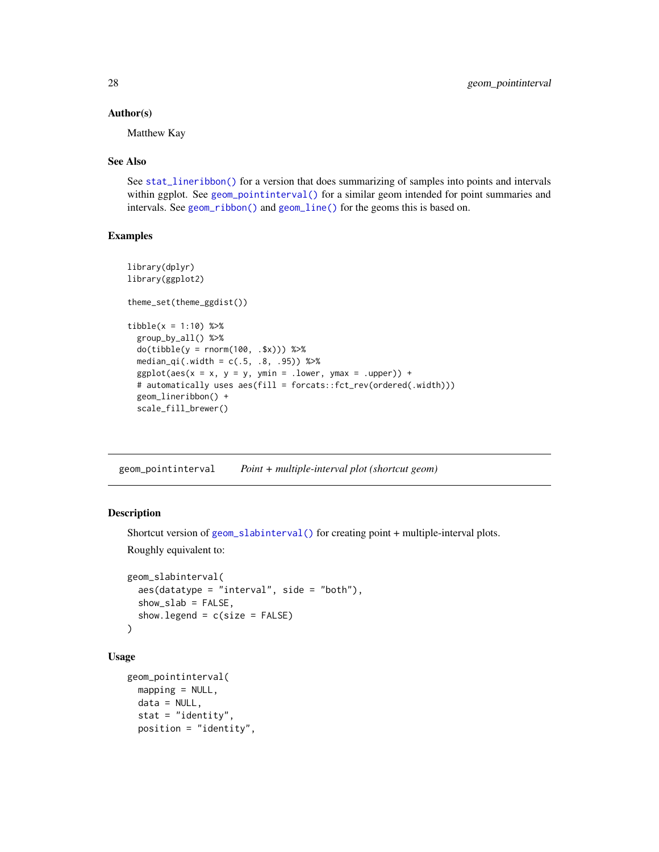#### <span id="page-27-0"></span>Author(s)

Matthew Kay

#### See Also

See [stat\\_lineribbon\(\)](#page-119-1) for a version that does summarizing of samples into points and intervals within ggplot. See [geom\\_pointinterval\(\)](#page-27-1) for a similar geom intended for point summaries and intervals. See [geom\\_ribbon\(\)](#page-0-0) and [geom\\_line\(\)](#page-0-0) for the geoms this is based on.

## Examples

```
library(dplyr)
library(ggplot2)
theme_set(theme_ggdist())
tibble(x = 1:10) %group_by_all() %>%
 do(tible(y = rnorm(100, .$x))) %>%
 median_qi(.width = c(.5, .8, .95)) %>%
 ggplot(aes(x = x, y = y, ymin = .lower, ymax = .upper)) +# automatically uses aes(fill = forcats::fct_rev(ordered(.width)))
 geom_lineribbon() +
 scale_fill_brewer()
```
<span id="page-27-1"></span>geom\_pointinterval *Point + multiple-interval plot (shortcut geom)*

#### Description

```
Shortcut version of geom_slabinterval() for creating point + multiple-interval plots.
Roughly equivalent to:
```

```
geom_slabinterval(
 aes(datatype = "interval", side = "both"),show_slab = FALSE,
 show.legend = c(size = FALSE))
```
## Usage

```
geom_pointinterval(
 mapping = NULL,data = NULL,stat = "identity",
  position = "identity",
```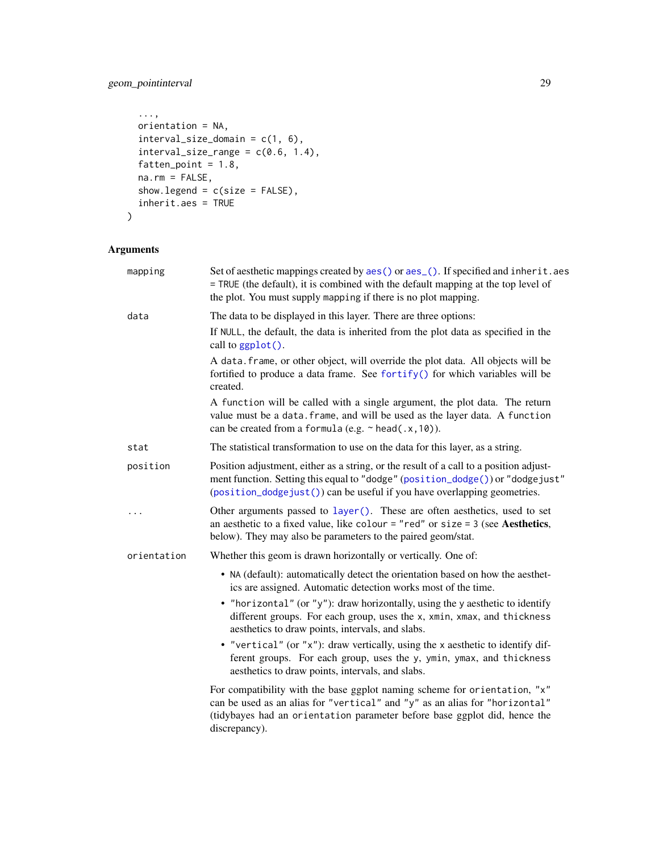# geom\_pointinterval 29

```
...,
 orientation = NA,
 interval_size\_domain = c(1, 6),interval_size_range = c(0.6, 1.4),fatten_point = 1.8,
 na.rm = FALSE,show.legend = c(size = FALSE),
 inherit.aes = TRUE
\mathcal{L}
```

| mapping     | Set of aesthetic mappings created by aes() or aes_(). If specified and inherit.aes<br>= TRUE (the default), it is combined with the default mapping at the top level of<br>the plot. You must supply mapping if there is no plot mapping.              |
|-------------|--------------------------------------------------------------------------------------------------------------------------------------------------------------------------------------------------------------------------------------------------------|
| data        | The data to be displayed in this layer. There are three options:                                                                                                                                                                                       |
|             | If NULL, the default, the data is inherited from the plot data as specified in the<br>call to ggplot().                                                                                                                                                |
|             | A data. frame, or other object, will override the plot data. All objects will be<br>fortified to produce a data frame. See fortify() for which variables will be<br>created.                                                                           |
|             | A function will be called with a single argument, the plot data. The return<br>value must be a data. frame, and will be used as the layer data. A function<br>can be created from a formula (e.g. $\sim$ head(.x, 10)).                                |
| stat        | The statistical transformation to use on the data for this layer, as a string.                                                                                                                                                                         |
| position    | Position adjustment, either as a string, or the result of a call to a position adjust-<br>ment function. Setting this equal to "dodge" (position_dodge()) or "dodgejust"<br>(position_dodgejust()) can be useful if you have overlapping geometries.   |
| .           | Other arguments passed to layer(). These are often aesthetics, used to set<br>an aesthetic to a fixed value, like colour = "red" or size = $3$ (see Aesthetics,<br>below). They may also be parameters to the paired geom/stat.                        |
| orientation | Whether this geom is drawn horizontally or vertically. One of:                                                                                                                                                                                         |
|             | • NA (default): automatically detect the orientation based on how the aesthet-<br>ics are assigned. Automatic detection works most of the time.                                                                                                        |
|             | • "horizontal" (or "y"): draw horizontally, using the y aesthetic to identify<br>different groups. For each group, uses the x, xmin, xmax, and thickness<br>aesthetics to draw points, intervals, and slabs.                                           |
|             | • "vertical" (or "x"): draw vertically, using the x aesthetic to identify dif-<br>ferent groups. For each group, uses the y, ymin, ymax, and thickness<br>aesthetics to draw points, intervals, and slabs.                                             |
|             | For compatibility with the base ggplot naming scheme for orientation, "x"<br>can be used as an alias for "vertical" and "y" as an alias for "horizontal"<br>(tidybayes had an orientation parameter before base ggplot did, hence the<br>discrepancy). |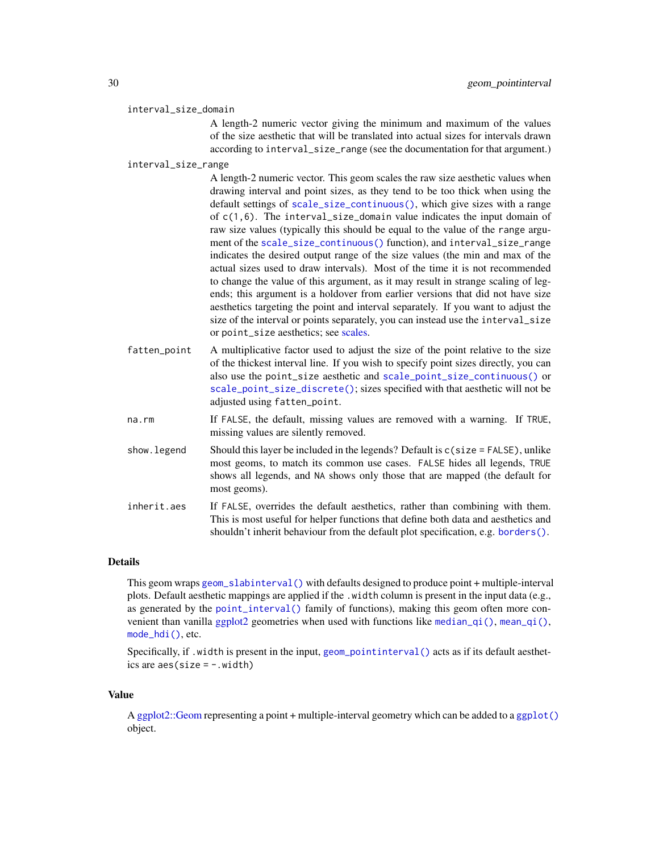#### interval\_size\_domain

A length-2 numeric vector giving the minimum and maximum of the values of the size aesthetic that will be translated into actual sizes for intervals drawn according to interval\_size\_range (see the documentation for that argument.)

#### interval\_size\_range

A length-2 numeric vector. This geom scales the raw size aesthetic values when drawing interval and point sizes, as they tend to be too thick when using the default settings of [scale\\_size\\_continuous\(\)](#page-0-0), which give sizes with a range of c(1,6). The interval\_size\_domain value indicates the input domain of raw size values (typically this should be equal to the value of the range argument of the [scale\\_size\\_continuous\(\)](#page-0-0) function), and interval\_size\_range indicates the desired output range of the size values (the min and max of the actual sizes used to draw intervals). Most of the time it is not recommended to change the value of this argument, as it may result in strange scaling of legends; this argument is a holdover from earlier versions that did not have size aesthetics targeting the point and interval separately. If you want to adjust the size of the interval or points separately, you can instead use the interval\_size or point\_size aesthetics; see [scales.](#page-57-1)

- fatten\_point A multiplicative factor used to adjust the size of the point relative to the size of the thickest interval line. If you wish to specify point sizes directly, you can also use the point\_size aesthetic and [scale\\_point\\_size\\_continuous\(\)](#page-57-2) or [scale\\_point\\_size\\_discrete\(\)](#page-57-2); sizes specified with that aesthetic will not be adjusted using fatten\_point.
- na.rm If FALSE, the default, missing values are removed with a warning. If TRUE, missing values are silently removed.
- show. legend Should this layer be included in the legends? Default is  $c$  (size = FALSE), unlike most geoms, to match its common use cases. FALSE hides all legends, TRUE shows all legends, and NA shows only those that are mapped (the default for most geoms).
- inherit.aes If FALSE, overrides the default aesthetics, rather than combining with them. This is most useful for helper functions that define both data and aesthetics and shouldn't inherit behaviour from the default plot specification, e.g. [borders\(\)](#page-0-0).

#### Details

This geom wraps [geom\\_slabinterval\(\)](#page-37-1) with defaults designed to produce point + multiple-interval plots. Default aesthetic mappings are applied if the .width column is present in the input data (e.g., as generated by the [point\\_interval\(\)](#page-50-1) family of functions), making this geom often more convenient than vanilla [ggplot2](#page-0-0) geometries when used with functions like [median\\_qi\(\)](#page-50-2), [mean\\_qi\(\)](#page-50-2), [mode\\_hdi\(\)](#page-50-2), etc.

Specifically, if .width is present in the input, [geom\\_pointinterval\(\)](#page-27-1) acts as if its default aesthetics are  $aes(size = -.width)$ 

#### Value

A [ggplot2::Geom](#page-0-0) representing a point + multiple-interval geometry which can be added to a [ggplot\(\)](#page-0-0) object.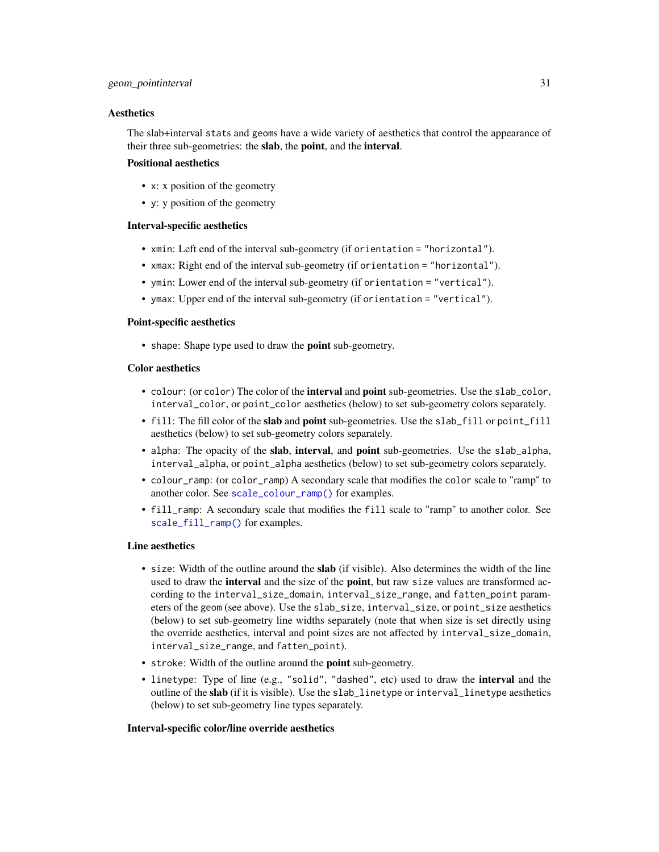#### **Aesthetics**

The slab+interval stats and geoms have a wide variety of aesthetics that control the appearance of their three sub-geometries: the slab, the point, and the interval.

## Positional aesthetics

- x: x position of the geometry
- y: y position of the geometry

## Interval-specific aesthetics

- xmin: Left end of the interval sub-geometry (if orientation = "horizontal").
- xmax: Right end of the interval sub-geometry (if orientation = "horizontal").
- ymin: Lower end of the interval sub-geometry (if orientation = "vertical").
- ymax: Upper end of the interval sub-geometry (if orientation = "vertical").

#### Point-specific aesthetics

• shape: Shape type used to draw the **point** sub-geometry.

#### Color aesthetics

- colour: (or color) The color of the interval and point sub-geometries. Use the slab\_color, interval\_color, or point\_color aesthetics (below) to set sub-geometry colors separately.
- fill: The fill color of the slab and point sub-geometries. Use the slab\_fill or point\_fill aesthetics (below) to set sub-geometry colors separately.
- alpha: The opacity of the **slab, interval,** and **point** sub-geometries. Use the slab\_alpha, interval\_alpha, or point\_alpha aesthetics (below) to set sub-geometry colors separately.
- colour\_ramp: (or color\_ramp) A secondary scale that modifies the color scale to "ramp" to another color. See [scale\\_colour\\_ramp\(\)](#page-62-1) for examples.
- fill\_ramp: A secondary scale that modifies the fill scale to "ramp" to another color. See [scale\\_fill\\_ramp\(\)](#page-62-2) for examples.

## Line aesthetics

- size: Width of the outline around the **slab** (if visible). Also determines the width of the line used to draw the **interval** and the size of the **point**, but raw size values are transformed according to the interval\_size\_domain, interval\_size\_range, and fatten\_point parameters of the geom (see above). Use the slab\_size, interval\_size, or point\_size aesthetics (below) to set sub-geometry line widths separately (note that when size is set directly using the override aesthetics, interval and point sizes are not affected by interval\_size\_domain, interval\_size\_range, and fatten\_point).
- stroke: Width of the outline around the point sub-geometry.
- linetype: Type of line (e.g., "solid", "dashed", etc) used to draw the interval and the outline of the slab (if it is visible). Use the slab\_linetype or interval\_linetype aesthetics (below) to set sub-geometry line types separately.

#### Interval-specific color/line override aesthetics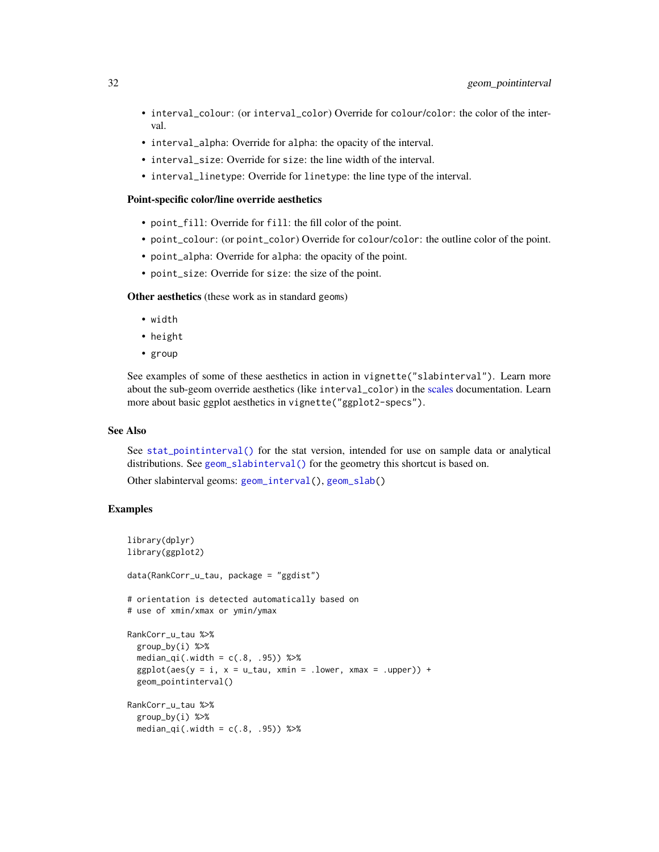- interval\_colour: (or interval\_color) Override for colour/color: the color of the interval.
- interval\_alpha: Override for alpha: the opacity of the interval.
- interval\_size: Override for size: the line width of the interval.
- interval\_linetype: Override for linetype: the line type of the interval.

#### Point-specific color/line override aesthetics

- point\_fill: Override for fill: the fill color of the point.
- point\_colour: (or point\_color) Override for colour/color: the outline color of the point.
- point\_alpha: Override for alpha: the opacity of the point.
- point\_size: Override for size: the size of the point.

Other aesthetics (these work as in standard geoms)

- width
- height
- group

See examples of some of these aesthetics in action in vignette("slabinterval"). Learn more about the sub-geom override aesthetics (like interval\_color) in the [scales](#page-57-1) documentation. Learn more about basic ggplot aesthetics in vignette("ggplot2-specs").

#### See Also

See [stat\\_pointinterval\(\)](#page-124-1) for the stat version, intended for use on sample data or analytical distributions. See [geom\\_slabinterval\(\)](#page-37-1) for the geometry this shortcut is based on.

Other slabinterval geoms: [geom\\_interval\(](#page-20-1)), [geom\\_slab\(](#page-32-1))

## Examples

```
library(dplyr)
library(ggplot2)
data(RankCorr_u_tau, package = "ggdist")
# orientation is detected automatically based on
# use of xmin/xmax or ymin/ymax
RankCorr_u_tau %>%
 group_by(i) %>%
 median_qi(.width = c(.8, .95)) %>%
 ggplot(aes(y = i, x = u_t, xmin = .lower, xmax = .upper)) +geom_pointinterval()
RankCorr_u_tau %>%
 group_by(i) %>%
 median_qi(.width = c(.8, .95)) %>%
```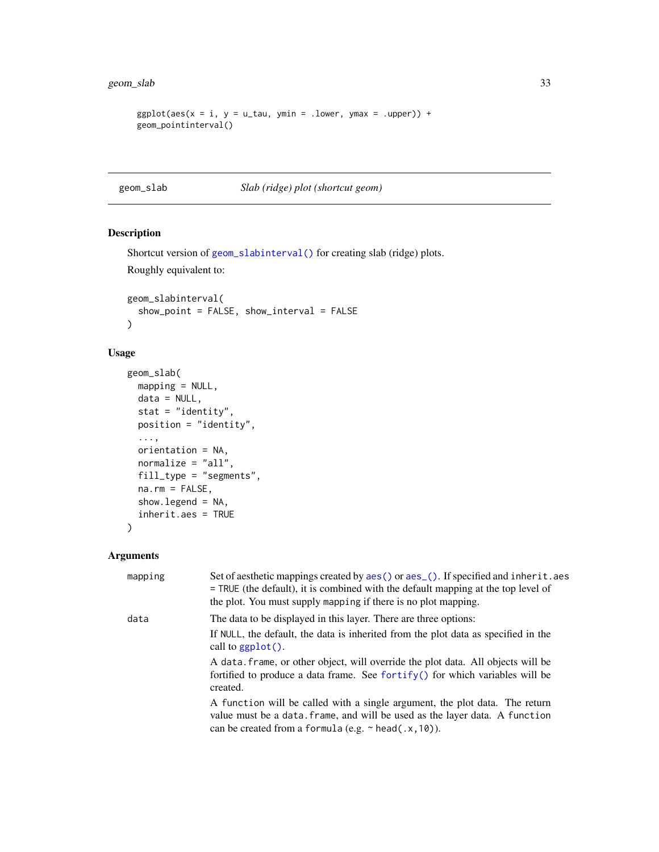## <span id="page-32-0"></span>geom\_slab 33

```
ggplot(aes(x = i, y = u\_tau, ymin = .lower, ymax = .upper)) +geom_pointinterval()
```
<span id="page-32-1"></span>geom\_slab *Slab (ridge) plot (shortcut geom)*

## Description

```
Shortcut version of geom_slabinterval() for creating slab (ridge) plots.
Roughly equivalent to:
```

```
geom_slabinterval(
 show_point = FALSE, show_interval = FALSE
)
```
## Usage

```
geom_slab(
 mapping = NULL,
 data = NULL,
  stat = "identity",
 position = "identity",
  ...,
 orientation = NA,
 normalize = "all",
 fill_type = "segments",
 na.rm = FALSE,
 show.legend = NA,
  inherit.aes = TRUE
)
```

| mapping | Set of aesthetic mappings created by aes () or aes (). If specified and inherit. aes<br>$=$ TRUE (the default), it is combined with the default mapping at the top level of<br>the plot. You must supply mapping if there is no plot mapping. |
|---------|-----------------------------------------------------------------------------------------------------------------------------------------------------------------------------------------------------------------------------------------------|
| data    | The data to be displayed in this layer. There are three options:                                                                                                                                                                              |
|         | If NULL, the default, the data is inherited from the plot data as specified in the<br>call to $ggplot()$ .                                                                                                                                    |
|         | A data, frame, or other object, will override the plot data. All objects will be<br>fortified to produce a data frame. See fortify() for which variables will be<br>created.                                                                  |
|         | A function will be called with a single argument, the plot data. The return<br>value must be a data. frame, and will be used as the layer data. A function<br>can be created from a formula (e.g. $\sim$ head(.x, 10)).                       |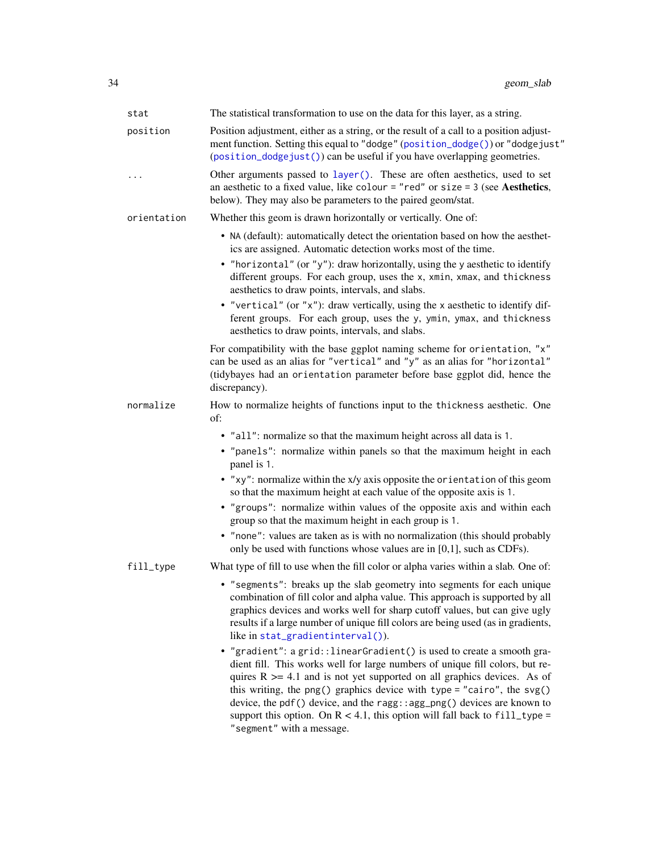| stat        | The statistical transformation to use on the data for this layer, as a string.                                                                                                                                                                                                                                                                                                                                                                                                                           |
|-------------|----------------------------------------------------------------------------------------------------------------------------------------------------------------------------------------------------------------------------------------------------------------------------------------------------------------------------------------------------------------------------------------------------------------------------------------------------------------------------------------------------------|
| position    | Position adjustment, either as a string, or the result of a call to a position adjust-<br>ment function. Setting this equal to "dodge" (position_dodge()) or "dodgejust"<br>(position_dodgejust()) can be useful if you have overlapping geometries.                                                                                                                                                                                                                                                     |
| $\ddotsc$   | Other arguments passed to layer(). These are often aesthetics, used to set<br>an aesthetic to a fixed value, like colour = "red" or size = $3$ (see Aesthetics,<br>below). They may also be parameters to the paired geom/stat.                                                                                                                                                                                                                                                                          |
| orientation | Whether this geom is drawn horizontally or vertically. One of:                                                                                                                                                                                                                                                                                                                                                                                                                                           |
|             | • NA (default): automatically detect the orientation based on how the aesthet-<br>ics are assigned. Automatic detection works most of the time.                                                                                                                                                                                                                                                                                                                                                          |
|             | • "horizontal" (or "y"): draw horizontally, using the y aesthetic to identify<br>different groups. For each group, uses the x, xmin, xmax, and thickness<br>aesthetics to draw points, intervals, and slabs.                                                                                                                                                                                                                                                                                             |
|             | • "vertical" (or "x"): draw vertically, using the x aesthetic to identify dif-<br>ferent groups. For each group, uses the y, ymin, ymax, and thickness<br>aesthetics to draw points, intervals, and slabs.                                                                                                                                                                                                                                                                                               |
|             | For compatibility with the base ggplot naming scheme for orientation, "x"<br>can be used as an alias for "vertical" and "y" as an alias for "horizontal"<br>(tidybayes had an orientation parameter before base ggplot did, hence the<br>discrepancy).                                                                                                                                                                                                                                                   |
| normalize   | How to normalize heights of functions input to the thickness aesthetic. One<br>of:                                                                                                                                                                                                                                                                                                                                                                                                                       |
|             | • "all": normalize so that the maximum height across all data is 1.                                                                                                                                                                                                                                                                                                                                                                                                                                      |
|             | • "panels": normalize within panels so that the maximum height in each<br>panel is 1.                                                                                                                                                                                                                                                                                                                                                                                                                    |
|             | • "xy": normalize within the x/y axis opposite the orientation of this geom<br>so that the maximum height at each value of the opposite axis is 1.                                                                                                                                                                                                                                                                                                                                                       |
|             | • "groups": normalize within values of the opposite axis and within each<br>group so that the maximum height in each group is 1.                                                                                                                                                                                                                                                                                                                                                                         |
|             | • "none": values are taken as is with no normalization (this should probably<br>only be used with functions whose values are in $[0,1]$ , such as CDFs).                                                                                                                                                                                                                                                                                                                                                 |
| fill_type   | What type of fill to use when the fill color or alpha varies within a slab. One of:                                                                                                                                                                                                                                                                                                                                                                                                                      |
|             | • "segments": breaks up the slab geometry into segments for each unique<br>combination of fill color and alpha value. This approach is supported by all<br>graphics devices and works well for sharp cutoff values, but can give ugly<br>results if a large number of unique fill colors are being used (as in gradients,<br>like in stat_gradientinterval()).                                                                                                                                           |
|             | • "gradient": a grid:: linearGradient() is used to create a smooth gra-<br>dient fill. This works well for large numbers of unique fill colors, but re-<br>quires $R \geq 4.1$ and is not yet supported on all graphics devices. As of<br>this writing, the png() graphics device with type = "cairo", the svg()<br>device, the pdf() device, and the ragg::agg_png() devices are known to<br>support this option. On $R < 4.1$ , this option will fall back to fill_type =<br>"segment" with a message. |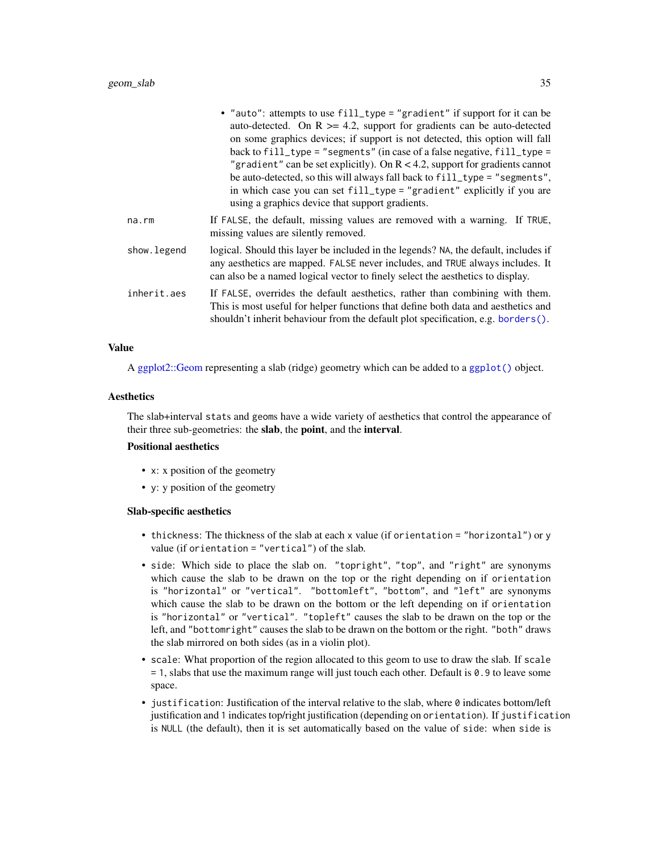|             | • "auto": attempts to use fill_type = "gradient" if support for it can be<br>auto-detected. On $R \ge 4.2$ , support for gradients can be auto-detected<br>on some graphics devices; if support is not detected, this option will fall<br>back to $fill\_type = "segments"$ (in case of a false negative, $fill\_type =$<br>"gradient" can be set explicitly). On $R < 4.2$ , support for gradients cannot<br>be auto-detected, so this will always fall back to fill_type = "segments",<br>in which case you can set fill_type = "gradient" explicitly if you are<br>using a graphics device that support gradients. |
|-------------|-----------------------------------------------------------------------------------------------------------------------------------------------------------------------------------------------------------------------------------------------------------------------------------------------------------------------------------------------------------------------------------------------------------------------------------------------------------------------------------------------------------------------------------------------------------------------------------------------------------------------|
| na.rm       | If FALSE, the default, missing values are removed with a warning. If TRUE,<br>missing values are silently removed.                                                                                                                                                                                                                                                                                                                                                                                                                                                                                                    |
| show.legend | logical. Should this layer be included in the legends? NA, the default, includes if<br>any aesthetics are mapped. FALSE never includes, and TRUE always includes. It<br>can also be a named logical vector to finely select the aesthetics to display.                                                                                                                                                                                                                                                                                                                                                                |
| inherit.aes | If FALSE, overrides the default aesthetics, rather than combining with them.<br>This is most useful for helper functions that define both data and aesthetics and<br>shouldn't inherit behaviour from the default plot specification, e.g. borders $()$ .                                                                                                                                                                                                                                                                                                                                                             |

#### Value

A [ggplot2::Geom](#page-0-0) representing a slab (ridge) geometry which can be added to a [ggplot\(\)](#page-0-0) object.

## **Aesthetics**

The slab+interval stats and geoms have a wide variety of aesthetics that control the appearance of their three sub-geometries: the slab, the point, and the interval.

## Positional aesthetics

- x: x position of the geometry
- y: y position of the geometry

#### Slab-specific aesthetics

- thickness: The thickness of the slab at each x value (if orientation = "horizontal") or y value (if orientation = "vertical") of the slab.
- side: Which side to place the slab on. "topright", "top", and "right" are synonyms which cause the slab to be drawn on the top or the right depending on if orientation is "horizontal" or "vertical". "bottomleft", "bottom", and "left" are synonyms which cause the slab to be drawn on the bottom or the left depending on if orientation is "horizontal" or "vertical". "topleft" causes the slab to be drawn on the top or the left, and "bottomright" causes the slab to be drawn on the bottom or the right. "both" draws the slab mirrored on both sides (as in a violin plot).
- scale: What proportion of the region allocated to this geom to use to draw the slab. If scale = 1, slabs that use the maximum range will just touch each other. Default is 0.9 to leave some space.
- $\bullet$  justification: Justification of the interval relative to the slab, where  $\emptyset$  indicates bottom/left justification and 1 indicates top/right justification (depending on orientation). If justification is NULL (the default), then it is set automatically based on the value of side: when side is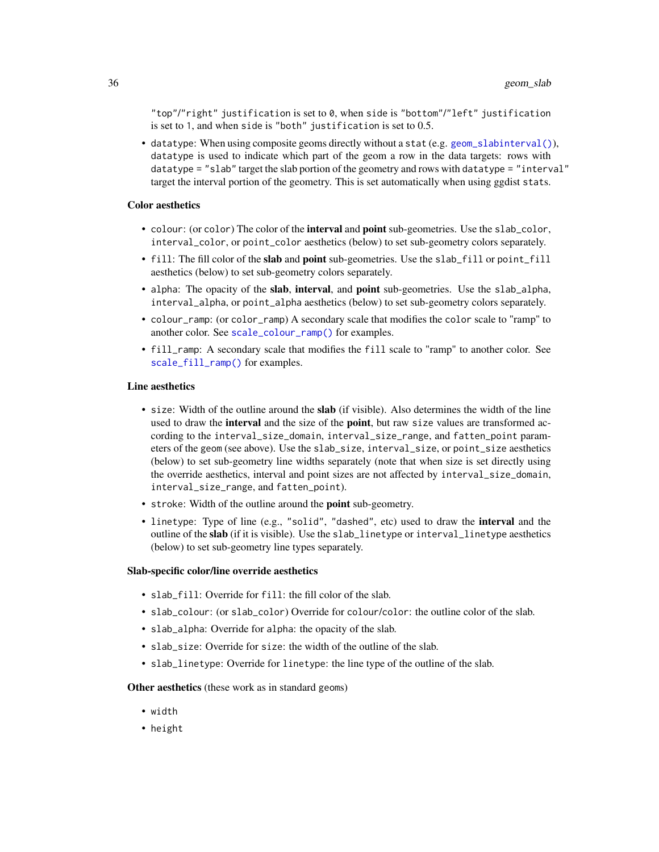"top"/"right" justification is set to 0, when side is "bottom"/"left" justification is set to 1, and when side is "both" justification is set to 0.5.

• datatype: When using composite geoms directly without a stat (e.g. [geom\\_slabinterval\(\)](#page-37-1)), datatype is used to indicate which part of the geom a row in the data targets: rows with datatype = "slab" target the slab portion of the geometry and rows with datatype = "interval" target the interval portion of the geometry. This is set automatically when using ggdist stats.

#### Color aesthetics

- colour: (or color) The color of the interval and point sub-geometries. Use the slab\_color, interval\_color, or point\_color aesthetics (below) to set sub-geometry colors separately.
- fill: The fill color of the slab and point sub-geometries. Use the slab\_fill or point\_fill aesthetics (below) to set sub-geometry colors separately.
- alpha: The opacity of the slab, interval, and point sub-geometries. Use the slab\_alpha, interval\_alpha, or point\_alpha aesthetics (below) to set sub-geometry colors separately.
- colour\_ramp: (or color\_ramp) A secondary scale that modifies the color scale to "ramp" to another color. See [scale\\_colour\\_ramp\(\)](#page-62-1) for examples.
- fill\_ramp: A secondary scale that modifies the fill scale to "ramp" to another color. See [scale\\_fill\\_ramp\(\)](#page-62-2) for examples.

#### Line aesthetics

- size: Width of the outline around the **slab** (if visible). Also determines the width of the line used to draw the interval and the size of the point, but raw size values are transformed according to the interval\_size\_domain, interval\_size\_range, and fatten\_point parameters of the geom (see above). Use the slab\_size, interval\_size, or point\_size aesthetics (below) to set sub-geometry line widths separately (note that when size is set directly using the override aesthetics, interval and point sizes are not affected by interval\_size\_domain, interval\_size\_range, and fatten\_point).
- stroke: Width of the outline around the point sub-geometry.
- linetype: Type of line (e.g., "solid", "dashed", etc) used to draw the interval and the outline of the slab (if it is visible). Use the slab\_linetype or interval\_linetype aesthetics (below) to set sub-geometry line types separately.

#### Slab-specific color/line override aesthetics

- slab fill: Override for fill: the fill color of the slab.
- slab\_colour: (or slab\_color) Override for colour/color: the outline color of the slab.
- slab\_alpha: Override for alpha: the opacity of the slab.
- slab\_size: Override for size: the width of the outline of the slab.
- slab\_linetype: Override for linetype: the line type of the outline of the slab.

Other aesthetics (these work as in standard geoms)

- width
- height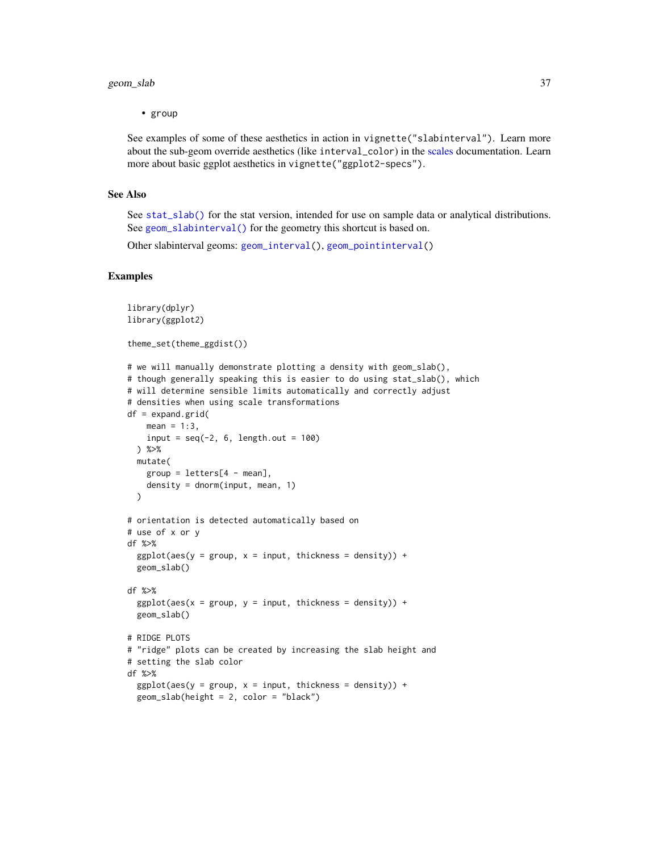# geom\_slab 37

• group

See examples of some of these aesthetics in action in vignette("slabinterval"). Learn more about the sub-geom override aesthetics (like interval\_color) in the [scales](#page-57-0) documentation. Learn more about basic ggplot aesthetics in vignette("ggplot2-specs").

## See Also

See [stat\\_slab\(\)](#page-134-0) for the stat version, intended for use on sample data or analytical distributions. See [geom\\_slabinterval\(\)](#page-37-0) for the geometry this shortcut is based on.

Other slabinterval geoms: [geom\\_interval\(](#page-20-0)), [geom\\_pointinterval\(](#page-27-0))

#### Examples

```
library(dplyr)
library(ggplot2)
theme_set(theme_ggdist())
# we will manually demonstrate plotting a density with geom_slab(),
# though generally speaking this is easier to do using stat_slab(), which
# will determine sensible limits automatically and correctly adjust
# densities when using scale transformations
df = expand.grid(
   mean = 1:3,
   input = seq(-2, 6, length.out = 100)) %>%
 mutate(
   group = letters[4 - mean],density = dnorm(input, mean, 1)
 \lambda# orientation is detected automatically based on
# use of x or y
df %>%
 ggplot(aes(y = group, x = input, thickness = density)) +geom_slab()
df %>%
 ggplot(aes(x = group, y = input, thickness = density)) +geom_slab()
# RIDGE PLOTS
# "ridge" plots can be created by increasing the slab height and
# setting the slab color
df %>%
 ggplot(aes(y = group, x = input, thickness = density)) +geom_slab(height = 2, color = "black")
```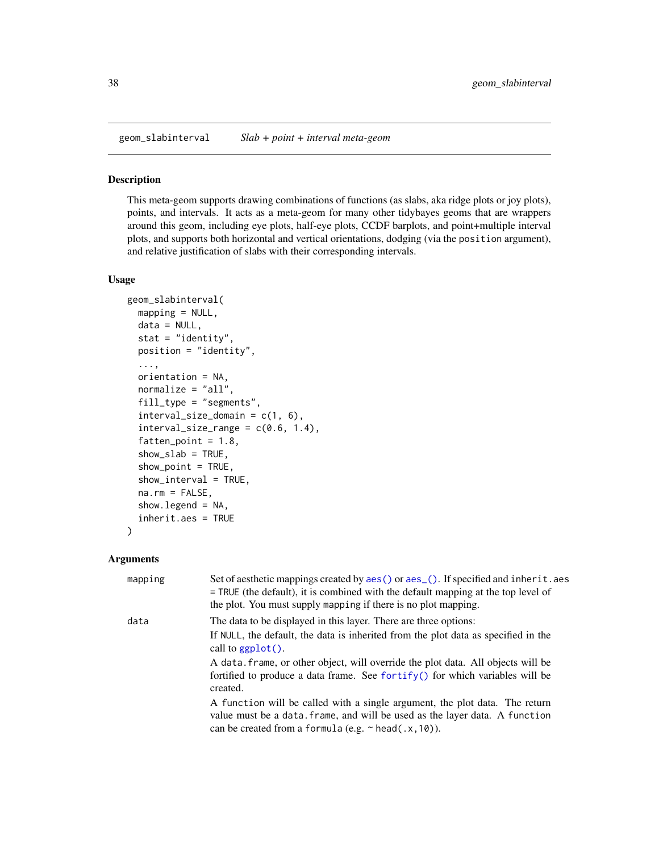<span id="page-37-0"></span>geom\_slabinterval *Slab + point + interval meta-geom*

#### Description

This meta-geom supports drawing combinations of functions (as slabs, aka ridge plots or joy plots), points, and intervals. It acts as a meta-geom for many other tidybayes geoms that are wrappers around this geom, including eye plots, half-eye plots, CCDF barplots, and point+multiple interval plots, and supports both horizontal and vertical orientations, dodging (via the position argument), and relative justification of slabs with their corresponding intervals.

# Usage

```
geom_slabinterval(
 mapping = NULL,
 data = NULL,
  stat = "identity",
 position = "identity",
  ...,
  orientation = NA,
  normalize = "all",
  fill_type = "segments",
  interval_size\_domain = c(1, 6),interval_size_range = c(0.6, 1.4),fatten\_point = 1.8,
  show\_slab = TRUE,show_point = TRUE,
  show_interval = TRUE,
  na.rm = FALSE,show. legend = NA,
  inherit.aes = TRUE
)
```
## Arguments

| mapping | Set of aesthetic mappings created by aes () or aes (). If specified and inherit. aes<br>$=$ TRUE (the default), it is combined with the default mapping at the top level of<br>the plot. You must supply mapping if there is no plot mapping. |
|---------|-----------------------------------------------------------------------------------------------------------------------------------------------------------------------------------------------------------------------------------------------|
| data    | The data to be displayed in this layer. There are three options:                                                                                                                                                                              |
|         | If NULL, the default, the data is inherited from the plot data as specified in the<br>call to $ggplot()$ .                                                                                                                                    |
|         | A data, frame, or other object, will override the plot data. All objects will be<br>fortified to produce a data frame. See for $\text{trify}()$ for which variables will be<br>created.                                                       |
|         | A function will be called with a single argument, the plot data. The return<br>value must be a data. frame, and will be used as the layer data. A function<br>can be created from a formula (e.g. $\sim$ head(.x, 10)).                       |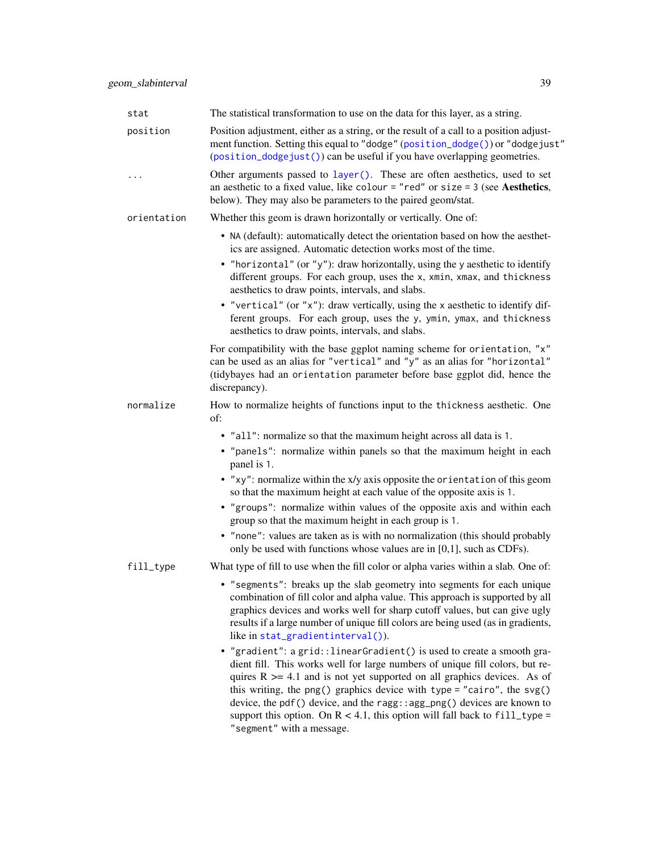| stat        | The statistical transformation to use on the data for this layer, as a string.                                                                                                                                                                                                                                                                                     |
|-------------|--------------------------------------------------------------------------------------------------------------------------------------------------------------------------------------------------------------------------------------------------------------------------------------------------------------------------------------------------------------------|
| position    | Position adjustment, either as a string, or the result of a call to a position adjust-<br>ment function. Setting this equal to "dodge" (position_dodge()) or "dodgejust"<br>(position_dodgejust()) can be useful if you have overlapping geometries.                                                                                                               |
| $\ddots$    | Other arguments passed to layer(). These are often aesthetics, used to set<br>an aesthetic to a fixed value, like colour = "red" or size = $3$ (see Aesthetics,<br>below). They may also be parameters to the paired geom/stat.                                                                                                                                    |
| orientation | Whether this geom is drawn horizontally or vertically. One of:                                                                                                                                                                                                                                                                                                     |
|             | • NA (default): automatically detect the orientation based on how the aesthet-<br>ics are assigned. Automatic detection works most of the time.                                                                                                                                                                                                                    |
|             | • "horizontal" (or "y"): draw horizontally, using the y aesthetic to identify<br>different groups. For each group, uses the x, xmin, xmax, and thickness<br>aesthetics to draw points, intervals, and slabs.                                                                                                                                                       |
|             | • "vertical" (or "x"): draw vertically, using the x aesthetic to identify dif-<br>ferent groups. For each group, uses the y, ymin, ymax, and thickness<br>aesthetics to draw points, intervals, and slabs.                                                                                                                                                         |
|             | For compatibility with the base ggplot naming scheme for orientation, "x"<br>can be used as an alias for "vertical" and "y" as an alias for "horizontal"<br>(tidybayes had an orientation parameter before base ggplot did, hence the<br>discrepancy).                                                                                                             |
| normalize   | How to normalize heights of functions input to the thickness aesthetic. One<br>of:                                                                                                                                                                                                                                                                                 |
|             | • "all": normalize so that the maximum height across all data is 1.                                                                                                                                                                                                                                                                                                |
|             | • "panels": normalize within panels so that the maximum height in each<br>panel is 1.                                                                                                                                                                                                                                                                              |
|             | • "xy": normalize within the x/y axis opposite the orientation of this geom<br>so that the maximum height at each value of the opposite axis is 1.                                                                                                                                                                                                                 |
|             | • "groups": normalize within values of the opposite axis and within each<br>group so that the maximum height in each group is 1.                                                                                                                                                                                                                                   |
|             | • "none": values are taken as is with no normalization (this should probably<br>only be used with functions whose values are in [0,1], such as CDFs).                                                                                                                                                                                                              |
| fill_type   | What type of fill to use when the fill color or alpha varies within a slab. One of:                                                                                                                                                                                                                                                                                |
|             | • "segments": breaks up the slab geometry into segments for each unique<br>combination of fill color and alpha value. This approach is supported by all<br>graphics devices and works well for sharp cutoff values, but can give ugly<br>results if a large number of unique fill colors are being used (as in gradients,<br>like in $stat\_gradientinterval()$ ). |

• "gradient": a grid::linearGradient() is used to create a smooth gradient fill. This works well for large numbers of unique fill colors, but requires  $R \geq 4.1$  and is not yet supported on all graphics devices. As of this writing, the png() graphics device with type = "cairo", the svg() device, the pdf() device, and the ragg::agg\_png() devices are known to support this option. On  $R < 4.1$ , this option will fall back to fill\_type = "segment" with a message.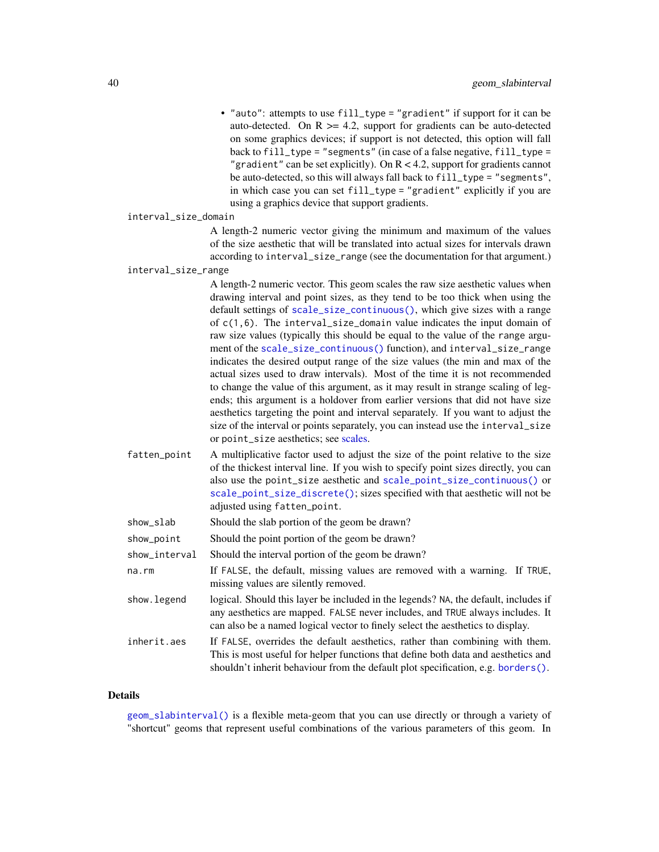• "auto": attempts to use fill\_type = "gradient" if support for it can be auto-detected. On  $R \geq 4.2$ , support for gradients can be auto-detected on some graphics devices; if support is not detected, this option will fall back to fill\_type = "segments" (in case of a false negative, fill\_type = "gradient" can be set explicitly). On  $R < 4.2$ , support for gradients cannot be auto-detected, so this will always fall back to fill\_type = "segments", in which case you can set fill\_type = "gradient" explicitly if you are using a graphics device that support gradients.

```
interval_size_domain
```
A length-2 numeric vector giving the minimum and maximum of the values of the size aesthetic that will be translated into actual sizes for intervals drawn according to interval\_size\_range (see the documentation for that argument.)

```
interval_size_range
```
A length-2 numeric vector. This geom scales the raw size aesthetic values when drawing interval and point sizes, as they tend to be too thick when using the default settings of [scale\\_size\\_continuous\(\)](#page-0-0), which give sizes with a range of c(1,6). The interval\_size\_domain value indicates the input domain of raw size values (typically this should be equal to the value of the range argument of the [scale\\_size\\_continuous\(\)](#page-0-0) function), and interval\_size\_range indicates the desired output range of the size values (the min and max of the actual sizes used to draw intervals). Most of the time it is not recommended to change the value of this argument, as it may result in strange scaling of legends; this argument is a holdover from earlier versions that did not have size aesthetics targeting the point and interval separately. If you want to adjust the size of the interval or points separately, you can instead use the interval\_size or point\_size aesthetics; see [scales.](#page-57-0)

fatten\_point A multiplicative factor used to adjust the size of the point relative to the size of the thickest interval line. If you wish to specify point sizes directly, you can also use the point\_size aesthetic and [scale\\_point\\_size\\_continuous\(\)](#page-57-1) or [scale\\_point\\_size\\_discrete\(\)](#page-57-1); sizes specified with that aesthetic will not be adjusted using fatten\_point.

| show_slab |  |  | Should the slab portion of the geom be drawn? |
|-----------|--|--|-----------------------------------------------|
|-----------|--|--|-----------------------------------------------|

- show\_point Should the point portion of the geom be drawn?
- show\_interval Should the interval portion of the geom be drawn?
- na.rm If FALSE, the default, missing values are removed with a warning. If TRUE, missing values are silently removed.
- show. legend logical. Should this layer be included in the legends? NA, the default, includes if any aesthetics are mapped. FALSE never includes, and TRUE always includes. It can also be a named logical vector to finely select the aesthetics to display.
- inherit.aes If FALSE, overrides the default aesthetics, rather than combining with them. This is most useful for helper functions that define both data and aesthetics and shouldn't inherit behaviour from the default plot specification, e.g. [borders\(\)](#page-0-0).

#### Details

[geom\\_slabinterval\(\)](#page-37-0) is a flexible meta-geom that you can use directly or through a variety of "shortcut" geoms that represent useful combinations of the various parameters of this geom. In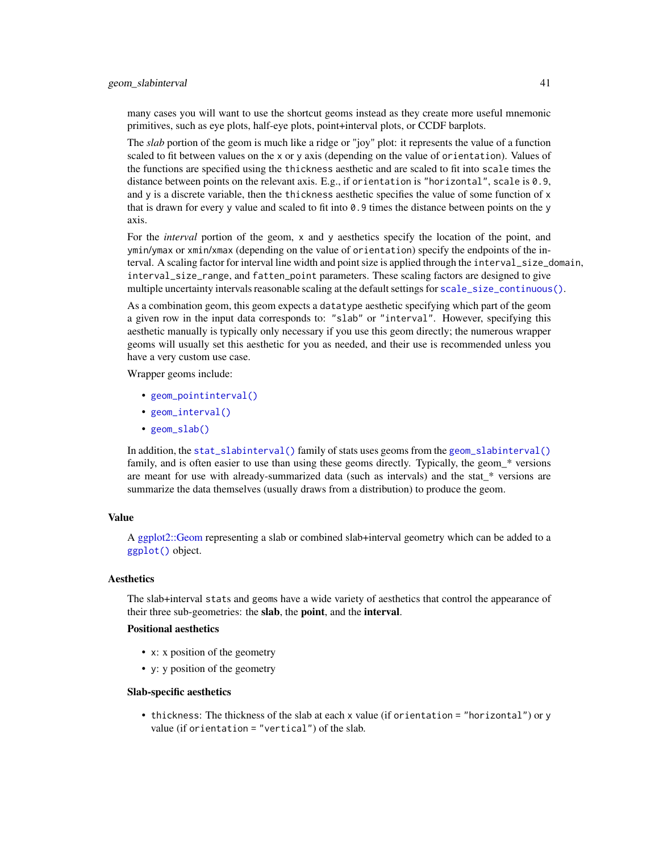many cases you will want to use the shortcut geoms instead as they create more useful mnemonic primitives, such as eye plots, half-eye plots, point+interval plots, or CCDF barplots.

The *slab* portion of the geom is much like a ridge or "joy" plot: it represents the value of a function scaled to fit between values on the x or y axis (depending on the value of orientation). Values of the functions are specified using the thickness aesthetic and are scaled to fit into scale times the distance between points on the relevant axis. E.g., if orientation is "horizontal", scale is 0.9, and y is a discrete variable, then the thickness aesthetic specifies the value of some function of x that is drawn for every y value and scaled to fit into  $\theta$ . 9 times the distance between points on the y axis.

For the *interval* portion of the geom, x and y aesthetics specify the location of the point, and ymin/ymax or xmin/xmax (depending on the value of orientation) specify the endpoints of the interval. A scaling factor for interval line width and point size is applied through the interval\_size\_domain, interval\_size\_range, and fatten\_point parameters. These scaling factors are designed to give multiple uncertainty intervals reasonable scaling at the default settings for [scale\\_size\\_continuous\(\)](#page-0-0).

As a combination geom, this geom expects a datatype aesthetic specifying which part of the geom a given row in the input data corresponds to: "slab" or "interval". However, specifying this aesthetic manually is typically only necessary if you use this geom directly; the numerous wrapper geoms will usually set this aesthetic for you as needed, and their use is recommended unless you have a very custom use case.

Wrapper geoms include:

- [geom\\_pointinterval\(\)](#page-27-0)
- [geom\\_interval\(\)](#page-20-0)
- [geom\\_slab\(\)](#page-32-0)

In addition, the [stat\\_slabinterval\(\)](#page-141-0) family of stats uses geoms from the [geom\\_slabinterval\(\)](#page-37-0) family, and is often easier to use than using these geoms directly. Typically, the geom\_\* versions are meant for use with already-summarized data (such as intervals) and the stat\_\* versions are summarize the data themselves (usually draws from a distribution) to produce the geom.

## Value

A [ggplot2::Geom](#page-0-0) representing a slab or combined slab+interval geometry which can be added to a [ggplot\(\)](#page-0-0) object.

### Aesthetics

The slab+interval stats and geoms have a wide variety of aesthetics that control the appearance of their three sub-geometries: the slab, the point, and the interval.

### Positional aesthetics

- x: x position of the geometry
- y: y position of the geometry

#### Slab-specific aesthetics

• thickness: The thickness of the slab at each x value (if orientation = "horizontal") or y value (if orientation = "vertical") of the slab.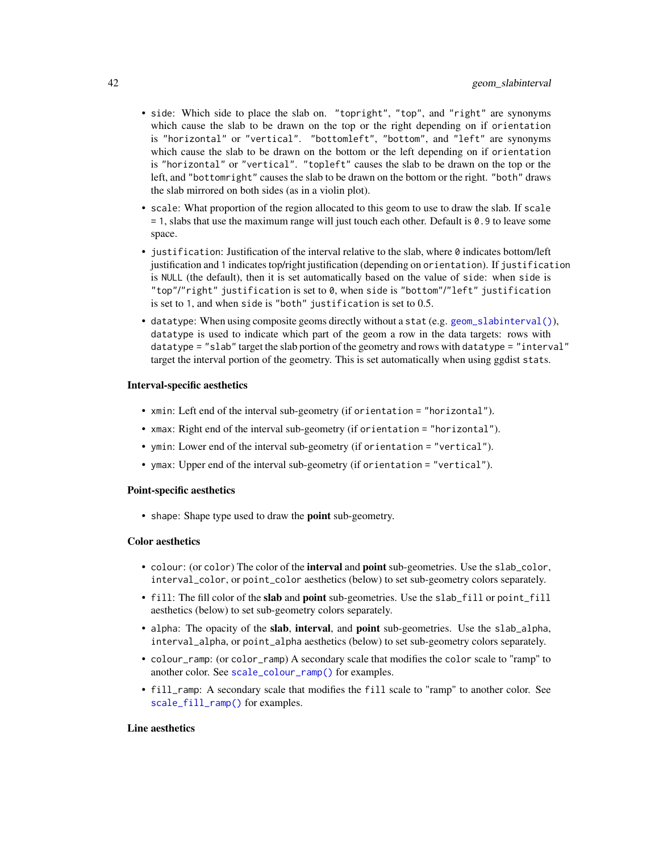- side: Which side to place the slab on. "topright", "top", and "right" are synonyms which cause the slab to be drawn on the top or the right depending on if orientation is "horizontal" or "vertical". "bottomleft", "bottom", and "left" are synonyms which cause the slab to be drawn on the bottom or the left depending on if orientation is "horizontal" or "vertical". "topleft" causes the slab to be drawn on the top or the left, and "bottomright" causes the slab to be drawn on the bottom or the right. "both" draws the slab mirrored on both sides (as in a violin plot).
- scale: What proportion of the region allocated to this geom to use to draw the slab. If scale = 1, slabs that use the maximum range will just touch each other. Default is 0.9 to leave some space.
- justification: Justification of the interval relative to the slab, where  $\theta$  indicates bottom/left justification and 1 indicates top/right justification (depending on orientation). If justification is NULL (the default), then it is set automatically based on the value of side: when side is "top"/"right" justification is set to 0, when side is "bottom"/"left" justification is set to 1, and when side is "both" justification is set to 0.5.
- datatype: When using composite geoms directly without a stat (e.g. [geom\\_slabinterval\(\)](#page-37-0)), datatype is used to indicate which part of the geom a row in the data targets: rows with datatype = "slab" target the slab portion of the geometry and rows with datatype = "interval" target the interval portion of the geometry. This is set automatically when using ggdist stats.

### Interval-specific aesthetics

- xmin: Left end of the interval sub-geometry (if orientation = "horizontal").
- xmax: Right end of the interval sub-geometry (if orientation = "horizontal").
- ymin: Lower end of the interval sub-geometry (if orientation = "vertical").
- ymax: Upper end of the interval sub-geometry (if orientation = "vertical").

# Point-specific aesthetics

• shape: Shape type used to draw the **point** sub-geometry.

### Color aesthetics

- colour: (or color) The color of the interval and point sub-geometries. Use the slab\_color, interval\_color, or point\_color aesthetics (below) to set sub-geometry colors separately.
- fill: The fill color of the slab and point sub-geometries. Use the slab\_fill or point\_fill aesthetics (below) to set sub-geometry colors separately.
- alpha: The opacity of the slab, interval, and point sub-geometries. Use the slab\_alpha, interval\_alpha, or point\_alpha aesthetics (below) to set sub-geometry colors separately.
- colour\_ramp: (or color\_ramp) A secondary scale that modifies the color scale to "ramp" to another color. See [scale\\_colour\\_ramp\(\)](#page-62-0) for examples.
- fill\_ramp: A secondary scale that modifies the fill scale to "ramp" to another color. See [scale\\_fill\\_ramp\(\)](#page-62-1) for examples.

## Line aesthetics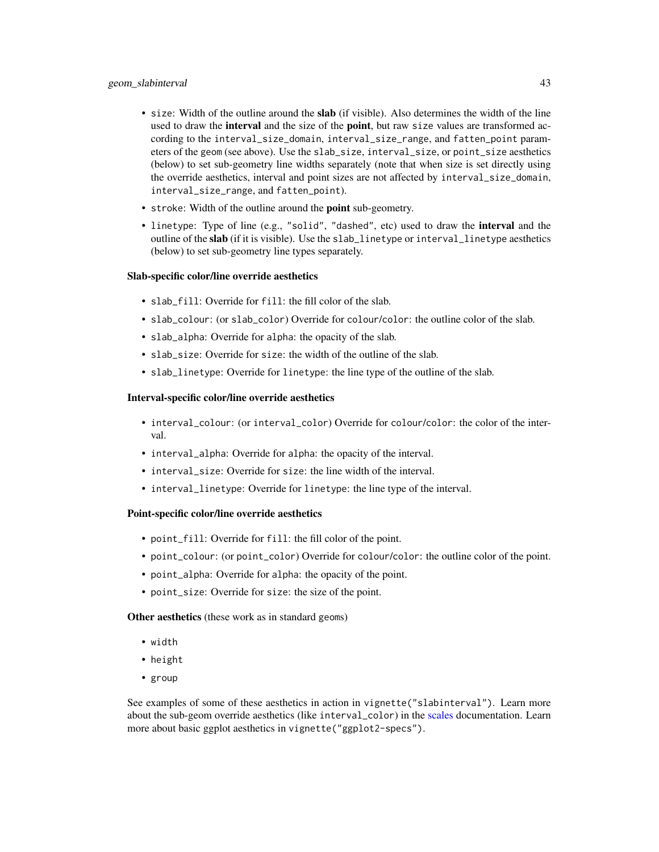- size: Width of the outline around the slab (if visible). Also determines the width of the line used to draw the **interval** and the size of the **point**, but raw size values are transformed according to the interval\_size\_domain, interval\_size\_range, and fatten\_point parameters of the geom (see above). Use the slab\_size, interval\_size, or point\_size aesthetics (below) to set sub-geometry line widths separately (note that when size is set directly using the override aesthetics, interval and point sizes are not affected by interval\_size\_domain, interval\_size\_range, and fatten\_point).
- stroke: Width of the outline around the point sub-geometry.
- linetype: Type of line (e.g., "solid", "dashed", etc) used to draw the **interval** and the outline of the slab (if it is visible). Use the slab\_linetype or interval\_linetype aesthetics (below) to set sub-geometry line types separately.

### Slab-specific color/line override aesthetics

- slab fill: Override for fill: the fill color of the slab.
- slab\_colour: (or slab\_color) Override for colour/color: the outline color of the slab.
- slab\_alpha: Override for alpha: the opacity of the slab.
- slab\_size: Override for size: the width of the outline of the slab.
- slab\_linetype: Override for linetype: the line type of the outline of the slab.

### Interval-specific color/line override aesthetics

- interval\_colour: (or interval\_color) Override for colour/color: the color of the interval.
- interval\_alpha: Override for alpha: the opacity of the interval.
- interval\_size: Override for size: the line width of the interval.
- interval\_linetype: Override for linetype: the line type of the interval.

## Point-specific color/line override aesthetics

- point\_fill: Override for fill: the fill color of the point.
- point\_colour: (or point\_color) Override for colour/color: the outline color of the point.
- point\_alpha: Override for alpha: the opacity of the point.
- point\_size: Override for size: the size of the point.

Other aesthetics (these work as in standard geoms)

- width
- height
- group

See examples of some of these aesthetics in action in vignette("slabinterval"). Learn more about the sub-geom override aesthetics (like interval\_color) in the [scales](#page-57-0) documentation. Learn more about basic ggplot aesthetics in vignette("ggplot2-specs").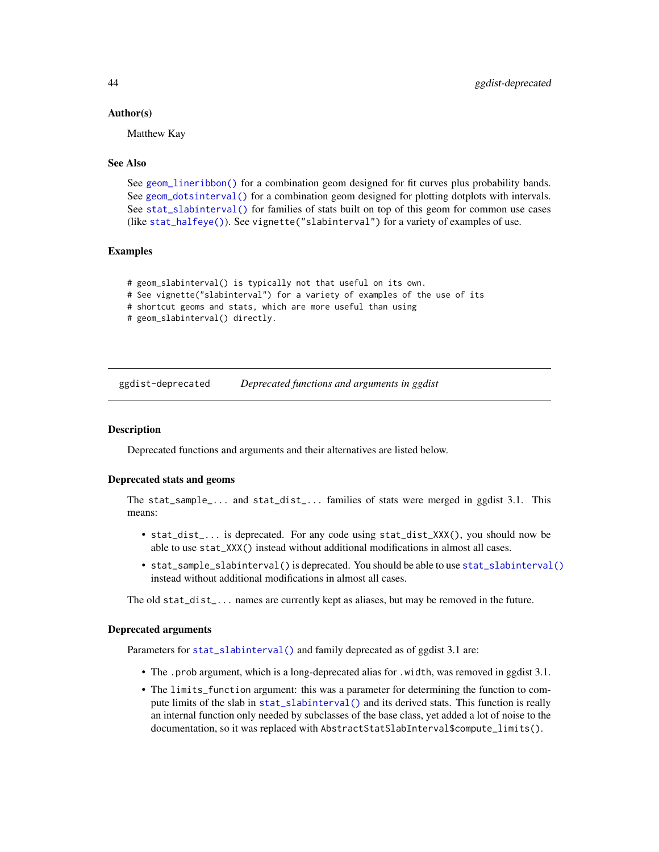### Author(s)

Matthew Kay

## See Also

See [geom\\_lineribbon\(\)](#page-24-0) for a combination geom designed for fit curves plus probability bands. See [geom\\_dotsinterval\(\)](#page-11-0) for a combination geom designed for plotting dotplots with intervals. See [stat\\_slabinterval\(\)](#page-141-0) for families of stats built on top of this geom for common use cases (like [stat\\_halfeye\(\)](#page-97-0)). See vignette("slabinterval") for a variety of examples of use.

# Examples

```
# geom_slabinterval() is typically not that useful on its own.
# See vignette("slabinterval") for a variety of examples of the use of its
# shortcut geoms and stats, which are more useful than using
# geom_slabinterval() directly.
```
ggdist-deprecated *Deprecated functions and arguments in ggdist*

### **Description**

Deprecated functions and arguments and their alternatives are listed below.

#### Deprecated stats and geoms

The stat\_sample\_... and stat\_dist\_... families of stats were merged in ggdist 3.1. This means:

- stat\_dist\_... is deprecated. For any code using stat\_dist\_XXX(), you should now be able to use stat\_XXX() instead without additional modifications in almost all cases.
- stat\_sample\_slabinterval() is deprecated. You should be able to use [stat\\_slabinterval\(\)](#page-141-0) instead without additional modifications in almost all cases.

The old stat\_dist\_... names are currently kept as aliases, but may be removed in the future.

#### Deprecated arguments

Parameters for [stat\\_slabinterval\(\)](#page-141-0) and family deprecated as of ggdist 3.1 are:

- The .prob argument, which is a long-deprecated alias for .width, was removed in ggdist 3.1.
- The limits\_function argument: this was a parameter for determining the function to compute limits of the slab in [stat\\_slabinterval\(\)](#page-141-0) and its derived stats. This function is really an internal function only needed by subclasses of the base class, yet added a lot of noise to the documentation, so it was replaced with AbstractStatSlabInterval\$compute\_limits().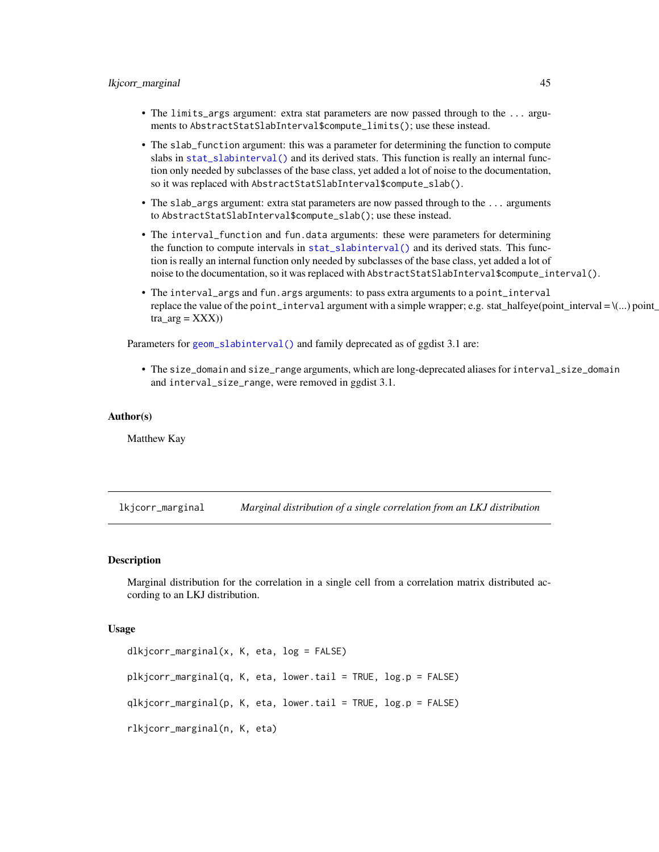- The limits\_args argument: extra stat parameters are now passed through to the ... arguments to AbstractStatSlabInterval\$compute\_limits(); use these instead.
- The slab\_function argument: this was a parameter for determining the function to compute slabs in [stat\\_slabinterval\(\)](#page-141-0) and its derived stats. This function is really an internal function only needed by subclasses of the base class, yet added a lot of noise to the documentation, so it was replaced with AbstractStatSlabInterval\$compute\_slab().
- The slab\_args argument: extra stat parameters are now passed through to the ... arguments to AbstractStatSlabInterval\$compute\_slab(); use these instead.
- The interval\_function and fun.data arguments: these were parameters for determining the function to compute intervals in [stat\\_slabinterval\(\)](#page-141-0) and its derived stats. This function is really an internal function only needed by subclasses of the base class, yet added a lot of noise to the documentation, so it was replaced with AbstractStatSlabInterval\$compute\_interval().
- The interval\_args and fun.args arguments: to pass extra arguments to a point\_interval replace the value of the point\_interval argument with a simple wrapper; e.g. stat\_halfeye(point\_interval =  $\langle \dots \rangle$  point\_  $tra_{arg} = XXX)$

Parameters for [geom\\_slabinterval\(\)](#page-37-0) and family deprecated as of ggdist 3.1 are:

• The size\_domain and size\_range arguments, which are long-deprecated aliases for interval\_size\_domain and interval\_size\_range, were removed in ggdist 3.1.

#### Author(s)

Matthew Kay

<span id="page-44-0"></span>lkjcorr\_marginal *Marginal distribution of a single correlation from an LKJ distribution*

#### Description

Marginal distribution for the correlation in a single cell from a correlation matrix distributed according to an LKJ distribution.

```
dlkjcorr_marginal(x, K, eta, log = FALSE)
plkjcorr_marginal(q, K, eta, lower.tail = TRUE, log.p = FALSE)
qlkjcorr_marginal(p, K, eta, lower.tail = TRUE, log.p = FALSE)
rlkjcorr_marginal(n, K, eta)
```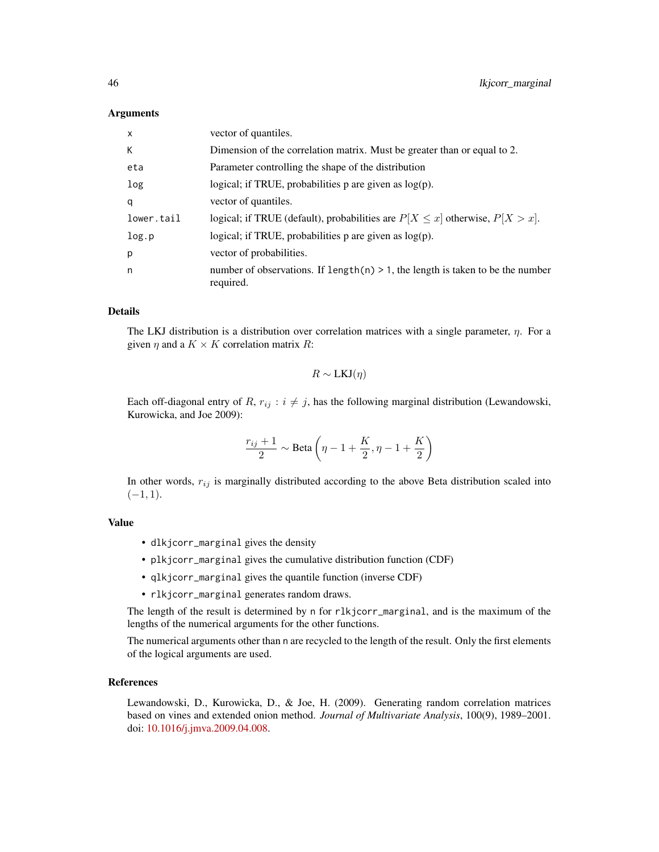| $\mathsf{x}$ | vector of quantiles.                                                                            |
|--------------|-------------------------------------------------------------------------------------------------|
| К            | Dimension of the correlation matrix. Must be greater than or equal to 2.                        |
| eta          | Parameter controlling the shape of the distribution                                             |
| log          | logical; if TRUE, probabilities $p$ are given as $log(p)$ .                                     |
| q            | vector of quantiles.                                                                            |
| lower.tail   | logical; if TRUE (default), probabilities are $P[X \le x]$ otherwise, $P[X > x]$ .              |
| log.p        | logical; if TRUE, probabilities $p$ are given as $log(p)$ .                                     |
| p            | vector of probabilities.                                                                        |
| n            | number of observations. If length $(n) > 1$ , the length is taken to be the number<br>required. |

### Details

The LKJ distribution is a distribution over correlation matrices with a single parameter,  $\eta$ . For a given  $\eta$  and a  $K \times K$  correlation matrix R:

$$
R \sim \text{LKJ}(\eta)
$$

Each off-diagonal entry of R,  $r_{ij}$ :  $i \neq j$ , has the following marginal distribution (Lewandowski, Kurowicka, and Joe 2009):

$$
\frac{r_{ij}+1}{2} \sim \text{Beta}\left(\eta - 1 + \frac{K}{2}, \eta - 1 + \frac{K}{2}\right)
$$

In other words,  $r_{ij}$  is marginally distributed according to the above Beta distribution scaled into  $(-1, 1).$ 

#### Value

- dlkjcorr\_marginal gives the density
- plkjcorr\_marginal gives the cumulative distribution function (CDF)
- qlkjcorr\_marginal gives the quantile function (inverse CDF)
- rlkjcorr\_marginal generates random draws.

The length of the result is determined by n for rlkjcorr\_marginal, and is the maximum of the lengths of the numerical arguments for the other functions.

The numerical arguments other than n are recycled to the length of the result. Only the first elements of the logical arguments are used.

### References

Lewandowski, D., Kurowicka, D., & Joe, H. (2009). Generating random correlation matrices based on vines and extended onion method. *Journal of Multivariate Analysis*, 100(9), 1989–2001. doi: [10.1016/j.jmva.2009.04.008.](https://doi.org/10.1016/j.jmva.2009.04.008)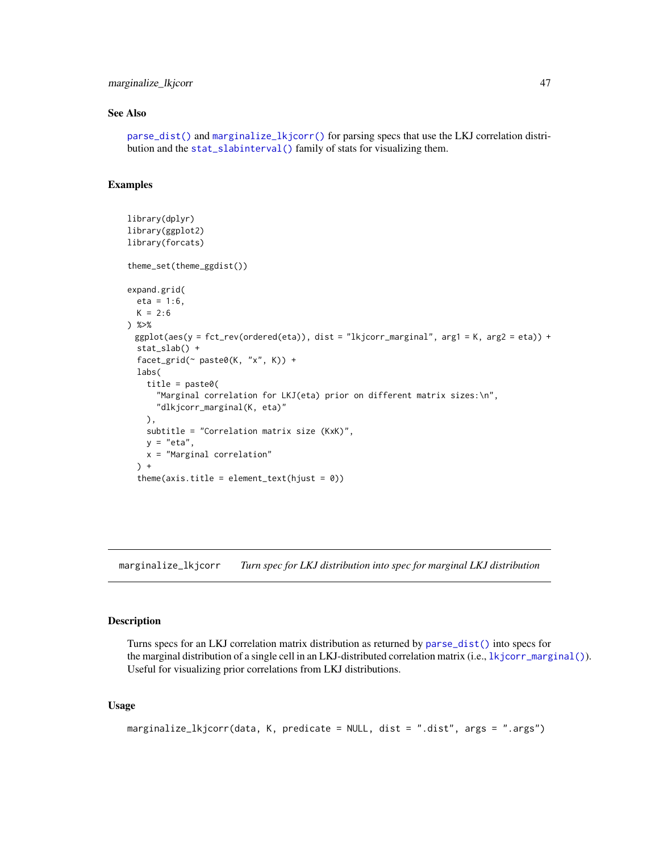# marginalize\_lkjcorr 47

### See Also

[parse\\_dist\(\)](#page-48-0) and [marginalize\\_lkjcorr\(\)](#page-46-0) for parsing specs that use the LKJ correlation distribution and the [stat\\_slabinterval\(\)](#page-141-0) family of stats for visualizing them.

### Examples

```
library(dplyr)
library(ggplot2)
library(forcats)
theme_set(theme_ggdist())
expand.grid(
  eta = 1:6,
  K = 2:6) %>%
 ggplot(aes(y = fct_rev(ordered(eta)), dist = "lkjcorr_marginal", arg1 = K, arg2 = eta)) +
  stat_slab() +
  facet_grid(~ paste0(K, "x", K)) +
  labs(
    title = paste0(
      "Marginal correlation for LKJ(eta) prior on different matrix sizes:\n",
      "dlkjcorr_marginal(K, eta)"
   ),
    subtitle = "Correlation matrix size (KxK)",
   y = "eta",x = "Marginal correlation"
  ) +theme(axis.title = element_test(hjust = 0))
```
<span id="page-46-0"></span>marginalize\_lkjcorr *Turn spec for LKJ distribution into spec for marginal LKJ distribution*

# Description

Turns specs for an LKJ correlation matrix distribution as returned by [parse\\_dist\(\)](#page-48-0) into specs for the marginal distribution of a single cell in an LKJ-distributed correlation matrix (i.e., 1kjcorr\_marginal()). Useful for visualizing prior correlations from LKJ distributions.

```
marginalize_lkjcorr(data, K, predicate = NULL, dist = ".dist", args = ".args")
```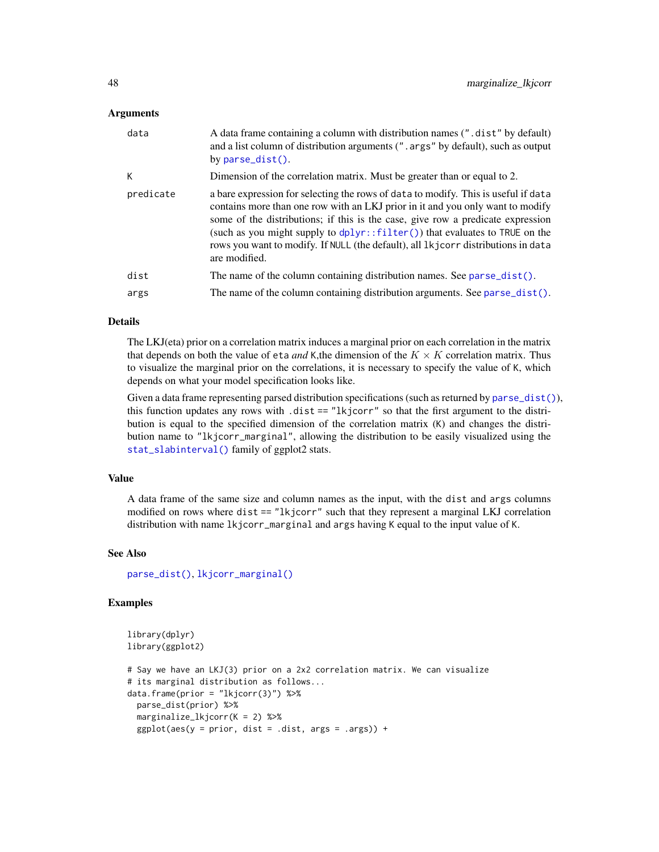| data      | A data frame containing a column with distribution names (".dist" by default)<br>and a list column of distribution arguments (". args" by default), such as output<br>by $parse\_dist()$ .                                                                                                                                                                                                                                                         |
|-----------|----------------------------------------------------------------------------------------------------------------------------------------------------------------------------------------------------------------------------------------------------------------------------------------------------------------------------------------------------------------------------------------------------------------------------------------------------|
| К         | Dimension of the correlation matrix. Must be greater than or equal to 2.                                                                                                                                                                                                                                                                                                                                                                           |
| predicate | a bare expression for selecting the rows of data to modify. This is useful if data<br>contains more than one row with an LKJ prior in it and you only want to modify<br>some of the distributions; if this is the case, give row a predicate expression<br>(such as you might supply to $dplyr$ : $filler()$ ) that evaluates to TRUE on the<br>rows you want to modify. If NULL (the default), all 1kjcorr distributions in data<br>are modified. |
| dist      | The name of the column containing distribution names. See parse_dist().                                                                                                                                                                                                                                                                                                                                                                            |
| args      | The name of the column containing distribution arguments. See parse_dist().                                                                                                                                                                                                                                                                                                                                                                        |

## Details

The LKJ(eta) prior on a correlation matrix induces a marginal prior on each correlation in the matrix that depends on both the value of eta *and* K,the dimension of the  $K \times K$  correlation matrix. Thus to visualize the marginal prior on the correlations, it is necessary to specify the value of K, which depends on what your model specification looks like.

Given a data frame representing parsed distribution specifications (such as returned by [parse\\_dist\(\)](#page-48-0)), this function updates any rows with  $dist == "lkjcorr"$  so that the first argument to the distribution is equal to the specified dimension of the correlation matrix (K) and changes the distribution name to "lkjcorr\_marginal", allowing the distribution to be easily visualized using the [stat\\_slabinterval\(\)](#page-141-0) family of ggplot2 stats.

## Value

A data frame of the same size and column names as the input, with the dist and args columns modified on rows where dist == "lkjcorr" such that they represent a marginal LKJ correlation distribution with name lkjcorr\_marginal and args having K equal to the input value of K.

### See Also

[parse\\_dist\(\)](#page-48-0), [lkjcorr\\_marginal\(\)](#page-44-0)

### Examples

```
library(dplyr)
library(ggplot2)
# Say we have an LKJ(3) prior on a 2x2 correlation matrix. We can visualize
# its marginal distribution as follows...
data.frame(prior = "lkjcorr(3)") %>%
 parse_dist(prior) %>%
 marginalize_lkjcorr(K = 2) %>%
 ggplot(aes(y = prior, dist = .dist, args = .args)) +
```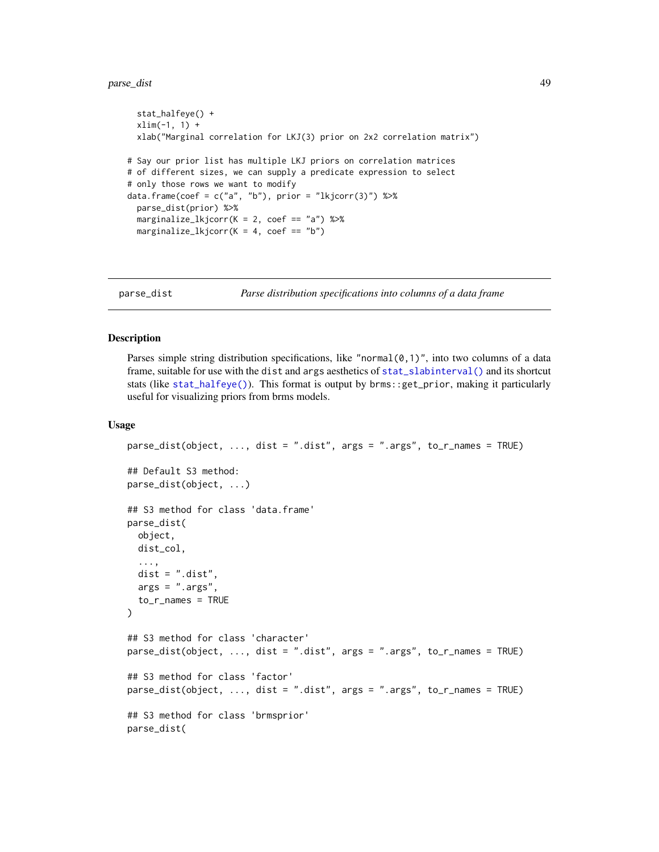#### parse\_dist 49

```
stat_halfeye() +
 xlim(-1, 1) +xlab("Marginal correlation for LKJ(3) prior on 2x2 correlation matrix")
# Say our prior list has multiple LKJ priors on correlation matrices
# of different sizes, we can supply a predicate expression to select
# only those rows we want to modify
data.frame(coef = c("a", "b"), prior = "lkjcorr(3)") %>%
 parse_dist(prior) %>%
 marginalize_lkjcorr(K = 2, coef == "a") %>%
 marginalize_lkjcorr(K = 4, coef == "b")
```
<span id="page-48-0"></span>

parse\_dist *Parse distribution specifications into columns of a data frame*

## <span id="page-48-1"></span>Description

Parses simple string distribution specifications, like "normal $(0,1)$ ", into two columns of a data frame, suitable for use with the dist and args aesthetics of [stat\\_slabinterval\(\)](#page-141-0) and its shortcut stats (like [stat\\_halfeye\(\)](#page-97-0)). This format is output by brms::get\_prior, making it particularly useful for visualizing priors from brms models.

```
parse_dist(object, ..., dist = ".dist", args = ".args", to_r_names = TRUE)
## Default S3 method:
parse_dist(object, ...)
## S3 method for class 'data.frame'
parse_dist(
 object,
 dist_col,
  ...,
 dist = "dist",args = ".args",to_r_names = TRUE
)
## S3 method for class 'character'
parse_dist(object, ..., dist = ".dist", args = ".args", to_r_names = TRUE)
## S3 method for class 'factor'
parse_dist(object, ..., dist = ".dist", args = ".args", to_r_names = TRUE)
## S3 method for class 'brmsprior'
parse_dist(
```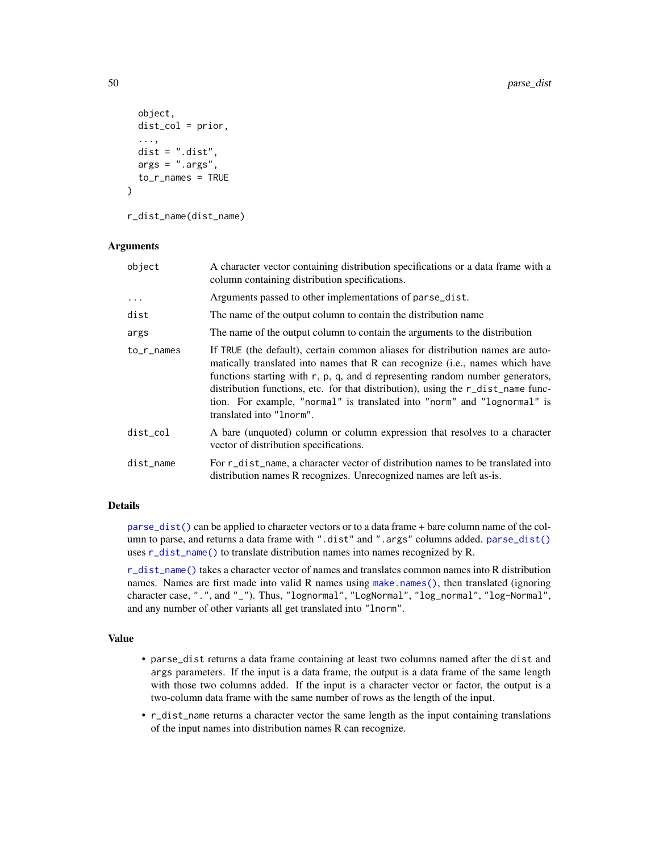```
object,
 dist_col = prior,
  ...,
 dist = "dist",args = ".args",to_r_names = TRUE
)
```

```
r_dist_name(dist_name)
```

| object     | A character vector containing distribution specifications or a data frame with a<br>column containing distribution specifications.                                                                                                                                                                                                                                                                                                                     |
|------------|--------------------------------------------------------------------------------------------------------------------------------------------------------------------------------------------------------------------------------------------------------------------------------------------------------------------------------------------------------------------------------------------------------------------------------------------------------|
| .          | Arguments passed to other implementations of parse_dist.                                                                                                                                                                                                                                                                                                                                                                                               |
| dist       | The name of the output column to contain the distribution name                                                                                                                                                                                                                                                                                                                                                                                         |
| args       | The name of the output column to contain the arguments to the distribution                                                                                                                                                                                                                                                                                                                                                                             |
| to_r_names | If TRUE (the default), certain common aliases for distribution names are auto-<br>matically translated into names that R can recognize (i.e., names which have<br>functions starting with $r$ , $p$ , $q$ , and $d$ representing random number generators,<br>distribution functions, etc. for that distribution), using the r_dist_name func-<br>tion. For example, "normal" is translated into "norm" and "lognormal" is<br>translated into "lnorm". |
| dist col   | A bare (unquoted) column or column expression that resolves to a character<br>vector of distribution specifications.                                                                                                                                                                                                                                                                                                                                   |
| dist_name  | For r_dist_name, a character vector of distribution names to be translated into<br>distribution names R recognizes. Unrecognized names are left as-is.                                                                                                                                                                                                                                                                                                 |

## Details

[parse\\_dist\(\)](#page-48-0) can be applied to character vectors or to a data frame + bare column name of the column to parse, and returns a data frame with ".dist" and ".args" columns added. [parse\\_dist\(\)](#page-48-0) uses [r\\_dist\\_name\(\)](#page-48-1) to translate distribution names into names recognized by R.

[r\\_dist\\_name\(\)](#page-48-1) takes a character vector of names and translates common names into R distribution names. Names are first made into valid R names using [make.names\(\)](#page-0-0), then translated (ignoring character case, ".", and "\_"). Thus, "lognormal", "LogNormal", "log\_normal", "log-Normal", and any number of other variants all get translated into "lnorm".

## Value

- parse\_dist returns a data frame containing at least two columns named after the dist and args parameters. If the input is a data frame, the output is a data frame of the same length with those two columns added. If the input is a character vector or factor, the output is a two-column data frame with the same number of rows as the length of the input.
- r\_dist\_name returns a character vector the same length as the input containing translations of the input names into distribution names R can recognize.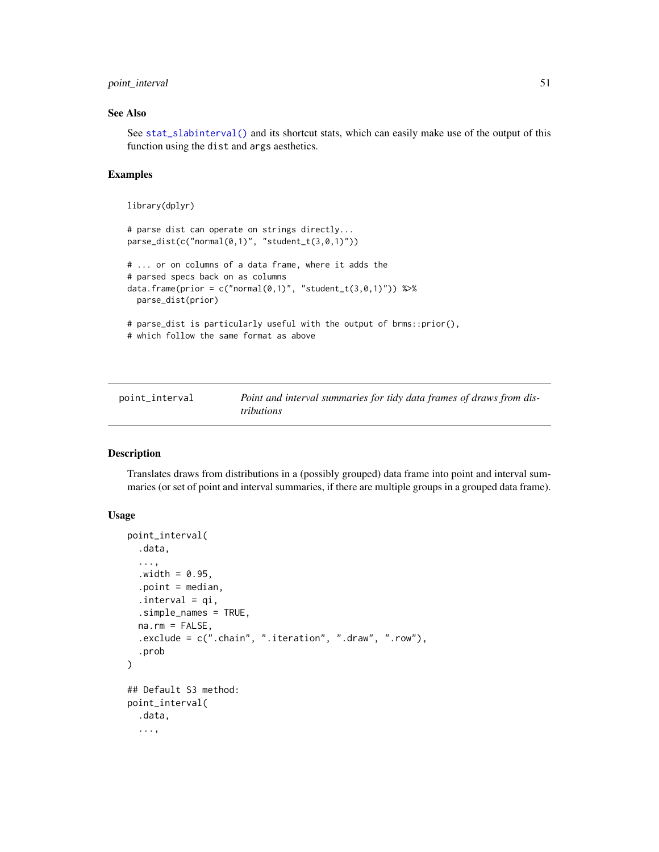# point\_interval 51

## See Also

See [stat\\_slabinterval\(\)](#page-141-0) and its shortcut stats, which can easily make use of the output of this function using the dist and args aesthetics.

## Examples

```
library(dplyr)
# parse dist can operate on strings directly...
parse_dist(c("normal(0,1)", "student_t(3,0,1)"))
# ... or on columns of a data frame, where it adds the
# parsed specs back on as columns
data.frame(prior = c("normal(0,1)", "student_t(3,0,1)")) %>%
  parse_dist(prior)
# parse_dist is particularly useful with the output of brms::prior(),
# which follow the same format as above
```
<span id="page-50-1"></span>

| point_interval | Point and interval summaries for tidy data frames of draws from dis- |
|----------------|----------------------------------------------------------------------|
|                | tributions                                                           |

## <span id="page-50-0"></span>Description

Translates draws from distributions in a (possibly grouped) data frame into point and interval summaries (or set of point and interval summaries, if there are multiple groups in a grouped data frame).

```
point_interval(
  .data,
  ...,
  .width = 0.95,.point = median,
  .interval = qi,
  .simple_names = TRUE,
  na.rm = FALSE,.exclude = c(".chain", ".iteration", ".draw", ".row"),
  .prob
\mathcal{L}## Default S3 method:
point_interval(
  .data,
  ...,
```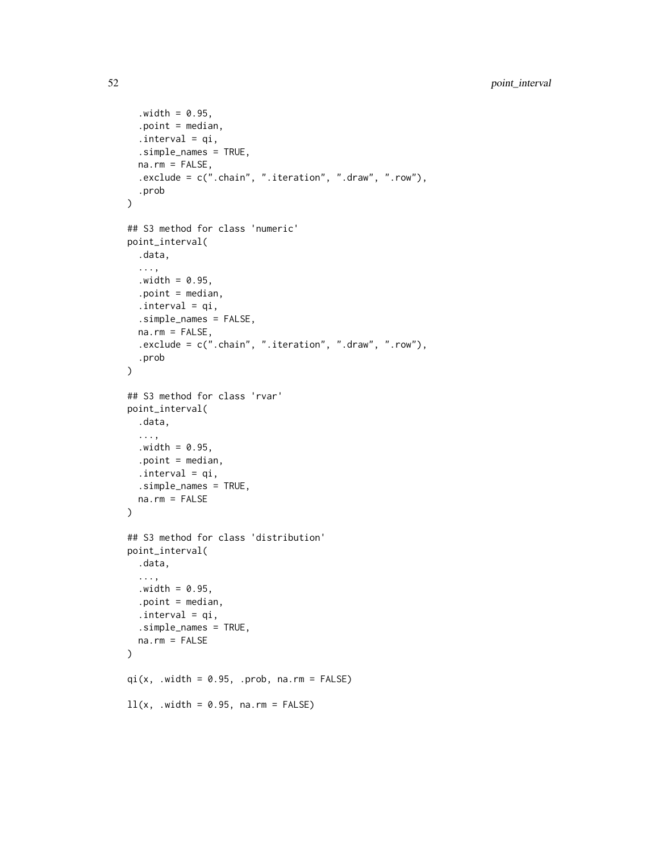```
.width = <math>0.95</math>,.point = median,
  .interval = qi,
  .simple_names = TRUE,
  na.rm = FALSE,
  .exclude = c(".chain", ".iteration", ".draw", ".row"),
  .prob
\lambda## S3 method for class 'numeric'
point_interval(
  .data,
  ...,
 .width = 0.95,.point = median,
  .interval = qi,
  .simple_names = FALSE,
 na.rm = FALSE,.exclude = c(".chain", ".iteration", ".draw", ".row"),
  .prob
)
## S3 method for class 'rvar'
point_interval(
  .data,
  ...,
  .width = 0.95,.point = median,
  .interval = qi,
  .simple_names = TRUE,
 na.rm = FALSE
)
## S3 method for class 'distribution'
point_interval(
  .data,
  ...,
  .width = 0.95,.point = median,
  .interval = qi,
  .simple_names = TRUE,
 na.rm = FALSE
\lambdaqi(x, .width = 0.95, .prob, na.rm = FALSE)ll(x, .width = 0.95, na.rm = FALSE)
```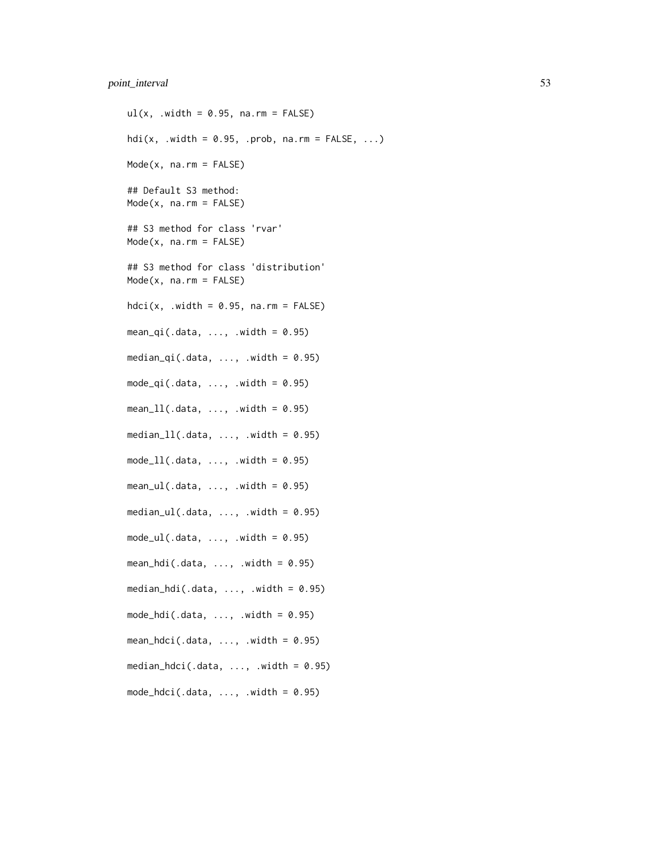# point\_interval 53

 $ul(x, .width = 0.95, na.rm = FALSE)$ hdi(x, .width =  $0.95$ , .prob, na.rm =  $FALSE, ...$ ) Mode(x, na.rm = FALSE) ## Default S3 method: Mode(x, na.rm = FALSE) ## S3 method for class 'rvar'  $Mode(x, na.rm = FALSE)$ ## S3 method for class 'distribution'  $Mode(x, na.rm = FALSE)$  $hdci(x, .width = 0.95, na.rm = FALSE)$ mean\_qi(.data,  $\dots$ , .width = 0.95) median\_qi(.data, ..., .width =  $0.95$ )  $mode_qi(.data, ..., width = 0.95)$  $mean_l1(.data, ..., width = 0.95)$ median\_ $11(.data, ..., x)$  .width = 0.95)  $mode_l1(.data, ..., width = 0.95)$  $mean_u1(.data, ..., x.)$  width = 0.95)  $median_u1(.data, ..., x.)$  width = 0.95)  $mode_val(.data, ..., width = 0.95)$ mean\_hdi(.data, ..., .width =  $0.95$ ) median\_hdi(.data,  $\ldots$ , .width = 0.95)  $mode\_hdi(.data, ..., uidth = 0.95)$  $mean\_hdci(.data, ..., width = 0.95)$ median\_hdci(.data,  $\ldots$ , .width = 0.95) mode\_hdci(.data,  $\ldots$ , .width = 0.95)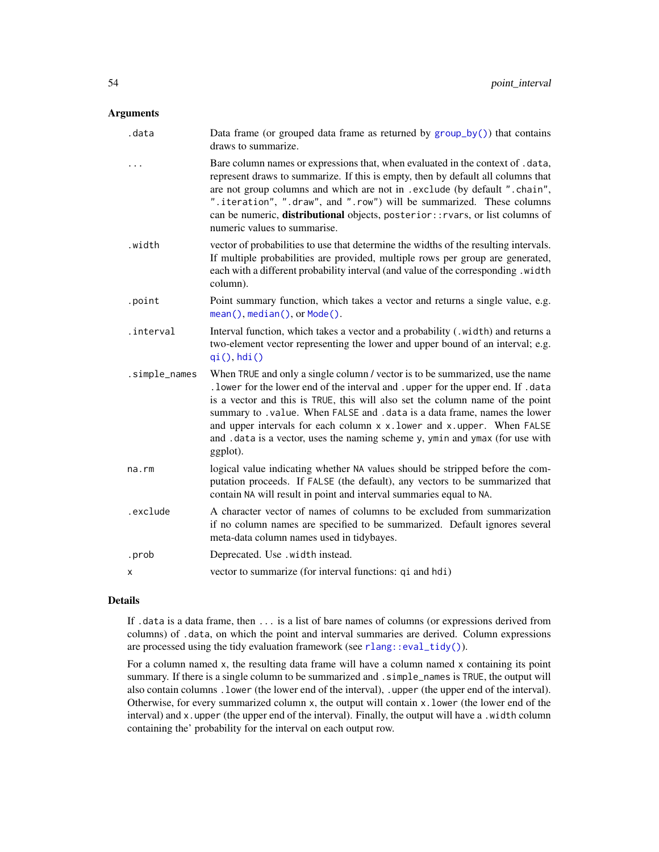| .data         | Data frame (or grouped data frame as returned by $group_by()$ ) that contains<br>draws to summarize.                                                                                                                                                                                                                                                                                                                                       |
|---------------|--------------------------------------------------------------------------------------------------------------------------------------------------------------------------------------------------------------------------------------------------------------------------------------------------------------------------------------------------------------------------------------------------------------------------------------------|
|               | Bare column names or expressions that, when evaluated in the context of .data,<br>represent draws to summarize. If this is empty, then by default all columns that<br>are not group columns and which are not in . exclude (by default ". chain",<br>".iteration", ".draw", and ".row") will be summarized. These columns<br>can be numeric, distributional objects, posterior:: rvars, or list columns of<br>numeric values to summarise. |
| .width        | vector of probabilities to use that determine the widths of the resulting intervals.<br>If multiple probabilities are provided, multiple rows per group are generated,<br>each with a different probability interval (and value of the corresponding .width<br>column).                                                                                                                                                                    |
| .point        | Point summary function, which takes a vector and returns a single value, e.g.<br>mean(), median(), or Mode().                                                                                                                                                                                                                                                                                                                              |
| .interval     | Interval function, which takes a vector and a probability (.width) and returns a<br>two-element vector representing the lower and upper bound of an interval; e.g.<br>qi(), hdi()                                                                                                                                                                                                                                                          |
| .simple_names | When TRUE and only a single column / vector is to be summarized, use the name<br>. lower for the lower end of the interval and . upper for the upper end. If . data                                                                                                                                                                                                                                                                        |
|               | is a vector and this is TRUE, this will also set the column name of the point<br>summary to . value. When FALSE and . data is a data frame, names the lower<br>and upper intervals for each column x x. lower and x. upper. When FALSE<br>and . data is a vector, uses the naming scheme y, ymin and ymax (for use with<br>ggplot).                                                                                                        |
| na.rm         | logical value indicating whether NA values should be stripped before the com-<br>putation proceeds. If FALSE (the default), any vectors to be summarized that<br>contain NA will result in point and interval summaries equal to NA.                                                                                                                                                                                                       |
| .exclude      | A character vector of names of columns to be excluded from summarization<br>if no column names are specified to be summarized. Default ignores several<br>meta-data column names used in tidybayes.                                                                                                                                                                                                                                        |
| .prob         | Deprecated. Use .width instead.                                                                                                                                                                                                                                                                                                                                                                                                            |

## Details

If .data is a data frame, then ... is a list of bare names of columns (or expressions derived from columns) of .data, on which the point and interval summaries are derived. Column expressions are processed using the tidy evaluation framework (see [rlang::eval\\_tidy\(\)](#page-0-0)).

For a column named x, the resulting data frame will have a column named x containing its point summary. If there is a single column to be summarized and . simple\_names is TRUE, the output will also contain columns .lower (the lower end of the interval), .upper (the upper end of the interval). Otherwise, for every summarized column x, the output will contain x.lower (the lower end of the interval) and x.upper (the upper end of the interval). Finally, the output will have a .width column containing the' probability for the interval on each output row.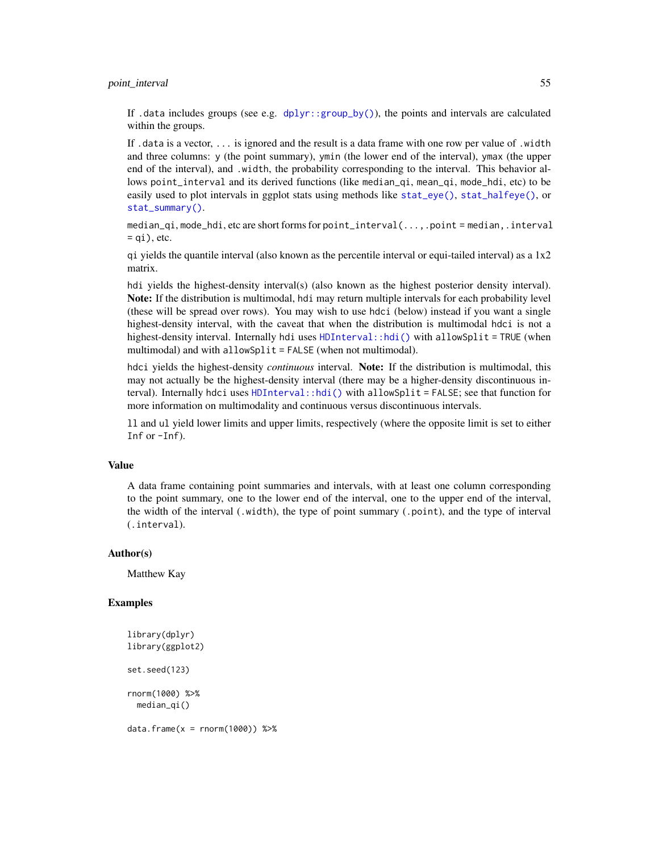### point\_interval 55

If .data includes groups (see e.g.  $d$ plyr::group\_by()), the points and intervals are calculated within the groups.

If .data is a vector, ... is ignored and the result is a data frame with one row per value of .width and three columns: y (the point summary), ymin (the lower end of the interval), ymax (the upper end of the interval), and .width, the probability corresponding to the interval. This behavior allows point\_interval and its derived functions (like median\_qi, mean\_qi, mode\_hdi, etc) to be easily used to plot intervals in ggplot stats using methods like [stat\\_eye\(\)](#page-81-0), [stat\\_halfeye\(\)](#page-97-0), or [stat\\_summary\(\)](#page-0-0).

median\_qi, mode\_hdi, etc are short forms for point\_interval(...,.point = median,.interval  $= qi$ , etc.

qi yields the quantile interval (also known as the percentile interval or equi-tailed interval) as a  $1x2$ matrix.

hdi yields the highest-density interval(s) (also known as the highest posterior density interval). Note: If the distribution is multimodal, hdi may return multiple intervals for each probability level (these will be spread over rows). You may wish to use hdci (below) instead if you want a single highest-density interval, with the caveat that when the distribution is multimodal hdci is not a highest-density interval. Internally hdi uses [HDInterval::hdi\(\)](#page-0-0) with allowSplit = TRUE (when multimodal) and with allowSplit = FALSE (when not multimodal).

hdci yields the highest-density *continuous* interval. Note: If the distribution is multimodal, this may not actually be the highest-density interval (there may be a higher-density discontinuous interval). Internally hdci uses [HDInterval::hdi\(\)](#page-0-0) with allowSplit = FALSE; see that function for more information on multimodality and continuous versus discontinuous intervals.

ll and ul yield lower limits and upper limits, respectively (where the opposite limit is set to either Inf or -Inf).

### Value

A data frame containing point summaries and intervals, with at least one column corresponding to the point summary, one to the lower end of the interval, one to the upper end of the interval, the width of the interval (.width), the type of point summary (.point), and the type of interval (.interval).

#### Author(s)

Matthew Kay

### Examples

```
library(dplyr)
library(ggplot2)
set.seed(123)
rnorm(1000) %>%
 median_qi()
```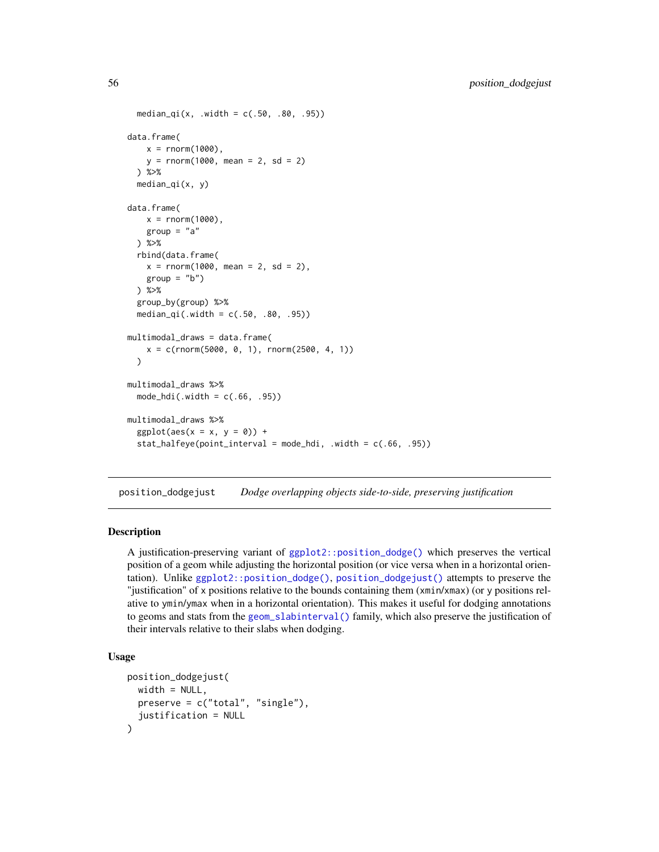```
median_qi(x, .width = c(.50, .80, .95))data.frame(
   x = rnorm(1000),
   y = rnorm(1000, mean = 2, sd = 2)) %>%
 median_qi(x, y)
data.frame(
   x = rnorm(1000),
   group = "a") %>%
 rbind(data.frame(
   x = rnorm(1000, mean = 2, sd = 2),
   group = "b")) %>%
 group_by(group) %>%
 median_qi(.width = c(.50, .80, .95))
multimodal_draws = data.frame(
   x = c(rnorm(5000, 0, 1), rnorm(2500, 4, 1))
 \lambdamultimodal_draws %>%
 mode_hdi(.width = c(.66, .95))
multimodal_draws %>%
 ggplot(aes(x = x, y = 0)) +stat_halfeye(point_interval = mode_hdi, .width = c(.66, .95))
```
<span id="page-55-0"></span>position\_dodgejust *Dodge overlapping objects side-to-side, preserving justification*

# **Description**

A justification-preserving variant of [ggplot2::position\\_dodge\(\)](#page-0-0) which preserves the vertical position of a geom while adjusting the horizontal position (or vice versa when in a horizontal orientation). Unlike [ggplot2::position\\_dodge\(\)](#page-0-0), [position\\_dodgejust\(\)](#page-55-0) attempts to preserve the "justification" of x positions relative to the bounds containing them (xmin/xmax) (or y positions relative to ymin/ymax when in a horizontal orientation). This makes it useful for dodging annotations to geoms and stats from the [geom\\_slabinterval\(\)](#page-37-0) family, which also preserve the justification of their intervals relative to their slabs when dodging.

```
position_dodgejust(
  width = NULL,preserve = c("total", "single"),
  justification = NULL
\mathcal{E}
```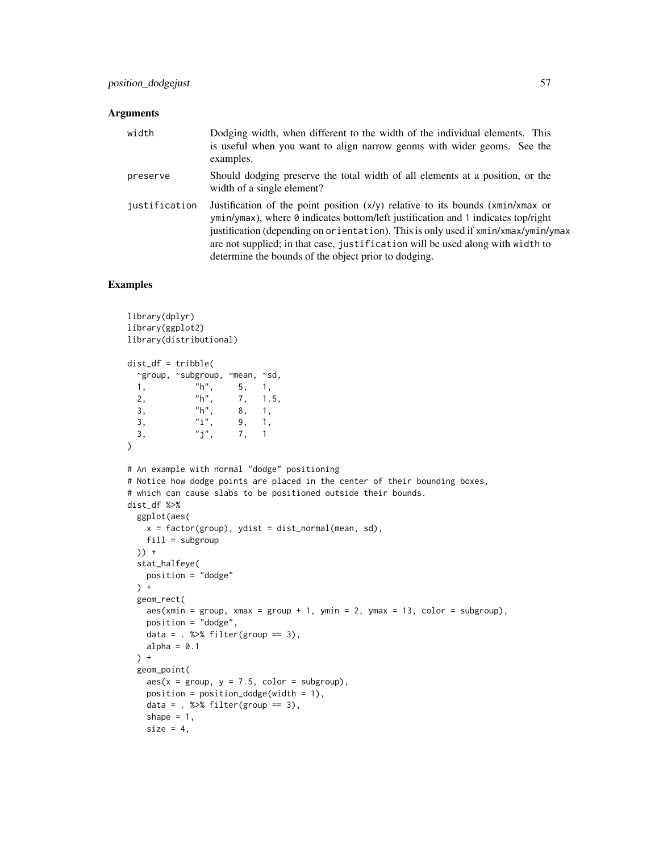| width         | Dodging width, when different to the width of the individual elements. This<br>is useful when you want to align narrow geoms with wider geoms. See the<br>examples.                                                                                                                                                                                                                                     |
|---------------|---------------------------------------------------------------------------------------------------------------------------------------------------------------------------------------------------------------------------------------------------------------------------------------------------------------------------------------------------------------------------------------------------------|
| preserve      | Should dodging preserve the total width of all elements at a position, or the<br>width of a single element?                                                                                                                                                                                                                                                                                             |
| justification | Justification of the point position $(x/y)$ relative to its bounds $(xmin/xmax$ or<br>ymin/ymax), where 0 indicates bottom/left justification and 1 indicates top/right<br>justification (depending on orientation). This is only used if xmin/xmax/ymin/ymax<br>are not supplied; in that case, justification will be used along with width to<br>determine the bounds of the object prior to dodging. |

## Examples

```
library(dplyr)
library(ggplot2)
library(distributional)
dist_df = tribble(
 ~group, ~subgroup, ~mean, ~sd,
 1, "h", 5, 1,
 2, "h", 7, 1.5,
 3, "h", 8, 1,<br>3, "i", 9, 1,
 3, "i", 9, 1,<br>3, "j", 7, 1
 3, "j", 7, 1
\lambda# An example with normal "dodge" positioning
# Notice how dodge points are placed in the center of their bounding boxes,
# which can cause slabs to be positioned outside their bounds.
dist_df %>%
 ggplot(aes(
   x = factor(group), ydist = dist\_normal(mean, sd),
   fill = subgroup)) +
 stat_halfeye(
   position = "dodge"
 ) +geom_rect(
   aes(xmin = group, xmax = group + 1, ymin = 2, ymax = 13, color = subgroup),position = "dodge",
   data = . % filter(group == 3),
   alpha = 0.1) +
 geom_point(
   aes(x = group, y = 7.5, color = subgroup),position = position\_dodge(width = 1),
   data = . % filter(group == 3),
   shape = 1,
   size = 4,
```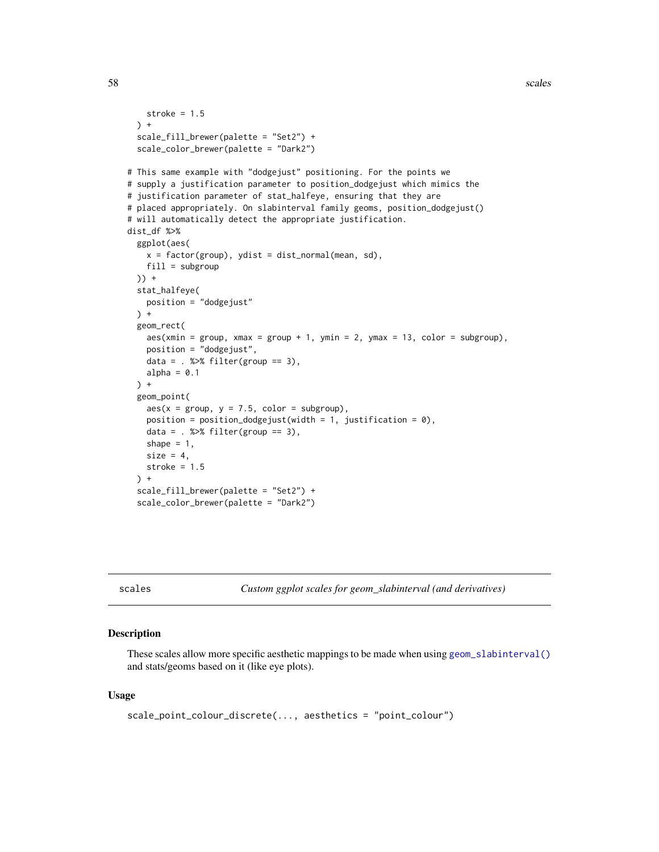58 scales and the contract of the contract of the contract of the contract of the contract of the contract of the contract of the contract of the contract of the contract of the contract of the contract of the contract of

```
stroke = 1.5
 ) +scale_fill_brewer(palette = "Set2") +
 scale_color_brewer(palette = "Dark2")
# This same example with "dodgejust" positioning. For the points we
# supply a justification parameter to position_dodgejust which mimics the
# justification parameter of stat_halfeye, ensuring that they are
# placed appropriately. On slabinterval family geoms, position_dodgejust()
# will automatically detect the appropriate justification.
dist_df %>%
 ggplot(aes(
   x = factor(group), ydist = dist_normmal(mean, sd),
   fill = subgroup
 )) +stat_halfeye(
   position = "dodgejust"
 ) +
 geom_rect(
   aes(xmin = group, xmax = group + 1, ymin = 2, ymax = 13, color = subgroup),
   position = "dodgejust",
   data = . % filter(group == 3),
   alpha = 0.1) +
 geom_point(
   aes(x = group, y = 7.5, color = subgroup),position = position_dodgejust(width = 1, justification = 0),
   data = . % filter(group == 3),
   shape = 1,
   size = 4,
   stroke = 1.5) +scale_fill_brewer(palette = "Set2") +
 scale_color_brewer(palette = "Dark2")
```
<span id="page-57-0"></span>scales *Custom ggplot scales for geom\_slabinterval (and derivatives)*

## <span id="page-57-1"></span>Description

These scales allow more specific aesthetic mappings to be made when using [geom\\_slabinterval\(\)](#page-37-0) and stats/geoms based on it (like eye plots).

```
scale_point_colour_discrete(..., aesthetics = "point_colour")
```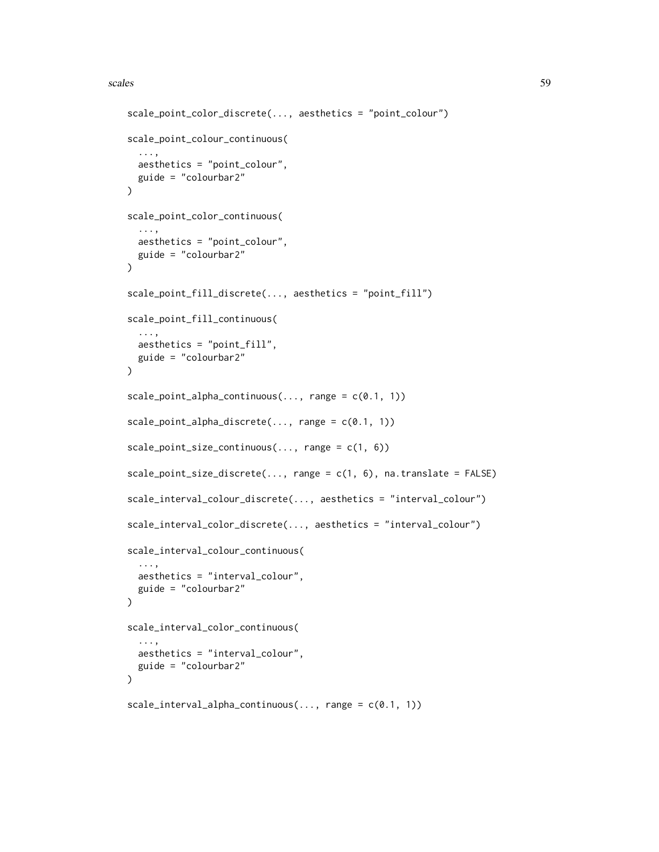### scales 59

```
scale_point_color_discrete(..., aesthetics = "point_colour")
scale_point_colour_continuous(
  ...,
 aesthetics = "point_colour",
 guide = "colourbar2"
\lambdascale_point_color_continuous(
  ...,
  aesthetics = "point_colour",
 guide = "colourbar2"
)
scale_point_fill_discrete(..., aesthetics = "point_fill")
scale_point_fill_continuous(
  ...,
 aesthetics = "point_fill",
 guide = "colourbar2"
)
scale\_point\_alpha\_continuous(..., range = c(0.1, 1))scale\_point\_alpha\_discrete(..., range = c(0.1, 1))scale\_point\_size\_continuous(..., range = c(1, 6))scale\_point\_size\_discrete(..., range = c(1, 6), na.transpose = FALSE)scale_interval_colour_discrete(..., aesthetics = "interval_colour")
scale_interval_color_discrete(..., aesthetics = "interval_colour")
scale_interval_colour_continuous(
  ...,
 aesthetics = "interval_colour",
 guide = "colourbar2"
\lambdascale_interval_color_continuous(
  ...,
 aesthetics = "interval_colour",
 guide = "colourbar2"
\lambdascale_interestval_alpha_continuous(..., range = c(0.1, 1))
```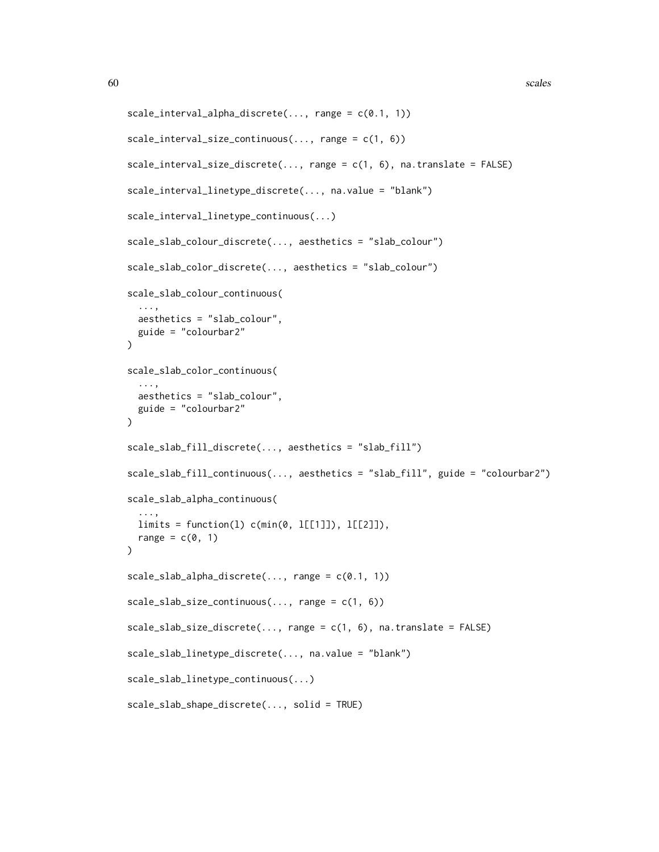```
scale_interested<sub>1</sub>, 1))
scale\_interval\_size\_continuous(..., range = c(1, 6))scale\_interval\_size\_discrete(..., range = c(1, 6), na. translate = FALSE)scale_interval_linetype_discrete(..., na.value = "blank")
scale_interval_linetype_continuous(...)
scale_slab_colour_discrete(..., aesthetics = "slab_colour")
scale_slab_color_discrete(..., aesthetics = "slab_colour")
scale_slab_colour_continuous(
  ...,
 aesthetics = "slab_colour",
 guide = "colourbar2"
\lambdascale_slab_color_continuous(
  ...,
 aesthetics = "slab_colour",
 guide = "colourbar2"
)
scale_slab_fill_discrete(..., aesthetics = "slab_fill")
scale_slab_fill_continuous(..., aesthetics = "slab_fill", guide = "colourbar2")
scale_slab_alpha_continuous(
  ...,
 limits = function(1) c(min(0, 1[[1]]), 1[[2]]),range = c(\emptyset, 1))
scale\_slab\_alpha\_discrete(..., range = c(0.1, 1))scale\_slab\_size\_continuous(..., range = c(1, 6))scale\_slab\_size\_discrete(..., range = c(1, 6), na.transpose = FALSE)scale_slab_linetype_discrete(..., na.value = "blank")
scale_slab_linetype_continuous(...)
scale_slab_shape_discrete(..., solid = TRUE)
```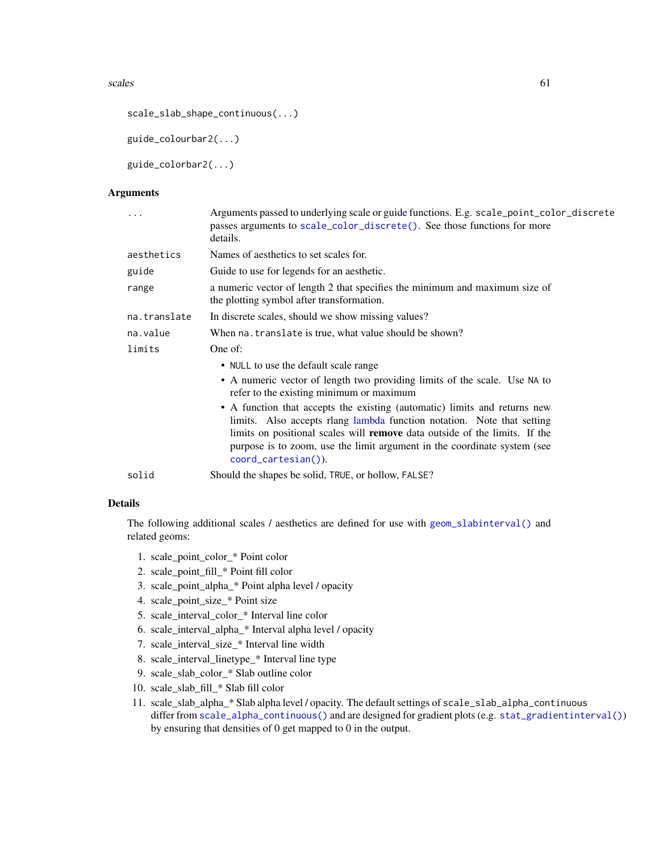#### scales 61

```
scale_slab_shape_continuous(...)
```
guide\_colourbar2(...)

guide\_colorbar2(...)

## Arguments

| .            | Arguments passed to underlying scale or guide functions. E.g. scale_point_color_discrete<br>passes arguments to scale_color_discrete(). See those functions for more<br>details.                                                                                                                                                            |
|--------------|---------------------------------------------------------------------------------------------------------------------------------------------------------------------------------------------------------------------------------------------------------------------------------------------------------------------------------------------|
| aesthetics   | Names of aesthetics to set scales for.                                                                                                                                                                                                                                                                                                      |
| guide        | Guide to use for legends for an aesthetic.                                                                                                                                                                                                                                                                                                  |
| range        | a numeric vector of length 2 that specifies the minimum and maximum size of<br>the plotting symbol after transformation.                                                                                                                                                                                                                    |
| na.translate | In discrete scales, should we show missing values?                                                                                                                                                                                                                                                                                          |
| na.value     | When na. translate is true, what value should be shown?                                                                                                                                                                                                                                                                                     |
| limits       | One of:                                                                                                                                                                                                                                                                                                                                     |
|              | • NULL to use the default scale range                                                                                                                                                                                                                                                                                                       |
|              | • A numeric vector of length two providing limits of the scale. Use NA to<br>refer to the existing minimum or maximum                                                                                                                                                                                                                       |
|              | • A function that accepts the existing (automatic) limits and returns new<br>limits. Also accepts rlang lambda function notation. Note that setting<br>limits on positional scales will <b>remove</b> data outside of the limits. If the<br>purpose is to zoom, use the limit argument in the coordinate system (see<br>coord_cartesian()). |
| solid        | Should the shapes be solid, TRUE, or hollow, FALSE?                                                                                                                                                                                                                                                                                         |

# Details

The following additional scales / aesthetics are defined for use with [geom\\_slabinterval\(\)](#page-37-0) and related geoms:

- 1. scale\_point\_color\_\* Point color
- 2. scale\_point\_fill\_\* Point fill color
- 3. scale\_point\_alpha\_\* Point alpha level / opacity
- 4. scale\_point\_size\_\* Point size
- 5. scale\_interval\_color\_\* Interval line color
- 6. scale\_interval\_alpha\_\* Interval alpha level / opacity
- 7. scale\_interval\_size\_\* Interval line width
- 8. scale\_interval\_linetype\_\* Interval line type
- 9. scale\_slab\_color\_\* Slab outline color
- 10. scale\_slab\_fill\_\* Slab fill color
- 11. scale\_slab\_alpha\_\* Slab alpha level / opacity. The default settings of scale\_slab\_alpha\_continuous differ from [scale\\_alpha\\_continuous\(\)](#page-0-0) and are designed for gradient plots (e.g. [stat\\_gradientinterval\(\)](#page-89-0)) by ensuring that densities of 0 get mapped to 0 in the output.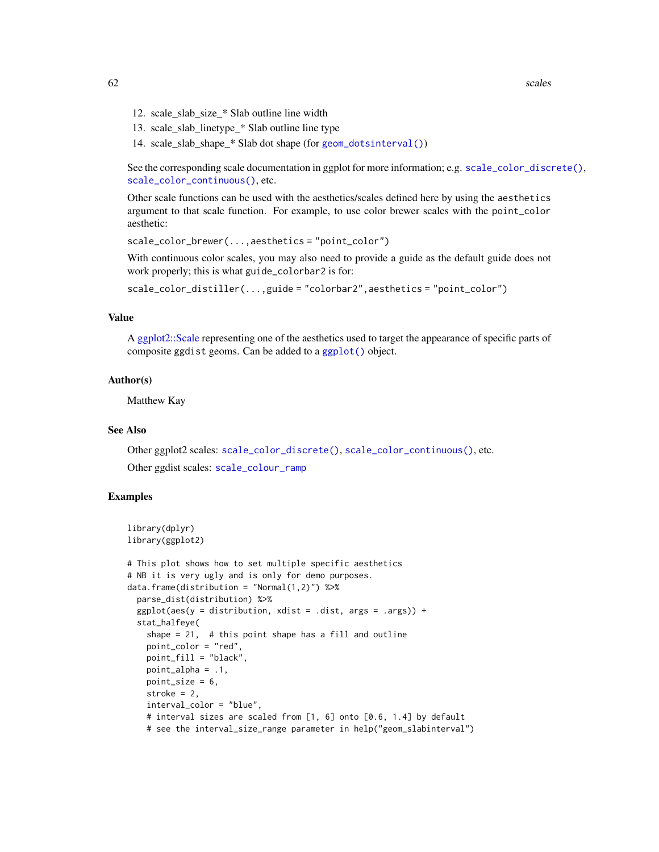62 scales and the set of the set of the set of the set of the set of the set of the set of the set of the set of the set of the set of the set of the set of the set of the set of the set of the set of the set of the set of

- 12. scale\_slab\_size\_\* Slab outline line width
- 13. scale\_slab\_linetype\_\* Slab outline line type
- 14. scale\_slab\_shape\_\* Slab dot shape (for [geom\\_dotsinterval\(\)](#page-11-0))

See the corresponding scale documentation in ggplot for more information; e.g. [scale\\_color\\_discrete\(\)](#page-0-0), [scale\\_color\\_continuous\(\)](#page-0-0), etc.

Other scale functions can be used with the aesthetics/scales defined here by using the aesthetics argument to that scale function. For example, to use color brewer scales with the point\_color aesthetic:

scale\_color\_brewer(...,aesthetics = "point\_color")

With continuous color scales, you may also need to provide a guide as the default guide does not work properly; this is what guide\_colorbar2 is for:

scale\_color\_distiller(...,guide = "colorbar2",aesthetics = "point\_color")

#### Value

A [ggplot2::Scale](#page-0-0) representing one of the aesthetics used to target the appearance of specific parts of composite ggdist geoms. Can be added to a [ggplot\(\)](#page-0-0) object.

## Author(s)

Matthew Kay

### See Also

Other ggplot2 scales: [scale\\_color\\_discrete\(\)](#page-0-0), [scale\\_color\\_continuous\(\)](#page-0-0), etc.

Other ggdist scales: [scale\\_colour\\_ramp](#page-62-0)

## Examples

```
library(dplyr)
library(ggplot2)
```

```
# This plot shows how to set multiple specific aesthetics
# NB it is very ugly and is only for demo purposes.
data.frame(distribution = "Normal(1,2)") %>%
 parse_dist(distribution) %>%
 ggplot(aes(y = distribution, xdist = .dist, args = .args)) +stat_halfeye(
   shape = 21, # this point shape has a fill and outline
   point_color = "red",
   point_fill = "black",
   point_alpha = .1,
   point_size = 6,
   stroke = 2,
   interval_color = "blue",
   # interval sizes are scaled from [1, 6] onto [0.6, 1.4] by default
   # see the interval_size_range parameter in help("geom_slabinterval")
```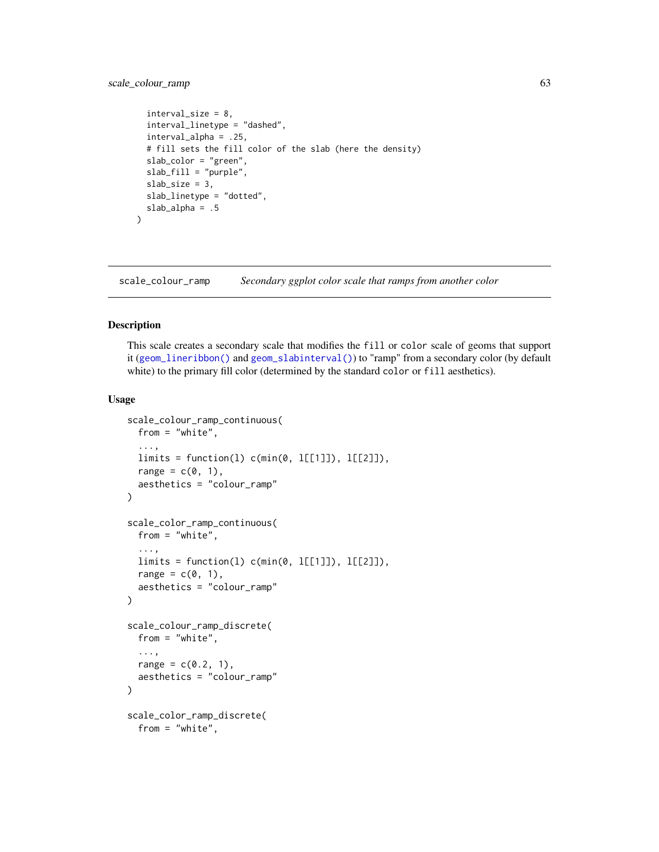# scale\_colour\_ramp 63

```
interval_size = 8,
  interval_linetype = "dashed",
  interval_alpha = .25,
  # fill sets the fill color of the slab (here the density)
  slab_color = "green",
  slab_fill = "purple",
  slab\_size = 3,
 slab_linetype = "dotted",
 slab_alpha = .5
\lambda
```
<span id="page-62-0"></span>scale\_colour\_ramp *Secondary ggplot color scale that ramps from another color*

## <span id="page-62-1"></span>Description

This scale creates a secondary scale that modifies the fill or color scale of geoms that support it ([geom\\_lineribbon\(\)](#page-24-0) and [geom\\_slabinterval\(\)](#page-37-0)) to "ramp" from a secondary color (by default white) to the primary fill color (determined by the standard color or fill aesthetics).

```
scale_colour_ramp_continuous(
 from = "white",
  ...,
 limits = function(l) c(min(0, l[[1]]), l[[2]]),
  range = c(0, 1),
 aesthetics = "colour_ramp"
\lambdascale_color_ramp_continuous(
  from = "white",
  ...,
 limits = function(l) c(min(0, l[[1]]), l[[2]]),
 range = c(\emptyset, 1),
 aesthetics = "colour_ramp"
)
scale_colour_ramp_discrete(
 from = "white",
  ...,
 range = c(0.2, 1),
 aesthetics = "colour_ramp"
)
scale_color_ramp_discrete(
  from = "white",
```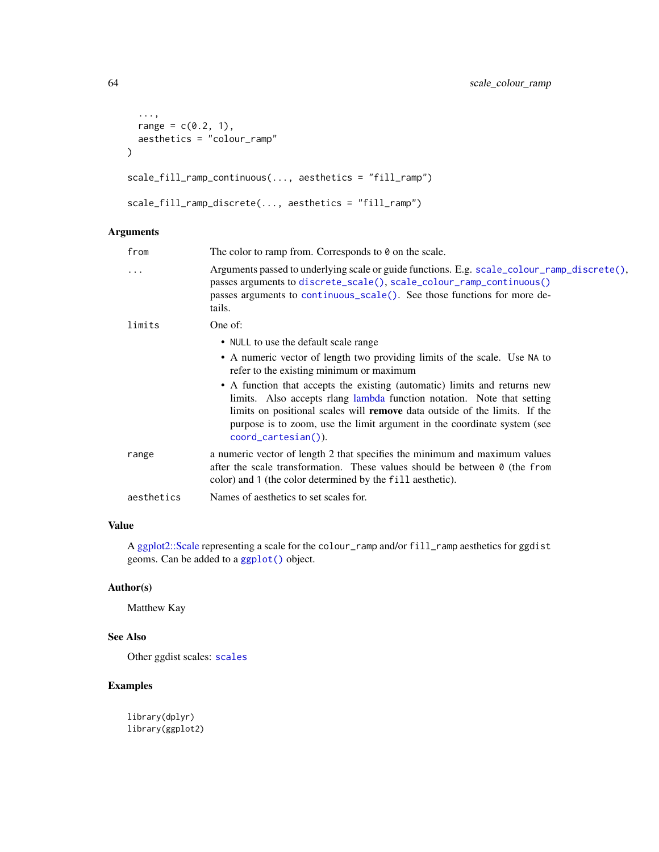```
...,
 range = c(0.2, 1),aesthetics = "colour_ramp"
\mathcal{L}scale_fill_ramp_continuous(..., aesthetics = "fill_ramp")
scale_fill_ramp_discrete(..., aesthetics = "fill_ramp")
```

| from       | The color to ramp from. Corresponds to $\theta$ on the scale.                                                                                                                                                                                                                                                                               |
|------------|---------------------------------------------------------------------------------------------------------------------------------------------------------------------------------------------------------------------------------------------------------------------------------------------------------------------------------------------|
| $\cdots$   | Arguments passed to underlying scale or guide functions. E.g. scale_colour_ramp_discrete(),<br>passes arguments to discrete_scale(), scale_colour_ramp_continuous()<br>passes arguments to continuous_scale(). See those functions for more de-<br>tails.                                                                                   |
| limits     | One of:                                                                                                                                                                                                                                                                                                                                     |
|            | • NULL to use the default scale range                                                                                                                                                                                                                                                                                                       |
|            | • A numeric vector of length two providing limits of the scale. Use NA to<br>refer to the existing minimum or maximum                                                                                                                                                                                                                       |
|            | • A function that accepts the existing (automatic) limits and returns new<br>limits. Also accepts rlang lambda function notation. Note that setting<br>limits on positional scales will <b>remove</b> data outside of the limits. If the<br>purpose is to zoom, use the limit argument in the coordinate system (see<br>coord_cartesian()). |
| range      | a numeric vector of length 2 that specifies the minimum and maximum values<br>after the scale transformation. These values should be between $\theta$ (the from<br>color) and 1 (the color determined by the fill aesthetic).                                                                                                               |
| aesthetics | Names of aesthetics to set scales for.                                                                                                                                                                                                                                                                                                      |
|            |                                                                                                                                                                                                                                                                                                                                             |

## Value

A [ggplot2::Scale](#page-0-0) representing a scale for the colour\_ramp and/or fill\_ramp aesthetics for ggdist geoms. Can be added to a [ggplot\(\)](#page-0-0) object.

## Author(s)

Matthew Kay

## See Also

Other ggdist scales: [scales](#page-57-0)

# Examples

library(dplyr) library(ggplot2)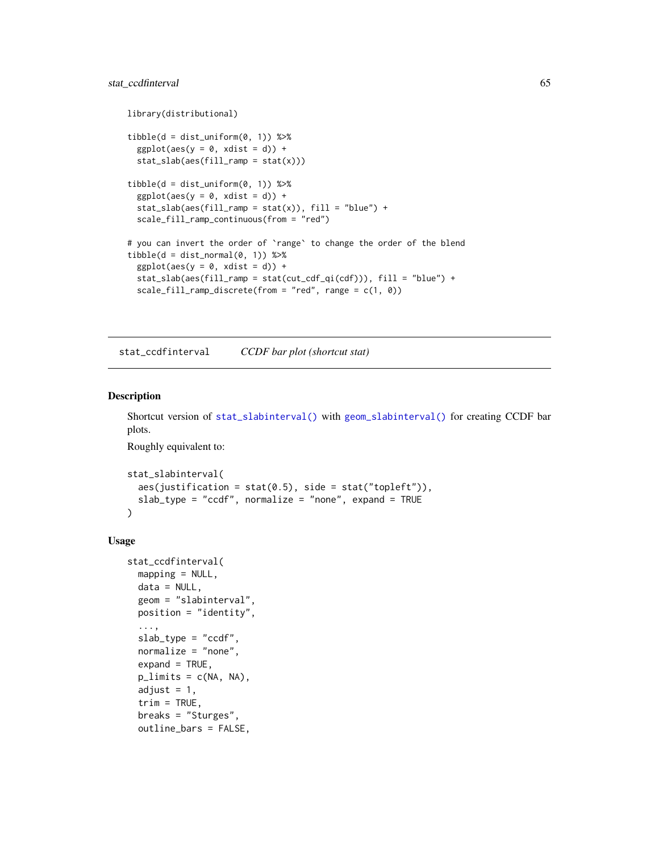## stat\_ccdfinterval 65

```
library(distributional)
tibble(d = dist\_uniform(0, 1)) %>%
  ggplot(aes(y = 0, xdist = d)) +stat_slab(aes(fill_ramp = stat(x)))
tibble(d = dist\_uniform(0, 1)) %>%
  ggplot(aes(y = 0, xdist = d)) +stat\_slab(aes(fill\_ramp = stat(x)), fill = "blue") +scale_fill_ramp_continuous(from = "red")
# you can invert the order of `range` to change the order of the blend
tibble(d = dist\_normal(0, 1)) %>%
  ggplot(aes(y = 0, xdist = d)) +stat_slab(aes(fill_ramp = stat(cut_cdf_qi(cdf))), fill = "blue") +
  scale_fill_ramp_discrete(from = "red", range = c(1, 0))
```
<span id="page-64-0"></span>stat\_ccdfinterval *CCDF bar plot (shortcut stat)*

# Description

```
Shortcut version of stat_slabinterval() with geom_slabinterval() for creating CCDF bar
plots.
```
Roughly equivalent to:

```
stat_slabinterval(
  \text{aes}(justification = stat(0.5), side = stat("topleft")),
  slab_type = "ccdf", normalize = "none", expand = TRUE\mathcal{L}
```

```
stat_ccdfinterval(
 mapping = NULL,data = NULL,geom = "slabinterval",
 position = "identity",
  ...,
  slab_type = "ccdf",
  normalize = "none",
  expand = TRUE,plimits = c(NA, NA),
  adjust = 1,
  trim = TRUE,breaks = "Sturges",
  outline_bars = FALSE,
```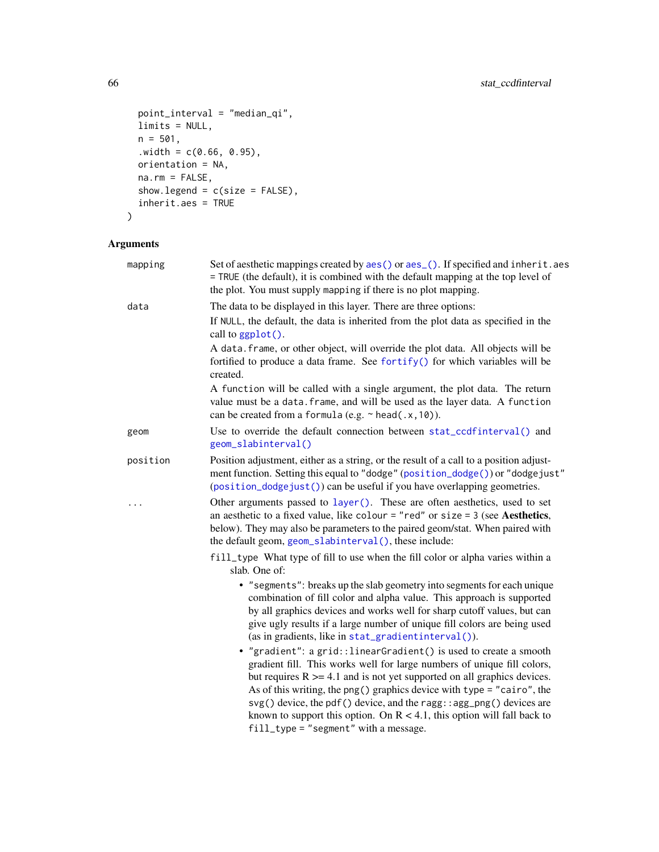```
point_interval = "median_qi",
 limits = NULL,
 n = 501,
  .width = c(0.66, 0.95),orientation = NA,
 na.rm = FALSE,show.legend = c(size = FALSE),
 inherit.aes = TRUE
\mathcal{L}
```

| mapping  | Set of aesthetic mappings created by aes() or aes_(). If specified and inherit.aes<br>= TRUE (the default), it is combined with the default mapping at the top level of<br>the plot. You must supply mapping if there is no plot mapping.                                                                                                                                                                                                                                                            |
|----------|------------------------------------------------------------------------------------------------------------------------------------------------------------------------------------------------------------------------------------------------------------------------------------------------------------------------------------------------------------------------------------------------------------------------------------------------------------------------------------------------------|
| data     | The data to be displayed in this layer. There are three options:                                                                                                                                                                                                                                                                                                                                                                                                                                     |
|          | If NULL, the default, the data is inherited from the plot data as specified in the<br>call to ggplot().                                                                                                                                                                                                                                                                                                                                                                                              |
|          | A data. frame, or other object, will override the plot data. All objects will be<br>fortified to produce a data frame. See fortify() for which variables will be<br>created.                                                                                                                                                                                                                                                                                                                         |
|          | A function will be called with a single argument, the plot data. The return<br>value must be a data. frame, and will be used as the layer data. A function<br>can be created from a formula (e.g. $\sim$ head(.x, 10)).                                                                                                                                                                                                                                                                              |
| geom     | Use to override the default connection between stat_ccdfinterval() and<br>geom_slabinterval()                                                                                                                                                                                                                                                                                                                                                                                                        |
| position | Position adjustment, either as a string, or the result of a call to a position adjust-<br>ment function. Setting this equal to "dodge" (position_dodge()) or "dodgejust"<br>(position_dodgejust()) can be useful if you have overlapping geometries.                                                                                                                                                                                                                                                 |
|          | Other arguments passed to layer(). These are often aesthetics, used to set<br>an aesthetic to a fixed value, like colour = "red" or size = $3$ (see Aesthetics,<br>below). They may also be parameters to the paired geom/stat. When paired with<br>the default geom, geom_slabinterval(), these include:                                                                                                                                                                                            |
|          | fill_type What type of fill to use when the fill color or alpha varies within a<br>slab. One of:                                                                                                                                                                                                                                                                                                                                                                                                     |
|          | • "segments": breaks up the slab geometry into segments for each unique<br>combination of fill color and alpha value. This approach is supported<br>by all graphics devices and works well for sharp cutoff values, but can<br>give ugly results if a large number of unique fill colors are being used<br>(as in gradients, like in stat_gradientinterval()).                                                                                                                                       |
|          | • "gradient": a grid:: linearGradient() is used to create a smooth<br>gradient fill. This works well for large numbers of unique fill colors,<br>but requires $R \geq 4.1$ and is not yet supported on all graphics devices.<br>As of this writing, the png() graphics device with type = "cairo", the<br>svg() device, the pdf() device, and the ragg::agg_png() devices are<br>known to support this option. On $R < 4.1$ , this option will fall back to<br>fill_type = "segment" with a message. |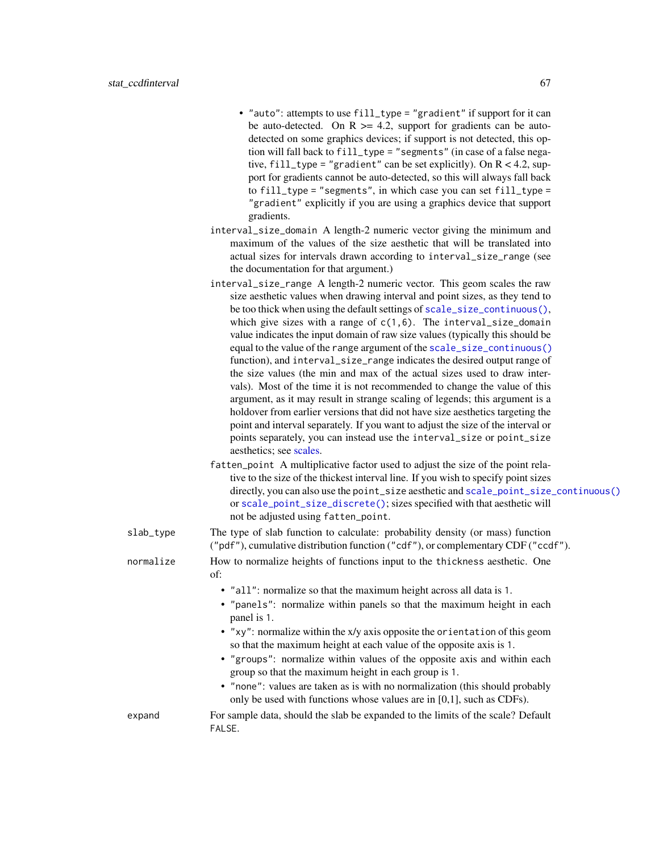- "auto": attempts to use fill\_type = "gradient" if support for it can be auto-detected. On  $R \ge 4.2$ , support for gradients can be autodetected on some graphics devices; if support is not detected, this option will fall back to fill\_type = "segments" (in case of a false negative, fill\_type = "gradient" can be set explicitly). On  $R < 4.2$ , support for gradients cannot be auto-detected, so this will always fall back to fill\_type = "segments", in which case you can set fill\_type = "gradient" explicitly if you are using a graphics device that support gradients.
- interval\_size\_domain A length-2 numeric vector giving the minimum and maximum of the values of the size aesthetic that will be translated into actual sizes for intervals drawn according to interval\_size\_range (see the documentation for that argument.)
- interval\_size\_range A length-2 numeric vector. This geom scales the raw size aesthetic values when drawing interval and point sizes, as they tend to be too thick when using the default settings of [scale\\_size\\_continuous\(\)](#page-0-0), which give sizes with a range of  $c(1,6)$ . The interval\_size\_domain value indicates the input domain of raw size values (typically this should be equal to the value of the range argument of the [scale\\_size\\_continuous\(\)](#page-0-0) function), and interval\_size\_range indicates the desired output range of the size values (the min and max of the actual sizes used to draw intervals). Most of the time it is not recommended to change the value of this argument, as it may result in strange scaling of legends; this argument is a holdover from earlier versions that did not have size aesthetics targeting the point and interval separately. If you want to adjust the size of the interval or points separately, you can instead use the interval\_size or point\_size aesthetics; see [scales.](#page-57-0)
- fatten\_point A multiplicative factor used to adjust the size of the point relative to the size of the thickest interval line. If you wish to specify point sizes directly, you can also use the point\_size aesthetic and [scale\\_point\\_size\\_continuous\(\)](#page-57-1) or [scale\\_point\\_size\\_discrete\(\)](#page-57-1); sizes specified with that aesthetic will not be adjusted using fatten\_point.

slab\_type The type of slab function to calculate: probability density (or mass) function ("pdf"), cumulative distribution function ("cdf"), or complementary CDF ("ccdf"). normalize How to normalize heights of functions input to the thickness aesthetic. One of: • "all": normalize so that the maximum height across all data is 1. • "panels": normalize within panels so that the maximum height in each panel is 1. • "xy": normalize within the x/y axis opposite the orientation of this geom so that the maximum height at each value of the opposite axis is 1.

- "groups": normalize within values of the opposite axis and within each group so that the maximum height in each group is 1.
- "none": values are taken as is with no normalization (this should probably only be used with functions whose values are in [0,1], such as CDFs).

expand For sample data, should the slab be expanded to the limits of the scale? Default FALSE.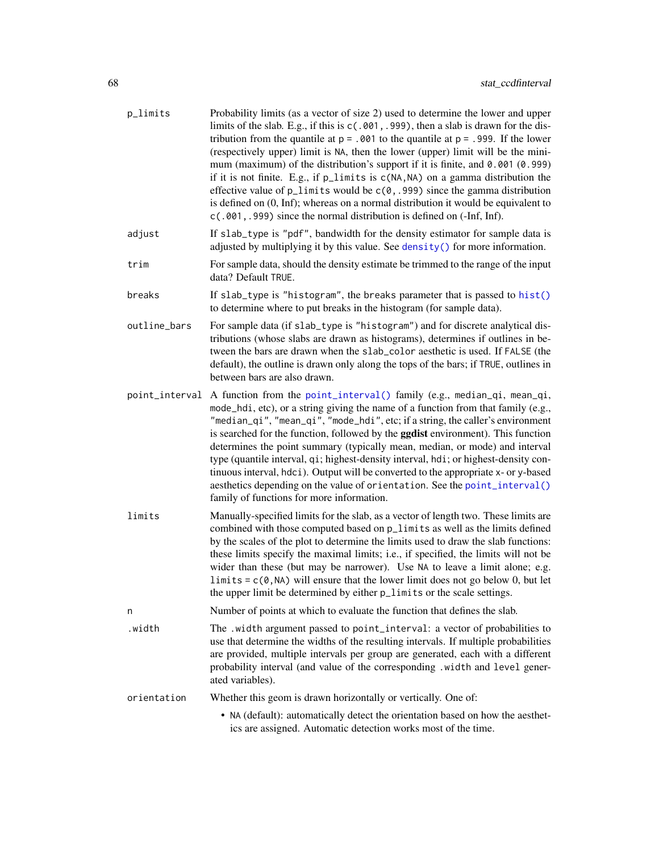| p_limits       | Probability limits (as a vector of size 2) used to determine the lower and upper<br>limits of the slab. E.g., if this is c(.001, .999), then a slab is drawn for the dis-<br>tribution from the quantile at $p = .001$ to the quantile at $p = .999$ . If the lower<br>(respectively upper) limit is NA, then the lower (upper) limit will be the mini-<br>mum (maximum) of the distribution's support if it is finite, and 0.001 (0.999)<br>if it is not finite. E.g., if p_limits is c(NA, NA) on a gamma distribution the<br>effective value of $p$ <sup>1</sup> imits would be $c(0, .999)$ since the gamma distribution<br>is defined on $(0, \text{Inf})$ ; whereas on a normal distribution it would be equivalent to<br>c(.001, .999) since the normal distribution is defined on (-Inf, Inf). |
|----------------|--------------------------------------------------------------------------------------------------------------------------------------------------------------------------------------------------------------------------------------------------------------------------------------------------------------------------------------------------------------------------------------------------------------------------------------------------------------------------------------------------------------------------------------------------------------------------------------------------------------------------------------------------------------------------------------------------------------------------------------------------------------------------------------------------------|
| adjust         | If slab_type is "pdf", bandwidth for the density estimator for sample data is<br>adjusted by multiplying it by this value. See density () for more information.                                                                                                                                                                                                                                                                                                                                                                                                                                                                                                                                                                                                                                        |
| trim           | For sample data, should the density estimate be trimmed to the range of the input<br>data? Default TRUE.                                                                                                                                                                                                                                                                                                                                                                                                                                                                                                                                                                                                                                                                                               |
| breaks         | If slab_type is "histogram", the breaks parameter that is passed to hist()<br>to determine where to put breaks in the histogram (for sample data).                                                                                                                                                                                                                                                                                                                                                                                                                                                                                                                                                                                                                                                     |
| outline_bars   | For sample data (if slab_type is "histogram") and for discrete analytical dis-<br>tributions (whose slabs are drawn as histograms), determines if outlines in be-<br>tween the bars are drawn when the slab_color aesthetic is used. If FALSE (the<br>default), the outline is drawn only along the tops of the bars; if TRUE, outlines in<br>between bars are also drawn.                                                                                                                                                                                                                                                                                                                                                                                                                             |
| point_interval | A function from the point_interval() family (e.g., median_qi, mean_qi,<br>mode_hdi, etc), or a string giving the name of a function from that family (e.g.,<br>"median_qi", "mean_qi", "mode_hdi", etc; if a string, the caller's environment<br>is searched for the function, followed by the <b>ggdist</b> environment). This function<br>determines the point summary (typically mean, median, or mode) and interval<br>type (quantile interval, qi; highest-density interval, hdi; or highest-density con-<br>tinuous interval, hdci). Output will be converted to the appropriate x- or y-based<br>aesthetics depending on the value of orientation. See the point_interval()<br>family of functions for more information.                                                                        |
| limits         | Manually-specified limits for the slab, as a vector of length two. These limits are<br>combined with those computed based on p_limits as well as the limits defined<br>by the scales of the plot to determine the limits used to draw the slab functions:<br>these limits specify the maximal limits; i.e., if specified, the limits will not be<br>wider than these (but may be narrower). Use NA to leave a limit alone; e.g.<br>$\text{limits} = c(0, NA)$ will ensure that the lower limit does not go below 0, but let<br>the upper limit be determined by either p_limits or the scale settings.                                                                                                                                                                                                 |
| n              | Number of points at which to evaluate the function that defines the slab.                                                                                                                                                                                                                                                                                                                                                                                                                                                                                                                                                                                                                                                                                                                              |
| .width         | The .width argument passed to point_interval: a vector of probabilities to<br>use that determine the widths of the resulting intervals. If multiple probabilities<br>are provided, multiple intervals per group are generated, each with a different<br>probability interval (and value of the corresponding .width and level gener-<br>ated variables).                                                                                                                                                                                                                                                                                                                                                                                                                                               |
| orientation    | Whether this geom is drawn horizontally or vertically. One of:                                                                                                                                                                                                                                                                                                                                                                                                                                                                                                                                                                                                                                                                                                                                         |
|                | • NA (default): automatically detect the orientation based on how the aesthet-<br>ics are assigned. Automatic detection works most of the time.                                                                                                                                                                                                                                                                                                                                                                                                                                                                                                                                                                                                                                                        |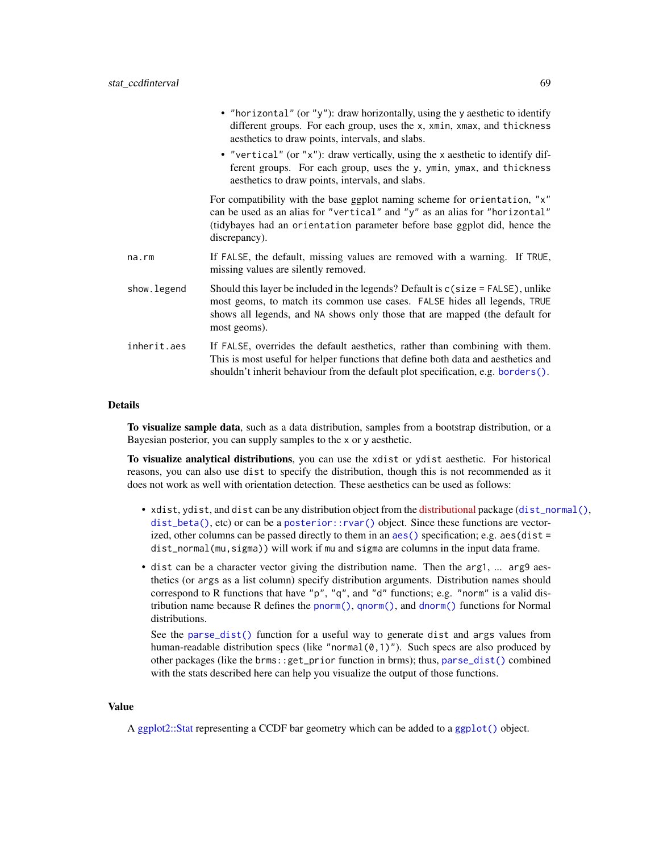|              | • "horizontal" (or "y"): draw horizontally, using the y aesthetic to identify<br>different groups. For each group, uses the x, xmin, xmax, and thickness<br>aesthetics to draw points, intervals, and slabs.                                                   |
|--------------|----------------------------------------------------------------------------------------------------------------------------------------------------------------------------------------------------------------------------------------------------------------|
|              | • "vertical" (or "x"): draw vertically, using the x aesthetic to identify dif-<br>ferent groups. For each group, uses the y, ymin, ymax, and thickness<br>aesthetics to draw points, intervals, and slabs.                                                     |
|              | For compatibility with the base ggplot naming scheme for orientation, "x"<br>can be used as an alias for "vertical" and "y" as an alias for "horizontal"<br>(tidybayes had an orientation parameter before base ggplot did, hence the<br>discrepancy).         |
| $na$ . $rm$  | If FALSE, the default, missing values are removed with a warning. If TRUE,<br>missing values are silently removed.                                                                                                                                             |
| show. legend | Should this layer be included in the legends? Default is $c$ (size = FALSE), unlike<br>most geoms, to match its common use cases. FALSE hides all legends, TRUE<br>shows all legends, and NA shows only those that are mapped (the default for<br>most geoms). |
| inherit.aes  | If FALSE, overrides the default aesthetics, rather than combining with them.<br>This is most useful for helper functions that define both data and aesthetics and<br>shouldn't inherit behaviour from the default plot specification, e.g. borders().          |

#### Details

To visualize sample data, such as a data distribution, samples from a bootstrap distribution, or a Bayesian posterior, you can supply samples to the x or y aesthetic.

To visualize analytical distributions, you can use the xdist or ydist aesthetic. For historical reasons, you can also use dist to specify the distribution, though this is not recommended as it does not work as well with orientation detection. These aesthetics can be used as follows:

- xdist, ydist, and dist can be any distribution object from the [distributional](https://pkg.mitchelloharawild.com/distributional/) package ([dist\\_normal\(\)](#page-0-0),  $dist_{\text{beta}}(t)$ , etc) or can be a posterior:: $rvar()$  object. Since these functions are vectorized, other columns can be passed directly to them in an [aes\(\)](#page-0-0) specification; e.g. aes(dist = dist\_normal(mu,sigma)) will work if mu and sigma are columns in the input data frame.
- dist can be a character vector giving the distribution name. Then the arg1, ... arg9 aesthetics (or args as a list column) specify distribution arguments. Distribution names should correspond to R functions that have "p", "q", and "d" functions; e.g. "norm" is a valid distribution name because R defines the [pnorm\(\)](#page-0-0), [qnorm\(\)](#page-0-0), and [dnorm\(\)](#page-0-0) functions for Normal distributions.

See the [parse\\_dist\(\)](#page-48-0) function for a useful way to generate dist and args values from human-readable distribution specs (like "normal $(0,1)$ "). Such specs are also produced by other packages (like the brms::get\_prior function in brms); thus, [parse\\_dist\(\)](#page-48-0) combined with the stats described here can help you visualize the output of those functions.

#### Value

A [ggplot2::Stat](#page-0-0) representing a CCDF bar geometry which can be added to a [ggplot\(\)](#page-0-0) object.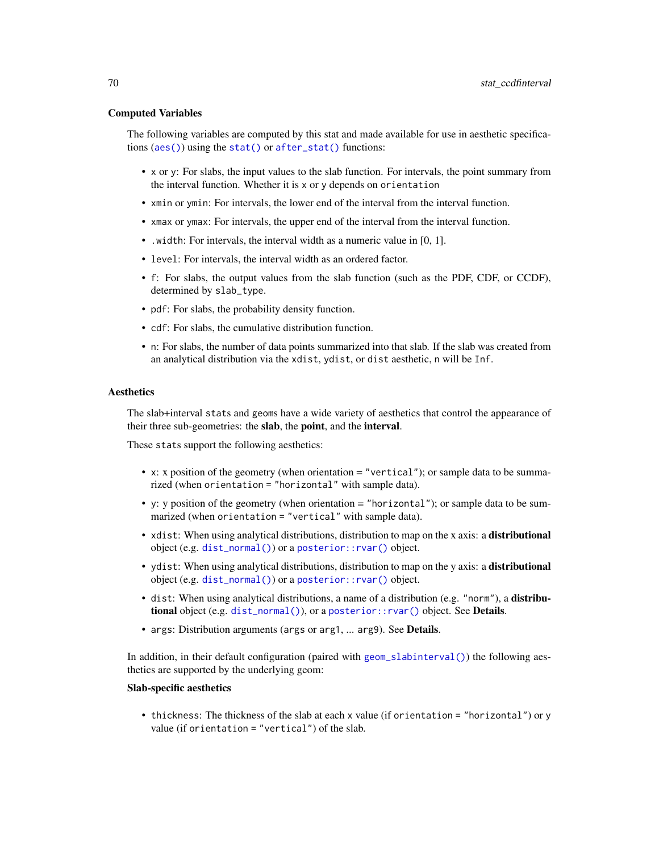### Computed Variables

The following variables are computed by this stat and made available for use in aesthetic specifications ([aes\(\)](#page-0-0)) using the [stat\(\)](#page-0-0) or [after\\_stat\(\)](#page-0-0) functions:

- x or y: For slabs, the input values to the slab function. For intervals, the point summary from the interval function. Whether it is x or y depends on orientation
- xmin or ymin: For intervals, the lower end of the interval from the interval function.
- xmax or ymax: For intervals, the upper end of the interval from the interval function.
- .width: For intervals, the interval width as a numeric value in [0, 1].
- level: For intervals, the interval width as an ordered factor.
- f: For slabs, the output values from the slab function (such as the PDF, CDF, or CCDF), determined by slab\_type.
- pdf: For slabs, the probability density function.
- cdf: For slabs, the cumulative distribution function.
- n: For slabs, the number of data points summarized into that slab. If the slab was created from an analytical distribution via the xdist, ydist, or dist aesthetic, n will be Inf.

### Aesthetics

The slab+interval stats and geoms have a wide variety of aesthetics that control the appearance of their three sub-geometries: the slab, the point, and the interval.

These stats support the following aesthetics:

- x: x position of the geometry (when orientation = "vertical"); or sample data to be summarized (when orientation = "horizontal" with sample data).
- y: y position of the geometry (when orientation = "horizontal"); or sample data to be summarized (when orientation = "vertical" with sample data).
- xdist: When using analytical distributions, distribution to map on the x axis: a **distributional** object (e.g. [dist\\_normal\(\)](#page-0-0)) or a [posterior::rvar\(\)](#page-0-0) object.
- ydist: When using analytical distributions, distribution to map on the y axis: a distributional object (e.g. [dist\\_normal\(\)](#page-0-0)) or a [posterior::rvar\(\)](#page-0-0) object.
- dist: When using analytical distributions, a name of a distribution (e.g. "norm"), a distributional object (e.g. [dist\\_normal\(\)](#page-0-0)), or a [posterior::rvar\(\)](#page-0-0) object. See Details.
- args: Distribution arguments (args or arg1, ... arg9). See Details.

In addition, in their default configuration (paired with [geom\\_slabinterval\(\)](#page-37-0)) the following aesthetics are supported by the underlying geom:

## Slab-specific aesthetics

• thickness: The thickness of the slab at each x value (if orientation = "horizontal") or y value (if orientation = "vertical") of the slab.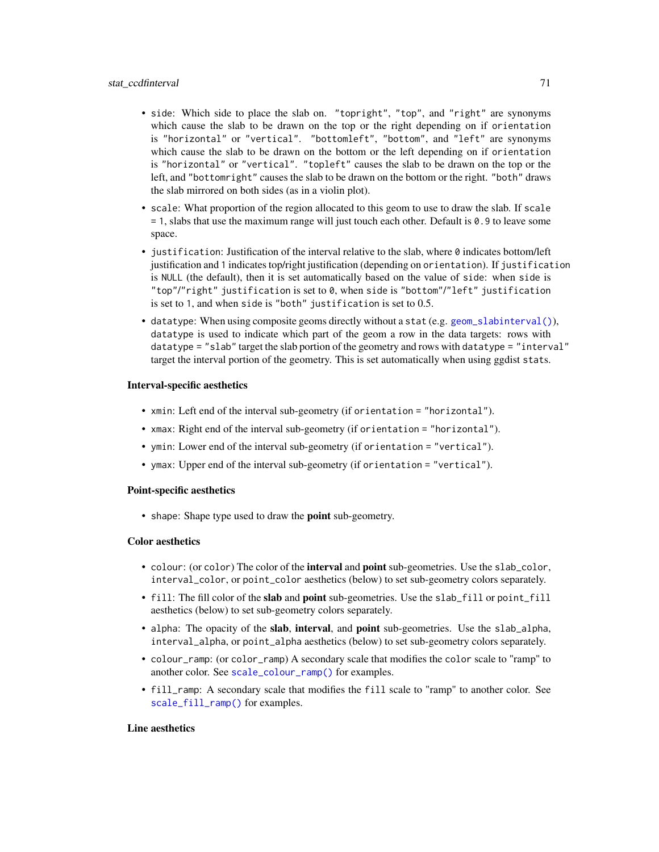- side: Which side to place the slab on. "topright", "top", and "right" are synonyms which cause the slab to be drawn on the top or the right depending on if orientation is "horizontal" or "vertical". "bottomleft", "bottom", and "left" are synonyms which cause the slab to be drawn on the bottom or the left depending on if orientation is "horizontal" or "vertical". "topleft" causes the slab to be drawn on the top or the left, and "bottomright" causes the slab to be drawn on the bottom or the right. "both" draws the slab mirrored on both sides (as in a violin plot).
- scale: What proportion of the region allocated to this geom to use to draw the slab. If scale = 1, slabs that use the maximum range will just touch each other. Default is 0.9 to leave some space.
- justification: Justification of the interval relative to the slab, where  $\theta$  indicates bottom/left justification and 1 indicates top/right justification (depending on orientation). If justification is NULL (the default), then it is set automatically based on the value of side: when side is "top"/"right" justification is set to 0, when side is "bottom"/"left" justification is set to 1, and when side is "both" justification is set to 0.5.
- datatype: When using composite geoms directly without a stat (e.g. [geom\\_slabinterval\(\)](#page-37-0)), datatype is used to indicate which part of the geom a row in the data targets: rows with datatype = "slab" target the slab portion of the geometry and rows with datatype = "interval" target the interval portion of the geometry. This is set automatically when using ggdist stats.

### Interval-specific aesthetics

- xmin: Left end of the interval sub-geometry (if orientation = "horizontal").
- xmax: Right end of the interval sub-geometry (if orientation = "horizontal").
- ymin: Lower end of the interval sub-geometry (if orientation = "vertical").
- ymax: Upper end of the interval sub-geometry (if orientation = "vertical").

## Point-specific aesthetics

• shape: Shape type used to draw the **point** sub-geometry.

### Color aesthetics

- colour: (or color) The color of the interval and point sub-geometries. Use the slab\_color, interval\_color, or point\_color aesthetics (below) to set sub-geometry colors separately.
- fill: The fill color of the slab and point sub-geometries. Use the slab\_fill or point\_fill aesthetics (below) to set sub-geometry colors separately.
- alpha: The opacity of the slab, interval, and point sub-geometries. Use the slab\_alpha, interval\_alpha, or point\_alpha aesthetics (below) to set sub-geometry colors separately.
- colour\_ramp: (or color\_ramp) A secondary scale that modifies the color scale to "ramp" to another color. See [scale\\_colour\\_ramp\(\)](#page-62-0) for examples.
- fill\_ramp: A secondary scale that modifies the fill scale to "ramp" to another color. See [scale\\_fill\\_ramp\(\)](#page-62-1) for examples.

## Line aesthetics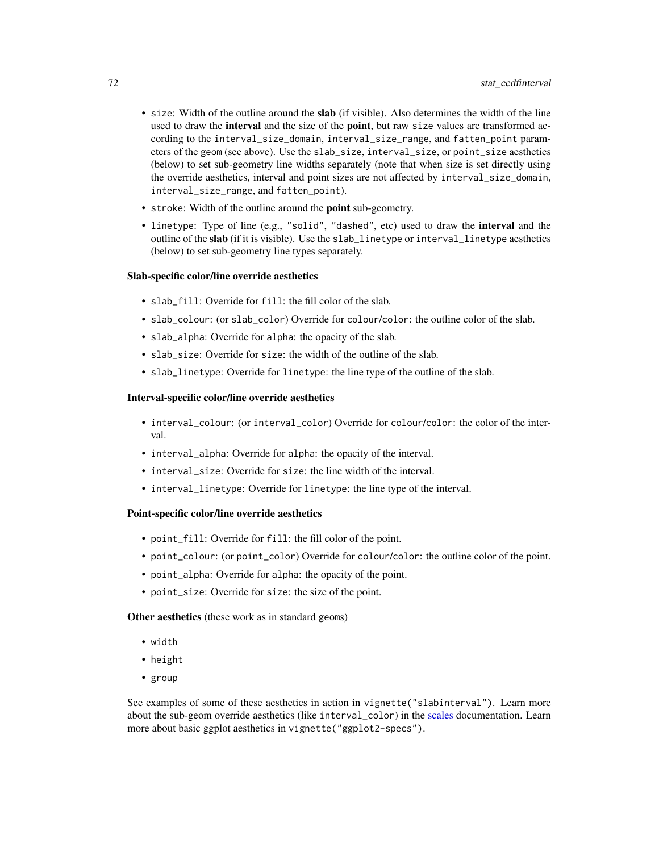- size: Width of the outline around the slab (if visible). Also determines the width of the line used to draw the **interval** and the size of the **point**, but raw size values are transformed according to the interval\_size\_domain, interval\_size\_range, and fatten\_point parameters of the geom (see above). Use the slab\_size, interval\_size, or point\_size aesthetics (below) to set sub-geometry line widths separately (note that when size is set directly using the override aesthetics, interval and point sizes are not affected by interval\_size\_domain, interval\_size\_range, and fatten\_point).
- stroke: Width of the outline around the point sub-geometry.
- linetype: Type of line (e.g., "solid", "dashed", etc) used to draw the interval and the outline of the slab (if it is visible). Use the slab\_linetype or interval\_linetype aesthetics (below) to set sub-geometry line types separately.

#### Slab-specific color/line override aesthetics

- slab fill: Override for fill: the fill color of the slab.
- slab\_colour: (or slab\_color) Override for colour/color: the outline color of the slab.
- slab\_alpha: Override for alpha: the opacity of the slab.
- slab\_size: Override for size: the width of the outline of the slab.
- slab\_linetype: Override for linetype: the line type of the outline of the slab.

### Interval-specific color/line override aesthetics

- interval\_colour: (or interval\_color) Override for colour/color: the color of the interval.
- interval\_alpha: Override for alpha: the opacity of the interval.
- interval\_size: Override for size: the line width of the interval.
- interval\_linetype: Override for linetype: the line type of the interval.

### Point-specific color/line override aesthetics

- point\_fill: Override for fill: the fill color of the point.
- point\_colour: (or point\_color) Override for colour/color: the outline color of the point.
- point\_alpha: Override for alpha: the opacity of the point.
- point\_size: Override for size: the size of the point.

Other aesthetics (these work as in standard geoms)

- width
- height
- group

See examples of some of these aesthetics in action in vignette("slabinterval"). Learn more about the sub-geom override aesthetics (like interval\_color) in the [scales](#page-57-0) documentation. Learn more about basic ggplot aesthetics in vignette("ggplot2-specs").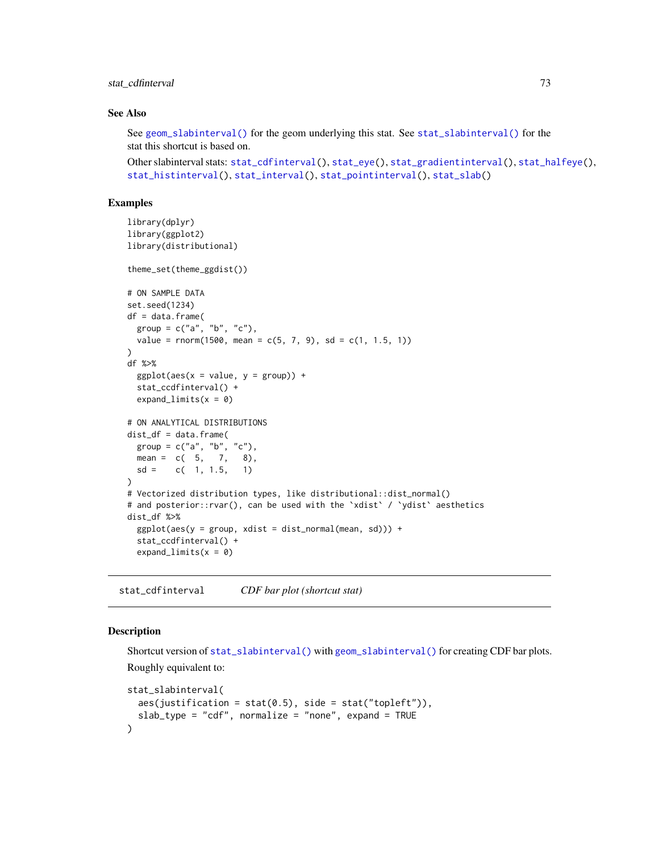# stat\_cdfinterval 73

## See Also

See [geom\\_slabinterval\(\)](#page-37-0) for the geom underlying this stat. See [stat\\_slabinterval\(\)](#page-141-0) for the stat this shortcut is based on.

```
stat_cdfinterval(stat_eye(stat_gradientinterval(stat_halfeye(),
stat_histinterval(), stat_interval(), stat_pointinterval(), stat_slab()
```
# Examples

```
library(dplyr)
library(ggplot2)
library(distributional)
theme_set(theme_ggdist())
# ON SAMPLE DATA
set.seed(1234)
df = data.frame(
 group = c("a", "b", "c"),value = rnorm(1500, mean = c(5, 7, 9), sd = c(1, 1.5, 1)))
df %>%
 ggplot(aes(x = value, y = group)) +stat_ccdfinterval() +
 expand_limits(x = 0)
# ON ANALYTICAL DISTRIBUTIONS
dist_d f = data. frame(
 group = c("a", "b", "c"),
 mean = c(5, 7, 8),sd = c(1, 1.5, 1))
# Vectorized distribution types, like distributional::dist_normal()
# and posterior::rvar(), can be used with the 'xdist' / 'ydist' aesthetics
dist_df %>%
 ggplot(aes(y = group, xdist = dist\_normal(mean, sd))) +stat_ccdfinterval() +
 expand_limits(x = 0)
```
<span id="page-72-0"></span>stat\_cdfinterval *CDF bar plot (shortcut stat)*

# Description

Shortcut version of [stat\\_slabinterval\(\)](#page-141-0) with [geom\\_slabinterval\(\)](#page-37-0) for creating CDF bar plots. Roughly equivalent to:

```
stat_slabinterval(
 aes(justification = stat(0.5), side = stat("topleft")),
 slab_type = "cdf", normalize = "none", expand = TRUE)
```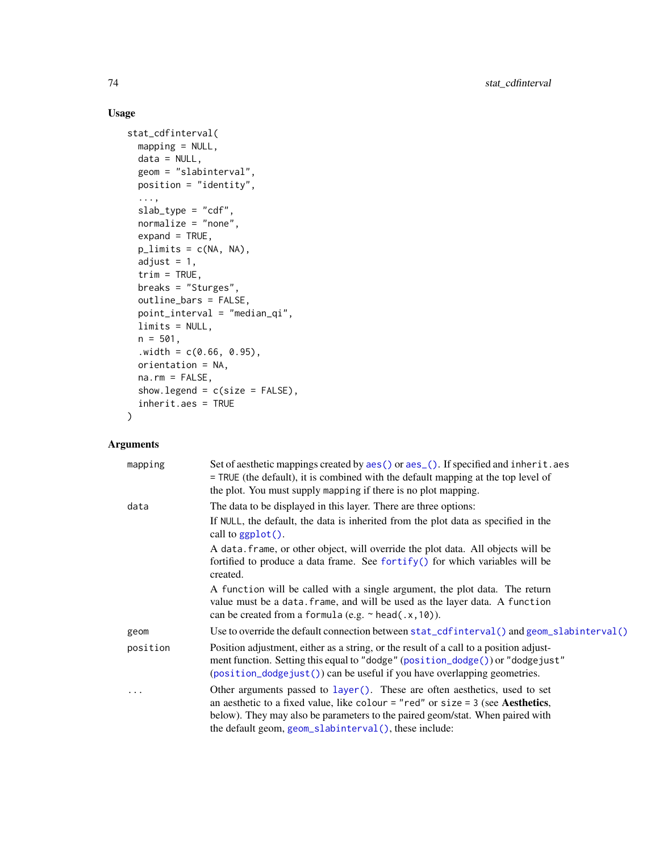# Usage

```
stat_cdfinterval(
 mapping = NULL,
 data = NULL,geom = "slabinterval",
 position = "identity",
  ...,
  slab_type = "cdf",
  normalize = "none",
 expand = TRUE,plimits = c(NA, NA),
  adjust = 1,
  trim = TRUE,breaks = "Sturges",
  outline_bars = FALSE,
 point_interval = "median_qi",
 limits = NULL,
 n = 501,. width = c(0.66, 0.95),orientation = NA,
 na.rm = FALSE,show.legend = c(size = FALSE),
  inherit.aes = TRUE
\mathcal{L}
```
# Arguments

| mapping  | Set of aesthetic mappings created by aes () or aes (). If specified and inherit. aes<br>= TRUE (the default), it is combined with the default mapping at the top level of<br>the plot. You must supply mapping if there is no plot mapping.                                                               |
|----------|-----------------------------------------------------------------------------------------------------------------------------------------------------------------------------------------------------------------------------------------------------------------------------------------------------------|
| data     | The data to be displayed in this layer. There are three options:                                                                                                                                                                                                                                          |
|          | If NULL, the default, the data is inherited from the plot data as specified in the<br>call to $ggplot()$ .                                                                                                                                                                                                |
|          | A data frame, or other object, will override the plot data. All objects will be                                                                                                                                                                                                                           |
|          | fortified to produce a data frame. See fortify() for which variables will be<br>created.                                                                                                                                                                                                                  |
|          | A function will be called with a single argument, the plot data. The return<br>value must be a data. frame, and will be used as the layer data. A function<br>can be created from a formula (e.g. $\sim$ head(.x, 10)).                                                                                   |
| geom     | Use to override the default connection between stat_cdfinterval() and geom_slabinterval()                                                                                                                                                                                                                 |
| position | Position adjustment, either as a string, or the result of a call to a position adjust-<br>ment function. Setting this equal to "dodge" (position_dodge()) or "dodgejust"<br>(position_dodgejust()) can be useful if you have overlapping geometries.                                                      |
| .        | Other arguments passed to layer(). These are often aesthetics, used to set<br>an aesthetic to a fixed value, like colour = "red" or size = $3$ (see Aesthetics,<br>below). They may also be parameters to the paired geom/stat. When paired with<br>the default geom, geom_slabinterval(), these include: |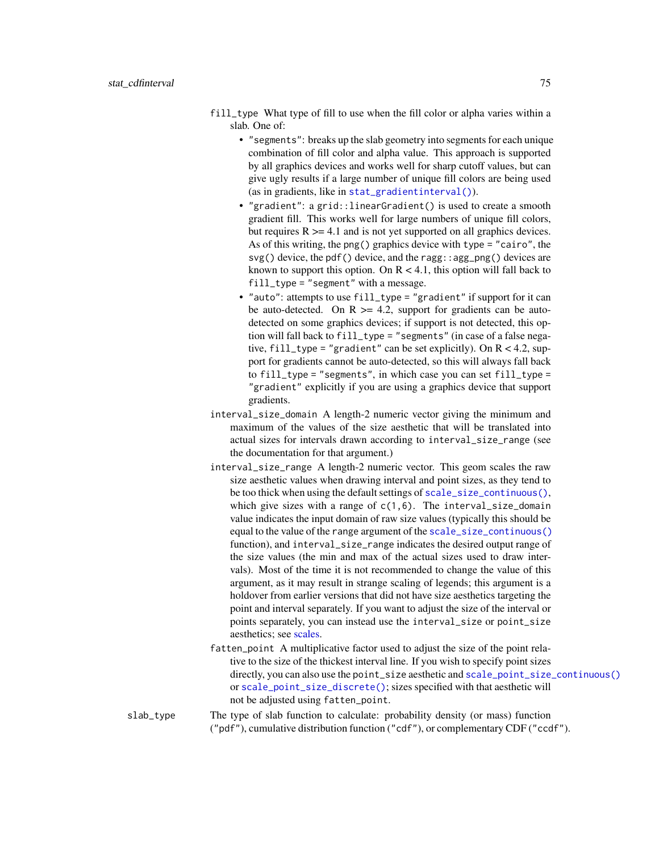- fill\_type What type of fill to use when the fill color or alpha varies within a slab. One of:
	- "segments": breaks up the slab geometry into segments for each unique combination of fill color and alpha value. This approach is supported by all graphics devices and works well for sharp cutoff values, but can give ugly results if a large number of unique fill colors are being used (as in gradients, like in [stat\\_gradientinterval\(\)](#page-89-0)).
	- "gradient": a grid::linearGradient() is used to create a smooth gradient fill. This works well for large numbers of unique fill colors, but requires  $R \geq 4.1$  and is not yet supported on all graphics devices. As of this writing, the png() graphics device with type = "cairo", the  $svg()$  device, the pdf() device, and the ragg: : agg\_png() devices are known to support this option. On  $R < 4.1$ , this option will fall back to fill\_type = "segment" with a message.
	- "auto": attempts to use fill\_type = "gradient" if support for it can be auto-detected. On  $R \geq 4.2$ , support for gradients can be autodetected on some graphics devices; if support is not detected, this option will fall back to fill\_type = "segments" (in case of a false negative,  $fill_type = "gradient"$  can be set explicitly). On  $R < 4.2$ , support for gradients cannot be auto-detected, so this will always fall back to  $fill\_type = "segments", in which case you can set fill_type =$ "gradient" explicitly if you are using a graphics device that support gradients.
- interval\_size\_domain A length-2 numeric vector giving the minimum and maximum of the values of the size aesthetic that will be translated into actual sizes for intervals drawn according to interval\_size\_range (see the documentation for that argument.)
- interval\_size\_range A length-2 numeric vector. This geom scales the raw size aesthetic values when drawing interval and point sizes, as they tend to be too thick when using the default settings of [scale\\_size\\_continuous\(\)](#page-0-0), which give sizes with a range of  $c(1,6)$ . The interval\_size\_domain value indicates the input domain of raw size values (typically this should be equal to the value of the range argument of the [scale\\_size\\_continuous\(\)](#page-0-0) function), and interval\_size\_range indicates the desired output range of the size values (the min and max of the actual sizes used to draw intervals). Most of the time it is not recommended to change the value of this argument, as it may result in strange scaling of legends; this argument is a holdover from earlier versions that did not have size aesthetics targeting the point and interval separately. If you want to adjust the size of the interval or points separately, you can instead use the interval\_size or point\_size aesthetics; see [scales.](#page-57-0)
- fatten\_point A multiplicative factor used to adjust the size of the point relative to the size of the thickest interval line. If you wish to specify point sizes directly, you can also use the point\_size aesthetic and [scale\\_point\\_size\\_continuous\(\)](#page-57-1) or [scale\\_point\\_size\\_discrete\(\)](#page-57-1); sizes specified with that aesthetic will not be adjusted using fatten\_point.
- slab\_type The type of slab function to calculate: probability density (or mass) function ("pdf"), cumulative distribution function ("cdf"), or complementary CDF ("ccdf").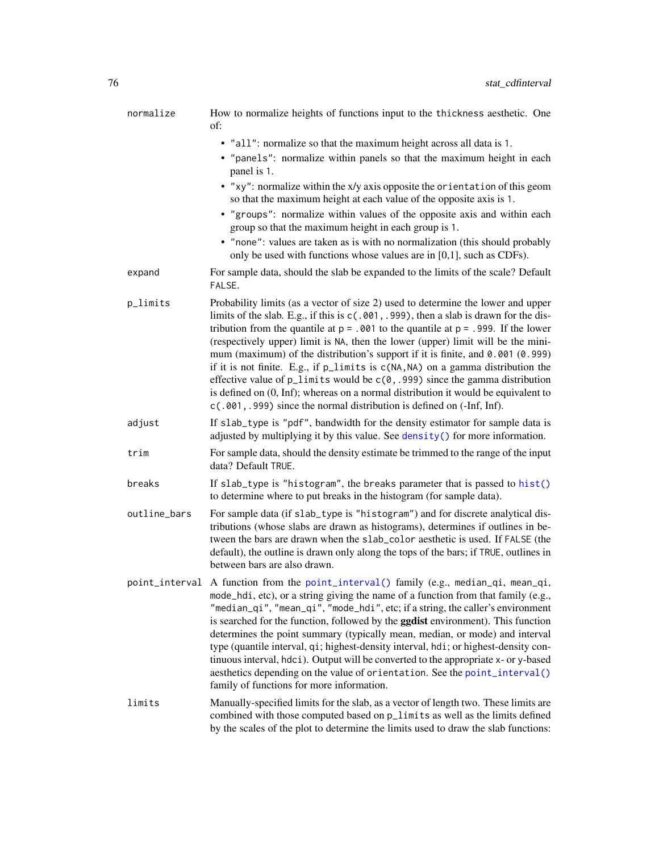| normalize    | How to normalize heights of functions input to the thickness aesthetic. One<br>of:                                                                                                                                                                                                                                                                                                                                                                                                                                                                                                                                                                                                                                                                                                                 |
|--------------|----------------------------------------------------------------------------------------------------------------------------------------------------------------------------------------------------------------------------------------------------------------------------------------------------------------------------------------------------------------------------------------------------------------------------------------------------------------------------------------------------------------------------------------------------------------------------------------------------------------------------------------------------------------------------------------------------------------------------------------------------------------------------------------------------|
|              | • "all": normalize so that the maximum height across all data is 1.                                                                                                                                                                                                                                                                                                                                                                                                                                                                                                                                                                                                                                                                                                                                |
|              | • "panels": normalize within panels so that the maximum height in each<br>panel is 1.                                                                                                                                                                                                                                                                                                                                                                                                                                                                                                                                                                                                                                                                                                              |
|              | • "xy": normalize within the x/y axis opposite the orientation of this geom<br>so that the maximum height at each value of the opposite axis is 1.                                                                                                                                                                                                                                                                                                                                                                                                                                                                                                                                                                                                                                                 |
|              | • "groups": normalize within values of the opposite axis and within each<br>group so that the maximum height in each group is 1.                                                                                                                                                                                                                                                                                                                                                                                                                                                                                                                                                                                                                                                                   |
|              | • "none": values are taken as is with no normalization (this should probably<br>only be used with functions whose values are in [0,1], such as CDFs).                                                                                                                                                                                                                                                                                                                                                                                                                                                                                                                                                                                                                                              |
| expand       | For sample data, should the slab be expanded to the limits of the scale? Default<br>FALSE.                                                                                                                                                                                                                                                                                                                                                                                                                                                                                                                                                                                                                                                                                                         |
| p_limits     | Probability limits (as a vector of size 2) used to determine the lower and upper<br>limits of the slab. E.g., if this is $c(.001, .999)$ , then a slab is drawn for the dis-<br>tribution from the quantile at $p = 0.001$ to the quantile at $p = 0.999$ . If the lower<br>(respectively upper) limit is NA, then the lower (upper) limit will be the mini-<br>mum (maximum) of the distribution's support if it is finite, and $0.001$ (0.999)<br>if it is not finite. E.g., if p_limits is c(NA, NA) on a gamma distribution the<br>effective value of $p$ _limits would be $c(0, .999)$ since the gamma distribution<br>is defined on $(0, \text{Inf})$ ; whereas on a normal distribution it would be equivalent to<br>c(.001, .999) since the normal distribution is defined on (-Inf, Inf). |
| adjust       | If slab_type is "pdf", bandwidth for the density estimator for sample data is<br>adjusted by multiplying it by this value. See density() for more information.                                                                                                                                                                                                                                                                                                                                                                                                                                                                                                                                                                                                                                     |
| trim         | For sample data, should the density estimate be trimmed to the range of the input<br>data? Default TRUE.                                                                                                                                                                                                                                                                                                                                                                                                                                                                                                                                                                                                                                                                                           |
| breaks       | If slab_type is "histogram", the breaks parameter that is passed to hist()<br>to determine where to put breaks in the histogram (for sample data).                                                                                                                                                                                                                                                                                                                                                                                                                                                                                                                                                                                                                                                 |
| outline_bars | For sample data (if slab_type is "histogram") and for discrete analytical dis-<br>tributions (whose slabs are drawn as histograms), determines if outlines in be-<br>tween the bars are drawn when the slab_color aesthetic is used. If FALSE (the<br>default), the outline is drawn only along the tops of the bars; if TRUE, outlines in<br>between bars are also drawn.                                                                                                                                                                                                                                                                                                                                                                                                                         |
|              | point_interval A function from the point_interval() family (e.g., median_qi, mean_qi,<br>mode_hdi, etc), or a string giving the name of a function from that family (e.g.,<br>"median_qi", "mean_qi", "mode_hdi", etc; if a string, the caller's environment<br>is searched for the function, followed by the ggdist environment). This function<br>determines the point summary (typically mean, median, or mode) and interval<br>type (quantile interval, qi; highest-density interval, hdi; or highest-density con-<br>tinuous interval, hdci). Output will be converted to the appropriate x- or y-based<br>aesthetics depending on the value of orientation. See the point_interval()<br>family of functions for more information.                                                            |
| limits       | Manually-specified limits for the slab, as a vector of length two. These limits are<br>combined with those computed based on p_limits as well as the limits defined<br>by the scales of the plot to determine the limits used to draw the slab functions:                                                                                                                                                                                                                                                                                                                                                                                                                                                                                                                                          |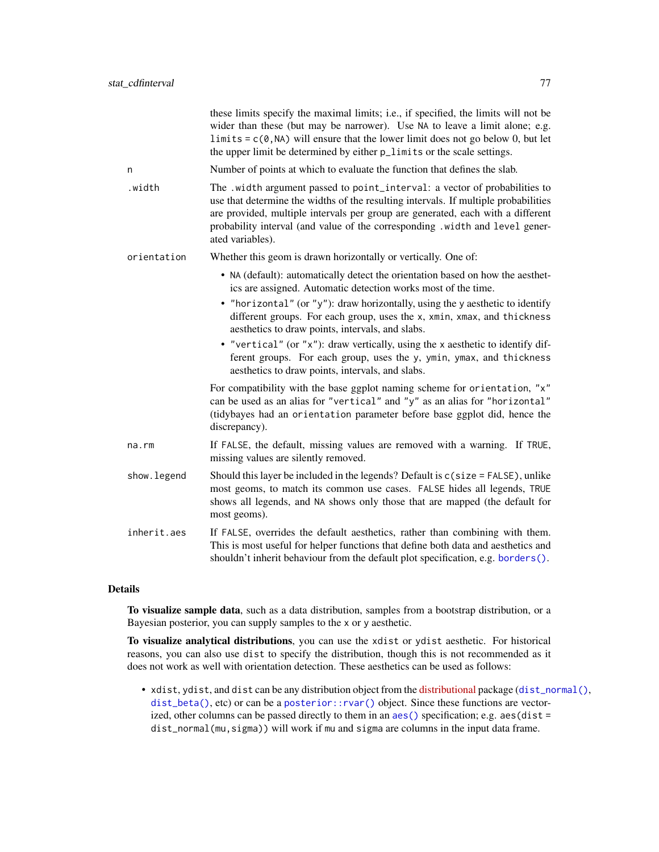|             | these limits specify the maximal limits; i.e., if specified, the limits will not be<br>wider than these (but may be narrower). Use NA to leave a limit alone; e.g.<br>limits = $c(\theta, NA)$ will ensure that the lower limit does not go below 0, but let<br>the upper limit be determined by either $p$ _limits or the scale settings.               |
|-------------|----------------------------------------------------------------------------------------------------------------------------------------------------------------------------------------------------------------------------------------------------------------------------------------------------------------------------------------------------------|
| n           | Number of points at which to evaluate the function that defines the slab.                                                                                                                                                                                                                                                                                |
| .width      | The .width argument passed to point_interval: a vector of probabilities to<br>use that determine the widths of the resulting intervals. If multiple probabilities<br>are provided, multiple intervals per group are generated, each with a different<br>probability interval (and value of the corresponding .width and level gener-<br>ated variables). |
| orientation | Whether this geom is drawn horizontally or vertically. One of:                                                                                                                                                                                                                                                                                           |
|             | • NA (default): automatically detect the orientation based on how the aesthet-<br>ics are assigned. Automatic detection works most of the time.                                                                                                                                                                                                          |
|             | • "horizontal" (or "y"): draw horizontally, using the y aesthetic to identify<br>different groups. For each group, uses the x, xmin, xmax, and thickness<br>aesthetics to draw points, intervals, and slabs.                                                                                                                                             |
|             | • "vertical" (or "x"): draw vertically, using the x aesthetic to identify dif-<br>ferent groups. For each group, uses the y, ymin, ymax, and thickness<br>aesthetics to draw points, intervals, and slabs.                                                                                                                                               |
|             | For compatibility with the base ggplot naming scheme for orientation, "x"<br>can be used as an alias for "vertical" and "y" as an alias for "horizontal"<br>(tidybayes had an orientation parameter before base ggplot did, hence the<br>discrepancy).                                                                                                   |
| $na$ . $rm$ | If FALSE, the default, missing values are removed with a warning. If TRUE,<br>missing values are silently removed.                                                                                                                                                                                                                                       |
| show.legend | Should this layer be included in the legends? Default is $c$ (size = FALSE), unlike<br>most geoms, to match its common use cases. FALSE hides all legends, TRUE<br>shows all legends, and NA shows only those that are mapped (the default for<br>most geoms).                                                                                           |
| inherit.aes | If FALSE, overrides the default aesthetics, rather than combining with them.<br>This is most useful for helper functions that define both data and aesthetics and<br>shouldn't inherit behaviour from the default plot specification, e.g. borders().                                                                                                    |

# Details

To visualize sample data, such as a data distribution, samples from a bootstrap distribution, or a Bayesian posterior, you can supply samples to the x or y aesthetic.

To visualize analytical distributions, you can use the xdist or ydist aesthetic. For historical reasons, you can also use dist to specify the distribution, though this is not recommended as it does not work as well with orientation detection. These aesthetics can be used as follows:

• xdist, ydist, and dist can be any distribution object from the [distributional](https://pkg.mitchelloharawild.com/distributional/) package ([dist\\_normal\(\)](#page-0-0), [dist\\_beta\(\)](#page-0-0), etc) or can be a [posterior::rvar\(\)](#page-0-0) object. Since these functions are vectorized, other columns can be passed directly to them in an [aes\(\)](#page-0-0) specification; e.g. aes(dist = dist\_normal(mu,sigma)) will work if mu and sigma are columns in the input data frame.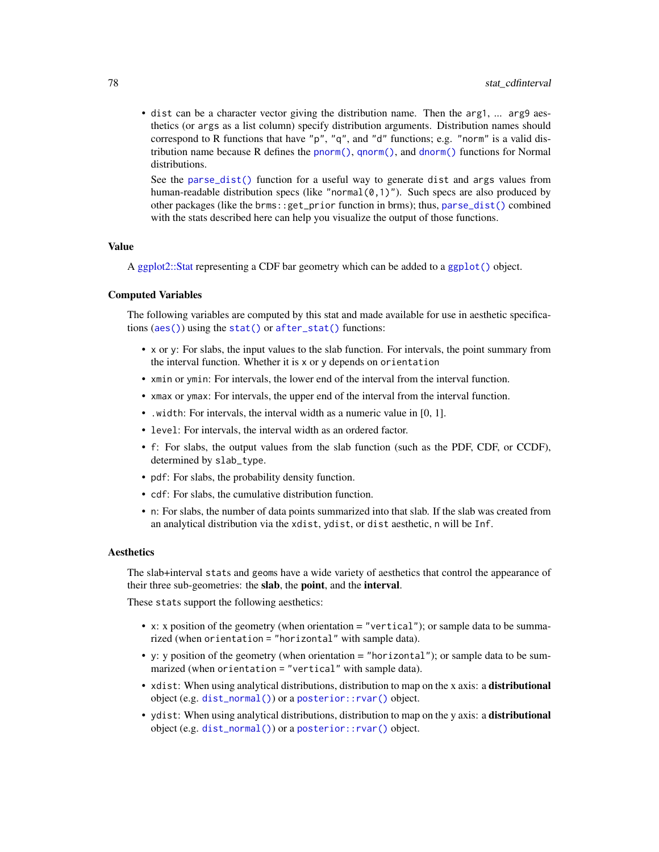• dist can be a character vector giving the distribution name. Then the arg1, ... arg9 aesthetics (or args as a list column) specify distribution arguments. Distribution names should correspond to R functions that have "p", "q", and "d" functions; e.g. "norm" is a valid distribution name because R defines the [pnorm\(\)](#page-0-0), [qnorm\(\)](#page-0-0), and [dnorm\(\)](#page-0-0) functions for Normal distributions.

See the [parse\\_dist\(\)](#page-48-0) function for a useful way to generate dist and args values from human-readable distribution specs (like "normal $(0,1)$ "). Such specs are also produced by other packages (like the brms::get\_prior function in brms); thus, [parse\\_dist\(\)](#page-48-0) combined with the stats described here can help you visualize the output of those functions.

### Value

A [ggplot2::Stat](#page-0-0) representing a CDF bar geometry which can be added to a [ggplot\(\)](#page-0-0) object.

#### Computed Variables

The following variables are computed by this stat and made available for use in aesthetic specifications ([aes\(\)](#page-0-0)) using the [stat\(\)](#page-0-0) or [after\\_stat\(\)](#page-0-0) functions:

- x or y: For slabs, the input values to the slab function. For intervals, the point summary from the interval function. Whether it is x or y depends on orientation
- xmin or ymin: For intervals, the lower end of the interval from the interval function.
- xmax or ymax: For intervals, the upper end of the interval from the interval function.
- .width: For intervals, the interval width as a numeric value in [0, 1].
- level: For intervals, the interval width as an ordered factor.
- f: For slabs, the output values from the slab function (such as the PDF, CDF, or CCDF), determined by slab\_type.
- pdf: For slabs, the probability density function.
- cdf: For slabs, the cumulative distribution function.
- n: For slabs, the number of data points summarized into that slab. If the slab was created from an analytical distribution via the xdist, ydist, or dist aesthetic, n will be Inf.

# **Aesthetics**

The slab+interval stats and geoms have a wide variety of aesthetics that control the appearance of their three sub-geometries: the slab, the point, and the interval.

These stats support the following aesthetics:

- x: x position of the geometry (when orientation = "vertical"); or sample data to be summarized (when orientation = "horizontal" with sample data).
- y: y position of the geometry (when orientation = "horizontal"); or sample data to be summarized (when orientation = "vertical" with sample data).
- xdist: When using analytical distributions, distribution to map on the x axis: a distributional object (e.g. [dist\\_normal\(\)](#page-0-0)) or a [posterior::rvar\(\)](#page-0-0) object.
- ydist: When using analytical distributions, distribution to map on the y axis: a distributional object (e.g. [dist\\_normal\(\)](#page-0-0)) or a [posterior::rvar\(\)](#page-0-0) object.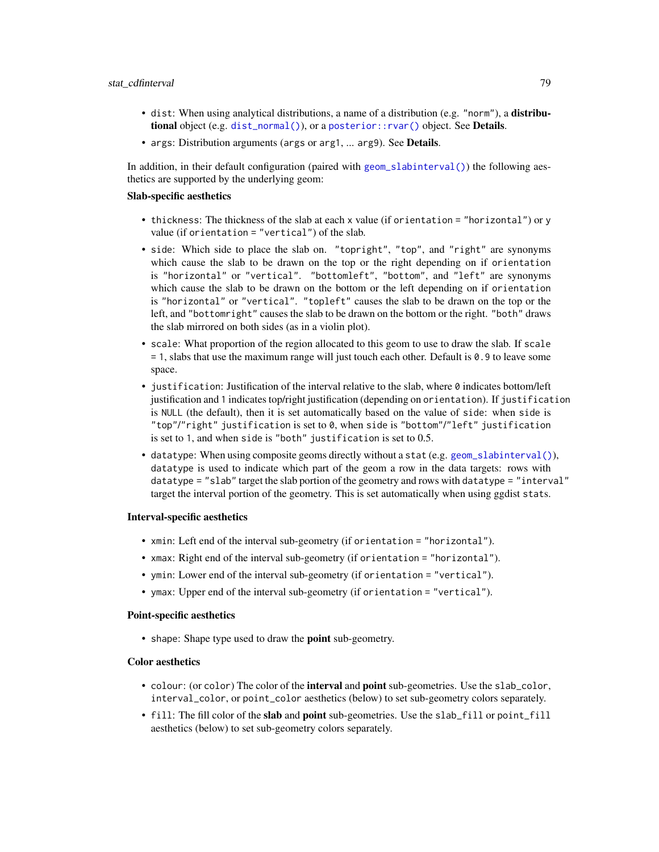- dist: When using analytical distributions, a name of a distribution (e.g. "norm"), a distribu**tional** object (e.g. [dist\\_normal\(\)](#page-0-0)), or a posterior:: $rvar()$  object. See **Details.**
- args: Distribution arguments (args or arg1, ... arg9). See Details.

In addition, in their default configuration (paired with [geom\\_slabinterval\(\)](#page-37-0)) the following aesthetics are supported by the underlying geom:

#### Slab-specific aesthetics

- thickness: The thickness of the slab at each x value (if orientation = "horizontal") or y value (if orientation = "vertical") of the slab.
- side: Which side to place the slab on. "topright", "top", and "right" are synonyms which cause the slab to be drawn on the top or the right depending on if orientation is "horizontal" or "vertical". "bottomleft", "bottom", and "left" are synonyms which cause the slab to be drawn on the bottom or the left depending on if orientation is "horizontal" or "vertical". "topleft" causes the slab to be drawn on the top or the left, and "bottomright" causes the slab to be drawn on the bottom or the right. "both" draws the slab mirrored on both sides (as in a violin plot).
- scale: What proportion of the region allocated to this geom to use to draw the slab. If scale = 1, slabs that use the maximum range will just touch each other. Default is 0.9 to leave some space.
- justification: Justification of the interval relative to the slab, where 0 indicates bottom/left justification and 1 indicates top/right justification (depending on orientation). If justification is NULL (the default), then it is set automatically based on the value of side: when side is "top"/"right" justification is set to 0, when side is "bottom"/"left" justification is set to 1, and when side is "both" justification is set to 0.5.
- datatype: When using composite geoms directly without a stat (e.g. [geom\\_slabinterval\(\)](#page-37-0)), datatype is used to indicate which part of the geom a row in the data targets: rows with datatype = "slab" target the slab portion of the geometry and rows with datatype = "interval" target the interval portion of the geometry. This is set automatically when using ggdist stats.

### Interval-specific aesthetics

- xmin: Left end of the interval sub-geometry (if orientation = "horizontal").
- xmax: Right end of the interval sub-geometry (if orientation = "horizontal").
- ymin: Lower end of the interval sub-geometry (if orientation = "vertical").
- ymax: Upper end of the interval sub-geometry (if orientation = "vertical").

#### Point-specific aesthetics

• shape: Shape type used to draw the point sub-geometry.

# Color aesthetics

- colour: (or color) The color of the interval and point sub-geometries. Use the slab\_color, interval\_color, or point\_color aesthetics (below) to set sub-geometry colors separately.
- fill: The fill color of the slab and point sub-geometries. Use the slab\_fill or point\_fill aesthetics (below) to set sub-geometry colors separately.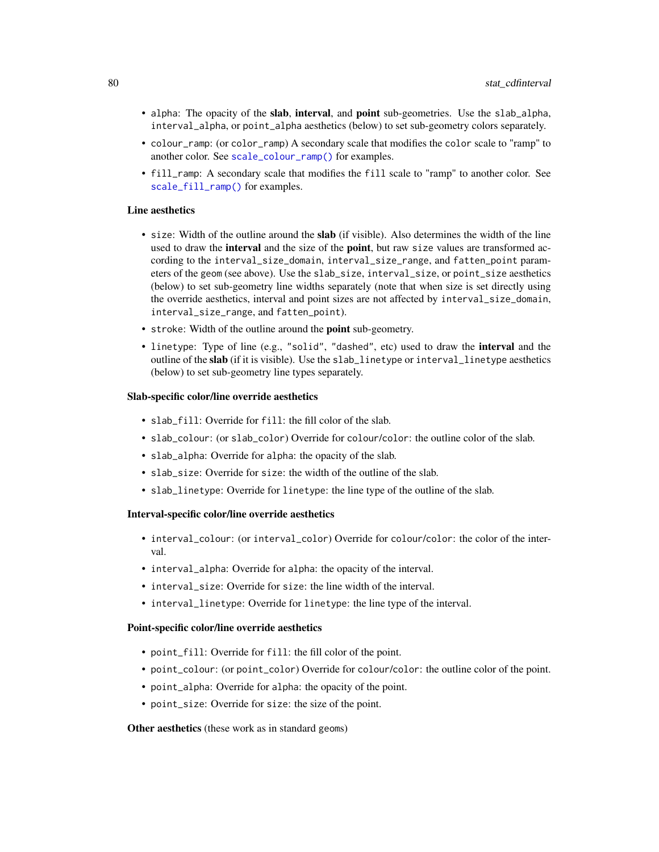- alpha: The opacity of the slab, interval, and point sub-geometries. Use the slab\_alpha, interval\_alpha, or point\_alpha aesthetics (below) to set sub-geometry colors separately.
- colour\_ramp: (or color\_ramp) A secondary scale that modifies the color scale to "ramp" to another color. See [scale\\_colour\\_ramp\(\)](#page-62-0) for examples.
- fill\_ramp: A secondary scale that modifies the fill scale to "ramp" to another color. See [scale\\_fill\\_ramp\(\)](#page-62-1) for examples.

## Line aesthetics

- size: Width of the outline around the **slab** (if visible). Also determines the width of the line used to draw the **interval** and the size of the **point**, but raw size values are transformed according to the interval\_size\_domain, interval\_size\_range, and fatten\_point parameters of the geom (see above). Use the slab\_size, interval\_size, or point\_size aesthetics (below) to set sub-geometry line widths separately (note that when size is set directly using the override aesthetics, interval and point sizes are not affected by interval\_size\_domain, interval\_size\_range, and fatten\_point).
- stroke: Width of the outline around the point sub-geometry.
- linetype: Type of line (e.g., "solid", "dashed", etc) used to draw the interval and the outline of the slab (if it is visible). Use the slab\_linetype or interval\_linetype aesthetics (below) to set sub-geometry line types separately.

### Slab-specific color/line override aesthetics

- slab\_fill: Override for fill: the fill color of the slab.
- slab\_colour: (or slab\_color) Override for colour/color: the outline color of the slab.
- slab\_alpha: Override for alpha: the opacity of the slab.
- slab\_size: Override for size: the width of the outline of the slab.
- slab\_linetype: Override for linetype: the line type of the outline of the slab.

## Interval-specific color/line override aesthetics

- interval\_colour: (or interval\_color) Override for colour/color: the color of the interval.
- interval\_alpha: Override for alpha: the opacity of the interval.
- interval\_size: Override for size: the line width of the interval.
- interval\_linetype: Override for linetype: the line type of the interval.

### Point-specific color/line override aesthetics

- point\_fill: Override for fill: the fill color of the point.
- point\_colour: (or point\_color) Override for colour/color: the outline color of the point.
- point\_alpha: Override for alpha: the opacity of the point.
- point\_size: Override for size: the size of the point.

#### Other aesthetics (these work as in standard geoms)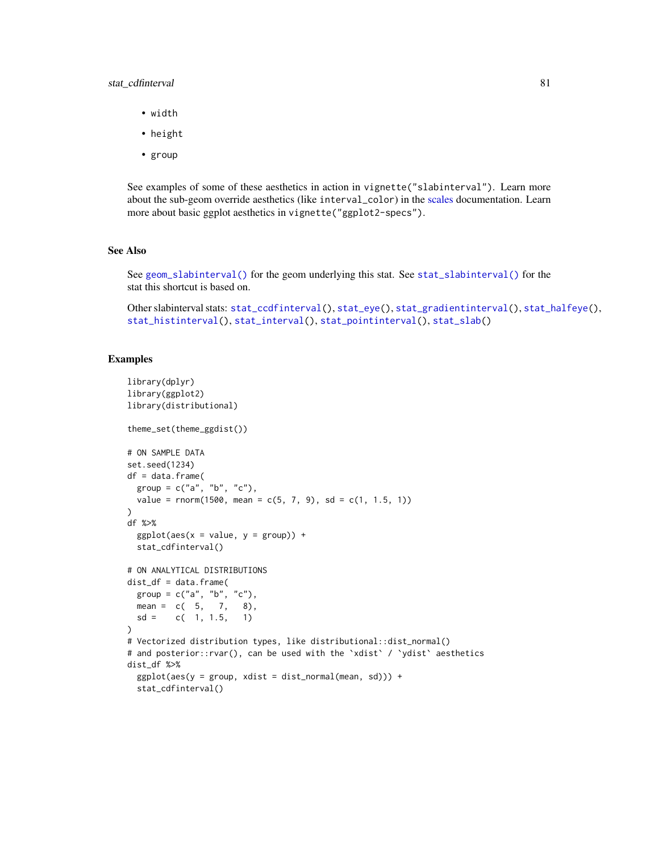# stat\_cdfinterval 81

- width
- height
- group

See examples of some of these aesthetics in action in vignette("slabinterval"). Learn more about the sub-geom override aesthetics (like interval\_color) in the [scales](#page-57-0) documentation. Learn more about basic ggplot aesthetics in vignette("ggplot2-specs").

### See Also

See [geom\\_slabinterval\(\)](#page-37-0) for the geom underlying this stat. See [stat\\_slabinterval\(\)](#page-141-0) for the stat this shortcut is based on.

Other slabinterval stats: [stat\\_ccdfinterval\(](#page-64-0)), [stat\\_eye\(](#page-81-0)), [stat\\_gradientinterval\(](#page-89-0)), [stat\\_halfeye\(](#page-97-0)), [stat\\_histinterval\(](#page-105-0)), [stat\\_interval\(](#page-114-0)), [stat\\_pointinterval\(](#page-124-0)), [stat\\_slab\(](#page-134-0))

# Examples

```
library(dplyr)
library(ggplot2)
library(distributional)
theme_set(theme_ggdist())
# ON SAMPLE DATA
set.seed(1234)
df = data.frame(
 group = c("a", "b", "c"),value = rnorm(1500, mean = c(5, 7, 9), sd = c(1, 1.5, 1))\lambdadf %>%
 ggplot(aes(x = value, y = group)) +stat_cdfinterval()
# ON ANALYTICAL DISTRIBUTIONS
dist_d f = data frame(group = c("a", "b", "c"),
 mean = c(5, 7, 8),sd = c(1, 1.5, 1))
# Vectorized distribution types, like distributional::dist_normal()
# and posterior::rvar(), can be used with the 'xdist' / 'ydist' aesthetics
dist_df %>%
 ggplot(aes(y = group, xdist = dist\_normal(mean, sd))) +stat_cdfinterval()
```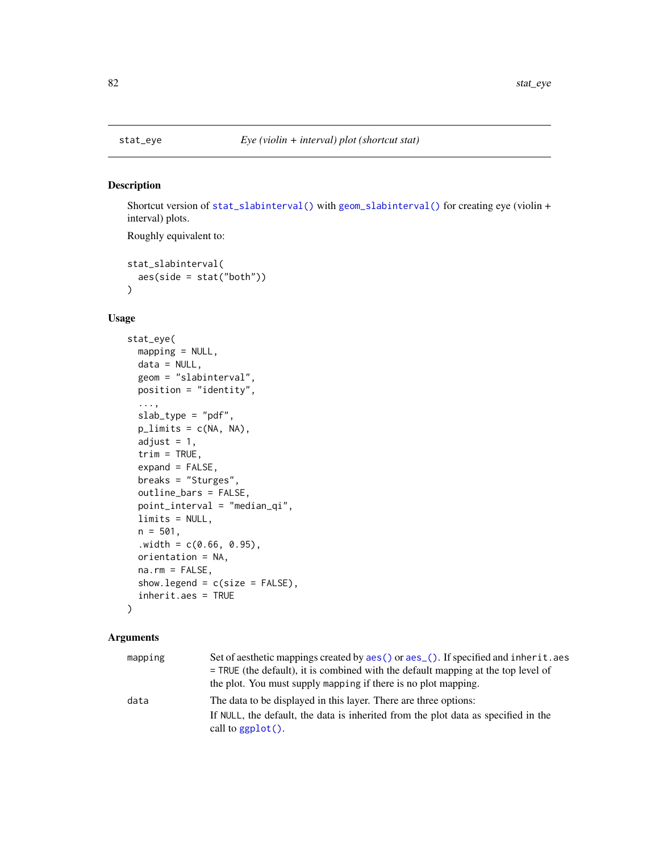# Description

Shortcut version of [stat\\_slabinterval\(\)](#page-141-0) with [geom\\_slabinterval\(\)](#page-37-0) for creating eye (violin + interval) plots.

Roughly equivalent to:

```
stat_slabinterval(
  aes(side = stat("both"))
\mathcal{E}
```
# Usage

```
stat_eye(
 mapping = NULL,
 data = NULL,
  geom = "slabinterval",
 position = "identity",
  ...,
  slab_type = "pdf",
 plimits = c(NA, NA),
  adjust = 1,
  trim = TRUE,expand = FALSE,
  breaks = "Sturges",
  outline_bars = FALSE,
  point_interval = "median_qi",
  limits = NULL,
  n = 501,. width = c(0.66, 0.95),orientation = NA,
 na.rm = FALSE,
  show.legend = c(size = FALSE),
  inherit.aes = TRUE
)
```
## Arguments

| mapping | Set of aesthetic mappings created by aes () or aes (). If specified and inherit. aes<br>$=$ TRUE (the default), it is combined with the default mapping at the top level of<br>the plot. You must supply mapping if there is no plot mapping. |
|---------|-----------------------------------------------------------------------------------------------------------------------------------------------------------------------------------------------------------------------------------------------|
| data    | The data to be displayed in this layer. There are three options:                                                                                                                                                                              |
|         | If NULL, the default, the data is inherited from the plot data as specified in the<br>call to $ggplot()$ .                                                                                                                                    |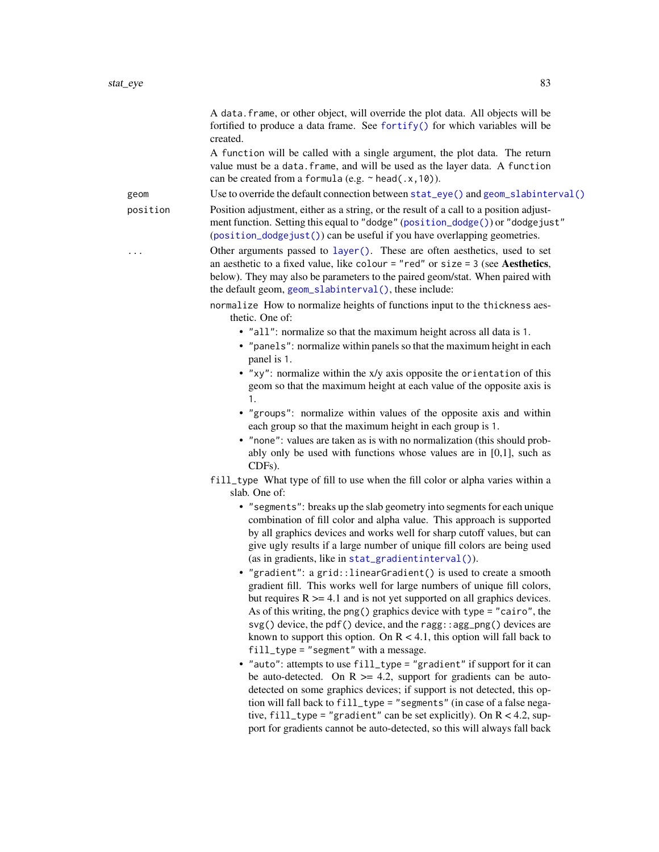| created.<br>A function will be called with a single argument, the plot data. The return<br>value must be a data. frame, and will be used as the layer data. A function                                                                                                                                                                                                                                                                                                                                |  |
|-------------------------------------------------------------------------------------------------------------------------------------------------------------------------------------------------------------------------------------------------------------------------------------------------------------------------------------------------------------------------------------------------------------------------------------------------------------------------------------------------------|--|
| can be created from a formula (e.g. $\sim$ head(.x, 10)).                                                                                                                                                                                                                                                                                                                                                                                                                                             |  |
| Use to override the default connection between stat_eye() and geom_slabinterval()<br>geom                                                                                                                                                                                                                                                                                                                                                                                                             |  |
| Position adjustment, either as a string, or the result of a call to a position adjust-<br>position<br>ment function. Setting this equal to "dodge" (position_dodge()) or "dodgejust"<br>(position_dodgejust()) can be useful if you have overlapping geometries.                                                                                                                                                                                                                                      |  |
| Other arguments passed to layer(). These are often aesthetics, used to set<br>an aesthetic to a fixed value, like colour = "red" or size = $3$ (see Aesthetics,<br>below). They may also be parameters to the paired geom/stat. When paired with<br>the default geom, geom_slabinterval(), these include:                                                                                                                                                                                             |  |
| normalize How to normalize heights of functions input to the thickness aes-<br>thetic. One of:                                                                                                                                                                                                                                                                                                                                                                                                        |  |
| • "all": normalize so that the maximum height across all data is 1.<br>• "panels": normalize within panels so that the maximum height in each<br>panel is 1.                                                                                                                                                                                                                                                                                                                                          |  |
| • "xy": normalize within the x/y axis opposite the orientation of this<br>geom so that the maximum height at each value of the opposite axis is<br>1.                                                                                                                                                                                                                                                                                                                                                 |  |
| • "groups": normalize within values of the opposite axis and within<br>each group so that the maximum height in each group is 1.                                                                                                                                                                                                                                                                                                                                                                      |  |
| • "none": values are taken as is with no normalization (this should prob-<br>ably only be used with functions whose values are in $[0,1]$ , such as<br>CDFs).                                                                                                                                                                                                                                                                                                                                         |  |
| fill_type What type of fill to use when the fill color or alpha varies within a<br>slab. One of:                                                                                                                                                                                                                                                                                                                                                                                                      |  |
| • "segments": breaks up the slab geometry into segments for each unique<br>combination of fill color and alpha value. This approach is supported<br>by all graphics devices and works well for sharp cutoff values, but can<br>give ugly results if a large number of unique fill colors are being used<br>(as in gradients, like in stat_gradientinterval()).                                                                                                                                        |  |
| • "gradient": a grid::linearGradient() is used to create a smooth<br>gradient fill. This works well for large numbers of unique fill colors.<br>but requires $R \geq 4.1$ and is not yet supported on all graphics devices.<br>As of this writing, the png() graphics device with type = "cairo", the<br>svg() device, the pdf() device, and the ragg: : agg_png() devices are<br>known to support this option. On $R < 4.1$ , this option will fall back to<br>fill_type = "segment" with a message. |  |
| • "auto": attempts to use fill_type = "gradient" if support for it can<br>be auto-detected. On $R \ge 4.2$ , support for gradients can be auto-<br>detected on some graphics devices; if support is not detected, this op-<br>tion will fall back to fill_type = "segments" (in case of a false nega-<br>tive, $fill\_type = "gradient"$ can be set explicitly). On $R < 4.2$ , sup-<br>port for gradients cannot be auto-detected, so this will always fall back                                     |  |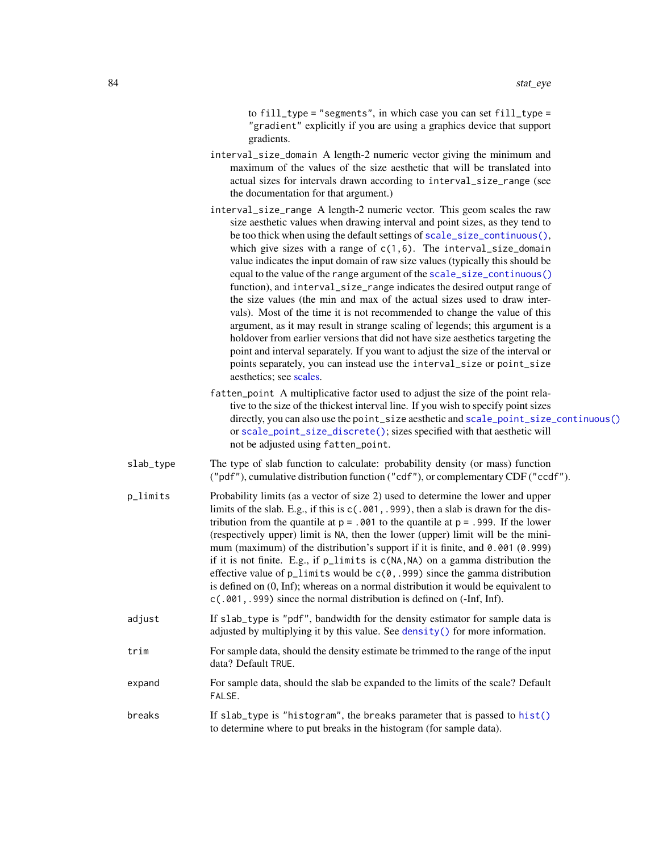to fill\_type = "segments", in which case you can set fill\_type = "gradient" explicitly if you are using a graphics device that support gradients.

- interval\_size\_domain A length-2 numeric vector giving the minimum and maximum of the values of the size aesthetic that will be translated into actual sizes for intervals drawn according to interval\_size\_range (see the documentation for that argument.)
- interval\_size\_range A length-2 numeric vector. This geom scales the raw size aesthetic values when drawing interval and point sizes, as they tend to be too thick when using the default settings of [scale\\_size\\_continuous\(\)](#page-0-0), which give sizes with a range of  $c(1,6)$ . The interval\_size\_domain value indicates the input domain of raw size values (typically this should be equal to the value of the range argument of the [scale\\_size\\_continuous\(\)](#page-0-0) function), and interval\_size\_range indicates the desired output range of the size values (the min and max of the actual sizes used to draw intervals). Most of the time it is not recommended to change the value of this argument, as it may result in strange scaling of legends; this argument is a holdover from earlier versions that did not have size aesthetics targeting the point and interval separately. If you want to adjust the size of the interval or points separately, you can instead use the interval\_size or point\_size aesthetics; see [scales.](#page-57-0)
- fatten\_point A multiplicative factor used to adjust the size of the point relative to the size of the thickest interval line. If you wish to specify point sizes directly, you can also use the point\_size aesthetic and [scale\\_point\\_size\\_continuous\(\)](#page-57-1) or [scale\\_point\\_size\\_discrete\(\)](#page-57-1); sizes specified with that aesthetic will not be adjusted using fatten\_point.
- slab\_type The type of slab function to calculate: probability density (or mass) function ("pdf"), cumulative distribution function ("cdf"), or complementary CDF ("ccdf").
- p\_limits Probability limits (as a vector of size 2) used to determine the lower and upper limits of the slab. E.g., if this is c(.001,.999), then a slab is drawn for the distribution from the quantile at  $p = 0.001$  to the quantile at  $p = 0.999$ . If the lower (respectively upper) limit is NA, then the lower (upper) limit will be the minimum (maximum) of the distribution's support if it is finite, and 0.001 (0.999) if it is not finite. E.g., if p\_limits is c(NA,NA) on a gamma distribution the effective value of  $p$ <sup>limits</sup> would be  $c(0, .999)$  since the gamma distribution is defined on (0, Inf); whereas on a normal distribution it would be equivalent to c(.001,.999) since the normal distribution is defined on (-Inf, Inf).
- adjust If slab\_type is "pdf", bandwidth for the density estimator for sample data is adjusted by multiplying it by this value. See [density\(\)](#page-0-0) for more information.
- trim For sample data, should the density estimate be trimmed to the range of the input data? Default TRUE.
- expand For sample data, should the slab be expanded to the limits of the scale? Default FALSE.
- breaks If slab\_type is "histogram", the breaks parameter that is passed to [hist\(\)](#page-0-0) to determine where to put breaks in the histogram (for sample data).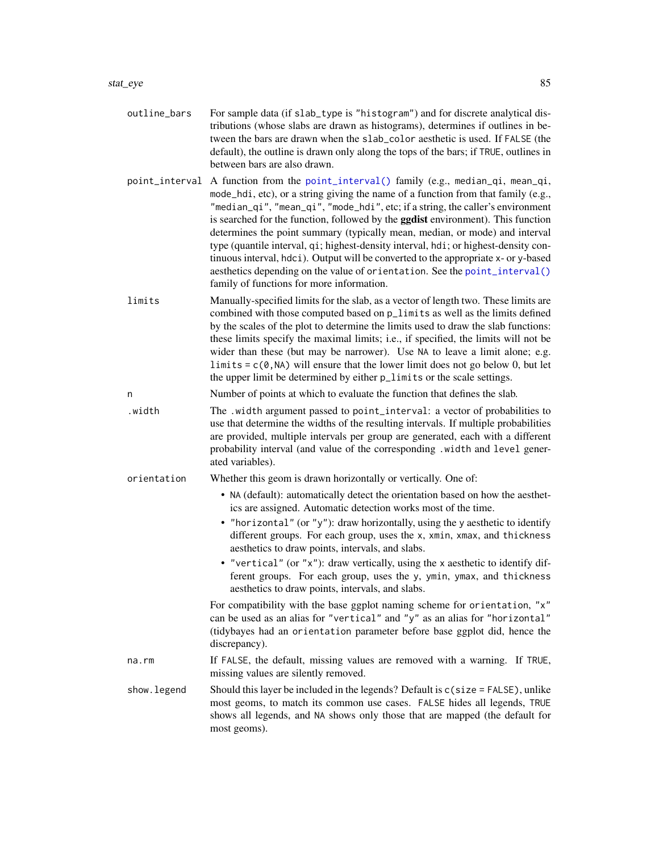- outline\_bars For sample data (if slab\_type is "histogram") and for discrete analytical distributions (whose slabs are drawn as histograms), determines if outlines in between the bars are drawn when the slab\_color aesthetic is used. If FALSE (the default), the outline is drawn only along the tops of the bars; if TRUE, outlines in between bars are also drawn.
- point\_interval A function from the [point\\_interval\(\)](#page-50-0) family (e.g., median\_qi, mean\_qi, mode\_hdi, etc), or a string giving the name of a function from that family (e.g., "median\_qi", "mean\_qi", "mode\_hdi", etc; if a string, the caller's environment is searched for the function, followed by the **ggdist** environment). This function determines the point summary (typically mean, median, or mode) and interval type (quantile interval, qi; highest-density interval, hdi; or highest-density continuous interval, hdci). Output will be converted to the appropriate x- or y-based aesthetics depending on the value of orientation. See the [point\\_interval\(\)](#page-50-0) family of functions for more information.
- limits Manually-specified limits for the slab, as a vector of length two. These limits are combined with those computed based on p\_limits as well as the limits defined by the scales of the plot to determine the limits used to draw the slab functions: these limits specify the maximal limits; i.e., if specified, the limits will not be wider than these (but may be narrower). Use NA to leave a limit alone; e.g. limits =  $c(0, NA)$  will ensure that the lower limit does not go below 0, but let the upper limit be determined by either p\_limits or the scale settings.
- n Number of points at which to evaluate the function that defines the slab.
- .width The .width argument passed to point\_interval: a vector of probabilities to use that determine the widths of the resulting intervals. If multiple probabilities are provided, multiple intervals per group are generated, each with a different probability interval (and value of the corresponding .width and level generated variables).
- orientation Whether this geom is drawn horizontally or vertically. One of:
	- NA (default): automatically detect the orientation based on how the aesthetics are assigned. Automatic detection works most of the time.
	- "horizontal" (or "y"): draw horizontally, using the y aesthetic to identify different groups. For each group, uses the x, xmin, xmax, and thickness aesthetics to draw points, intervals, and slabs.
	- "vertical" (or "x"): draw vertically, using the x aesthetic to identify different groups. For each group, uses the y, ymin, ymax, and thickness aesthetics to draw points, intervals, and slabs.

For compatibility with the base ggplot naming scheme for orientation, "x" can be used as an alias for "vertical" and "y" as an alias for "horizontal" (tidybayes had an orientation parameter before base ggplot did, hence the discrepancy).

- na.rm If FALSE, the default, missing values are removed with a warning. If TRUE, missing values are silently removed.
- show.legend Should this layer be included in the legends? Default is c(size = FALSE), unlike most geoms, to match its common use cases. FALSE hides all legends, TRUE shows all legends, and NA shows only those that are mapped (the default for most geoms).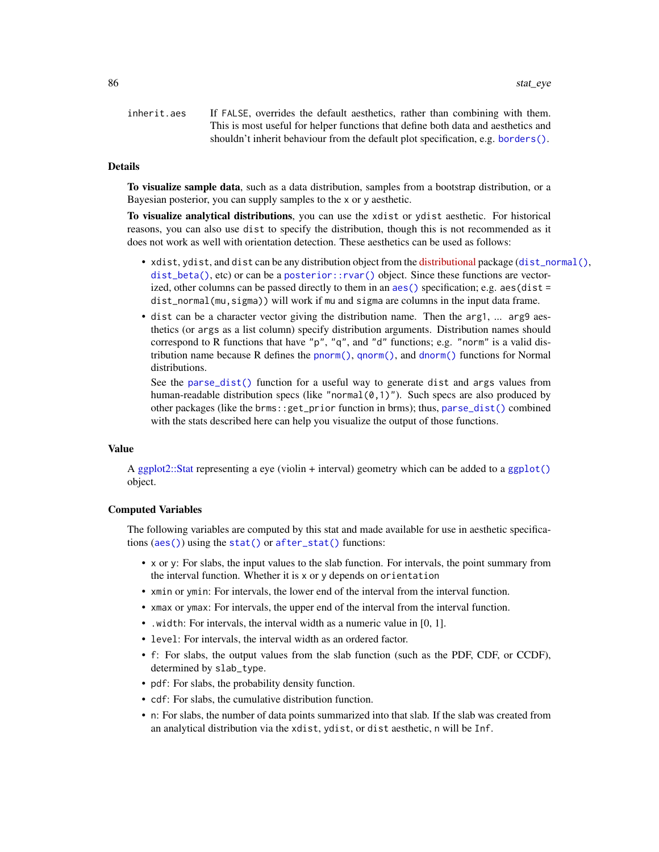inherit.aes If FALSE, overrides the default aesthetics, rather than combining with them. This is most useful for helper functions that define both data and aesthetics and shouldn't inherit behaviour from the default plot specification, e.g. [borders\(\)](#page-0-0).

# Details

To visualize sample data, such as a data distribution, samples from a bootstrap distribution, or a Bayesian posterior, you can supply samples to the x or y aesthetic.

To visualize analytical distributions, you can use the xdist or ydist aesthetic. For historical reasons, you can also use dist to specify the distribution, though this is not recommended as it does not work as well with orientation detection. These aesthetics can be used as follows:

- xdist, ydist, and dist can be any distribution object from the [distributional](https://pkg.mitchelloharawild.com/distributional/) package ([dist\\_normal\(\)](#page-0-0), [dist\\_beta\(\)](#page-0-0), etc) or can be a [posterior::rvar\(\)](#page-0-0) object. Since these functions are vectorized, other columns can be passed directly to them in an [aes\(\)](#page-0-0) specification; e.g. aes(dist = dist\_normal(mu,sigma)) will work if mu and sigma are columns in the input data frame.
- dist can be a character vector giving the distribution name. Then the arg1, ... arg9 aesthetics (or args as a list column) specify distribution arguments. Distribution names should correspond to R functions that have "p", "q", and "d" functions; e.g. "norm" is a valid distribution name because R defines the [pnorm\(\)](#page-0-0), [qnorm\(\)](#page-0-0), and [dnorm\(\)](#page-0-0) functions for Normal distributions.

See the [parse\\_dist\(\)](#page-48-0) function for a useful way to generate dist and args values from human-readable distribution specs (like "normal $(0,1)$ "). Such specs are also produced by other packages (like the brms::get\_prior function in brms); thus, [parse\\_dist\(\)](#page-48-0) combined with the stats described here can help you visualize the output of those functions.

#### Value

A [ggplot2::Stat](#page-0-0) representing a eye (violin + interval) geometry which can be added to a [ggplot\(\)](#page-0-0) object.

#### Computed Variables

The following variables are computed by this stat and made available for use in aesthetic specifications ([aes\(\)](#page-0-0)) using the [stat\(\)](#page-0-0) or [after\\_stat\(\)](#page-0-0) functions:

- x or y: For slabs, the input values to the slab function. For intervals, the point summary from the interval function. Whether it is x or y depends on orientation
- xmin or ymin: For intervals, the lower end of the interval from the interval function.
- xmax or ymax: For intervals, the upper end of the interval from the interval function.
- .width: For intervals, the interval width as a numeric value in [0, 1].
- level: For intervals, the interval width as an ordered factor.
- f: For slabs, the output values from the slab function (such as the PDF, CDF, or CCDF), determined by slab\_type.
- pdf: For slabs, the probability density function.
- cdf: For slabs, the cumulative distribution function.
- n: For slabs, the number of data points summarized into that slab. If the slab was created from an analytical distribution via the xdist, ydist, or dist aesthetic, n will be Inf.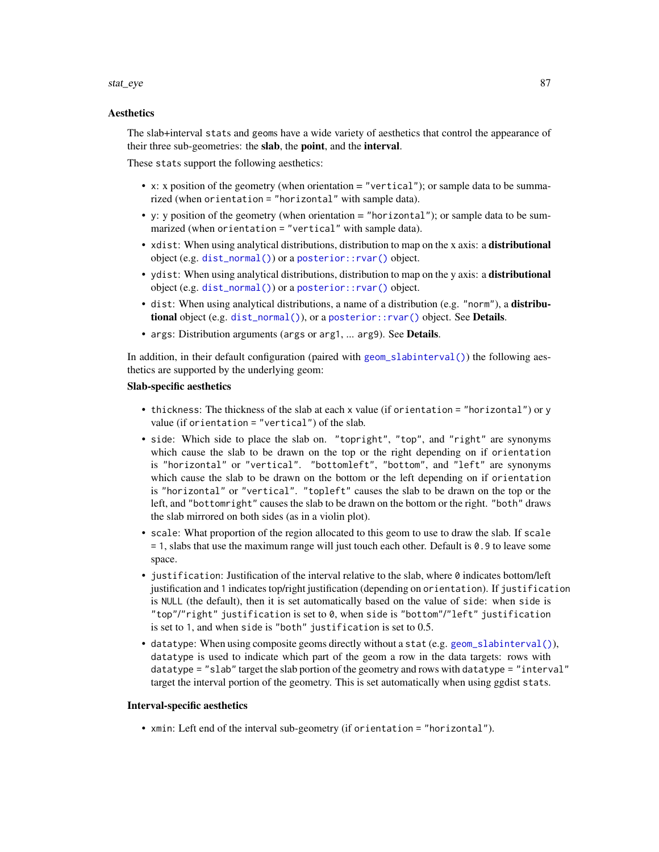#### stat\_eye 87

### **Aesthetics**

The slab+interval stats and geoms have a wide variety of aesthetics that control the appearance of their three sub-geometries: the slab, the point, and the interval.

These stats support the following aesthetics:

- x: x position of the geometry (when orientation = "vertical"); or sample data to be summarized (when orientation = "horizontal" with sample data).
- y: y position of the geometry (when orientation = "horizontal"); or sample data to be summarized (when orientation = "vertical" with sample data).
- xdist: When using analytical distributions, distribution to map on the x axis: a distributional object (e.g. [dist\\_normal\(\)](#page-0-0)) or a [posterior::rvar\(\)](#page-0-0) object.
- ydist: When using analytical distributions, distribution to map on the y axis: a distributional object (e.g. [dist\\_normal\(\)](#page-0-0)) or a [posterior::rvar\(\)](#page-0-0) object.
- dist: When using analytical distributions, a name of a distribution (e.g. "norm"), a distributional object (e.g. [dist\\_normal\(\)](#page-0-0)), or a [posterior::rvar\(\)](#page-0-0) object. See Details.
- args: Distribution arguments (args or arg1, ... arg9). See Details.

In addition, in their default configuration (paired with [geom\\_slabinterval\(\)](#page-37-0)) the following aesthetics are supported by the underlying geom:

### Slab-specific aesthetics

- thickness: The thickness of the slab at each x value (if orientation = "horizontal") or y value (if orientation = "vertical") of the slab.
- side: Which side to place the slab on. "topright", "top", and "right" are synonyms which cause the slab to be drawn on the top or the right depending on if orientation is "horizontal" or "vertical". "bottomleft", "bottom", and "left" are synonyms which cause the slab to be drawn on the bottom or the left depending on if orientation is "horizontal" or "vertical". "topleft" causes the slab to be drawn on the top or the left, and "bottomright" causes the slab to be drawn on the bottom or the right. "both" draws the slab mirrored on both sides (as in a violin plot).
- scale: What proportion of the region allocated to this geom to use to draw the slab. If scale = 1, slabs that use the maximum range will just touch each other. Default is 0.9 to leave some space.
- justification: Justification of the interval relative to the slab, where  $\theta$  indicates bottom/left justification and 1 indicates top/right justification (depending on orientation). If justification is NULL (the default), then it is set automatically based on the value of side: when side is "top"/"right" justification is set to 0, when side is "bottom"/"left" justification is set to 1, and when side is "both" justification is set to 0.5.
- datatype: When using composite geoms directly without a stat (e.g. [geom\\_slabinterval\(\)](#page-37-0)), datatype is used to indicate which part of the geom a row in the data targets: rows with datatype = "slab" target the slab portion of the geometry and rows with datatype = "interval" target the interval portion of the geometry. This is set automatically when using ggdist stats.

### Interval-specific aesthetics

• xmin: Left end of the interval sub-geometry (if orientation = "horizontal").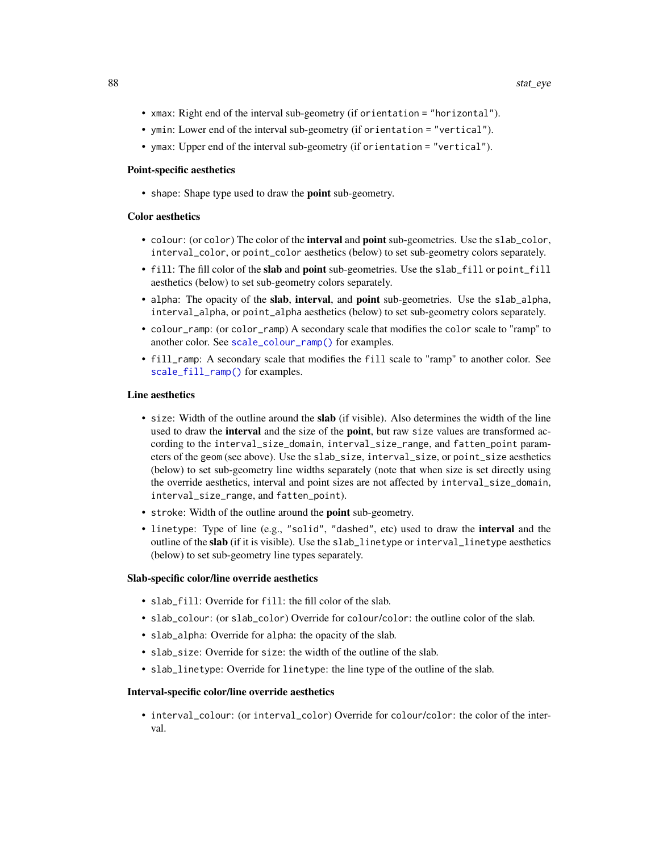- xmax: Right end of the interval sub-geometry (if orientation = "horizontal").
- ymin: Lower end of the interval sub-geometry (if orientation = "vertical").
- ymax: Upper end of the interval sub-geometry (if orientation = "vertical").

#### Point-specific aesthetics

• shape: Shape type used to draw the point sub-geometry.

### Color aesthetics

- colour: (or color) The color of the interval and point sub-geometries. Use the slab\_color, interval\_color, or point\_color aesthetics (below) to set sub-geometry colors separately.
- fill: The fill color of the slab and point sub-geometries. Use the slab\_fill or point\_fill aesthetics (below) to set sub-geometry colors separately.
- alpha: The opacity of the slab, interval, and point sub-geometries. Use the slab\_alpha, interval\_alpha, or point\_alpha aesthetics (below) to set sub-geometry colors separately.
- colour\_ramp: (or color\_ramp) A secondary scale that modifies the color scale to "ramp" to another color. See [scale\\_colour\\_ramp\(\)](#page-62-0) for examples.
- fill\_ramp: A secondary scale that modifies the fill scale to "ramp" to another color. See [scale\\_fill\\_ramp\(\)](#page-62-1) for examples.

## Line aesthetics

- size: Width of the outline around the **slab** (if visible). Also determines the width of the line used to draw the **interval** and the size of the **point**, but raw size values are transformed according to the interval\_size\_domain, interval\_size\_range, and fatten\_point parameters of the geom (see above). Use the slab\_size, interval\_size, or point\_size aesthetics (below) to set sub-geometry line widths separately (note that when size is set directly using the override aesthetics, interval and point sizes are not affected by interval\_size\_domain, interval\_size\_range, and fatten\_point).
- stroke: Width of the outline around the point sub-geometry.
- linetype: Type of line (e.g., "solid", "dashed", etc) used to draw the interval and the outline of the slab (if it is visible). Use the slab\_linetype or interval\_linetype aesthetics (below) to set sub-geometry line types separately.

# Slab-specific color/line override aesthetics

- slab\_fill: Override for fill: the fill color of the slab.
- slab\_colour: (or slab\_color) Override for colour/color: the outline color of the slab.
- slab\_alpha: Override for alpha: the opacity of the slab.
- slab\_size: Override for size: the width of the outline of the slab.
- slab\_linetype: Override for linetype: the line type of the outline of the slab.

#### Interval-specific color/line override aesthetics

• interval\_colour: (or interval\_color) Override for colour/color: the color of the interval.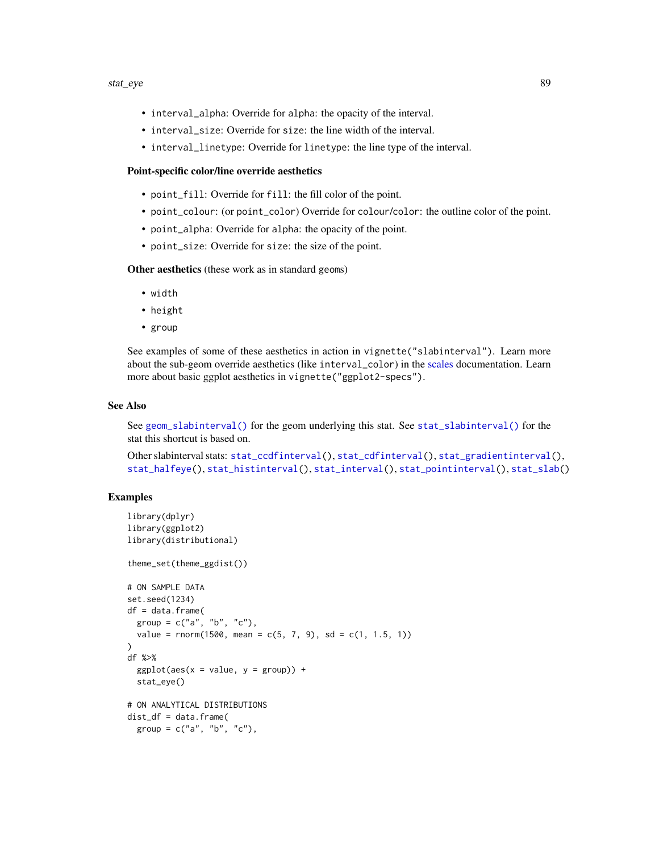#### stat\_eye 89

- interval\_alpha: Override for alpha: the opacity of the interval.
- interval\_size: Override for size: the line width of the interval.
- interval\_linetype: Override for linetype: the line type of the interval.

# Point-specific color/line override aesthetics

- point\_fill: Override for fill: the fill color of the point.
- point\_colour: (or point\_color) Override for colour/color: the outline color of the point.
- point\_alpha: Override for alpha: the opacity of the point.
- point\_size: Override for size: the size of the point.

Other aesthetics (these work as in standard geoms)

- width
- height
- group

See examples of some of these aesthetics in action in vignette("slabinterval"). Learn more about the sub-geom override aesthetics (like interval\_color) in the [scales](#page-57-0) documentation. Learn more about basic ggplot aesthetics in vignette("ggplot2-specs").

### See Also

See [geom\\_slabinterval\(\)](#page-37-0) for the geom underlying this stat. See [stat\\_slabinterval\(\)](#page-141-0) for the stat this shortcut is based on.

Other slabinterval stats: [stat\\_ccdfinterval\(](#page-64-0)), [stat\\_cdfinterval\(](#page-72-0)), [stat\\_gradientinterval\(](#page-89-0)), [stat\\_halfeye\(](#page-97-0)), [stat\\_histinterval\(](#page-105-0)), [stat\\_interval\(](#page-114-0)), [stat\\_pointinterval\(](#page-124-0)), [stat\\_slab\(](#page-134-0))

# Examples

```
library(dplyr)
library(ggplot2)
library(distributional)
theme_set(theme_ggdist())
# ON SAMPLE DATA
set.seed(1234)
df = data.frame(group = c("a", "b", "c"),value = rnorm(1500, mean = c(5, 7, 9), sd = c(1, 1.5, 1))
)
df %>%
 ggplot(aes(x = value, y = group)) +stat_eye()
# ON ANALYTICAL DISTRIBUTIONS
dist_d f = data frame(group = c("a", "b", "c"),
```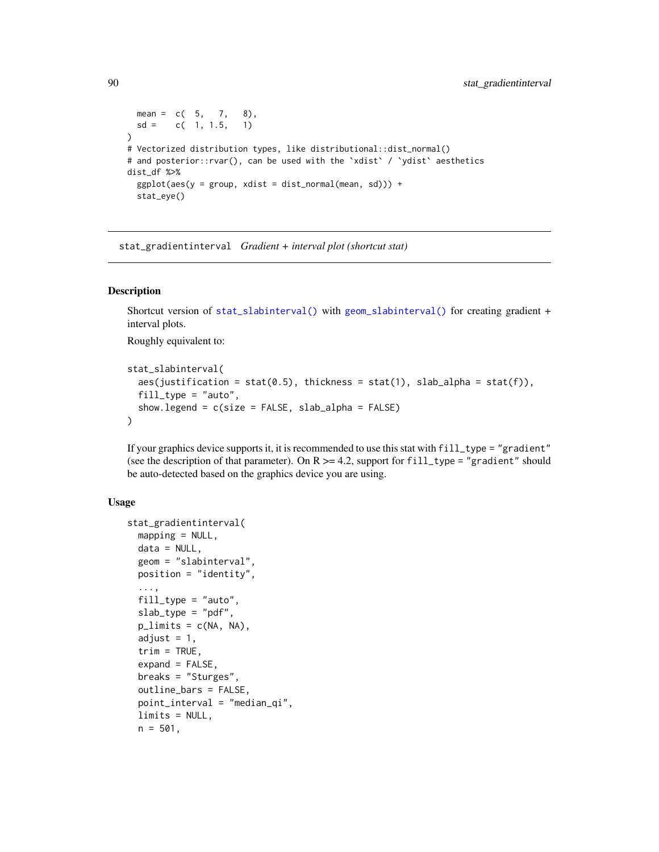```
mean = c(5, 7, 8),
 sd = c(1, 1.5, 1))
# Vectorized distribution types, like distributional::dist_normal()
# and posterior::rvar(), can be used with the 'xdist' / 'ydist' aesthetics
dist_df %>%
 ggplot(aes(y = group, xdist = dist\_normal(mean, sd))) +stat_eye()
```
<span id="page-89-0"></span>stat\_gradientinterval *Gradient + interval plot (shortcut stat)*

# **Description**

Shortcut version of [stat\\_slabinterval\(\)](#page-141-0) with [geom\\_slabinterval\(\)](#page-37-0) for creating gradient + interval plots.

Roughly equivalent to:

```
stat_slabinterval(
  aes(justification = stat(0.5), thickness = stat(1), slab_alpha = stat(f)),
  fill_type = "auto",show.legend = c(size = FALSE, slab_alpha = FALSE)
\lambda
```
If your graphics device supports it, it is recommended to use this stat with fill\_type = "gradient" (see the description of that parameter). On  $R \ge 4.2$ , support for fill\_type = "gradient" should be auto-detected based on the graphics device you are using.

# Usage

```
stat_gradientinterval(
 mapping = NULL,data = NULL,
  geom = "slabinterval",
 position = "identity",
  ...,
  fill_type = "auto",
  slab_type = "pdf",
 p_limits = c(NA, NA),
  adjust = 1,
  trim = TRUE,expand = FALSE,
 breaks = "Sturges",
  outline_bars = FALSE,
  point_interval = "median_qi",
  limits = NULL,
 n = 501,
```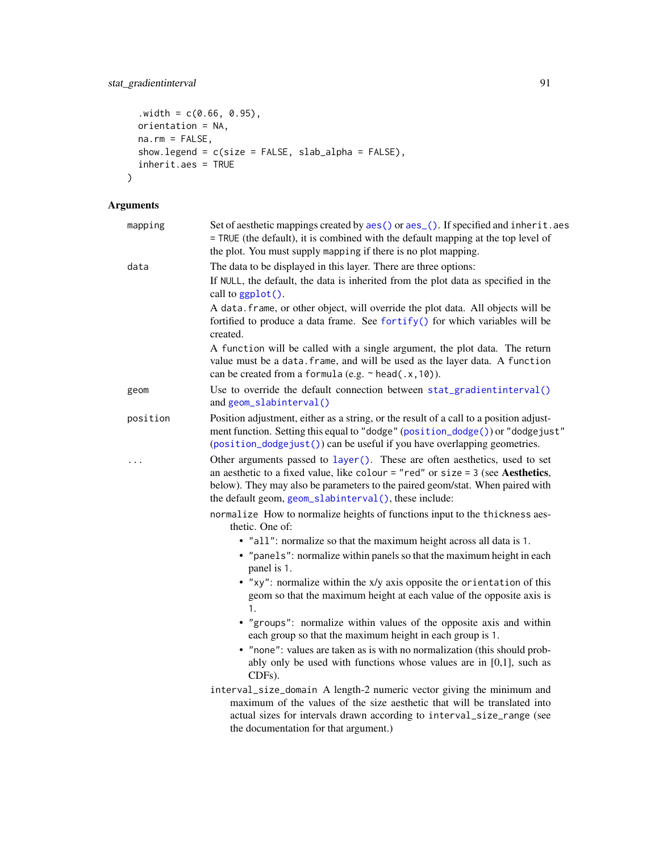```
. width = c(0.66, 0.95),orientation = NA,
 na.rm = FALSE,show.legend = c(size = FALSE, slab_alpha = FALSE),
 inherit.aes = TRUE
\mathcal{L}
```
# Arguments

| mapping  | Set of aesthetic mappings created by aes() or aes_(). If specified and inherit.aes<br>= TRUE (the default), it is combined with the default mapping at the top level of<br>the plot. You must supply mapping if there is no plot mapping.                                                                 |
|----------|-----------------------------------------------------------------------------------------------------------------------------------------------------------------------------------------------------------------------------------------------------------------------------------------------------------|
| data     | The data to be displayed in this layer. There are three options:                                                                                                                                                                                                                                          |
|          | If NULL, the default, the data is inherited from the plot data as specified in the<br>call to ggplot().                                                                                                                                                                                                   |
|          | A data. frame, or other object, will override the plot data. All objects will be<br>fortified to produce a data frame. See fortify() for which variables will be<br>created.                                                                                                                              |
|          | A function will be called with a single argument, the plot data. The return<br>value must be a data. frame, and will be used as the layer data. A function<br>can be created from a formula (e.g. ~ head(.x, 10)).                                                                                        |
| geom     | Use to override the default connection between stat_gradientinterval()<br>and geom_slabinterval()                                                                                                                                                                                                         |
| position | Position adjustment, either as a string, or the result of a call to a position adjust-<br>ment function. Setting this equal to "dodge" (position_dodge()) or "dodgejust"<br>(position_dodgejust()) can be useful if you have overlapping geometries.                                                      |
| .        | Other arguments passed to layer(). These are often aesthetics, used to set<br>an aesthetic to a fixed value, like colour = "red" or size = $3$ (see Aesthetics,<br>below). They may also be parameters to the paired geom/stat. When paired with<br>the default geom, geom_slabinterval(), these include: |
|          | normalize How to normalize heights of functions input to the thickness aes-<br>thetic. One of:                                                                                                                                                                                                            |
|          | • "all": normalize so that the maximum height across all data is 1.<br>• "panels": normalize within panels so that the maximum height in each<br>panel is 1.                                                                                                                                              |
|          | • "xy": normalize within the x/y axis opposite the orientation of this<br>geom so that the maximum height at each value of the opposite axis is<br>1.                                                                                                                                                     |
|          | • "groups": normalize within values of the opposite axis and within<br>each group so that the maximum height in each group is 1.                                                                                                                                                                          |
|          | • "none": values are taken as is with no normalization (this should prob-<br>ably only be used with functions whose values are in $[0,1]$ , such as<br>CDFs).                                                                                                                                             |
|          | interval_size_domain A length-2 numeric vector giving the minimum and<br>maximum of the values of the size aesthetic that will be translated into<br>actual sizes for intervals drawn according to interval_size_range (see<br>the documentation for that argument.)                                      |
|          |                                                                                                                                                                                                                                                                                                           |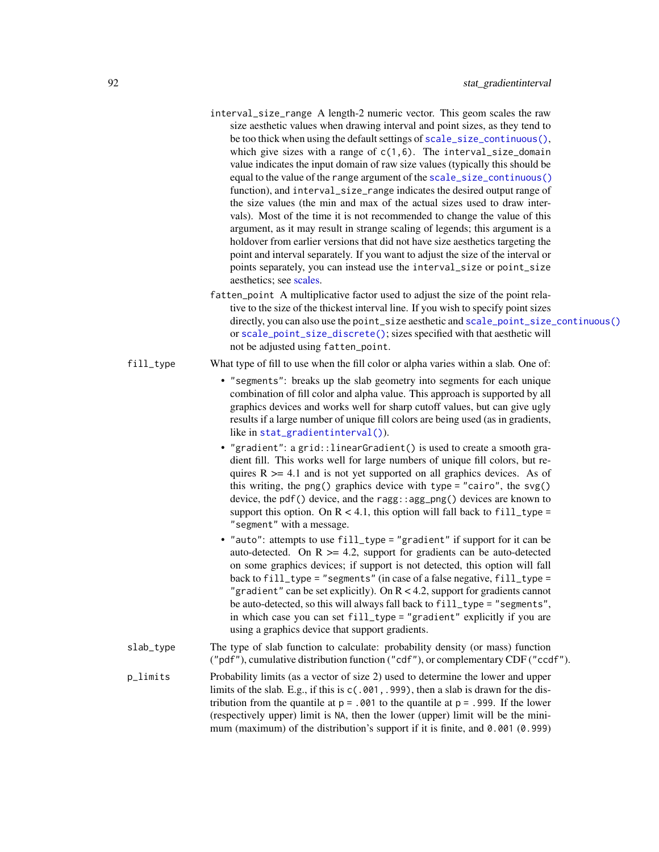| interval_size_range A length-2 numeric vector. This geom scales the raw               |
|---------------------------------------------------------------------------------------|
| size aesthetic values when drawing interval and point sizes, as they tend to          |
| be too thick when using the default settings of scale_size_continuous(),              |
| which give sizes with a range of $c(1,6)$ . The interval_size_domain                  |
| value indicates the input domain of raw size values (typically this should be         |
| equal to the value of the range argument of the scale_size_continuous()               |
| function), and interval_size_range indicates the desired output range of              |
| the size values (the min and max of the actual sizes used to draw inter-              |
| vals). Most of the time it is not recommended to change the value of this             |
| argument, as it may result in strange scaling of legends; this argument is a          |
| holdover from earlier versions that did not have size aesthetics targeting the        |
| point and interval separately. If you want to adjust the size of the interval or      |
| points separately, you can instead use the interval_size or point_size                |
| aesthetics; see scales.                                                               |
| fatten_point A multiplicative factor used to adjust the size of the point rela-       |
| tive to the size of the thickest interval line. If you wish to specify point sizes    |
| directly, you can also use the point_size aesthetic and scale_point_size_continuous() |
| or scale_point_size_discrete(); sizes specified with that aesthetic will              |
| not be adjusted using fatten_point.                                                   |

- fill\_type What type of fill to use when the fill color or alpha varies within a slab. One of:
	- "segments": breaks up the slab geometry into segments for each unique combination of fill color and alpha value. This approach is supported by all graphics devices and works well for sharp cutoff values, but can give ugly results if a large number of unique fill colors are being used (as in gradients, like in [stat\\_gradientinterval\(\)](#page-89-0)).
	- "gradient": a grid::linearGradient() is used to create a smooth gradient fill. This works well for large numbers of unique fill colors, but requires  $R \geq 4.1$  and is not yet supported on all graphics devices. As of this writing, the png() graphics device with type = "cairo", the svg() device, the pdf() device, and the ragg::agg\_png() devices are known to support this option. On  $R < 4.1$ , this option will fall back to fill\_type = "segment" with a message.
	- "auto": attempts to use fill\_type = "gradient" if support for it can be auto-detected. On  $R \geq 4.2$ , support for gradients can be auto-detected on some graphics devices; if support is not detected, this option will fall back to fill\_type = "segments" (in case of a false negative, fill\_type = "gradient" can be set explicitly). On  $R < 4.2$ , support for gradients cannot be auto-detected, so this will always fall back to fill\_type = "segments", in which case you can set fill\_type = "gradient" explicitly if you are using a graphics device that support gradients.
- slab\_type The type of slab function to calculate: probability density (or mass) function ("pdf"), cumulative distribution function ("cdf"), or complementary CDF ("ccdf").
- p\_limits Probability limits (as a vector of size 2) used to determine the lower and upper limits of the slab. E.g., if this is  $c(.001, .999)$ , then a slab is drawn for the distribution from the quantile at  $p = 0.001$  to the quantile at  $p = 0.999$ . If the lower (respectively upper) limit is NA, then the lower (upper) limit will be the minimum (maximum) of the distribution's support if it is finite, and 0.001 (0.999)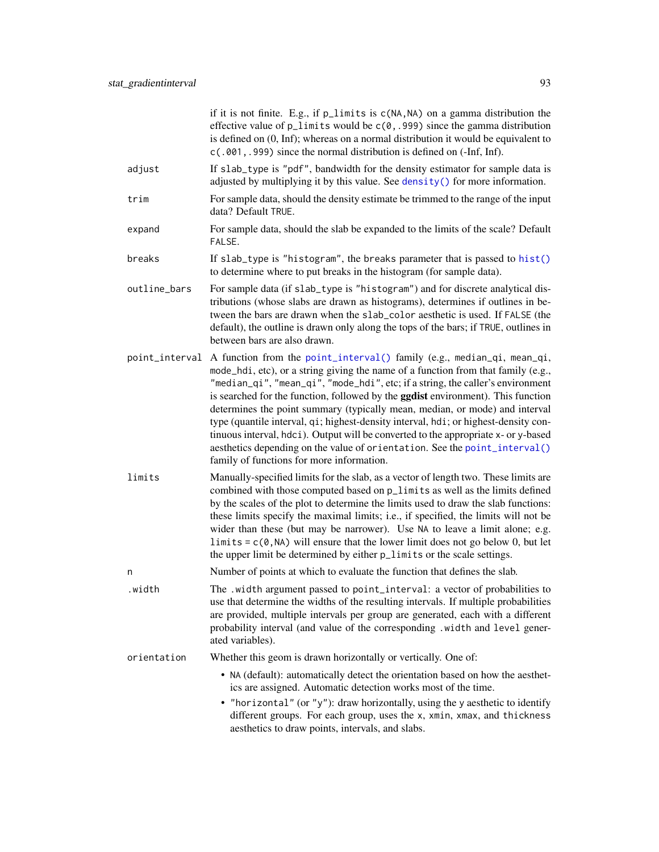if it is not finite. E.g., if p\_limits is c(NA,NA) on a gamma distribution the effective value of  $p$ <sup>limits</sup> would be  $c(0, .999)$  since the gamma distribution is defined on (0, Inf); whereas on a normal distribution it would be equivalent to c(.001,.999) since the normal distribution is defined on (-Inf, Inf).

- adjust If slab\_type is "pdf", bandwidth for the density estimator for sample data is adjusted by multiplying it by this value. See [density\(\)](#page-0-0) for more information.
- trim For sample data, should the density estimate be trimmed to the range of the input data? Default TRUE.
- expand For sample data, should the slab be expanded to the limits of the scale? Default FALSE.
- breaks If slab\_type is "histogram", the breaks parameter that is passed to [hist\(\)](#page-0-0) to determine where to put breaks in the histogram (for sample data).
- outline\_bars For sample data (if slab\_type is "histogram") and for discrete analytical distributions (whose slabs are drawn as histograms), determines if outlines in between the bars are drawn when the slab\_color aesthetic is used. If FALSE (the default), the outline is drawn only along the tops of the bars; if TRUE, outlines in between bars are also drawn.
- point\_interval A function from the [point\\_interval\(\)](#page-50-0) family (e.g., median\_qi, mean\_qi, mode\_hdi, etc), or a string giving the name of a function from that family (e.g., "median\_qi", "mean\_qi", "mode\_hdi", etc; if a string, the caller's environment is searched for the function, followed by the **ggdist** environment). This function determines the point summary (typically mean, median, or mode) and interval type (quantile interval, qi; highest-density interval, hdi; or highest-density continuous interval, hdci). Output will be converted to the appropriate x- or y-based aesthetics depending on the value of orientation. See the [point\\_interval\(\)](#page-50-0) family of functions for more information.
- limits Manually-specified limits for the slab, as a vector of length two. These limits are combined with those computed based on p\_limits as well as the limits defined by the scales of the plot to determine the limits used to draw the slab functions: these limits specify the maximal limits; i.e., if specified, the limits will not be wider than these (but may be narrower). Use NA to leave a limit alone; e.g. limits =  $c(0, NA)$  will ensure that the lower limit does not go below 0, but let the upper limit be determined by either p\_limits or the scale settings.
- n Number of points at which to evaluate the function that defines the slab.
- .width The .width argument passed to point\_interval: a vector of probabilities to use that determine the widths of the resulting intervals. If multiple probabilities are provided, multiple intervals per group are generated, each with a different probability interval (and value of the corresponding .width and level generated variables).
- orientation Whether this geom is drawn horizontally or vertically. One of:
	- NA (default): automatically detect the orientation based on how the aesthetics are assigned. Automatic detection works most of the time.
	- "horizontal" (or "y"): draw horizontally, using the y aesthetic to identify different groups. For each group, uses the x, xmin, xmax, and thickness aesthetics to draw points, intervals, and slabs.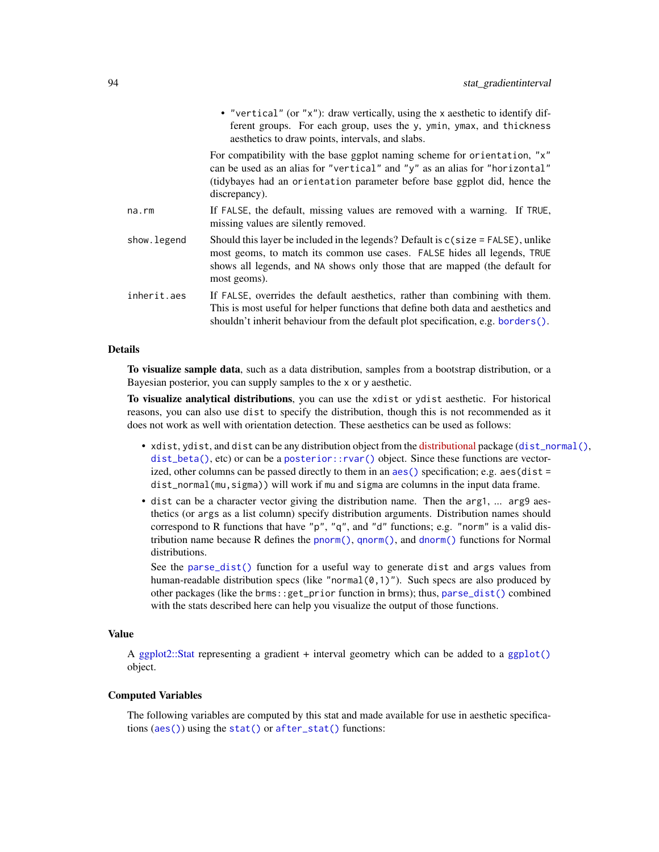|              | • "vertical" (or "x"): draw vertically, using the x aesthetic to identify dif-<br>ferent groups. For each group, uses the y, ymin, ymax, and thickness<br>aesthetics to draw points, intervals, and slabs.                                                     |
|--------------|----------------------------------------------------------------------------------------------------------------------------------------------------------------------------------------------------------------------------------------------------------------|
|              | For compatibility with the base ggplot naming scheme for orientation, "x"<br>can be used as an alias for "vertical" and "y" as an alias for "horizontal"<br>(tidybayes had an orientation parameter before base ggplot did, hence the<br>discrepancy).         |
| na.rm        | If FALSE, the default, missing values are removed with a warning. If TRUE,<br>missing values are silently removed.                                                                                                                                             |
| show. legend | Should this layer be included in the legends? Default is $c$ (size = FALSE), unlike<br>most geoms, to match its common use cases. FALSE hides all legends, TRUE<br>shows all legends, and NA shows only those that are mapped (the default for<br>most geoms). |
| inherit.aes  | If FALSE, overrides the default aesthetics, rather than combining with them.<br>This is most useful for helper functions that define both data and aesthetics and<br>shouldn't inherit behaviour from the default plot specification, e.g. borders $()$ .      |

# Details

To visualize sample data, such as a data distribution, samples from a bootstrap distribution, or a Bayesian posterior, you can supply samples to the x or y aesthetic.

To visualize analytical distributions, you can use the xdist or ydist aesthetic. For historical reasons, you can also use dist to specify the distribution, though this is not recommended as it does not work as well with orientation detection. These aesthetics can be used as follows:

- xdist, ydist, and dist can be any distribution object from the [distributional](https://pkg.mitchelloharawild.com/distributional/) package ([dist\\_normal\(\)](#page-0-0), [dist\\_beta\(\)](#page-0-0), etc) or can be a [posterior::rvar\(\)](#page-0-0) object. Since these functions are vectorized, other columns can be passed directly to them in an [aes\(\)](#page-0-0) specification; e.g. aes(dist = dist\_normal(mu,sigma)) will work if mu and sigma are columns in the input data frame.
- dist can be a character vector giving the distribution name. Then the arg1, ... arg9 aesthetics (or args as a list column) specify distribution arguments. Distribution names should correspond to R functions that have "p", "q", and "d" functions; e.g. "norm" is a valid distribution name because R defines the [pnorm\(\)](#page-0-0), [qnorm\(\)](#page-0-0), and [dnorm\(\)](#page-0-0) functions for Normal distributions.

See the [parse\\_dist\(\)](#page-48-0) function for a useful way to generate dist and args values from human-readable distribution specs (like "normal $(0,1)$ "). Such specs are also produced by other packages (like the brms::get\_prior function in brms); thus, [parse\\_dist\(\)](#page-48-0) combined with the stats described here can help you visualize the output of those functions.

# Value

A [ggplot2::Stat](#page-0-0) representing a gradient + interval geometry which can be added to a [ggplot\(\)](#page-0-0) object.

### Computed Variables

The following variables are computed by this stat and made available for use in aesthetic specifications ([aes\(\)](#page-0-0)) using the [stat\(\)](#page-0-0) or [after\\_stat\(\)](#page-0-0) functions: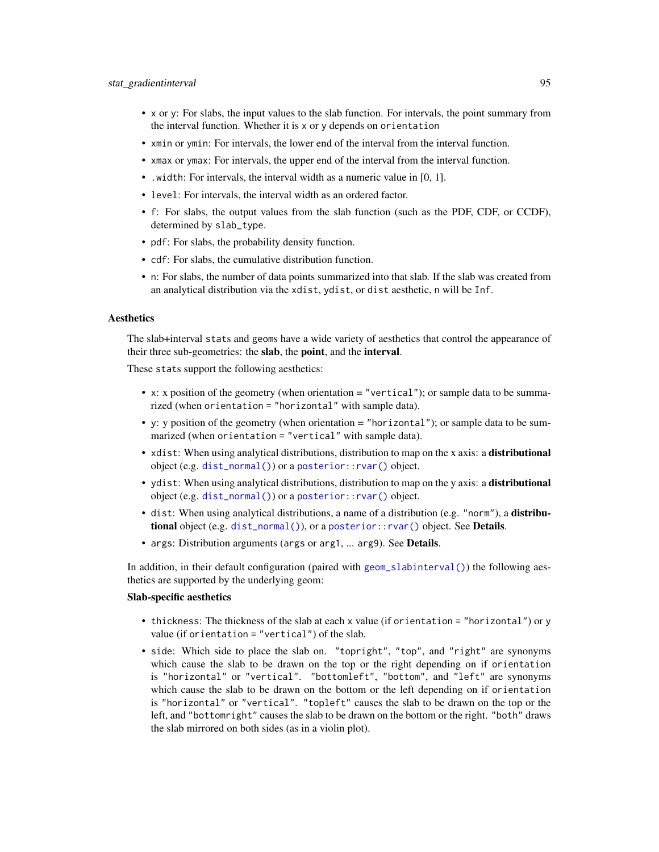- x or y: For slabs, the input values to the slab function. For intervals, the point summary from the interval function. Whether it is x or y depends on orientation
- xmin or ymin: For intervals, the lower end of the interval from the interval function.
- xmax or ymax: For intervals, the upper end of the interval from the interval function.
- .width: For intervals, the interval width as a numeric value in [0, 1].
- level: For intervals, the interval width as an ordered factor.
- f: For slabs, the output values from the slab function (such as the PDF, CDF, or CCDF), determined by slab\_type.
- pdf: For slabs, the probability density function.
- cdf: For slabs, the cumulative distribution function.
- n: For slabs, the number of data points summarized into that slab. If the slab was created from an analytical distribution via the xdist, ydist, or dist aesthetic, n will be Inf.

## **Aesthetics**

The slab+interval stats and geoms have a wide variety of aesthetics that control the appearance of their three sub-geometries: the slab, the point, and the interval.

These stats support the following aesthetics:

- x: x position of the geometry (when orientation = "vertical"); or sample data to be summarized (when orientation = "horizontal" with sample data).
- y: y position of the geometry (when orientation = "horizontal"); or sample data to be summarized (when orientation = "vertical" with sample data).
- xdist: When using analytical distributions, distribution to map on the x axis: a distributional object (e.g. [dist\\_normal\(\)](#page-0-0)) or a [posterior::rvar\(\)](#page-0-0) object.
- ydist: When using analytical distributions, distribution to map on the y axis: a distributional object (e.g. [dist\\_normal\(\)](#page-0-0)) or a [posterior::rvar\(\)](#page-0-0) object.
- dist: When using analytical distributions, a name of a distribution (e.g. "norm"), a distributional object (e.g. [dist\\_normal\(\)](#page-0-0)), or a [posterior::rvar\(\)](#page-0-0) object. See Details.
- args: Distribution arguments (args or arg1, ... arg9). See Details.

In addition, in their default configuration (paired with [geom\\_slabinterval\(\)](#page-37-0)) the following aesthetics are supported by the underlying geom:

### Slab-specific aesthetics

- thickness: The thickness of the slab at each x value (if orientation = "horizontal") or y value (if orientation = "vertical") of the slab.
- side: Which side to place the slab on. "topright", "top", and "right" are synonyms which cause the slab to be drawn on the top or the right depending on if orientation is "horizontal" or "vertical". "bottomleft", "bottom", and "left" are synonyms which cause the slab to be drawn on the bottom or the left depending on if orientation is "horizontal" or "vertical". "topleft" causes the slab to be drawn on the top or the left, and "bottomright" causes the slab to be drawn on the bottom or the right. "both" draws the slab mirrored on both sides (as in a violin plot).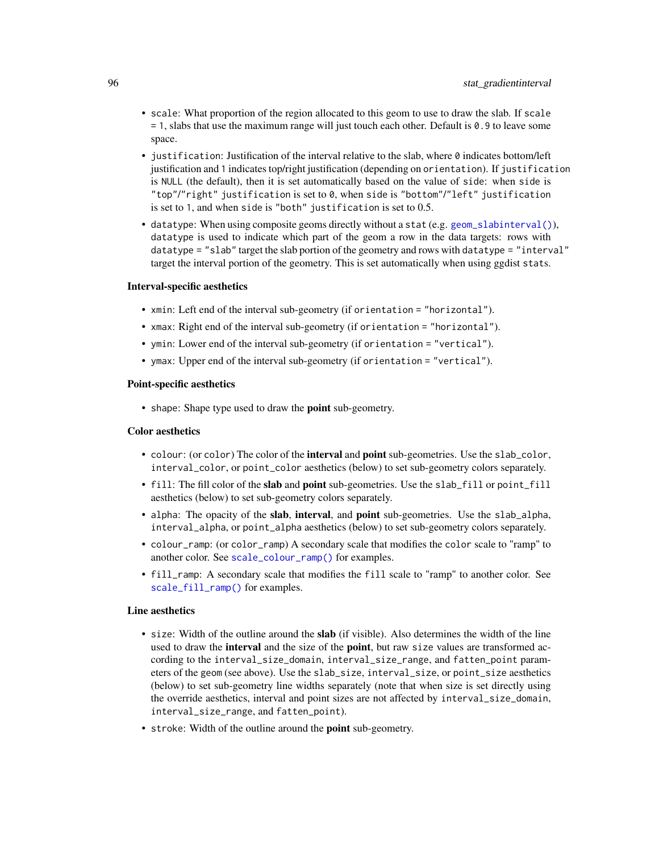- scale: What proportion of the region allocated to this geom to use to draw the slab. If scale  $= 1$ , slabs that use the maximum range will just touch each other. Default is 0.9 to leave some space.
- justification: Justification of the interval relative to the slab, where  $\theta$  indicates bottom/left justification and 1 indicates top/right justification (depending on orientation). If justification is NULL (the default), then it is set automatically based on the value of side: when side is "top"/"right" justification is set to 0, when side is "bottom"/"left" justification is set to 1, and when side is "both" justification is set to 0.5.
- datatype: When using composite geoms directly without a stat (e.g. [geom\\_slabinterval\(\)](#page-37-0)), datatype is used to indicate which part of the geom a row in the data targets: rows with datatype = "slab" target the slab portion of the geometry and rows with datatype = "interval" target the interval portion of the geometry. This is set automatically when using ggdist stats.

#### Interval-specific aesthetics

- xmin: Left end of the interval sub-geometry (if orientation = "horizontal").
- xmax: Right end of the interval sub-geometry (if orientation = "horizontal").
- ymin: Lower end of the interval sub-geometry (if orientation = "vertical").
- ymax: Upper end of the interval sub-geometry (if orientation = "vertical").

#### Point-specific aesthetics

• shape: Shape type used to draw the point sub-geometry.

#### Color aesthetics

- colour: (or color) The color of the interval and point sub-geometries. Use the slab\_color, interval\_color, or point\_color aesthetics (below) to set sub-geometry colors separately.
- fill: The fill color of the slab and point sub-geometries. Use the slab\_fill or point\_fill aesthetics (below) to set sub-geometry colors separately.
- alpha: The opacity of the slab, interval, and point sub-geometries. Use the slab\_alpha, interval\_alpha, or point\_alpha aesthetics (below) to set sub-geometry colors separately.
- colour\_ramp: (or color\_ramp) A secondary scale that modifies the color scale to "ramp" to another color. See [scale\\_colour\\_ramp\(\)](#page-62-0) for examples.
- fill\_ramp: A secondary scale that modifies the fill scale to "ramp" to another color. See [scale\\_fill\\_ramp\(\)](#page-62-1) for examples.

#### Line aesthetics

- size: Width of the outline around the **slab** (if visible). Also determines the width of the line used to draw the **interval** and the size of the **point**, but raw size values are transformed according to the interval\_size\_domain, interval\_size\_range, and fatten\_point parameters of the geom (see above). Use the slab\_size, interval\_size, or point\_size aesthetics (below) to set sub-geometry line widths separately (note that when size is set directly using the override aesthetics, interval and point sizes are not affected by interval\_size\_domain, interval\_size\_range, and fatten\_point).
- stroke: Width of the outline around the point sub-geometry.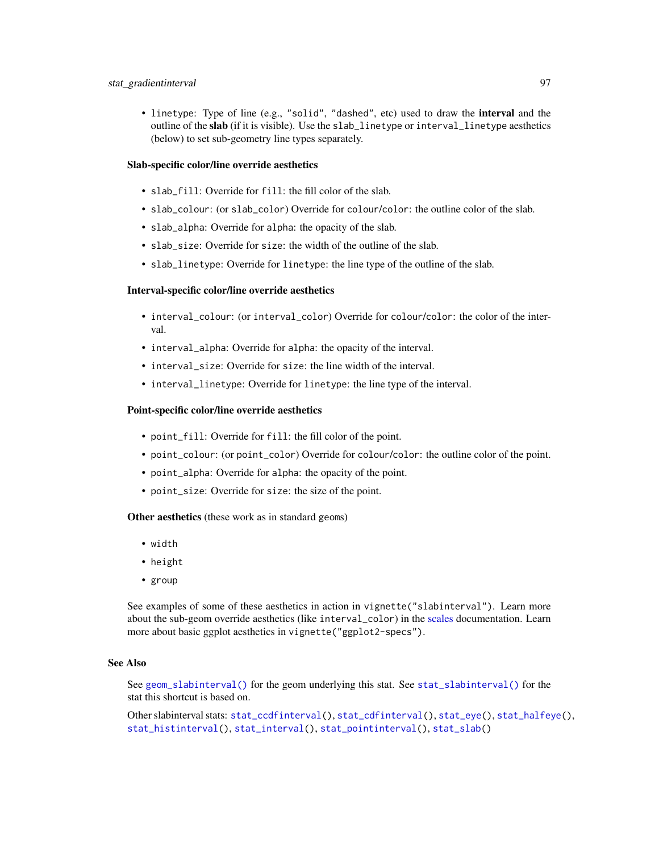• linetype: Type of line (e.g., "solid", "dashed", etc) used to draw the interval and the outline of the slab (if it is visible). Use the slab\_linetype or interval\_linetype aesthetics (below) to set sub-geometry line types separately.

# Slab-specific color/line override aesthetics

- slab\_fill: Override for fill: the fill color of the slab.
- slab\_colour: (or slab\_color) Override for colour/color: the outline color of the slab.
- slab\_alpha: Override for alpha: the opacity of the slab.
- slab\_size: Override for size: the width of the outline of the slab.
- slab\_linetype: Override for linetype: the line type of the outline of the slab.

### Interval-specific color/line override aesthetics

- interval\_colour: (or interval\_color) Override for colour/color: the color of the interval.
- interval\_alpha: Override for alpha: the opacity of the interval.
- interval\_size: Override for size: the line width of the interval.
- interval\_linetype: Override for linetype: the line type of the interval.

#### Point-specific color/line override aesthetics

- point\_fill: Override for fill: the fill color of the point.
- point\_colour: (or point\_color) Override for colour/color: the outline color of the point.
- point\_alpha: Override for alpha: the opacity of the point.
- point\_size: Override for size: the size of the point.

Other aesthetics (these work as in standard geoms)

- width
- height
- group

See examples of some of these aesthetics in action in vignette("slabinterval"). Learn more about the sub-geom override aesthetics (like interval\_color) in the [scales](#page-57-0) documentation. Learn more about basic ggplot aesthetics in vignette("ggplot2-specs").

# See Also

See [geom\\_slabinterval\(\)](#page-37-0) for the geom underlying this stat. See [stat\\_slabinterval\(\)](#page-141-0) for the stat this shortcut is based on.

Other slabinterval stats: [stat\\_ccdfinterval\(](#page-64-0)), [stat\\_cdfinterval\(](#page-72-0)), [stat\\_eye\(](#page-81-0)), [stat\\_halfeye\(](#page-97-0)), [stat\\_histinterval\(](#page-105-0)), [stat\\_interval\(](#page-114-0)), [stat\\_pointinterval\(](#page-124-0)), [stat\\_slab\(](#page-134-0))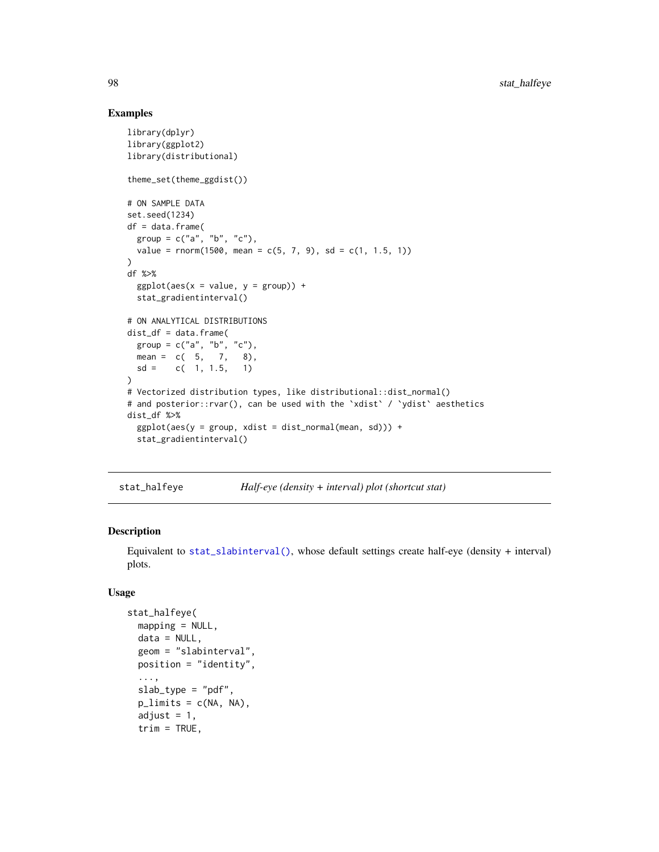## Examples

```
library(dplyr)
library(ggplot2)
library(distributional)
theme_set(theme_ggdist())
# ON SAMPLE DATA
set.seed(1234)
df = data.frame(group = c("a", "b", "c"),value = rnorm(1500, mean = c(5, 7, 9), sd = c(1, 1.5, 1))
)
df %>%
 ggplot(aes(x = value, y = group)) +stat_gradientinterval()
# ON ANALYTICAL DISTRIBUTIONS
dist_d f = data.frame(group = c("a", "b", "c"),
 mean = c(5, 7, 8),sd = c(1, 1.5, 1))
# Vectorized distribution types, like distributional::dist_normal()
# and posterior::rvar(), can be used with the 'xdist' / 'ydist' aesthetics
dist_df %>%
 ggplot(aes(y = group, xdist = dist\_normal(mean, sd))) +stat_gradientinterval()
```
<span id="page-97-0"></span>stat\_halfeye *Half-eye (density + interval) plot (shortcut stat)*

# Description

Equivalent to [stat\\_slabinterval\(\)](#page-141-0), whose default settings create half-eye (density + interval) plots.

### Usage

```
stat_halfeye(
 mapping = NULL,
  data = NULL,geom = "slabinterval",
 position = "identity",
  ...,
  slab_type = "pdf",
 p_limits = c(NA, NA),
  adjust = 1,
  trim = TRUE,
```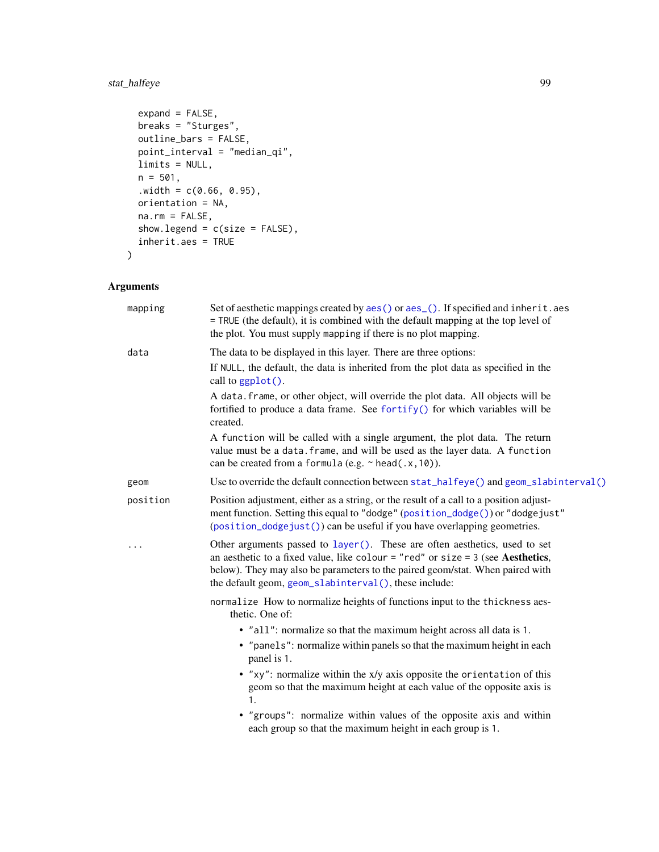# stat\_halfeye 99

```
expand = FALSE,breaks = "Sturges",
 outline_bars = FALSE,
 point_interval = "median_qi",
 limits = NULL,
 n = 501,.width = c(0.66, 0.95),orientation = NA,
 na.rm = FALSE,
 show.legend = c(size = FALSE),
 inherit.aes = TRUE
\mathcal{L}
```
# Arguments

| mapping  | Set of aesthetic mappings created by aes() or aes_(). If specified and inherit.aes<br>= TRUE (the default), it is combined with the default mapping at the top level of<br>the plot. You must supply mapping if there is no plot mapping.                                                                 |
|----------|-----------------------------------------------------------------------------------------------------------------------------------------------------------------------------------------------------------------------------------------------------------------------------------------------------------|
| data     | The data to be displayed in this layer. There are three options:                                                                                                                                                                                                                                          |
|          | If NULL, the default, the data is inherited from the plot data as specified in the<br>call to ggplot().                                                                                                                                                                                                   |
|          | A data. frame, or other object, will override the plot data. All objects will be<br>fortified to produce a data frame. See fortify() for which variables will be<br>created.                                                                                                                              |
|          | A function will be called with a single argument, the plot data. The return<br>value must be a data. frame, and will be used as the layer data. A function<br>can be created from a formula (e.g. $\sim$ head(.x, 10)).                                                                                   |
| geom     | Use to override the default connection between $stat\_halfeye()$ and $geom\_slabinterval()$                                                                                                                                                                                                               |
| position | Position adjustment, either as a string, or the result of a call to a position adjust-<br>ment function. Setting this equal to "dodge" (position_dodge()) or "dodgejust"<br>(position_dodgejust()) can be useful if you have overlapping geometries.                                                      |
| .        | Other arguments passed to layer(). These are often aesthetics, used to set<br>an aesthetic to a fixed value, like colour = "red" or size = $3$ (see Aesthetics,<br>below). They may also be parameters to the paired geom/stat. When paired with<br>the default geom, geom_slabinterval(), these include: |
|          | normalize How to normalize heights of functions input to the thickness aes-<br>thetic. One of:                                                                                                                                                                                                            |
|          | • "all": normalize so that the maximum height across all data is 1.                                                                                                                                                                                                                                       |
|          | • "panels": normalize within panels so that the maximum height in each<br>panel is 1.                                                                                                                                                                                                                     |
|          | • "xy": normalize within the x/y axis opposite the orientation of this<br>geom so that the maximum height at each value of the opposite axis is<br>$\mathbf{1}$ .                                                                                                                                         |
|          | • "groups": normalize within values of the opposite axis and within<br>each group so that the maximum height in each group is 1.                                                                                                                                                                          |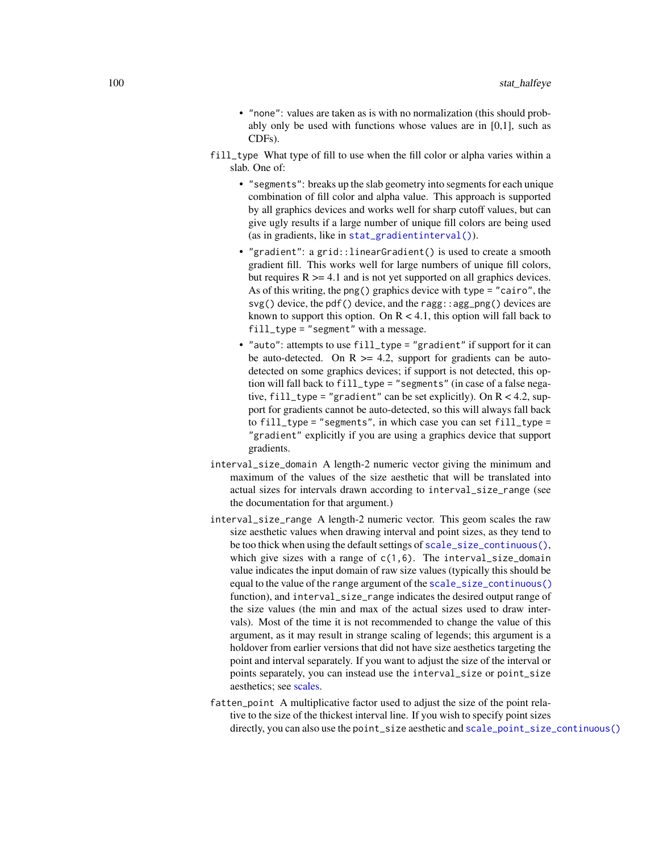- "none": values are taken as is with no normalization (this should probably only be used with functions whose values are in [0,1], such as CDFs).
- fill\_type What type of fill to use when the fill color or alpha varies within a slab. One of:
	- "segments": breaks up the slab geometry into segments for each unique combination of fill color and alpha value. This approach is supported by all graphics devices and works well for sharp cutoff values, but can give ugly results if a large number of unique fill colors are being used (as in gradients, like in [stat\\_gradientinterval\(\)](#page-89-0)).
	- "gradient": a grid::linearGradient() is used to create a smooth gradient fill. This works well for large numbers of unique fill colors, but requires  $R \geq 4.1$  and is not yet supported on all graphics devices. As of this writing, the png() graphics device with type = "cairo", the  $svg()$  device, the pdf() device, and the ragg: : agg\_png() devices are known to support this option. On  $R < 4.1$ , this option will fall back to fill\_type = "segment" with a message.
	- "auto": attempts to use fill\_type = "gradient" if support for it can be auto-detected. On  $R \ge 4.2$ , support for gradients can be autodetected on some graphics devices; if support is not detected, this option will fall back to fill\_type = "segments" (in case of a false negative, fill\_type = "gradient" can be set explicitly). On  $R < 4.2$ , support for gradients cannot be auto-detected, so this will always fall back to fill\_type = "segments", in which case you can set fill\_type = "gradient" explicitly if you are using a graphics device that support gradients.
- interval\_size\_domain A length-2 numeric vector giving the minimum and maximum of the values of the size aesthetic that will be translated into actual sizes for intervals drawn according to interval\_size\_range (see the documentation for that argument.)
- interval\_size\_range A length-2 numeric vector. This geom scales the raw size aesthetic values when drawing interval and point sizes, as they tend to be too thick when using the default settings of [scale\\_size\\_continuous\(\)](#page-0-0), which give sizes with a range of  $c(1,6)$ . The interval\_size\_domain value indicates the input domain of raw size values (typically this should be equal to the value of the range argument of the [scale\\_size\\_continuous\(\)](#page-0-0) function), and interval\_size\_range indicates the desired output range of the size values (the min and max of the actual sizes used to draw intervals). Most of the time it is not recommended to change the value of this argument, as it may result in strange scaling of legends; this argument is a holdover from earlier versions that did not have size aesthetics targeting the point and interval separately. If you want to adjust the size of the interval or points separately, you can instead use the interval\_size or point\_size aesthetics; see [scales.](#page-57-0)
- fatten\_point A multiplicative factor used to adjust the size of the point relative to the size of the thickest interval line. If you wish to specify point sizes directly, you can also use the point\_size aesthetic and [scale\\_point\\_size\\_continuous\(\)](#page-57-1)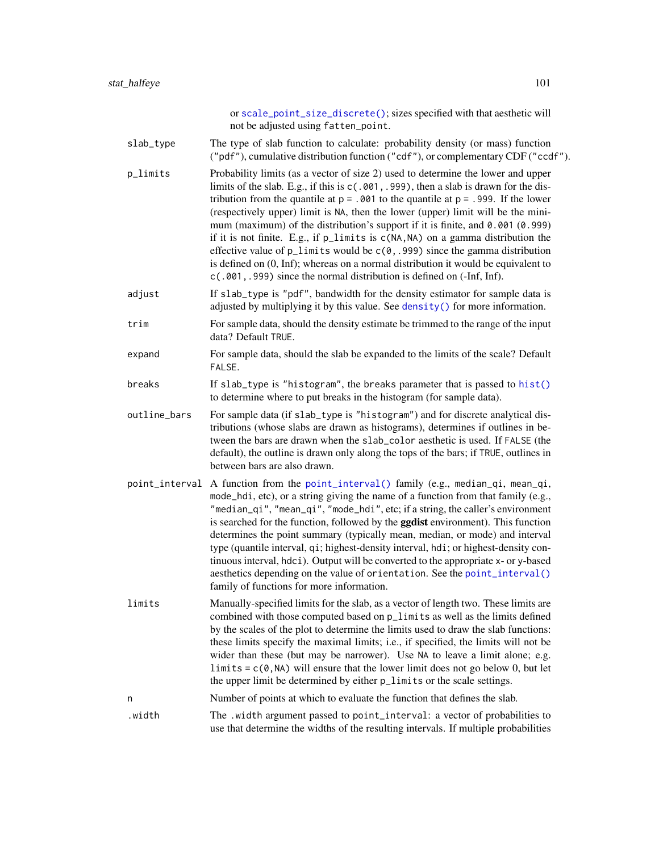or [scale\\_point\\_size\\_discrete\(\)](#page-57-1); sizes specified with that aesthetic will not be adjusted using fatten\_point. slab\_type The type of slab function to calculate: probability density (or mass) function ("pdf"), cumulative distribution function ("cdf"), or complementary CDF ("ccdf"). p\_limits Probability limits (as a vector of size 2) used to determine the lower and upper limits of the slab. E.g., if this is c(.001,.999), then a slab is drawn for the distribution from the quantile at  $p = 0.001$  to the quantile at  $p = 0.999$ . If the lower (respectively upper) limit is NA, then the lower (upper) limit will be the minimum (maximum) of the distribution's support if it is finite, and 0.001 (0.999) if it is not finite. E.g., if  $p$  limits is  $c(NA, NA)$  on a gamma distribution the effective value of  $p$ <sup>limits</sup> would be  $c(0, .999)$  since the gamma distribution is defined on (0, Inf); whereas on a normal distribution it would be equivalent to c(.001,.999) since the normal distribution is defined on (-Inf, Inf). adjust If slab\_type is "pdf", bandwidth for the density estimator for sample data is adjusted by multiplying it by this value. See [density\(\)](#page-0-0) for more information. trim For sample data, should the density estimate be trimmed to the range of the input data? Default TRUE. expand For sample data, should the slab be expanded to the limits of the scale? Default FALSE. breaks If slab\_type is "histogram", the breaks parameter that is passed to [hist\(\)](#page-0-0) to determine where to put breaks in the histogram (for sample data). outline\_bars For sample data (if slab\_type is "histogram") and for discrete analytical distributions (whose slabs are drawn as histograms), determines if outlines in between the bars are drawn when the slab\_color aesthetic is used. If FALSE (the default), the outline is drawn only along the tops of the bars; if TRUE, outlines in between bars are also drawn. point\_interval A function from the [point\\_interval\(\)](#page-50-0) family (e.g., median\_qi, mean\_qi, mode\_hdi, etc), or a string giving the name of a function from that family (e.g., "median\_qi", "mean\_qi", "mode\_hdi", etc; if a string, the caller's environment is searched for the function, followed by the **ggdist** environment). This function determines the point summary (typically mean, median, or mode) and interval type (quantile interval, qi; highest-density interval, hdi; or highest-density continuous interval, hdci). Output will be converted to the appropriate x- or y-based aesthetics depending on the value of orientation. See the [point\\_interval\(\)](#page-50-0) family of functions for more information. limits Manually-specified limits for the slab, as a vector of length two. These limits are combined with those computed based on p\_limits as well as the limits defined by the scales of the plot to determine the limits used to draw the slab functions: these limits specify the maximal limits; i.e., if specified, the limits will not be wider than these (but may be narrower). Use NA to leave a limit alone; e.g.  $\text{limits} = c(0, NA)$  will ensure that the lower limit does not go below 0, but let the upper limit be determined by either p\_limits or the scale settings. n Number of points at which to evaluate the function that defines the slab. .width The .width argument passed to point\_interval: a vector of probabilities to use that determine the widths of the resulting intervals. If multiple probabilities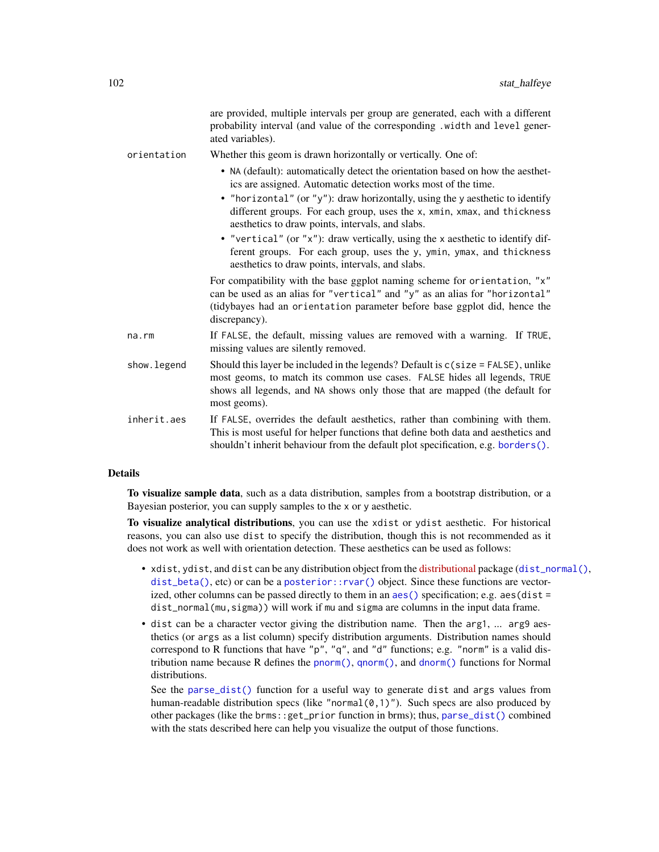|             | are provided, multiple intervals per group are generated, each with a different<br>probability interval (and value of the corresponding .width and level gener-<br>ated variables).                                                                                                                                                                             |
|-------------|-----------------------------------------------------------------------------------------------------------------------------------------------------------------------------------------------------------------------------------------------------------------------------------------------------------------------------------------------------------------|
| orientation | Whether this geom is drawn horizontally or vertically. One of:                                                                                                                                                                                                                                                                                                  |
|             | • NA (default): automatically detect the orientation based on how the aesthet-<br>ics are assigned. Automatic detection works most of the time.<br>• "horizontal" (or "y"): draw horizontally, using the y aesthetic to identify<br>different groups. For each group, uses the x, xmin, xmax, and thickness<br>aesthetics to draw points, intervals, and slabs. |
|             | • "vertical" (or "x"): draw vertically, using the x aesthetic to identify dif-<br>ferent groups. For each group, uses the y, ymin, ymax, and thickness<br>aesthetics to draw points, intervals, and slabs.                                                                                                                                                      |
|             | For compatibility with the base ggplot naming scheme for orientation, "x"<br>can be used as an alias for "vertical" and "y" as an alias for "horizontal"<br>(tidybayes had an orientation parameter before base ggplot did, hence the<br>discrepancy).                                                                                                          |
| na.rm       | If FALSE, the default, missing values are removed with a warning. If TRUE,<br>missing values are silently removed.                                                                                                                                                                                                                                              |
| show.legend | Should this layer be included in the legends? Default is c(size = FALSE), unlike<br>most geoms, to match its common use cases. FALSE hides all legends, TRUE<br>shows all legends, and NA shows only those that are mapped (the default for<br>most geoms).                                                                                                     |
| inherit.aes | If FALSE, overrides the default aesthetics, rather than combining with them.<br>This is most useful for helper functions that define both data and aesthetics and<br>shouldn't inherit behaviour from the default plot specification, e.g. borders().                                                                                                           |

# Details

To visualize sample data, such as a data distribution, samples from a bootstrap distribution, or a Bayesian posterior, you can supply samples to the x or y aesthetic.

To visualize analytical distributions, you can use the xdist or ydist aesthetic. For historical reasons, you can also use dist to specify the distribution, though this is not recommended as it does not work as well with orientation detection. These aesthetics can be used as follows:

- xdist, ydist, and dist can be any distribution object from the [distributional](https://pkg.mitchelloharawild.com/distributional/) package ([dist\\_normal\(\)](#page-0-0),  $dist{\text{-}beta}$ , etc) or can be a posterior:: $rvar()$  object. Since these functions are vectorized, other columns can be passed directly to them in an  $aes()$  specification; e.g.  $aes(dist =$ dist\_normal(mu,sigma)) will work if mu and sigma are columns in the input data frame.
- dist can be a character vector giving the distribution name. Then the arg1, ... arg9 aesthetics (or args as a list column) specify distribution arguments. Distribution names should correspond to R functions that have "p", "q", and "d" functions; e.g. "norm" is a valid distribution name because R defines the [pnorm\(\)](#page-0-0), [qnorm\(\)](#page-0-0), and [dnorm\(\)](#page-0-0) functions for Normal distributions.

See the [parse\\_dist\(\)](#page-48-0) function for a useful way to generate dist and args values from human-readable distribution specs (like "normal $(0,1)$ "). Such specs are also produced by other packages (like the brms::get\_prior function in brms); thus, [parse\\_dist\(\)](#page-48-0) combined with the stats described here can help you visualize the output of those functions.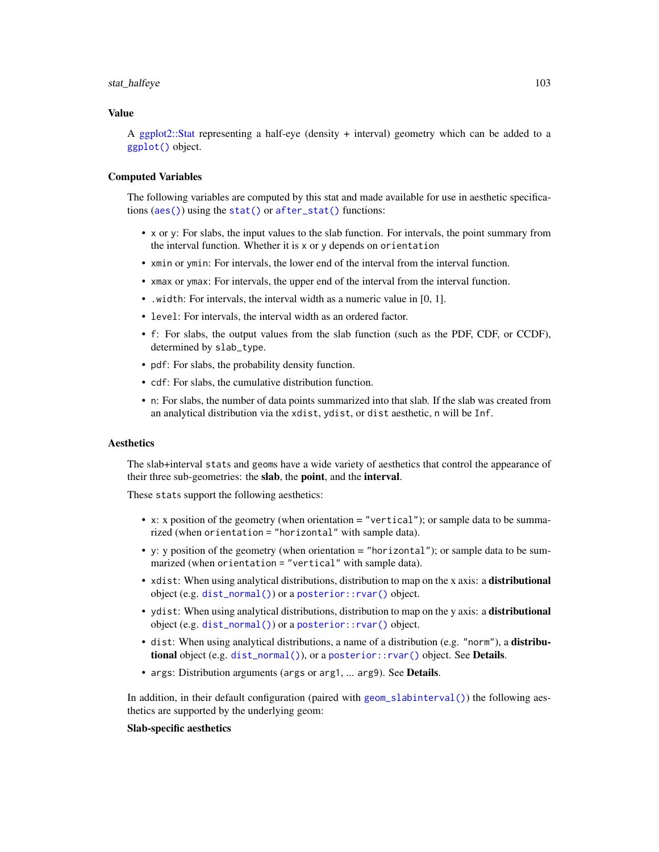#### stat\_halfeye 103

#### Value

A [ggplot2::Stat](#page-0-0) representing a half-eye (density + interval) geometry which can be added to a [ggplot\(\)](#page-0-0) object.

# Computed Variables

The following variables are computed by this stat and made available for use in aesthetic specifications ([aes\(\)](#page-0-0)) using the [stat\(\)](#page-0-0) or [after\\_stat\(\)](#page-0-0) functions:

- x or y: For slabs, the input values to the slab function. For intervals, the point summary from the interval function. Whether it is x or y depends on orientation
- xmin or ymin: For intervals, the lower end of the interval from the interval function.
- xmax or ymax: For intervals, the upper end of the interval from the interval function.
- .width: For intervals, the interval width as a numeric value in [0, 1].
- level: For intervals, the interval width as an ordered factor.
- f: For slabs, the output values from the slab function (such as the PDF, CDF, or CCDF), determined by slab\_type.
- pdf: For slabs, the probability density function.
- cdf: For slabs, the cumulative distribution function.
- n: For slabs, the number of data points summarized into that slab. If the slab was created from an analytical distribution via the xdist, ydist, or dist aesthetic, n will be Inf.

# **Aesthetics**

The slab+interval stats and geoms have a wide variety of aesthetics that control the appearance of their three sub-geometries: the slab, the point, and the interval.

These stats support the following aesthetics:

- x: x position of the geometry (when orientation = "vertical"); or sample data to be summarized (when orientation = "horizontal" with sample data).
- y: y position of the geometry (when orientation = "horizontal"); or sample data to be summarized (when orientation = "vertical" with sample data).
- xdist: When using analytical distributions, distribution to map on the x axis: a distributional object (e.g. [dist\\_normal\(\)](#page-0-0)) or a [posterior::rvar\(\)](#page-0-0) object.
- ydist: When using analytical distributions, distribution to map on the y axis: a distributional object (e.g. [dist\\_normal\(\)](#page-0-0)) or a [posterior::rvar\(\)](#page-0-0) object.
- dist: When using analytical distributions, a name of a distribution (e.g. "norm"), a distributional object (e.g. [dist\\_normal\(\)](#page-0-0)), or a [posterior::rvar\(\)](#page-0-0) object. See Details.
- args: Distribution arguments (args or arg1, ... arg9). See Details.

In addition, in their default configuration (paired with [geom\\_slabinterval\(\)](#page-37-0)) the following aesthetics are supported by the underlying geom:

#### Slab-specific aesthetics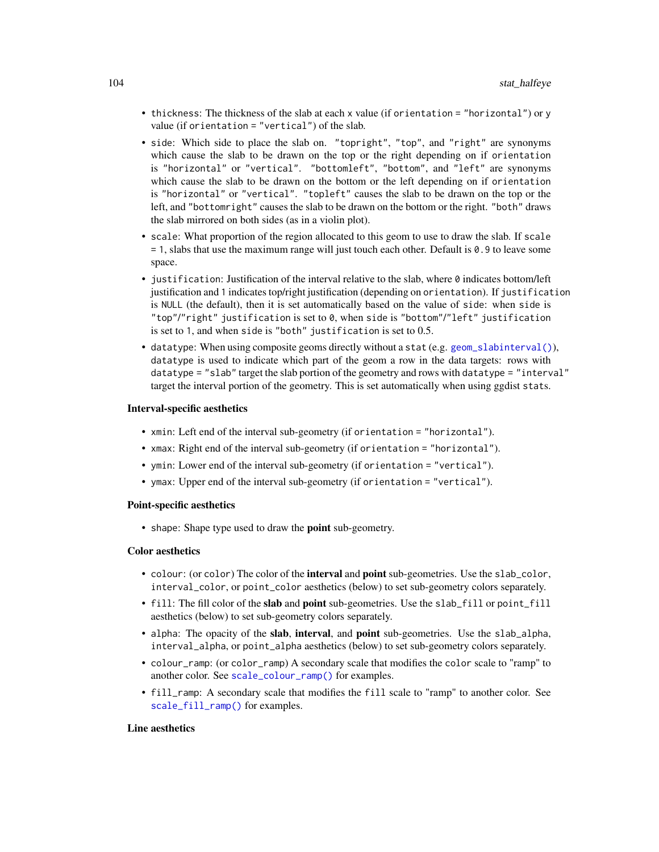- thickness: The thickness of the slab at each x value (if orientation = "horizontal") or y value (if orientation = "vertical") of the slab.
- side: Which side to place the slab on. "topright", "top", and "right" are synonyms which cause the slab to be drawn on the top or the right depending on if orientation is "horizontal" or "vertical". "bottomleft", "bottom", and "left" are synonyms which cause the slab to be drawn on the bottom or the left depending on if orientation is "horizontal" or "vertical". "topleft" causes the slab to be drawn on the top or the left, and "bottomright" causes the slab to be drawn on the bottom or the right. "both" draws the slab mirrored on both sides (as in a violin plot).
- scale: What proportion of the region allocated to this geom to use to draw the slab. If scale = 1, slabs that use the maximum range will just touch each other. Default is 0.9 to leave some space.
- justification: Justification of the interval relative to the slab, where 0 indicates bottom/left justification and 1 indicates top/right justification (depending on orientation). If justification is NULL (the default), then it is set automatically based on the value of side: when side is "top"/"right" justification is set to 0, when side is "bottom"/"left" justification is set to 1, and when side is "both" justification is set to 0.5.
- datatype: When using composite geoms directly without a stat (e.g. [geom\\_slabinterval\(\)](#page-37-0)), datatype is used to indicate which part of the geom a row in the data targets: rows with datatype = "slab" target the slab portion of the geometry and rows with datatype = "interval" target the interval portion of the geometry. This is set automatically when using ggdist stats.

### Interval-specific aesthetics

- xmin: Left end of the interval sub-geometry (if orientation = "horizontal").
- xmax: Right end of the interval sub-geometry (if orientation = "horizontal").
- ymin: Lower end of the interval sub-geometry (if orientation = "vertical").
- ymax: Upper end of the interval sub-geometry (if orientation = "vertical").

## Point-specific aesthetics

• shape: Shape type used to draw the **point** sub-geometry.

### Color aesthetics

- colour: (or color) The color of the interval and point sub-geometries. Use the slab\_color, interval\_color, or point\_color aesthetics (below) to set sub-geometry colors separately.
- fill: The fill color of the slab and point sub-geometries. Use the slab\_fill or point\_fill aesthetics (below) to set sub-geometry colors separately.
- alpha: The opacity of the slab, interval, and point sub-geometries. Use the slab\_alpha, interval\_alpha, or point\_alpha aesthetics (below) to set sub-geometry colors separately.
- colour\_ramp: (or color\_ramp) A secondary scale that modifies the color scale to "ramp" to another color. See [scale\\_colour\\_ramp\(\)](#page-62-0) for examples.
- fill\_ramp: A secondary scale that modifies the fill scale to "ramp" to another color. See [scale\\_fill\\_ramp\(\)](#page-62-1) for examples.

# Line aesthetics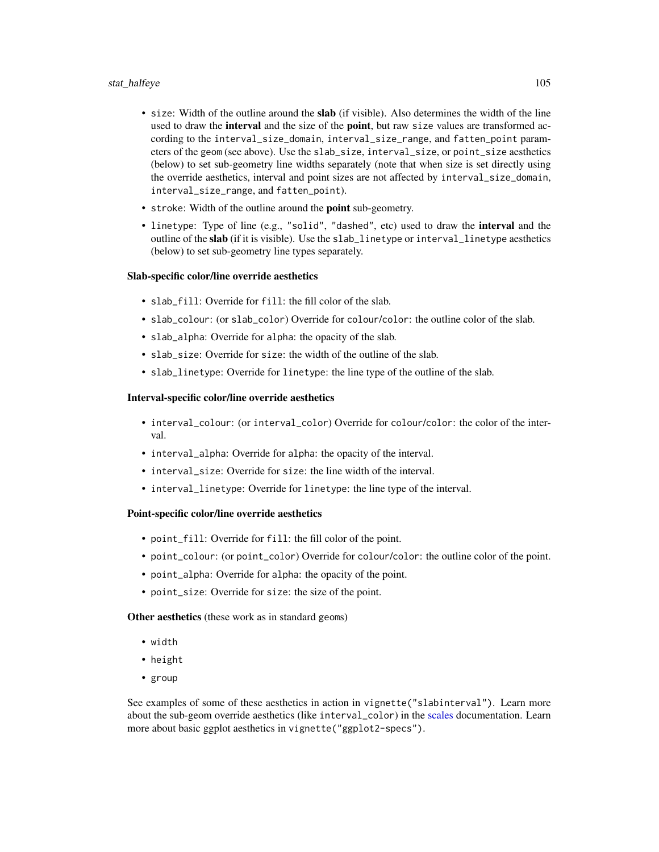# stat\_halfeye 105

- size: Width of the outline around the **slab** (if visible). Also determines the width of the line used to draw the **interval** and the size of the **point**, but raw size values are transformed according to the interval\_size\_domain, interval\_size\_range, and fatten\_point parameters of the geom (see above). Use the slab\_size, interval\_size, or point\_size aesthetics (below) to set sub-geometry line widths separately (note that when size is set directly using the override aesthetics, interval and point sizes are not affected by interval\_size\_domain, interval\_size\_range, and fatten\_point).
- stroke: Width of the outline around the point sub-geometry.
- linetype: Type of line (e.g., "solid", "dashed", etc) used to draw the interval and the outline of the slab (if it is visible). Use the slab\_linetype or interval\_linetype aesthetics (below) to set sub-geometry line types separately.

#### Slab-specific color/line override aesthetics

- slab fill: Override for fill: the fill color of the slab.
- slab\_colour: (or slab\_color) Override for colour/color: the outline color of the slab.
- slab\_alpha: Override for alpha: the opacity of the slab.
- slab\_size: Override for size: the width of the outline of the slab.
- slab\_linetype: Override for linetype: the line type of the outline of the slab.

### Interval-specific color/line override aesthetics

- interval\_colour: (or interval\_color) Override for colour/color: the color of the interval.
- interval\_alpha: Override for alpha: the opacity of the interval.
- interval\_size: Override for size: the line width of the interval.
- interval\_linetype: Override for linetype: the line type of the interval.

## Point-specific color/line override aesthetics

- point\_fill: Override for fill: the fill color of the point.
- point\_colour: (or point\_color) Override for colour/color: the outline color of the point.
- point\_alpha: Override for alpha: the opacity of the point.
- point\_size: Override for size: the size of the point.

Other aesthetics (these work as in standard geoms)

- width
- height
- group

See examples of some of these aesthetics in action in vignette("slabinterval"). Learn more about the sub-geom override aesthetics (like interval\_color) in the [scales](#page-57-0) documentation. Learn more about basic ggplot aesthetics in vignette("ggplot2-specs").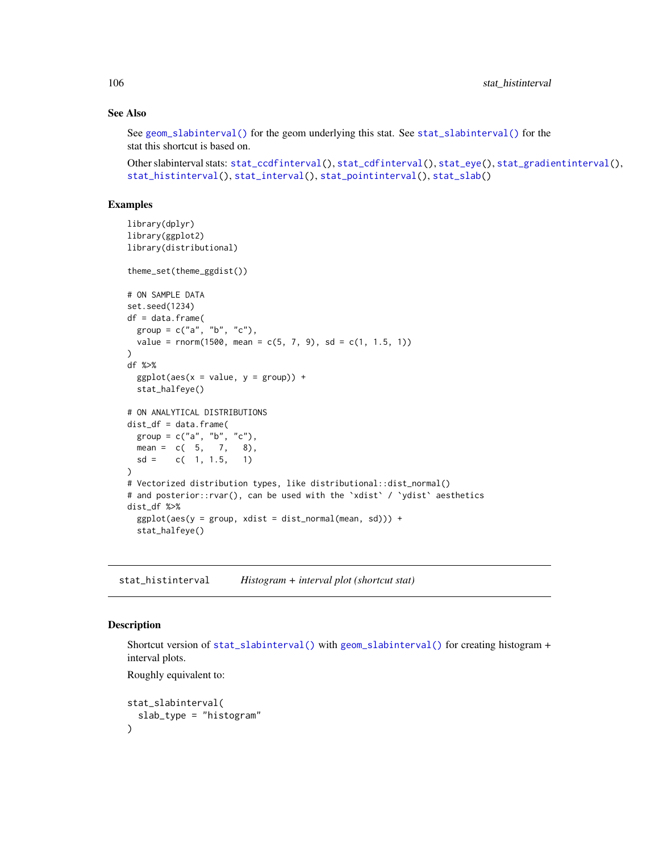## See Also

See [geom\\_slabinterval\(\)](#page-37-0) for the geom underlying this stat. See [stat\\_slabinterval\(\)](#page-141-0) for the stat this shortcut is based on.

```
stat_ccdfinterval(stat_cdfinterval(stat_eye(stat_gradientinterval(),
stat_histinterval(), stat_interval(), stat_pointinterval(), stat_slab()
```
# Examples

```
library(dplyr)
library(ggplot2)
library(distributional)
theme_set(theme_ggdist())
# ON SAMPLE DATA
set.seed(1234)
df = data.frame(
  group = c("a", "b", "c"),value = rnorm(1500, mean = c(5, 7, 9), sd = c(1, 1.5, 1))\lambdadf %>%
  ggplot(aes(x = value, y = group)) +stat_halfeye()
# ON ANALYTICAL DISTRIBUTIONS
dist_df = data.frame(
  group = c("a", "b", "c"),
  mean = c(5, 7, 8),sd = c(1, 1.5, 1))
# Vectorized distribution types, like distributional::dist_normal()
# and posterior::rvar(), can be used with the 'xdist' / 'ydist' aesthetics
dist_df %>%
  ggplot(aes(y = group, xdist = dist\_normal(mean, sd))) +stat_halfeye()
```
<span id="page-105-0"></span>stat\_histinterval *Histogram + interval plot (shortcut stat)*

### Description

Shortcut version of [stat\\_slabinterval\(\)](#page-141-0) with [geom\\_slabinterval\(\)](#page-37-0) for creating histogram + interval plots.

Roughly equivalent to:

```
stat_slabinterval(
  slab_type = "histogram"
)
```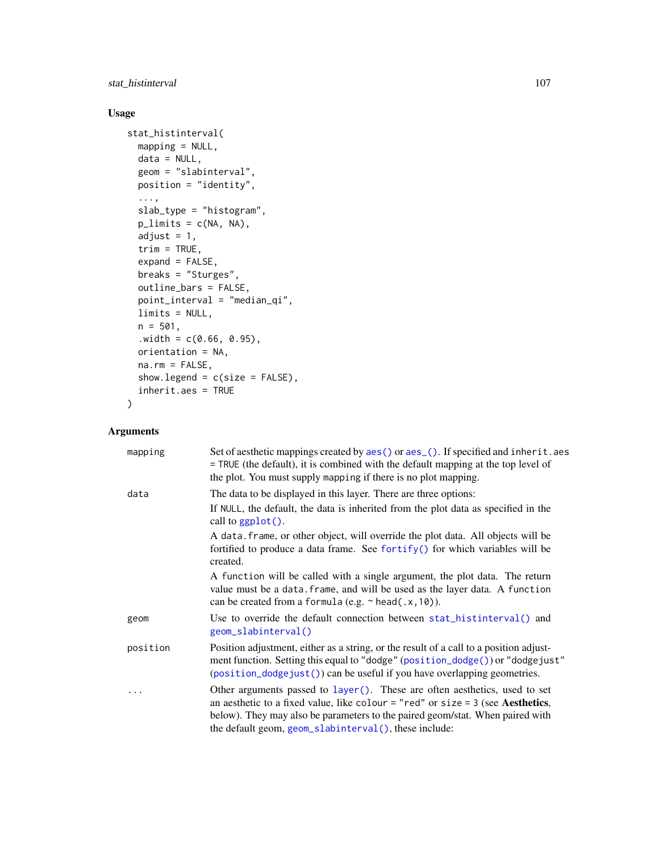# stat\_histinterval 107

# Usage

```
stat_histinterval(
 mapping = NULL,
 data = NULL,geom = "slabinterval",
 position = "identity",
  ...,
  slab_type = "histogram",
 p_limits = c(NA, NA),
  adjust = 1,trim = TRUE,expand = FALSE,
 breaks = "Sturges",
 outline_bars = FALSE,
 point_interval = "median_qi",
 limits = NULL,
 n = 501,
  .width = c(0.66, 0.95),orientation = NA,
 na.rm = FALSE,
  show.legend = c(size = FALSE),
  inherit.aes = TRUE
\mathcal{L}
```
# Arguments

| mapping  | Set of aesthetic mappings created by aes() or aes_(). If specified and inherit.aes<br>= TRUE (the default), it is combined with the default mapping at the top level of<br>the plot. You must supply mapping if there is no plot mapping.                                                                         |
|----------|-------------------------------------------------------------------------------------------------------------------------------------------------------------------------------------------------------------------------------------------------------------------------------------------------------------------|
| data     | The data to be displayed in this layer. There are three options:                                                                                                                                                                                                                                                  |
|          | If NULL, the default, the data is inherited from the plot data as specified in the<br>call to $ggplot()$ .                                                                                                                                                                                                        |
|          | A data. frame, or other object, will override the plot data. All objects will be<br>fortified to produce a data frame. See fortify() for which variables will be<br>created.                                                                                                                                      |
|          | A function will be called with a single argument, the plot data. The return<br>value must be a data. frame, and will be used as the layer data. A function<br>can be created from a formula (e.g. $\sim$ head(.x, 10)).                                                                                           |
| geom     | Use to override the default connection between stat_histinterval() and<br>geom_slabinterval()                                                                                                                                                                                                                     |
| position | Position adjustment, either as a string, or the result of a call to a position adjust-<br>ment function. Setting this equal to "dodge" (position_dodge()) or "dodgejust"<br>(position_dodgejust()) can be useful if you have overlapping geometries.                                                              |
|          | Other arguments passed to layer(). These are often aesthetics, used to set<br>an aesthetic to a fixed value, like colour = "red" or size = $3$ (see <b>Aesthetics</b> ,<br>below). They may also be parameters to the paired geom/stat. When paired with<br>the default geom, geom_slabinterval(), these include: |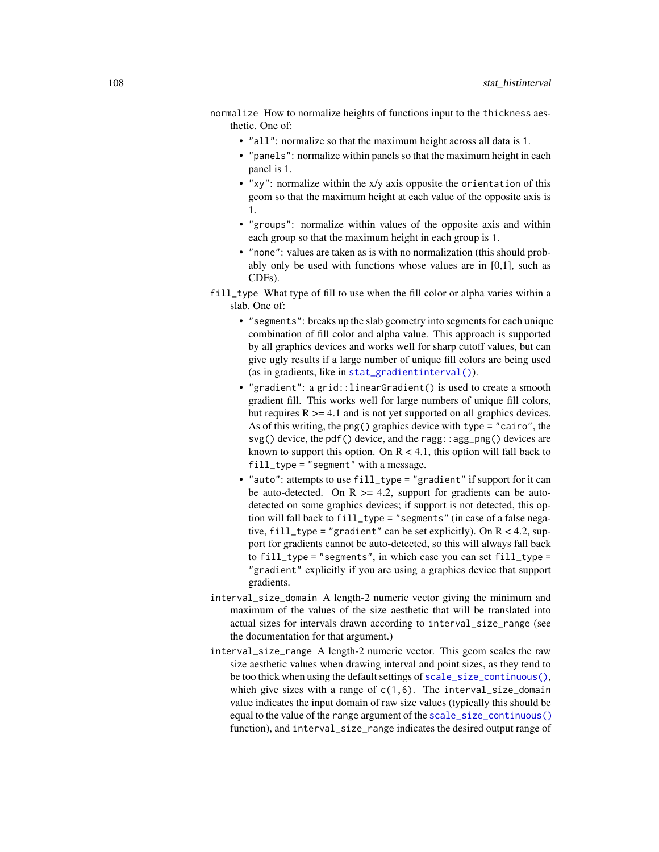- normalize How to normalize heights of functions input to the thickness aesthetic. One of:
	- "all": normalize so that the maximum height across all data is 1.
	- "panels": normalize within panels so that the maximum height in each panel is 1.
	- "xy": normalize within the x/y axis opposite the orientation of this geom so that the maximum height at each value of the opposite axis is 1.
	- "groups": normalize within values of the opposite axis and within each group so that the maximum height in each group is 1.
	- "none": values are taken as is with no normalization (this should probably only be used with functions whose values are in [0,1], such as CDFs).
- fill\_type What type of fill to use when the fill color or alpha varies within a slab. One of:
	- "segments": breaks up the slab geometry into segments for each unique combination of fill color and alpha value. This approach is supported by all graphics devices and works well for sharp cutoff values, but can give ugly results if a large number of unique fill colors are being used (as in gradients, like in [stat\\_gradientinterval\(\)](#page-89-0)).
	- "gradient": a grid::linearGradient() is used to create a smooth gradient fill. This works well for large numbers of unique fill colors, but requires  $R \geq 4.1$  and is not yet supported on all graphics devices. As of this writing, the png() graphics device with type = "cairo", the svg() device, the pdf() device, and the ragg: : agg\_png() devices are known to support this option. On  $R < 4.1$ , this option will fall back to fill\_type = "segment" with a message.
	- "auto": attempts to use fill\_type = "gradient" if support for it can be auto-detected. On  $R \geq 4.2$ , support for gradients can be autodetected on some graphics devices; if support is not detected, this option will fall back to fill\_type = "segments" (in case of a false negative,  $fill_type = "gradient"$  can be set explicitly). On  $R < 4.2$ , support for gradients cannot be auto-detected, so this will always fall back to fill\_type = "segments", in which case you can set fill\_type = "gradient" explicitly if you are using a graphics device that support gradients.
- interval\_size\_domain A length-2 numeric vector giving the minimum and maximum of the values of the size aesthetic that will be translated into actual sizes for intervals drawn according to interval\_size\_range (see the documentation for that argument.)
- interval\_size\_range A length-2 numeric vector. This geom scales the raw size aesthetic values when drawing interval and point sizes, as they tend to be too thick when using the default settings of [scale\\_size\\_continuous\(\)](#page-0-0), which give sizes with a range of  $c(1,6)$ . The interval size domain value indicates the input domain of raw size values (typically this should be equal to the value of the range argument of the [scale\\_size\\_continuous\(\)](#page-0-0) function), and interval\_size\_range indicates the desired output range of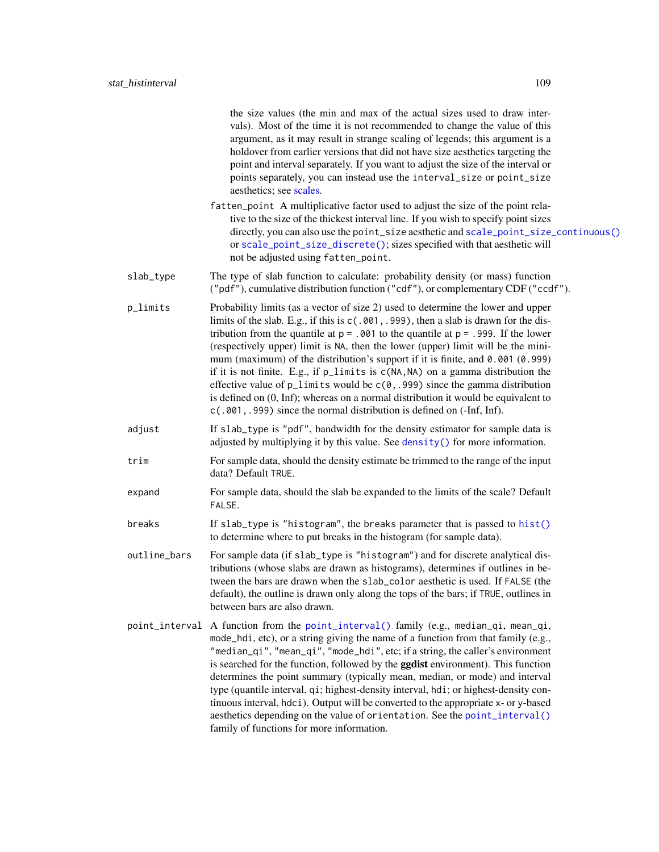the size values (the min and max of the actual sizes used to draw intervals). Most of the time it is not recommended to change the value of this argument, as it may result in strange scaling of legends; this argument is a holdover from earlier versions that did not have size aesthetics targeting the point and interval separately. If you want to adjust the size of the interval or points separately, you can instead use the interval\_size or point\_size aesthetics; see [scales.](#page-57-0)

- fatten\_point A multiplicative factor used to adjust the size of the point relative to the size of the thickest interval line. If you wish to specify point sizes directly, you can also use the point\_size aesthetic and [scale\\_point\\_size\\_continuous\(\)](#page-57-1) or [scale\\_point\\_size\\_discrete\(\)](#page-57-1); sizes specified with that aesthetic will not be adjusted using fatten\_point.
- slab\_type The type of slab function to calculate: probability density (or mass) function ("pdf"), cumulative distribution function ("cdf"), or complementary CDF ("ccdf").
- p\_limits Probability limits (as a vector of size 2) used to determine the lower and upper limits of the slab. E.g., if this is c(.001,.999), then a slab is drawn for the distribution from the quantile at  $p = 0.001$  to the quantile at  $p = 0.999$ . If the lower (respectively upper) limit is NA, then the lower (upper) limit will be the minimum (maximum) of the distribution's support if it is finite, and 0.001 (0.999) if it is not finite. E.g., if p\_limits is c(NA,NA) on a gamma distribution the effective value of  $p$ <sup>limits</sup> would be  $c(0, .999)$  since the gamma distribution is defined on (0, Inf); whereas on a normal distribution it would be equivalent to c(.001,.999) since the normal distribution is defined on (-Inf, Inf).
- adjust If slab\_type is "pdf", bandwidth for the density estimator for sample data is adjusted by multiplying it by this value. See [density\(\)](#page-0-0) for more information.
- trim For sample data, should the density estimate be trimmed to the range of the input data? Default TRUE.
- expand For sample data, should the slab be expanded to the limits of the scale? Default FALSE.
- breaks If slab\_type is "histogram", the breaks parameter that is passed to [hist\(\)](#page-0-0) to determine where to put breaks in the histogram (for sample data).
- outline\_bars For sample data (if slab\_type is "histogram") and for discrete analytical distributions (whose slabs are drawn as histograms), determines if outlines in between the bars are drawn when the slab\_color aesthetic is used. If FALSE (the default), the outline is drawn only along the tops of the bars; if TRUE, outlines in between bars are also drawn.
- point\_interval A function from the [point\\_interval\(\)](#page-50-0) family (e.g., median\_qi, mean\_qi, mode\_hdi, etc), or a string giving the name of a function from that family (e.g., "median\_qi", "mean\_qi", "mode\_hdi", etc; if a string, the caller's environment is searched for the function, followed by the **ggdist** environment). This function determines the point summary (typically mean, median, or mode) and interval type (quantile interval, qi; highest-density interval, hdi; or highest-density continuous interval, hdci). Output will be converted to the appropriate x- or y-based aesthetics depending on the value of orientation. See the [point\\_interval\(\)](#page-50-0) family of functions for more information.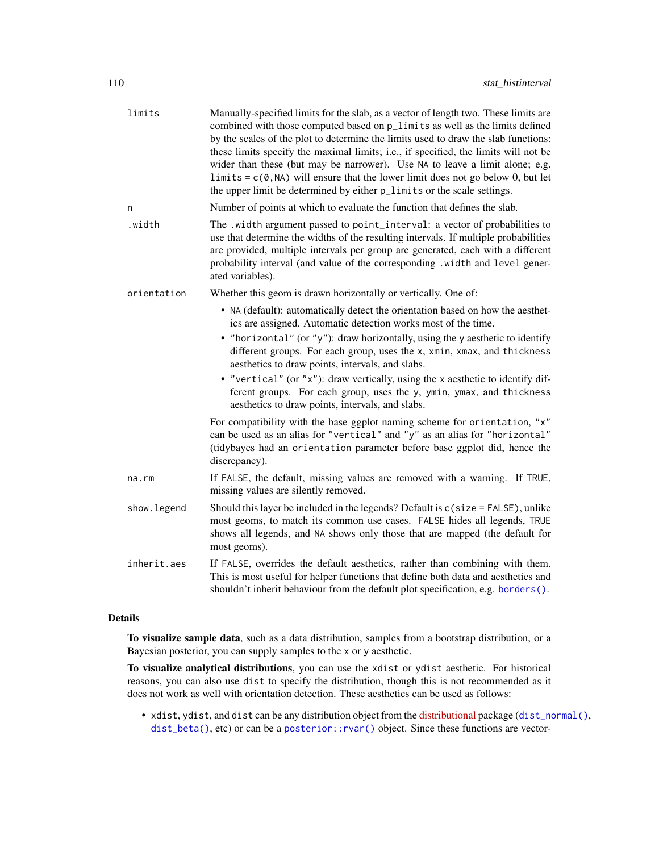| limits       | Manually-specified limits for the slab, as a vector of length two. These limits are<br>combined with those computed based on p_limits as well as the limits defined<br>by the scales of the plot to determine the limits used to draw the slab functions:<br>these limits specify the maximal limits; i.e., if specified, the limits will not be<br>wider than these (but may be narrower). Use NA to leave a limit alone; e.g.<br>limits = $c(0, NA)$ will ensure that the lower limit does not go below 0, but let<br>the upper limit be determined by either $p$ _limits or the scale settings. |
|--------------|----------------------------------------------------------------------------------------------------------------------------------------------------------------------------------------------------------------------------------------------------------------------------------------------------------------------------------------------------------------------------------------------------------------------------------------------------------------------------------------------------------------------------------------------------------------------------------------------------|
| n            | Number of points at which to evaluate the function that defines the slab.                                                                                                                                                                                                                                                                                                                                                                                                                                                                                                                          |
| .width       | The .width argument passed to point_interval: a vector of probabilities to<br>use that determine the widths of the resulting intervals. If multiple probabilities<br>are provided, multiple intervals per group are generated, each with a different<br>probability interval (and value of the corresponding .width and level gener-<br>ated variables).                                                                                                                                                                                                                                           |
| orientation  | Whether this geom is drawn horizontally or vertically. One of:                                                                                                                                                                                                                                                                                                                                                                                                                                                                                                                                     |
|              | • NA (default): automatically detect the orientation based on how the aesthet-<br>ics are assigned. Automatic detection works most of the time.                                                                                                                                                                                                                                                                                                                                                                                                                                                    |
|              | • "horizontal" (or "y"): draw horizontally, using the y aesthetic to identify<br>different groups. For each group, uses the x, xmin, xmax, and thickness<br>aesthetics to draw points, intervals, and slabs.                                                                                                                                                                                                                                                                                                                                                                                       |
|              | • "vertical" (or "x"): draw vertically, using the x aesthetic to identify dif-<br>ferent groups. For each group, uses the y, ymin, ymax, and thickness<br>aesthetics to draw points, intervals, and slabs.                                                                                                                                                                                                                                                                                                                                                                                         |
|              | For compatibility with the base ggplot naming scheme for orientation, "x"<br>can be used as an alias for "vertical" and "y" as an alias for "horizontal"<br>(tidybayes had an orientation parameter before base ggplot did, hence the<br>discrepancy).                                                                                                                                                                                                                                                                                                                                             |
| na.rm        | If FALSE, the default, missing values are removed with a warning. If TRUE,<br>missing values are silently removed.                                                                                                                                                                                                                                                                                                                                                                                                                                                                                 |
| show. legend | Should this layer be included in the legends? Default is c(size = FALSE), unlike<br>most geoms, to match its common use cases. FALSE hides all legends, TRUE<br>shows all legends, and NA shows only those that are mapped (the default for<br>most geoms).                                                                                                                                                                                                                                                                                                                                        |
| inherit.aes  | If FALSE, overrides the default aesthetics, rather than combining with them.<br>This is most useful for helper functions that define both data and aesthetics and<br>shouldn't inherit behaviour from the default plot specification, e.g. borders().                                                                                                                                                                                                                                                                                                                                              |

# Details

To visualize sample data, such as a data distribution, samples from a bootstrap distribution, or a Bayesian posterior, you can supply samples to the x or y aesthetic.

To visualize analytical distributions, you can use the xdist or ydist aesthetic. For historical reasons, you can also use dist to specify the distribution, though this is not recommended as it does not work as well with orientation detection. These aesthetics can be used as follows:

• xdist, ydist, and dist can be any distribution object from the [distributional](https://pkg.mitchelloharawild.com/distributional/) package ([dist\\_normal\(\)](#page-0-0), [dist\\_beta\(\)](#page-0-0), etc) or can be a [posterior::rvar\(\)](#page-0-0) object. Since these functions are vector-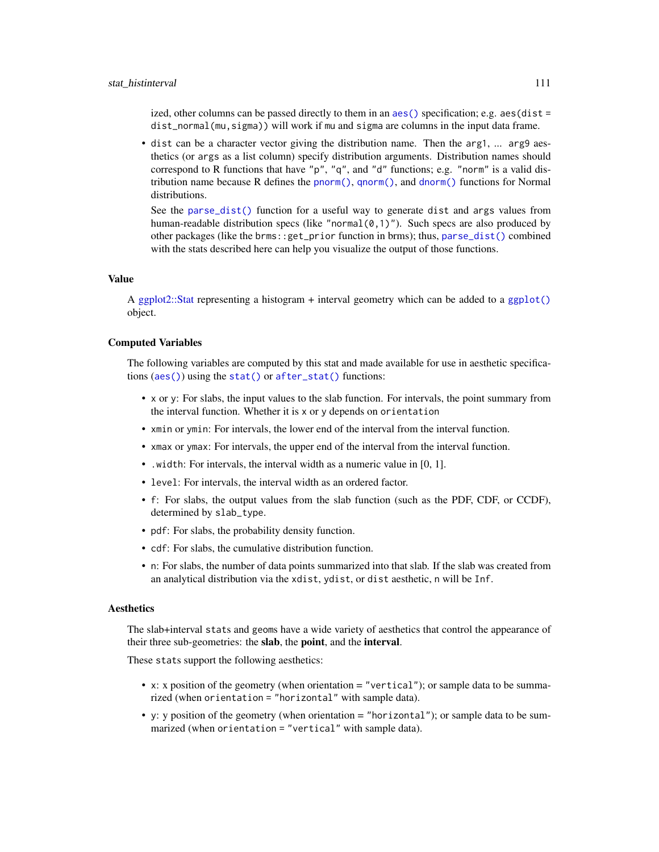#### stat histinterval that the state of the state of the state of the state of the state of the state of the state of the state of the state of the state of the state of the state of the state of the state of the state of the

ized, other columns can be passed directly to them in an aes () specification; e.g.  $a$ es(dist = dist\_normal(mu,sigma)) will work if mu and sigma are columns in the input data frame.

• dist can be a character vector giving the distribution name. Then the arg1, ... arg9 aesthetics (or args as a list column) specify distribution arguments. Distribution names should correspond to R functions that have "p", "q", and "d" functions; e.g. "norm" is a valid distribution name because R defines the [pnorm\(\)](#page-0-0), [qnorm\(\)](#page-0-0), and [dnorm\(\)](#page-0-0) functions for Normal distributions.

See the [parse\\_dist\(\)](#page-48-0) function for a useful way to generate dist and args values from human-readable distribution specs (like "normal $(0,1)$ "). Such specs are also produced by other packages (like the brms::get\_prior function in brms); thus, [parse\\_dist\(\)](#page-48-0) combined with the stats described here can help you visualize the output of those functions.

# Value

A [ggplot2::Stat](#page-0-0) representing a histogram + interval geometry which can be added to a [ggplot\(\)](#page-0-0) object.

# Computed Variables

The following variables are computed by this stat and made available for use in aesthetic specifications ([aes\(\)](#page-0-0)) using the [stat\(\)](#page-0-0) or [after\\_stat\(\)](#page-0-0) functions:

- x or y: For slabs, the input values to the slab function. For intervals, the point summary from the interval function. Whether it is x or y depends on orientation
- xmin or ymin: For intervals, the lower end of the interval from the interval function.
- xmax or ymax: For intervals, the upper end of the interval from the interval function.
- .width: For intervals, the interval width as a numeric value in [0, 1].
- level: For intervals, the interval width as an ordered factor.
- f: For slabs, the output values from the slab function (such as the PDF, CDF, or CCDF), determined by slab\_type.
- pdf: For slabs, the probability density function.
- cdf: For slabs, the cumulative distribution function.
- n: For slabs, the number of data points summarized into that slab. If the slab was created from an analytical distribution via the xdist, ydist, or dist aesthetic, n will be Inf.

# **Aesthetics**

The slab+interval stats and geoms have a wide variety of aesthetics that control the appearance of their three sub-geometries: the slab, the point, and the interval.

These stats support the following aesthetics:

- x: x position of the geometry (when orientation = "vertical"); or sample data to be summarized (when orientation = "horizontal" with sample data).
- y: y position of the geometry (when orientation = "horizontal"); or sample data to be summarized (when orientation = "vertical" with sample data).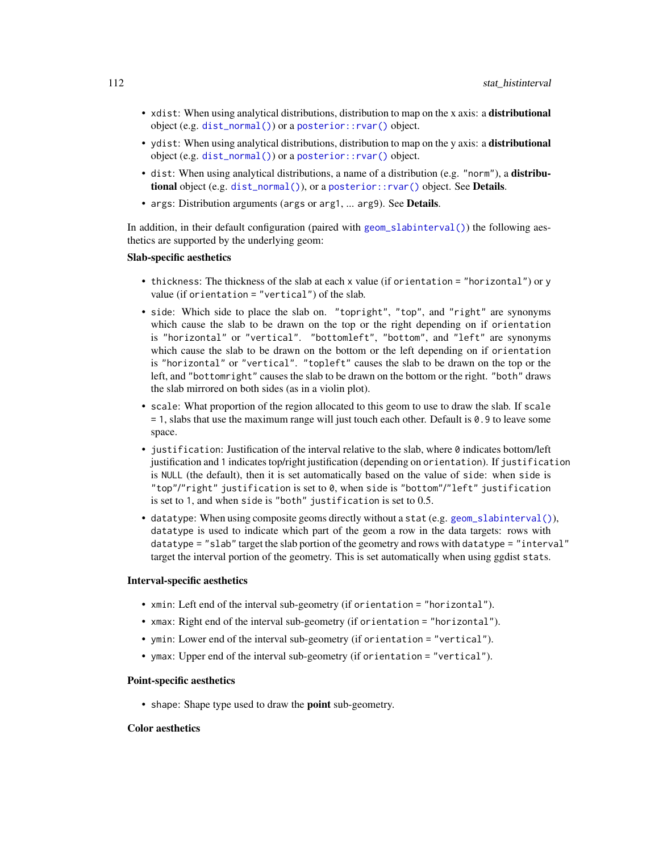- xdist: When using analytical distributions, distribution to map on the x axis: a distributional object (e.g. [dist\\_normal\(\)](#page-0-0)) or a [posterior::rvar\(\)](#page-0-0) object.
- ydist: When using analytical distributions, distribution to map on the y axis: a distributional object (e.g. [dist\\_normal\(\)](#page-0-0)) or a [posterior::rvar\(\)](#page-0-0) object.
- dist: When using analytical distributions, a name of a distribution (e.g. "norm"), a distributional object (e.g. [dist\\_normal\(\)](#page-0-0)), or a [posterior::rvar\(\)](#page-0-0) object. See Details.
- args: Distribution arguments (args or arg1, ... arg9). See Details.

In addition, in their default configuration (paired with [geom\\_slabinterval\(\)](#page-37-0)) the following aesthetics are supported by the underlying geom:

#### Slab-specific aesthetics

- thickness: The thickness of the slab at each x value (if orientation = "horizontal") or y value (if orientation = "vertical") of the slab.
- side: Which side to place the slab on. "topright", "top", and "right" are synonyms which cause the slab to be drawn on the top or the right depending on if orientation is "horizontal" or "vertical". "bottomleft", "bottom", and "left" are synonyms which cause the slab to be drawn on the bottom or the left depending on if orientation is "horizontal" or "vertical". "topleft" causes the slab to be drawn on the top or the left, and "bottomright" causes the slab to be drawn on the bottom or the right. "both" draws the slab mirrored on both sides (as in a violin plot).
- scale: What proportion of the region allocated to this geom to use to draw the slab. If scale = 1, slabs that use the maximum range will just touch each other. Default is 0.9 to leave some space.
- justification: Justification of the interval relative to the slab, where 0 indicates bottom/left justification and 1 indicates top/right justification (depending on orientation). If justification is NULL (the default), then it is set automatically based on the value of side: when side is "top"/"right" justification is set to 0, when side is "bottom"/"left" justification is set to 1, and when side is "both" justification is set to 0.5.
- datatype: When using composite geoms directly without a stat (e.g. [geom\\_slabinterval\(\)](#page-37-0)), datatype is used to indicate which part of the geom a row in the data targets: rows with datatype = "slab" target the slab portion of the geometry and rows with datatype = "interval" target the interval portion of the geometry. This is set automatically when using ggdist stats.

# Interval-specific aesthetics

- xmin: Left end of the interval sub-geometry (if orientation = "horizontal").
- xmax: Right end of the interval sub-geometry (if orientation = "horizontal").
- ymin: Lower end of the interval sub-geometry (if orientation = "vertical").
- ymax: Upper end of the interval sub-geometry (if orientation = "vertical").

# Point-specific aesthetics

• shape: Shape type used to draw the point sub-geometry.

# Color aesthetics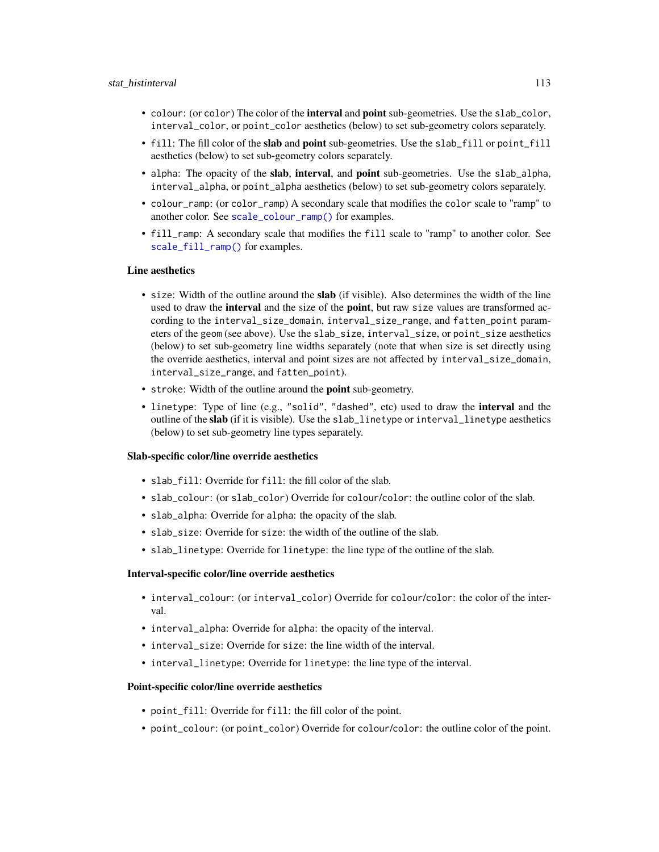#### stat histinterval 113

- colour: (or color) The color of the interval and point sub-geometries. Use the slab\_color, interval\_color, or point\_color aesthetics (below) to set sub-geometry colors separately.
- fill: The fill color of the slab and point sub-geometries. Use the slab\_fill or point\_fill aesthetics (below) to set sub-geometry colors separately.
- alpha: The opacity of the **slab, interval,** and **point** sub-geometries. Use the slab\_alpha, interval\_alpha, or point\_alpha aesthetics (below) to set sub-geometry colors separately.
- colour\_ramp: (or color\_ramp) A secondary scale that modifies the color scale to "ramp" to another color. See [scale\\_colour\\_ramp\(\)](#page-62-0) for examples.
- fill\_ramp: A secondary scale that modifies the fill scale to "ramp" to another color. See [scale\\_fill\\_ramp\(\)](#page-62-1) for examples.

# Line aesthetics

- size: Width of the outline around the **slab** (if visible). Also determines the width of the line used to draw the **interval** and the size of the **point**, but raw size values are transformed according to the interval\_size\_domain, interval\_size\_range, and fatten\_point parameters of the geom (see above). Use the slab\_size, interval\_size, or point\_size aesthetics (below) to set sub-geometry line widths separately (note that when size is set directly using the override aesthetics, interval and point sizes are not affected by interval\_size\_domain, interval\_size\_range, and fatten\_point).
- stroke: Width of the outline around the point sub-geometry.
- linetype: Type of line (e.g., "solid", "dashed", etc) used to draw the **interval** and the outline of the slab (if it is visible). Use the slab\_linetype or interval\_linetype aesthetics (below) to set sub-geometry line types separately.

## Slab-specific color/line override aesthetics

- slab fill: Override for fill: the fill color of the slab.
- slab\_colour: (or slab\_color) Override for colour/color: the outline color of the slab.
- slab\_alpha: Override for alpha: the opacity of the slab.
- slab\_size: Override for size: the width of the outline of the slab.
- slab\_linetype: Override for linetype: the line type of the outline of the slab.

# Interval-specific color/line override aesthetics

- interval\_colour: (or interval\_color) Override for colour/color: the color of the interval.
- interval\_alpha: Override for alpha: the opacity of the interval.
- interval\_size: Override for size: the line width of the interval.
- interval\_linetype: Override for linetype: the line type of the interval.

# Point-specific color/line override aesthetics

- point\_fill: Override for fill: the fill color of the point.
- point\_colour: (or point\_color) Override for colour/color: the outline color of the point.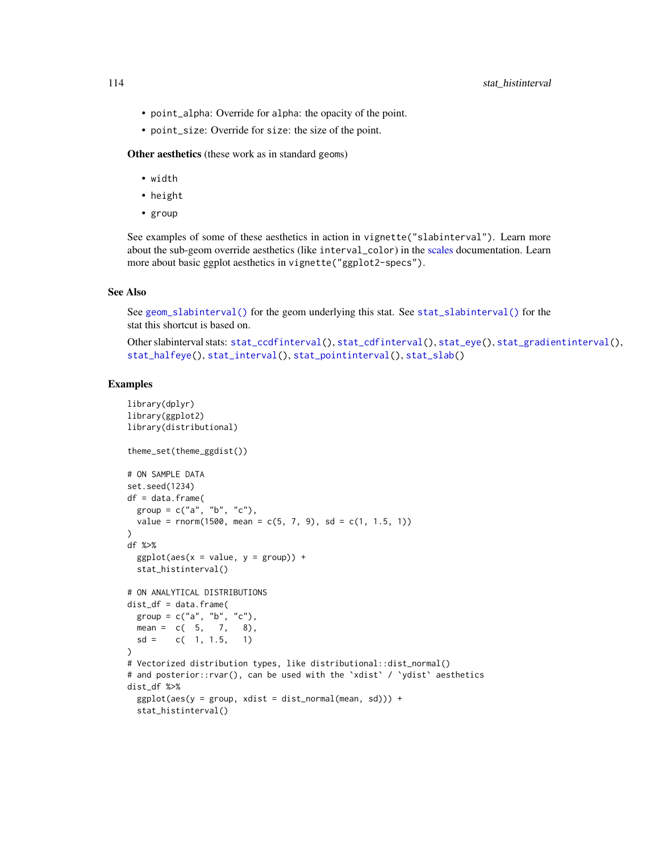- point\_alpha: Override for alpha: the opacity of the point.
- point\_size: Override for size: the size of the point.

Other aesthetics (these work as in standard geoms)

- width
- height
- group

See examples of some of these aesthetics in action in vignette("slabinterval"). Learn more about the sub-geom override aesthetics (like interval\_color) in the [scales](#page-57-0) documentation. Learn more about basic ggplot aesthetics in vignette("ggplot2-specs").

#### See Also

See [geom\\_slabinterval\(\)](#page-37-0) for the geom underlying this stat. See [stat\\_slabinterval\(\)](#page-141-0) for the stat this shortcut is based on.

Other slabinterval stats: [stat\\_ccdfinterval\(](#page-64-0)), [stat\\_cdfinterval\(](#page-72-0)), [stat\\_eye\(](#page-81-0)), [stat\\_gradientinterval\(](#page-89-0)), [stat\\_halfeye\(](#page-97-0)), [stat\\_interval\(](#page-114-0)), [stat\\_pointinterval\(](#page-124-0)), [stat\\_slab\(](#page-134-0))

## Examples

```
library(dplyr)
library(ggplot2)
library(distributional)
theme_set(theme_ggdist())
# ON SAMPLE DATA
set.seed(1234)
df = data.frame(
  group = c("a", "b", "c"),value = rnorm(1500, mean = c(5, 7, 9), sd = c(1, 1.5, 1))
)
df %>%
  ggplot(aes(x = value, y = group)) +stat_histinterval()
# ON ANALYTICAL DISTRIBUTIONS
dist_d f = data frame(group = c("a", "b", "c"),
 mean = c(5, 7, 8),sd = c(1, 1.5, 1)\lambda# Vectorized distribution types, like distributional::dist_normal()
# and posterior::rvar(), can be used with the 'xdist' / 'ydist' aesthetics
dist_df %>%
  ggplot(aes(y = group, xdist = dist\_normal(mean, sd))) +stat_histinterval()
```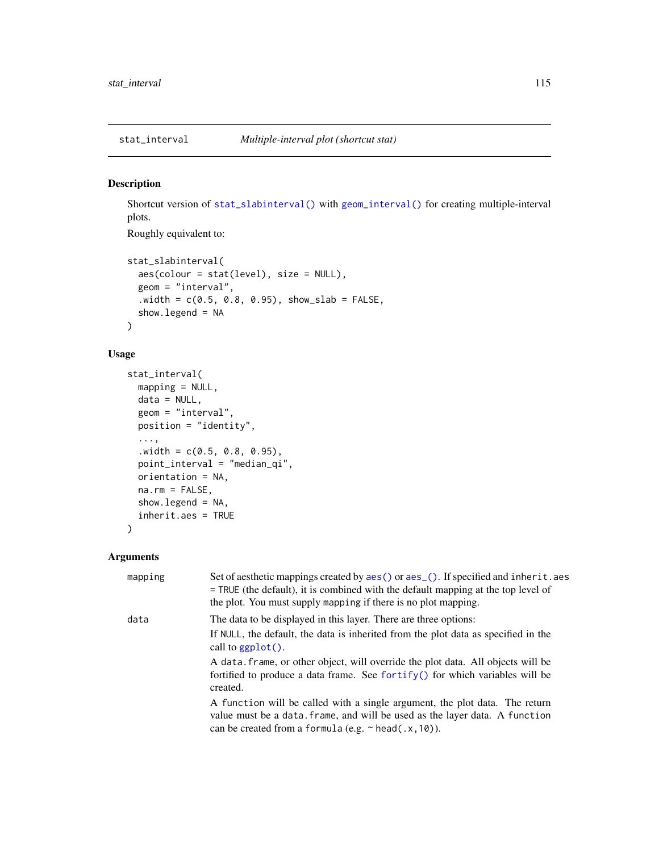<span id="page-114-0"></span>

# Description

Shortcut version of [stat\\_slabinterval\(\)](#page-141-0) with [geom\\_interval\(\)](#page-20-0) for creating multiple-interval plots.

Roughly equivalent to:

```
stat_slabinterval(
 aes(colour = stat(level), size = NULL),
 geom = "interval",
  .width = c(0.5, 0.8, 0.95), show\_slab = FALSE,show.legend = NA
)
```
# Usage

```
stat_interval(
 mapping = NULL,
  data = NULL,geom = "interval",
 position = "identity",
  ...,
  .width = c(0.5, 0.8, 0.95),point_interval = "median_qi",
 orientation = NA,
 na.rm = FALSE,
  show.legend = NA,
  inherit.aes = TRUE
)
```
# Arguments

| mapping | Set of aesthetic mappings created by aes () or aes (). If specified and inherit. aes<br>$=$ TRUE (the default), it is combined with the default mapping at the top level of<br>the plot. You must supply mapping if there is no plot mapping. |
|---------|-----------------------------------------------------------------------------------------------------------------------------------------------------------------------------------------------------------------------------------------------|
| data    | The data to be displayed in this layer. There are three options:                                                                                                                                                                              |
|         | If NULL, the default, the data is inherited from the plot data as specified in the<br>call to $ggplot()$ .                                                                                                                                    |
|         | A data frame, or other object, will override the plot data. All objects will be<br>fortified to produce a data frame. See fortify() for which variables will be<br>created.                                                                   |
|         | A function will be called with a single argument, the plot data. The return<br>value must be a data. frame, and will be used as the layer data. A function<br>can be created from a formula (e.g. $\sim$ head(.x, 10)).                       |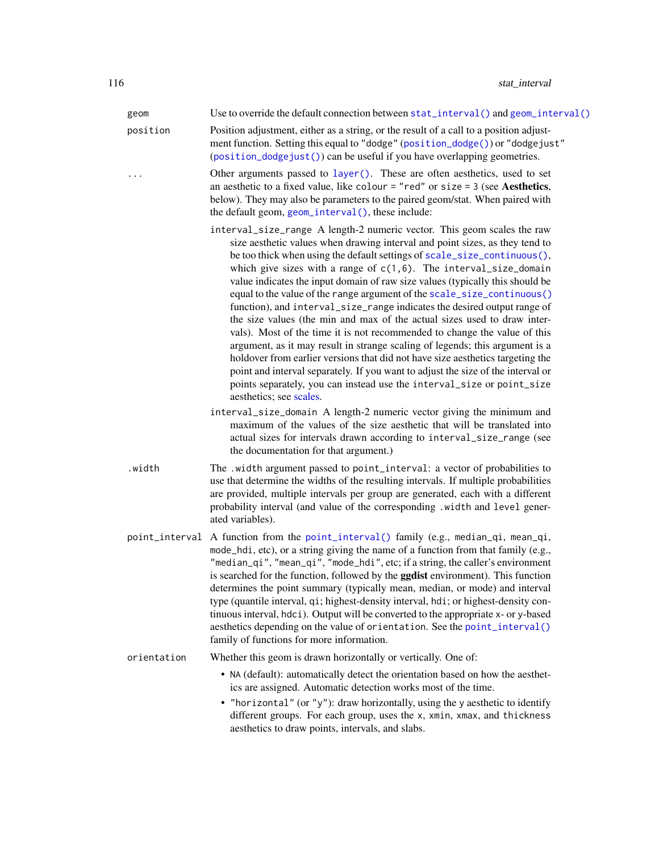| geom        | Use to override the default connection between stat_interval() and geom_interval()                                                                                                                                                                                                                                                                                                                                                                                                                                                                                                                                                                                                                                                                                                                                                                                                                                                                                                                                                                                                                                                               |
|-------------|--------------------------------------------------------------------------------------------------------------------------------------------------------------------------------------------------------------------------------------------------------------------------------------------------------------------------------------------------------------------------------------------------------------------------------------------------------------------------------------------------------------------------------------------------------------------------------------------------------------------------------------------------------------------------------------------------------------------------------------------------------------------------------------------------------------------------------------------------------------------------------------------------------------------------------------------------------------------------------------------------------------------------------------------------------------------------------------------------------------------------------------------------|
| position    | Position adjustment, either as a string, or the result of a call to a position adjust-<br>ment function. Setting this equal to "dodge" (position_dodge()) or "dodgejust"<br>(position_dodgejust()) can be useful if you have overlapping geometries.                                                                                                                                                                                                                                                                                                                                                                                                                                                                                                                                                                                                                                                                                                                                                                                                                                                                                             |
|             | Other arguments passed to layer(). These are often aesthetics, used to set<br>an aesthetic to a fixed value, like colour = "red" or size = $3$ (see Aesthetics,<br>below). They may also be parameters to the paired geom/stat. When paired with<br>the default geom, geom_interval(), these include:                                                                                                                                                                                                                                                                                                                                                                                                                                                                                                                                                                                                                                                                                                                                                                                                                                            |
|             | interval_size_range A length-2 numeric vector. This geom scales the raw<br>size aesthetic values when drawing interval and point sizes, as they tend to<br>be too thick when using the default settings of scale_size_continuous(),<br>which give sizes with a range of $c(1,6)$ . The interval_size_domain<br>value indicates the input domain of raw size values (typically this should be<br>equal to the value of the range argument of the scale_size_continuous()<br>function), and interval_size_range indicates the desired output range of<br>the size values (the min and max of the actual sizes used to draw inter-<br>vals). Most of the time it is not recommended to change the value of this<br>argument, as it may result in strange scaling of legends; this argument is a<br>holdover from earlier versions that did not have size aesthetics targeting the<br>point and interval separately. If you want to adjust the size of the interval or<br>points separately, you can instead use the interval_size or point_size<br>aesthetics; see scales.<br>interval_size_domain A length-2 numeric vector giving the minimum and |
|             | maximum of the values of the size aesthetic that will be translated into<br>actual sizes for intervals drawn according to interval_size_range (see<br>the documentation for that argument.)                                                                                                                                                                                                                                                                                                                                                                                                                                                                                                                                                                                                                                                                                                                                                                                                                                                                                                                                                      |
| .width      | The .width argument passed to point_interval: a vector of probabilities to<br>use that determine the widths of the resulting intervals. If multiple probabilities<br>are provided, multiple intervals per group are generated, each with a different<br>probability interval (and value of the corresponding .width and level gener-<br>ated variables).                                                                                                                                                                                                                                                                                                                                                                                                                                                                                                                                                                                                                                                                                                                                                                                         |
|             | point_interval A function from the point_interval() family (e.g., median_qi, mean_qi,<br>mode_hdi, etc), or a string giving the name of a function from that family (e.g.,<br>"median_qi", "mean_qi", "mode_hdi", etc; if a string, the caller's environment<br>is searched for the function, followed by the ggdist environment). This function<br>determines the point summary (typically mean, median, or mode) and interval<br>type (quantile interval, qi; highest-density interval, hdi; or highest-density con-<br>tinuous interval, hdci). Output will be converted to the appropriate x- or y-based<br>aesthetics depending on the value of orientation. See the point_interval()<br>family of functions for more information.                                                                                                                                                                                                                                                                                                                                                                                                          |
| orientation | Whether this geom is drawn horizontally or vertically. One of:                                                                                                                                                                                                                                                                                                                                                                                                                                                                                                                                                                                                                                                                                                                                                                                                                                                                                                                                                                                                                                                                                   |
|             | • NA (default): automatically detect the orientation based on how the aesthet-<br>ics are assigned. Automatic detection works most of the time.<br>• "horizontal" (or "y"): draw horizontally, using the y aesthetic to identify<br>different groups. For each group, uses the x, xmin, xmax, and thickness                                                                                                                                                                                                                                                                                                                                                                                                                                                                                                                                                                                                                                                                                                                                                                                                                                      |
|             | aesthetics to draw points, intervals, and slabs.                                                                                                                                                                                                                                                                                                                                                                                                                                                                                                                                                                                                                                                                                                                                                                                                                                                                                                                                                                                                                                                                                                 |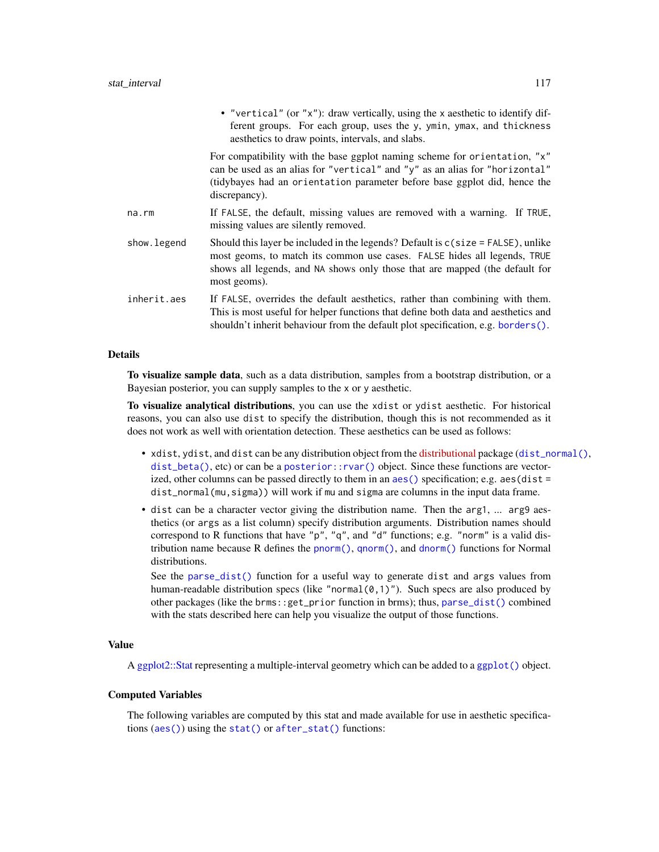|             | • "vertical" (or "x"): draw vertically, using the x aesthetic to identify dif-<br>ferent groups. For each group, uses the y, ymin, ymax, and thickness<br>aesthetics to draw points, intervals, and slabs.                                                     |
|-------------|----------------------------------------------------------------------------------------------------------------------------------------------------------------------------------------------------------------------------------------------------------------|
|             | For compatibility with the base ggplot naming scheme for orientation, "x"<br>can be used as an alias for "vertical" and "y" as an alias for "horizontal"<br>(tidybayes had an orientation parameter before base ggplot did, hence the<br>discrepancy).         |
| na.rm       | If FALSE, the default, missing values are removed with a warning. If TRUE,<br>missing values are silently removed.                                                                                                                                             |
| show.legend | Should this layer be included in the legends? Default is $c$ (size = FALSE), unlike<br>most geoms, to match its common use cases. FALSE hides all legends, TRUE<br>shows all legends, and NA shows only those that are mapped (the default for<br>most geoms). |
| inherit.aes | If FALSE, overrides the default aesthetics, rather than combining with them.<br>This is most useful for helper functions that define both data and aesthetics and<br>shouldn't inherit behaviour from the default plot specification, e.g. borders $()$ .      |

#### Details

To visualize sample data, such as a data distribution, samples from a bootstrap distribution, or a Bayesian posterior, you can supply samples to the x or y aesthetic.

To visualize analytical distributions, you can use the xdist or ydist aesthetic. For historical reasons, you can also use dist to specify the distribution, though this is not recommended as it does not work as well with orientation detection. These aesthetics can be used as follows:

- xdist, ydist, and dist can be any distribution object from the [distributional](https://pkg.mitchelloharawild.com/distributional/) package ([dist\\_normal\(\)](#page-0-0), [dist\\_beta\(\)](#page-0-0), etc) or can be a [posterior::rvar\(\)](#page-0-0) object. Since these functions are vectorized, other columns can be passed directly to them in an aes () specification; e.g.  $a$ es(dist = dist\_normal(mu,sigma)) will work if mu and sigma are columns in the input data frame.
- dist can be a character vector giving the distribution name. Then the arg1, ... arg9 aesthetics (or args as a list column) specify distribution arguments. Distribution names should correspond to R functions that have "p", "q", and "d" functions; e.g. "norm" is a valid distribution name because R defines the [pnorm\(\)](#page-0-0), [qnorm\(\)](#page-0-0), and [dnorm\(\)](#page-0-0) functions for Normal distributions.

See the [parse\\_dist\(\)](#page-48-0) function for a useful way to generate dist and args values from human-readable distribution specs (like "normal $(0,1)$ "). Such specs are also produced by other packages (like the brms::get\_prior function in brms); thus, [parse\\_dist\(\)](#page-48-0) combined with the stats described here can help you visualize the output of those functions.

# Value

A [ggplot2::Stat](#page-0-0) representing a multiple-interval geometry which can be added to a [ggplot\(\)](#page-0-0) object.

## Computed Variables

The following variables are computed by this stat and made available for use in aesthetic specifications ([aes\(\)](#page-0-0)) using the [stat\(\)](#page-0-0) or [after\\_stat\(\)](#page-0-0) functions: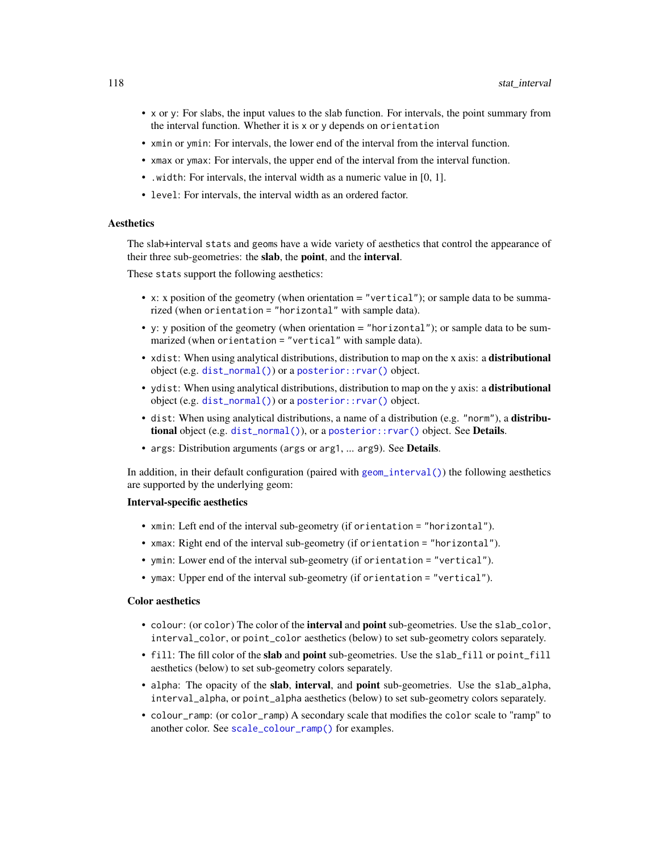- x or y: For slabs, the input values to the slab function. For intervals, the point summary from the interval function. Whether it is x or y depends on orientation
- xmin or ymin: For intervals, the lower end of the interval from the interval function.
- xmax or ymax: For intervals, the upper end of the interval from the interval function.
- .width: For intervals, the interval width as a numeric value in [0, 1].
- level: For intervals, the interval width as an ordered factor.

## Aesthetics

The slab+interval stats and geoms have a wide variety of aesthetics that control the appearance of their three sub-geometries: the slab, the point, and the interval.

These stats support the following aesthetics:

- x: x position of the geometry (when orientation  $=$  "vertical"); or sample data to be summarized (when orientation = "horizontal" with sample data).
- y: y position of the geometry (when orientation = "horizontal"); or sample data to be summarized (when orientation = "vertical" with sample data).
- xdist: When using analytical distributions, distribution to map on the x axis: a distributional object (e.g. [dist\\_normal\(\)](#page-0-0)) or a [posterior::rvar\(\)](#page-0-0) object.
- ydist: When using analytical distributions, distribution to map on the y axis: a distributional object (e.g. [dist\\_normal\(\)](#page-0-0)) or a [posterior::rvar\(\)](#page-0-0) object.
- dist: When using analytical distributions, a name of a distribution (e.g. "norm"), a distributional object (e.g. [dist\\_normal\(\)](#page-0-0)), or a [posterior::rvar\(\)](#page-0-0) object. See Details.
- args: Distribution arguments (args or arg1, ... arg9). See Details.

In addition, in their default configuration (paired with [geom\\_interval\(\)](#page-20-0)) the following aesthetics are supported by the underlying geom:

## Interval-specific aesthetics

- xmin: Left end of the interval sub-geometry (if orientation = "horizontal").
- xmax: Right end of the interval sub-geometry (if orientation = "horizontal").
- ymin: Lower end of the interval sub-geometry (if orientation = "vertical").
- ymax: Upper end of the interval sub-geometry (if orientation = "vertical").

#### Color aesthetics

- colour: (or color) The color of the interval and point sub-geometries. Use the slab\_color, interval\_color, or point\_color aesthetics (below) to set sub-geometry colors separately.
- fill: The fill color of the slab and point sub-geometries. Use the slab\_fill or point\_fill aesthetics (below) to set sub-geometry colors separately.
- alpha: The opacity of the slab, interval, and point sub-geometries. Use the slab\_alpha, interval\_alpha, or point\_alpha aesthetics (below) to set sub-geometry colors separately.
- colour\_ramp: (or color\_ramp) A secondary scale that modifies the color scale to "ramp" to another color. See [scale\\_colour\\_ramp\(\)](#page-62-0) for examples.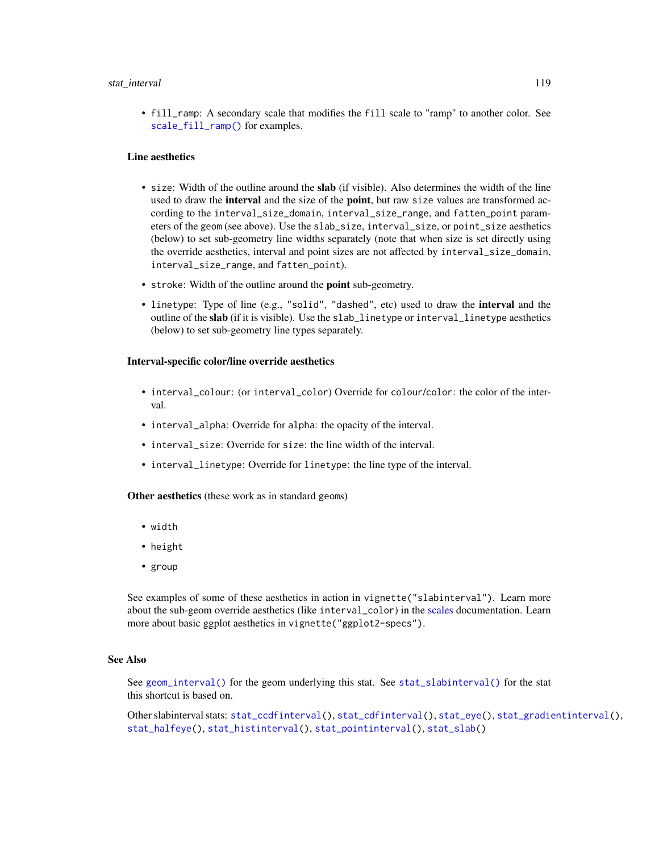#### stat\_interval 119

• fill\_ramp: A secondary scale that modifies the fill scale to "ramp" to another color. See [scale\\_fill\\_ramp\(\)](#page-62-1) for examples.

## Line aesthetics

- size: Width of the outline around the **slab** (if visible). Also determines the width of the line used to draw the **interval** and the size of the **point**, but raw size values are transformed according to the interval\_size\_domain, interval\_size\_range, and fatten\_point parameters of the geom (see above). Use the slab\_size, interval\_size, or point\_size aesthetics (below) to set sub-geometry line widths separately (note that when size is set directly using the override aesthetics, interval and point sizes are not affected by interval\_size\_domain, interval\_size\_range, and fatten\_point).
- stroke: Width of the outline around the point sub-geometry.
- linetype: Type of line (e.g., "solid", "dashed", etc) used to draw the interval and the outline of the slab (if it is visible). Use the slab\_linetype or interval\_linetype aesthetics (below) to set sub-geometry line types separately.

## Interval-specific color/line override aesthetics

- interval\_colour: (or interval\_color) Override for colour/color: the color of the interval.
- interval\_alpha: Override for alpha: the opacity of the interval.
- interval\_size: Override for size: the line width of the interval.
- interval\_linetype: Override for linetype: the line type of the interval.

Other aesthetics (these work as in standard geoms)

- width
- height
- group

See examples of some of these aesthetics in action in vignette("slabinterval"). Learn more about the sub-geom override aesthetics (like interval\_color) in the [scales](#page-57-0) documentation. Learn more about basic ggplot aesthetics in vignette("ggplot2-specs").

## See Also

See [geom\\_interval\(\)](#page-20-0) for the geom underlying this stat. See [stat\\_slabinterval\(\)](#page-141-0) for the stat this shortcut is based on.

Other slabinterval stats: [stat\\_ccdfinterval\(](#page-64-0)), [stat\\_cdfinterval\(](#page-72-0)), [stat\\_eye\(](#page-81-0)), [stat\\_gradientinterval\(](#page-89-0)), [stat\\_halfeye\(](#page-97-0)), [stat\\_histinterval\(](#page-105-0)), [stat\\_pointinterval\(](#page-124-0)), [stat\\_slab\(](#page-134-0))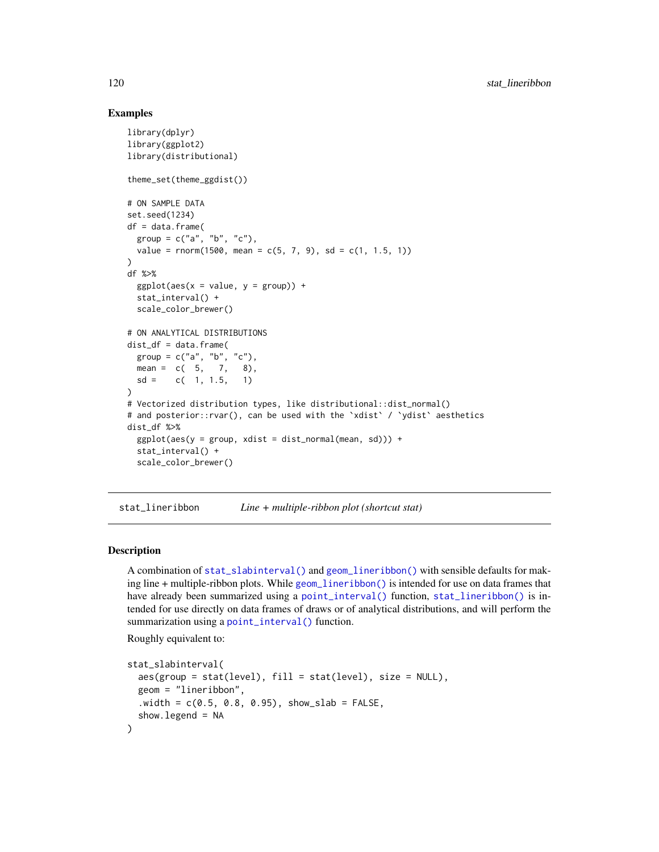# Examples

```
library(dplyr)
library(ggplot2)
library(distributional)
theme_set(theme_ggdist())
# ON SAMPLE DATA
set.seed(1234)
df = data.frame(group = c("a", "b", "c"),value = rnorm(1500, mean = c(5, 7, 9), sd = c(1, 1.5, 1))
)
df %>%
  ggplot(aes(x = value, y = group)) +stat_interval() +
  scale_color_brewer()
# ON ANALYTICAL DISTRIBUTIONS
dist_d f = data.frame(group = c("a", "b", "c"),
  mean = c(5, 7, 8),sd = c(1, 1.5, 1)\lambda# Vectorized distribution types, like distributional::dist_normal()
# and posterior::rvar(), can be used with the 'xdist' / 'ydist' aesthetics
dist_df %>%
  ggplot(aes(y = group, xdist = dist\_normal(mean, sd))) +stat_interval() +
  scale_color_brewer()
```
<span id="page-119-0"></span>stat\_lineribbon *Line + multiple-ribbon plot (shortcut stat)*

## Description

A combination of [stat\\_slabinterval\(\)](#page-141-0) and [geom\\_lineribbon\(\)](#page-24-0) with sensible defaults for making line + multiple-ribbon plots. While [geom\\_lineribbon\(\)](#page-24-0) is intended for use on data frames that have already been summarized using a [point\\_interval\(\)](#page-50-0) function, [stat\\_lineribbon\(\)](#page-119-0) is intended for use directly on data frames of draws or of analytical distributions, and will perform the summarization using a [point\\_interval\(\)](#page-50-0) function.

Roughly equivalent to:

```
stat_slabinterval(
  aes(group = stat(level), fill = stat(level), size = NULL),
 geom = "lineribbon",
  .width = c(0.5, 0.8, 0.95), show_slab = FALSE,show.legend = NA
)
```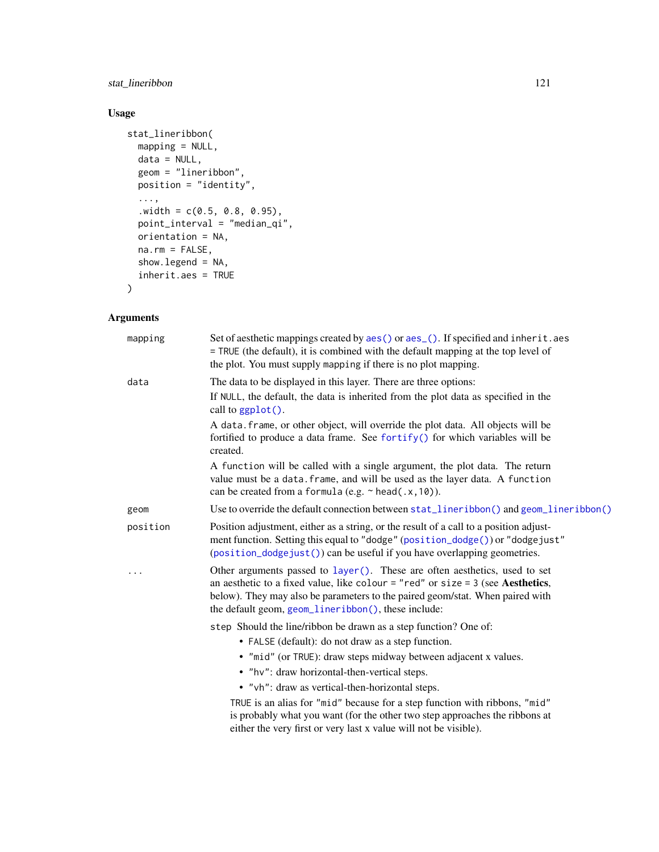# stat\_lineribbon 121

# Usage

```
stat_lineribbon(
  mapping = NULL,
  data = NULL,
  geom = "lineribbon",
 position = "identity",
  ...,
  .width = c(0.5, 0.8, 0.95),
  point_interval = "median_qi",
  orientation = NA,
  na.rm = FALSE,show.legend = NA,
  inherit.aes = TRUE
\mathcal{L}
```
# Arguments

| mapping  | Set of aesthetic mappings created by aes() or aes_(). If specified and inherit.aes<br>= TRUE (the default), it is combined with the default mapping at the top level of<br>the plot. You must supply mapping if there is no plot mapping.                                                               |
|----------|---------------------------------------------------------------------------------------------------------------------------------------------------------------------------------------------------------------------------------------------------------------------------------------------------------|
| data     | The data to be displayed in this layer. There are three options:<br>If NULL, the default, the data is inherited from the plot data as specified in the<br>call to $ggplot()$ .                                                                                                                          |
|          | A data. frame, or other object, will override the plot data. All objects will be<br>fortified to produce a data frame. See fortify() for which variables will be<br>created.                                                                                                                            |
|          | A function will be called with a single argument, the plot data. The return<br>value must be a data. frame, and will be used as the layer data. A function<br>can be created from a formula (e.g. $\sim$ head(.x, 10)).                                                                                 |
| geom     | Use to override the default connection between stat_lineribbon() and geom_lineribbon()                                                                                                                                                                                                                  |
| position | Position adjustment, either as a string, or the result of a call to a position adjust-<br>ment function. Setting this equal to "dodge" (position_dodge()) or "dodgejust"<br>(position_dodgejust()) can be useful if you have overlapping geometries.                                                    |
| .        | Other arguments passed to layer(). These are often aesthetics, used to set<br>an aesthetic to a fixed value, like colour = "red" or size = $3$ (see Aesthetics,<br>below). They may also be parameters to the paired geom/stat. When paired with<br>the default geom, geom_lineribbon(), these include: |
|          | step Should the line/ribbon be drawn as a step function? One of:                                                                                                                                                                                                                                        |
|          | • FALSE (default): do not draw as a step function.                                                                                                                                                                                                                                                      |
|          | • "mid" (or TRUE): draw steps midway between adjacent x values.                                                                                                                                                                                                                                         |
|          | • "hv": draw horizontal-then-vertical steps.                                                                                                                                                                                                                                                            |
|          | • "vh": draw as vertical-then-horizontal steps.                                                                                                                                                                                                                                                         |
|          | TRUE is an alias for "mid" because for a step function with ribbons, "mid"<br>is probably what you want (for the other two step approaches the ribbons at<br>either the very first or very last x value will not be visible).                                                                           |
|          |                                                                                                                                                                                                                                                                                                         |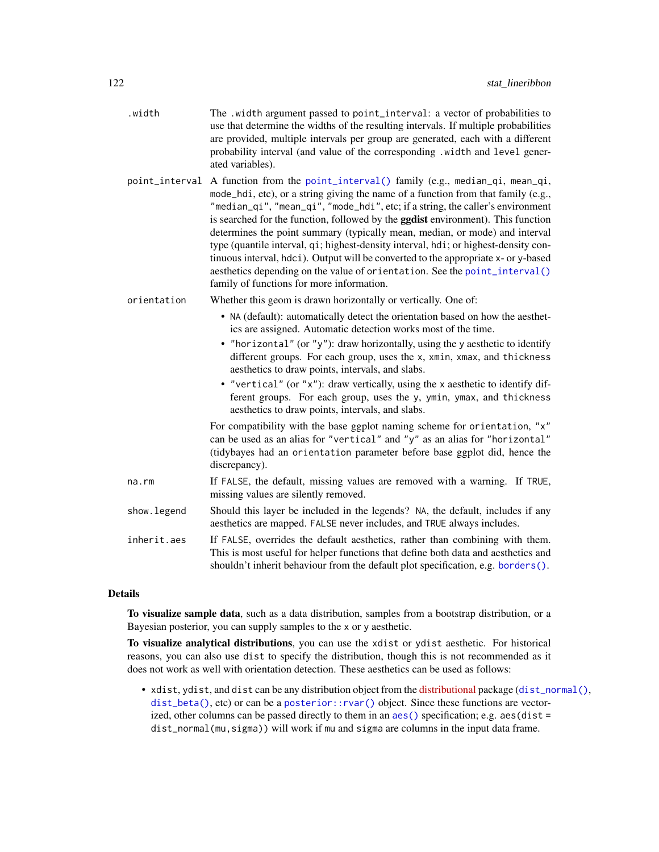| .width         | The .width argument passed to point_interval: a vector of probabilities to<br>use that determine the widths of the resulting intervals. If multiple probabilities<br>are provided, multiple intervals per group are generated, each with a different<br>probability interval (and value of the corresponding .width and level gener-<br>ated variables).                                                                                                                                                                                                                                                                                                                                                                        |
|----------------|---------------------------------------------------------------------------------------------------------------------------------------------------------------------------------------------------------------------------------------------------------------------------------------------------------------------------------------------------------------------------------------------------------------------------------------------------------------------------------------------------------------------------------------------------------------------------------------------------------------------------------------------------------------------------------------------------------------------------------|
| point_interval | A function from the point_interval() family (e.g., median_qi, mean_qi,<br>mode_hdi, etc), or a string giving the name of a function from that family (e.g.,<br>"median_qi", "mean_qi", "mode_hdi", etc; if a string, the caller's environment<br>is searched for the function, followed by the <b>ggdist</b> environment). This function<br>determines the point summary (typically mean, median, or mode) and interval<br>type (quantile interval, qi; highest-density interval, hdi; or highest-density con-<br>tinuous interval, hdci). Output will be converted to the appropriate x- or y-based<br>aesthetics depending on the value of orientation. See the point_interval()<br>family of functions for more information. |
| orientation    | Whether this geom is drawn horizontally or vertically. One of:                                                                                                                                                                                                                                                                                                                                                                                                                                                                                                                                                                                                                                                                  |
|                | • NA (default): automatically detect the orientation based on how the aesthet-<br>ics are assigned. Automatic detection works most of the time.                                                                                                                                                                                                                                                                                                                                                                                                                                                                                                                                                                                 |
|                | • "horizontal" (or "y"): draw horizontally, using the y aesthetic to identify<br>different groups. For each group, uses the x, xmin, xmax, and thickness<br>aesthetics to draw points, intervals, and slabs.                                                                                                                                                                                                                                                                                                                                                                                                                                                                                                                    |
|                | • "vertical" (or "x"): draw vertically, using the x aesthetic to identify dif-<br>ferent groups. For each group, uses the y, ymin, ymax, and thickness<br>aesthetics to draw points, intervals, and slabs.                                                                                                                                                                                                                                                                                                                                                                                                                                                                                                                      |
|                | For compatibility with the base ggplot naming scheme for orientation, "x"<br>can be used as an alias for "vertical" and "y" as an alias for "horizontal"<br>(tidybayes had an orientation parameter before base ggplot did, hence the<br>discrepancy).                                                                                                                                                                                                                                                                                                                                                                                                                                                                          |
| na.rm          | If FALSE, the default, missing values are removed with a warning. If TRUE,<br>missing values are silently removed.                                                                                                                                                                                                                                                                                                                                                                                                                                                                                                                                                                                                              |
| show.legend    | Should this layer be included in the legends? NA, the default, includes if any<br>aesthetics are mapped. FALSE never includes, and TRUE always includes.                                                                                                                                                                                                                                                                                                                                                                                                                                                                                                                                                                        |
| inherit.aes    | If FALSE, overrides the default aesthetics, rather than combining with them.<br>This is most useful for helper functions that define both data and aesthetics and<br>shouldn't inherit behaviour from the default plot specification, e.g. borders().                                                                                                                                                                                                                                                                                                                                                                                                                                                                           |

# Details

To visualize sample data, such as a data distribution, samples from a bootstrap distribution, or a Bayesian posterior, you can supply samples to the x or y aesthetic.

To visualize analytical distributions, you can use the xdist or ydist aesthetic. For historical reasons, you can also use dist to specify the distribution, though this is not recommended as it does not work as well with orientation detection. These aesthetics can be used as follows:

• xdist, ydist, and dist can be any distribution object from the [distributional](https://pkg.mitchelloharawild.com/distributional/) package ([dist\\_normal\(\)](#page-0-0), [dist\\_beta\(\)](#page-0-0), etc) or can be a [posterior::rvar\(\)](#page-0-0) object. Since these functions are vectorized, other columns can be passed directly to them in an [aes\(\)](#page-0-0) specification; e.g. aes(dist = dist\_normal(mu,sigma)) will work if mu and sigma are columns in the input data frame.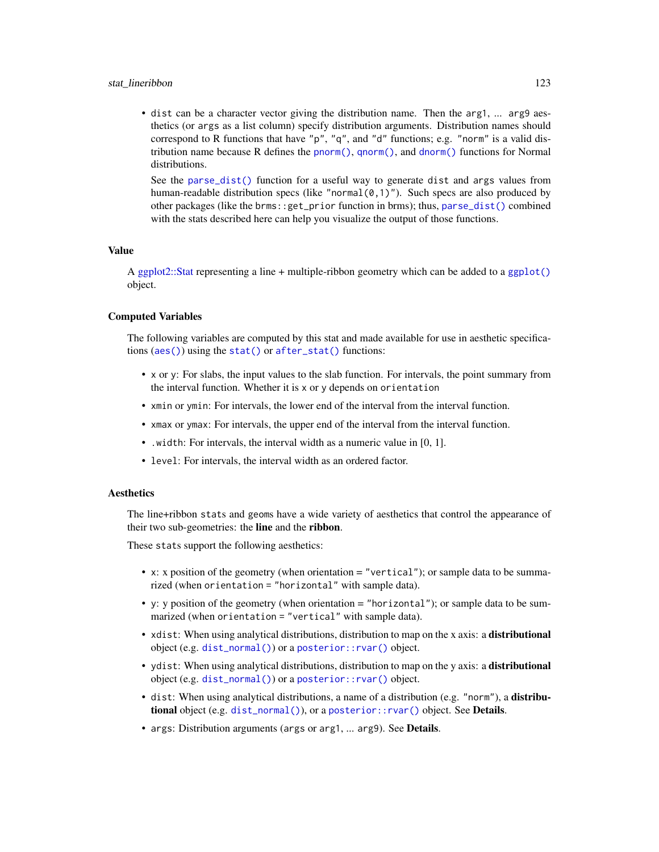• dist can be a character vector giving the distribution name. Then the arg1, ... arg9 aesthetics (or args as a list column) specify distribution arguments. Distribution names should correspond to R functions that have "p", "q", and "d" functions; e.g. "norm" is a valid distribution name because R defines the [pnorm\(\)](#page-0-0), [qnorm\(\)](#page-0-0), and [dnorm\(\)](#page-0-0) functions for Normal distributions.

See the [parse\\_dist\(\)](#page-48-0) function for a useful way to generate dist and args values from human-readable distribution specs (like "normal $(0,1)$ "). Such specs are also produced by other packages (like the brms::get\_prior function in brms); thus, [parse\\_dist\(\)](#page-48-0) combined with the stats described here can help you visualize the output of those functions.

#### Value

A [ggplot2::Stat](#page-0-0) representing a line + multiple-ribbon geometry which can be added to a [ggplot\(\)](#page-0-0) object.

#### Computed Variables

The following variables are computed by this stat and made available for use in aesthetic specifications ([aes\(\)](#page-0-0)) using the [stat\(\)](#page-0-0) or [after\\_stat\(\)](#page-0-0) functions:

- x or y: For slabs, the input values to the slab function. For intervals, the point summary from the interval function. Whether it is x or y depends on orientation
- xmin or ymin: For intervals, the lower end of the interval from the interval function.
- xmax or ymax: For intervals, the upper end of the interval from the interval function.
- .width: For intervals, the interval width as a numeric value in [0, 1].
- level: For intervals, the interval width as an ordered factor.

# **Aesthetics**

The line+ribbon stats and geoms have a wide variety of aesthetics that control the appearance of their two sub-geometries: the line and the ribbon.

These stats support the following aesthetics:

- x: x position of the geometry (when orientation = "vertical"); or sample data to be summarized (when orientation = "horizontal" with sample data).
- y: y position of the geometry (when orientation = "horizontal"); or sample data to be summarized (when orientation = "vertical" with sample data).
- xdist: When using analytical distributions, distribution to map on the x axis: a distributional object (e.g. [dist\\_normal\(\)](#page-0-0)) or a [posterior::rvar\(\)](#page-0-0) object.
- ydist: When using analytical distributions, distribution to map on the y axis: a **distributional** object (e.g. [dist\\_normal\(\)](#page-0-0)) or a [posterior::rvar\(\)](#page-0-0) object.
- dist: When using analytical distributions, a name of a distribution (e.g. "norm"), a distributional object (e.g. [dist\\_normal\(\)](#page-0-0)), or a [posterior::rvar\(\)](#page-0-0) object. See Details.
- args: Distribution arguments (args or arg1, ... arg9). See Details.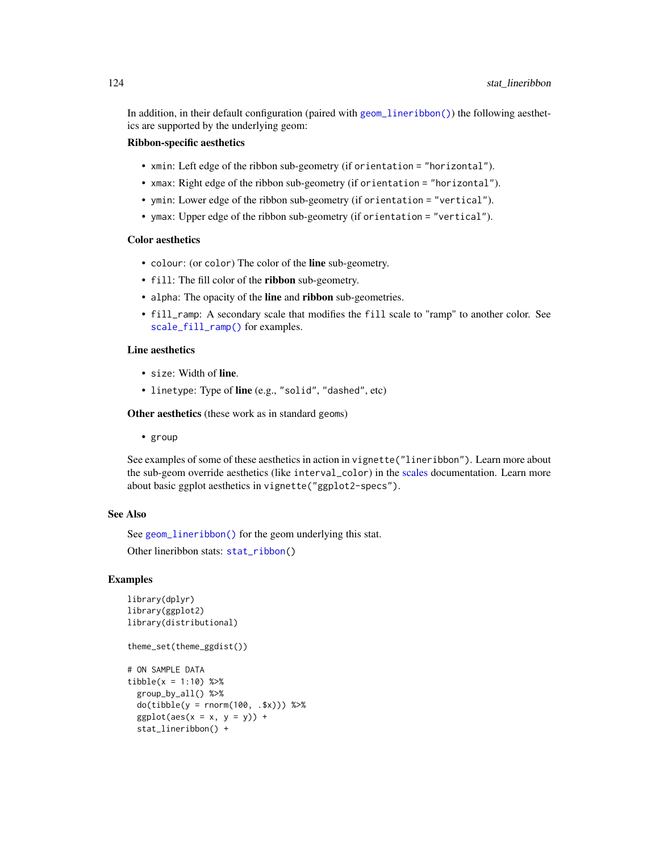In addition, in their default configuration (paired with [geom\\_lineribbon\(\)](#page-24-0)) the following aesthetics are supported by the underlying geom:

# Ribbon-specific aesthetics

- xmin: Left edge of the ribbon sub-geometry (if orientation = "horizontal").
- xmax: Right edge of the ribbon sub-geometry (if orientation = "horizontal").
- ymin: Lower edge of the ribbon sub-geometry (if orientation = "vertical").
- ymax: Upper edge of the ribbon sub-geometry (if orientation = "vertical").

#### Color aesthetics

- colour: (or color) The color of the line sub-geometry.
- fill: The fill color of the **ribbon** sub-geometry.
- alpha: The opacity of the line and ribbon sub-geometries.
- fill\_ramp: A secondary scale that modifies the fill scale to "ramp" to another color. See [scale\\_fill\\_ramp\(\)](#page-62-1) for examples.

# Line aesthetics

- size: Width of line.
- linetype: Type of line (e.g., "solid", "dashed", etc)

Other aesthetics (these work as in standard geoms)

• group

See examples of some of these aesthetics in action in vignette("lineribbon"). Learn more about the sub-geom override aesthetics (like interval\_color) in the [scales](#page-57-0) documentation. Learn more about basic ggplot aesthetics in vignette("ggplot2-specs").

## See Also

See [geom\\_lineribbon\(\)](#page-24-0) for the geom underlying this stat.

Other lineribbon stats: [stat\\_ribbon\(](#page-130-0))

## Examples

```
library(dplyr)
library(ggplot2)
library(distributional)
```
theme\_set(theme\_ggdist())

```
# ON SAMPLE DATA
tibble(x = 1:10) %>%
 group_by_all() %>%
 do(tibble(y = rnorm(100, .$x))) %>%
 ggplot(aes(x = x, y = y)) +stat_lineribbon() +
```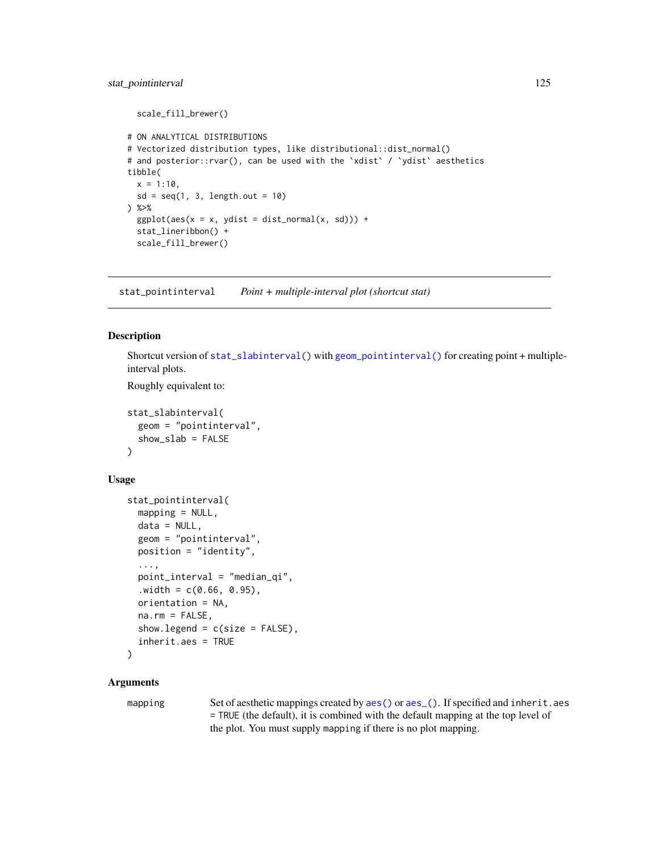```
scale_fill_brewer()
# ON ANALYTICAL DISTRIBUTIONS
# Vectorized distribution types, like distributional::dist_normal()
# and posterior::rvar(), can be used with the 'xdist' / 'ydist' aesthetics
tibble(
  x = 1:10,
  sd = seq(1, 3, length.out = 10)) %>%
  ggplot(aes(x = x, ydist = dist\_normal(x, sd))) +stat_lineribbon() +
  scale_fill_brewer()
```
<span id="page-124-0"></span>stat\_pointinterval *Point + multiple-interval plot (shortcut stat)*

## Description

Shortcut version of [stat\\_slabinterval\(\)](#page-141-0) with [geom\\_pointinterval\(\)](#page-27-0) for creating point + multipleinterval plots.

Roughly equivalent to:

```
stat_slabinterval(
  geom = "pointinterval",
  show_slab = FALSE
)
```
# Usage

```
stat_pointinterval(
 mapping = NULL,
 data = NULL,
  geom = "pointinterval",
 position = "identity",
  ...,
 point_interval = "median_qi",
  . width = c(0.66, 0.95),orientation = NA,
 na.rm = FALSE,show.legend = c(size = FALSE),
  inherit.aes = TRUE
)
```
# **Arguments**

mapping Set of aesthetic mappings created by [aes\(\)](#page-0-0) or [aes\\_\(\)](#page-0-0). If specified and inherit.aes = TRUE (the default), it is combined with the default mapping at the top level of the plot. You must supply mapping if there is no plot mapping.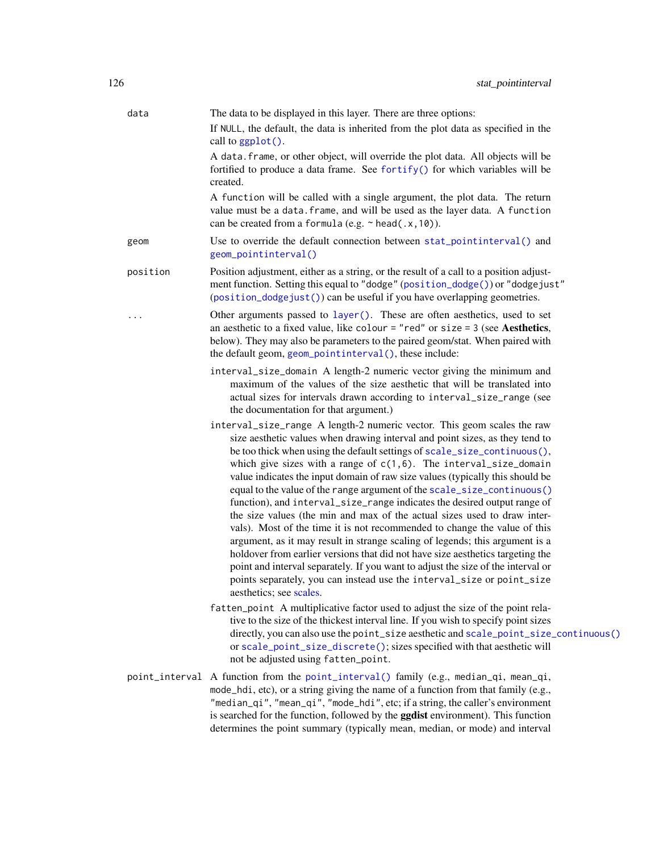| data     | The data to be displayed in this layer. There are three options:                                                                                                                                                                                                                                                                                                                                                                                                                                                                                                                                                                                                                                                                                                                                                                                                                                                                                                                                                                                                        |
|----------|-------------------------------------------------------------------------------------------------------------------------------------------------------------------------------------------------------------------------------------------------------------------------------------------------------------------------------------------------------------------------------------------------------------------------------------------------------------------------------------------------------------------------------------------------------------------------------------------------------------------------------------------------------------------------------------------------------------------------------------------------------------------------------------------------------------------------------------------------------------------------------------------------------------------------------------------------------------------------------------------------------------------------------------------------------------------------|
|          | If NULL, the default, the data is inherited from the plot data as specified in the<br>call to ggplot().                                                                                                                                                                                                                                                                                                                                                                                                                                                                                                                                                                                                                                                                                                                                                                                                                                                                                                                                                                 |
|          | A data. frame, or other object, will override the plot data. All objects will be<br>fortified to produce a data frame. See fortify() for which variables will be<br>created.                                                                                                                                                                                                                                                                                                                                                                                                                                                                                                                                                                                                                                                                                                                                                                                                                                                                                            |
|          | A function will be called with a single argument, the plot data. The return<br>value must be a data. frame, and will be used as the layer data. A function<br>can be created from a formula (e.g. $\sim$ head(.x, 10)).                                                                                                                                                                                                                                                                                                                                                                                                                                                                                                                                                                                                                                                                                                                                                                                                                                                 |
| geom     | Use to override the default connection between stat_pointinterval() and<br>geom_pointinterval()                                                                                                                                                                                                                                                                                                                                                                                                                                                                                                                                                                                                                                                                                                                                                                                                                                                                                                                                                                         |
| position | Position adjustment, either as a string, or the result of a call to a position adjust-<br>ment function. Setting this equal to "dodge" (position_dodge()) or "dodgejust"<br>(position_dodgejust()) can be useful if you have overlapping geometries.                                                                                                                                                                                                                                                                                                                                                                                                                                                                                                                                                                                                                                                                                                                                                                                                                    |
|          | Other arguments passed to layer(). These are often aesthetics, used to set<br>an aesthetic to a fixed value, like colour = "red" or size = 3 (see Aesthetics,<br>below). They may also be parameters to the paired geom/stat. When paired with<br>the default geom, geom_pointinterval(), these include:                                                                                                                                                                                                                                                                                                                                                                                                                                                                                                                                                                                                                                                                                                                                                                |
|          | interval_size_domain A length-2 numeric vector giving the minimum and<br>maximum of the values of the size aesthetic that will be translated into<br>actual sizes for intervals drawn according to interval_size_range (see<br>the documentation for that argument.)                                                                                                                                                                                                                                                                                                                                                                                                                                                                                                                                                                                                                                                                                                                                                                                                    |
|          | interval_size_range A length-2 numeric vector. This geom scales the raw<br>size aesthetic values when drawing interval and point sizes, as they tend to<br>be too thick when using the default settings of scale_size_continuous(),<br>which give sizes with a range of $c(1,6)$ . The interval_size_domain<br>value indicates the input domain of raw size values (typically this should be<br>equal to the value of the range argument of the scale_size_continuous()<br>function), and interval_size_range indicates the desired output range of<br>the size values (the min and max of the actual sizes used to draw inter-<br>vals). Most of the time it is not recommended to change the value of this<br>argument, as it may result in strange scaling of legends; this argument is a<br>holdover from earlier versions that did not have size aesthetics targeting the<br>point and interval separately. If you want to adjust the size of the interval or<br>points separately, you can instead use the interval_size or point_size<br>aesthetics; see scales. |
|          | fatten_point A multiplicative factor used to adjust the size of the point rela-<br>tive to the size of the thickest interval line. If you wish to specify point sizes<br>directly, you can also use the point_size aesthetic and scale_point_size_continuous()<br>or scale_point_size_discrete(); sizes specified with that aesthetic will<br>not be adjusted using fatten_point.                                                                                                                                                                                                                                                                                                                                                                                                                                                                                                                                                                                                                                                                                       |
|          | point_interval A function from the point_interval() family (e.g., median_qi, mean_qi,<br>mode_hdi, etc), or a string giving the name of a function from that family (e.g.,<br>"median_qi", "mean_qi", "mode_hdi", etc; if a string, the caller's environment<br>is searched for the function, followed by the ggdist environment). This function                                                                                                                                                                                                                                                                                                                                                                                                                                                                                                                                                                                                                                                                                                                        |

determines the point summary (typically mean, median, or mode) and interval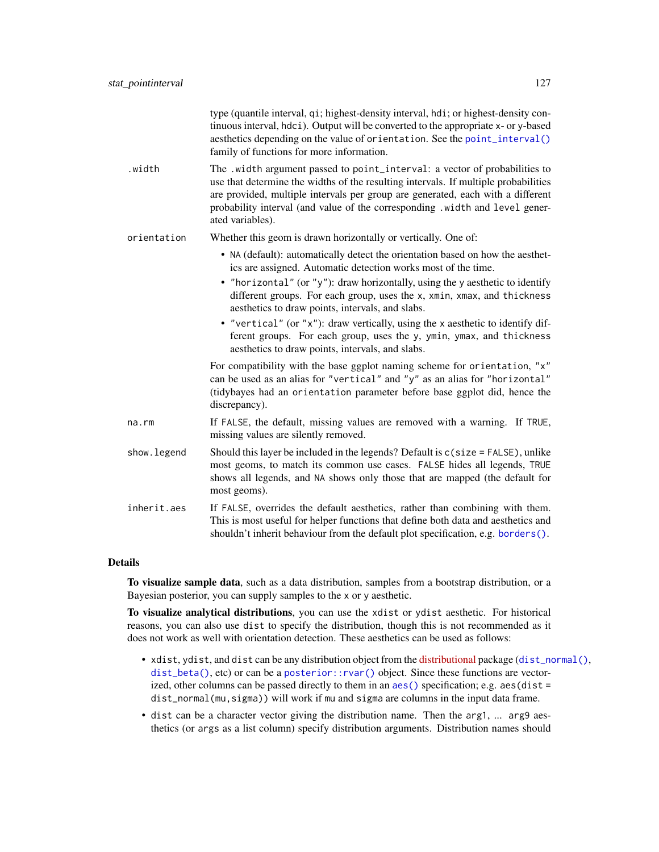|              | type (quantile interval, qi; highest-density interval, hdi; or highest-density con-<br>tinuous interval, hdci). Output will be converted to the appropriate x- or y-based<br>aesthetics depending on the value of orientation. See the point_interval()<br>family of functions for more information.                                                     |
|--------------|----------------------------------------------------------------------------------------------------------------------------------------------------------------------------------------------------------------------------------------------------------------------------------------------------------------------------------------------------------|
| .width       | The .width argument passed to point_interval: a vector of probabilities to<br>use that determine the widths of the resulting intervals. If multiple probabilities<br>are provided, multiple intervals per group are generated, each with a different<br>probability interval (and value of the corresponding .width and level gener-<br>ated variables). |
| orientation  | Whether this geom is drawn horizontally or vertically. One of:                                                                                                                                                                                                                                                                                           |
|              | • NA (default): automatically detect the orientation based on how the aesthet-<br>ics are assigned. Automatic detection works most of the time.                                                                                                                                                                                                          |
|              | • "horizontal" (or "y"): draw horizontally, using the y aesthetic to identify<br>different groups. For each group, uses the x, xmin, xmax, and thickness<br>aesthetics to draw points, intervals, and slabs.                                                                                                                                             |
|              | • "vertical" (or "x"): draw vertically, using the x aesthetic to identify dif-<br>ferent groups. For each group, uses the y, ymin, ymax, and thickness<br>aesthetics to draw points, intervals, and slabs.                                                                                                                                               |
|              | For compatibility with the base ggplot naming scheme for orientation, "x"<br>can be used as an alias for "vertical" and "y" as an alias for "horizontal"<br>(tidybayes had an orientation parameter before base ggplot did, hence the<br>discrepancy).                                                                                                   |
| $na$ . $rm$  | If FALSE, the default, missing values are removed with a warning. If TRUE,<br>missing values are silently removed.                                                                                                                                                                                                                                       |
| show. legend | Should this layer be included in the legends? Default is c(size = FALSE), unlike<br>most geoms, to match its common use cases. FALSE hides all legends, TRUE<br>shows all legends, and NA shows only those that are mapped (the default for<br>most geoms).                                                                                              |
| inherit.aes  | If FALSE, overrides the default aesthetics, rather than combining with them.<br>This is most useful for helper functions that define both data and aesthetics and<br>shouldn't inherit behaviour from the default plot specification, e.g. borders().                                                                                                    |

## Details

To visualize sample data, such as a data distribution, samples from a bootstrap distribution, or a Bayesian posterior, you can supply samples to the x or y aesthetic.

To visualize analytical distributions, you can use the xdist or ydist aesthetic. For historical reasons, you can also use dist to specify the distribution, though this is not recommended as it does not work as well with orientation detection. These aesthetics can be used as follows:

- xdist, ydist, and dist can be any distribution object from the [distributional](https://pkg.mitchelloharawild.com/distributional/) package ([dist\\_normal\(\)](#page-0-0),  $dist_{\text{beta}}($ , etc) or can be a posterior:: $rvar()$  object. Since these functions are vectorized, other columns can be passed directly to them in an [aes\(\)](#page-0-0) specification; e.g. aes(dist = dist\_normal(mu,sigma)) will work if mu and sigma are columns in the input data frame.
- dist can be a character vector giving the distribution name. Then the arg1, ... arg9 aesthetics (or args as a list column) specify distribution arguments. Distribution names should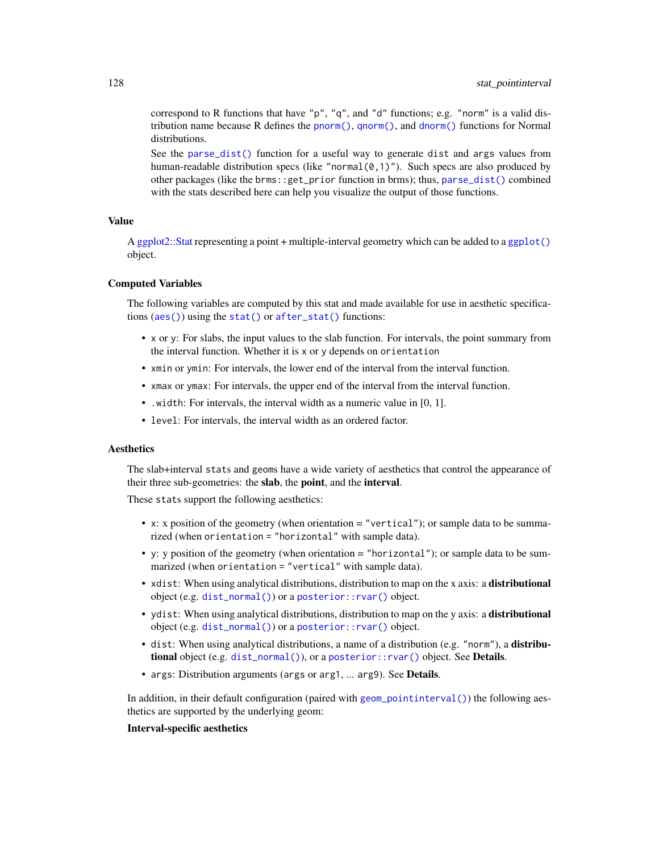correspond to R functions that have "p", "q", and "d" functions; e.g. "norm" is a valid distribution name because R defines the [pnorm\(\)](#page-0-0), [qnorm\(\)](#page-0-0), and [dnorm\(\)](#page-0-0) functions for Normal distributions.

See the [parse\\_dist\(\)](#page-48-0) function for a useful way to generate dist and args values from human-readable distribution specs (like "normal $(0,1)$ "). Such specs are also produced by other packages (like the brms::get\_prior function in brms); thus, [parse\\_dist\(\)](#page-48-0) combined with the stats described here can help you visualize the output of those functions.

# Value

A [ggplot2::Stat](#page-0-0) representing a point + multiple-interval geometry which can be added to a [ggplot\(\)](#page-0-0) object.

#### Computed Variables

The following variables are computed by this stat and made available for use in aesthetic specifications ([aes\(\)](#page-0-0)) using the [stat\(\)](#page-0-0) or [after\\_stat\(\)](#page-0-0) functions:

- x or y: For slabs, the input values to the slab function. For intervals, the point summary from the interval function. Whether it is x or y depends on orientation
- xmin or ymin: For intervals, the lower end of the interval from the interval function.
- xmax or ymax: For intervals, the upper end of the interval from the interval function.
- .width: For intervals, the interval width as a numeric value in [0, 1].
- level: For intervals, the interval width as an ordered factor.

# **Aesthetics**

The slab+interval stats and geoms have a wide variety of aesthetics that control the appearance of their three sub-geometries: the slab, the point, and the interval.

These stats support the following aesthetics:

- x: x position of the geometry (when orientation = "vertical"); or sample data to be summarized (when orientation = "horizontal" with sample data).
- y: y position of the geometry (when orientation = "horizontal"); or sample data to be summarized (when orientation = "vertical" with sample data).
- xdist: When using analytical distributions, distribution to map on the x axis: a distributional object (e.g. [dist\\_normal\(\)](#page-0-0)) or a [posterior::rvar\(\)](#page-0-0) object.
- ydist: When using analytical distributions, distribution to map on the y axis: a distributional object (e.g. [dist\\_normal\(\)](#page-0-0)) or a [posterior::rvar\(\)](#page-0-0) object.
- dist: When using analytical distributions, a name of a distribution (e.g. "norm"), a distributional object (e.g. [dist\\_normal\(\)](#page-0-0)), or a [posterior::rvar\(\)](#page-0-0) object. See Details.
- args: Distribution arguments (args or arg1, ... arg9). See Details.

In addition, in their default configuration (paired with [geom\\_pointinterval\(\)](#page-27-0)) the following aesthetics are supported by the underlying geom:

## Interval-specific aesthetics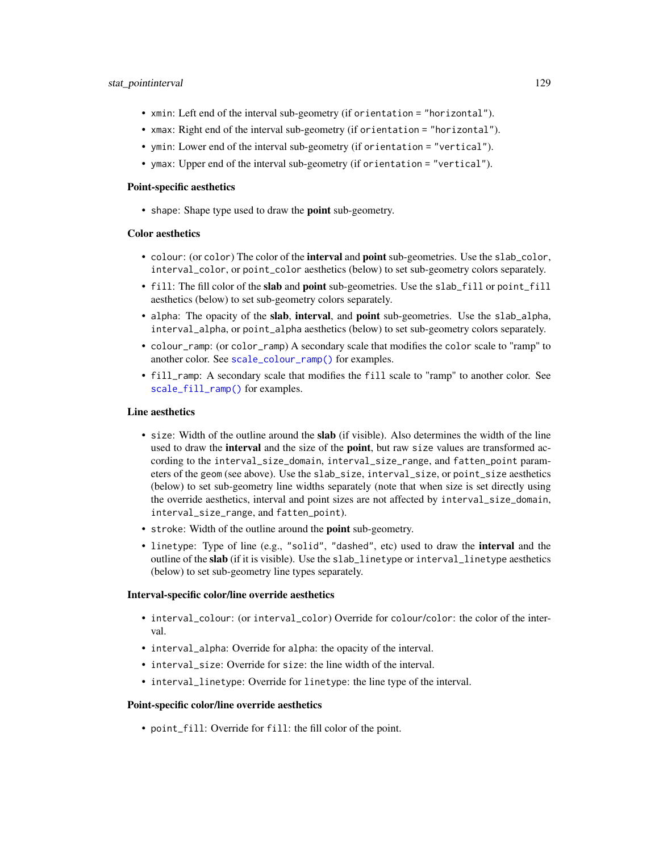## stat\_pointinterval 129

- xmin: Left end of the interval sub-geometry (if orientation = "horizontal").
- xmax: Right end of the interval sub-geometry (if orientation = "horizontal").
- ymin: Lower end of the interval sub-geometry (if orientation = "vertical").
- ymax: Upper end of the interval sub-geometry (if orientation = "vertical").

#### Point-specific aesthetics

• shape: Shape type used to draw the **point** sub-geometry.

# Color aesthetics

- colour: (or color) The color of the **interval** and **point** sub-geometries. Use the slab<sub>color</sub>, interval\_color, or point\_color aesthetics (below) to set sub-geometry colors separately.
- fill: The fill color of the **slab** and **point** sub-geometries. Use the slab fill or point fill aesthetics (below) to set sub-geometry colors separately.
- alpha: The opacity of the slab, interval, and point sub-geometries. Use the slab\_alpha, interval\_alpha, or point\_alpha aesthetics (below) to set sub-geometry colors separately.
- colour\_ramp: (or color\_ramp) A secondary scale that modifies the color scale to "ramp" to another color. See [scale\\_colour\\_ramp\(\)](#page-62-0) for examples.
- fill\_ramp: A secondary scale that modifies the fill scale to "ramp" to another color. See [scale\\_fill\\_ramp\(\)](#page-62-1) for examples.

## Line aesthetics

- size: Width of the outline around the **slab** (if visible). Also determines the width of the line used to draw the **interval** and the size of the **point**, but raw size values are transformed according to the interval\_size\_domain, interval\_size\_range, and fatten\_point parameters of the geom (see above). Use the slab\_size, interval\_size, or point\_size aesthetics (below) to set sub-geometry line widths separately (note that when size is set directly using the override aesthetics, interval and point sizes are not affected by interval\_size\_domain, interval\_size\_range, and fatten\_point).
- stroke: Width of the outline around the point sub-geometry.
- linetype: Type of line (e.g., "solid", "dashed", etc) used to draw the interval and the outline of the slab (if it is visible). Use the slab\_linetype or interval\_linetype aesthetics (below) to set sub-geometry line types separately.

## Interval-specific color/line override aesthetics

- interval\_colour: (or interval\_color) Override for colour/color: the color of the interval.
- interval\_alpha: Override for alpha: the opacity of the interval.
- interval\_size: Override for size: the line width of the interval.
- interval\_linetype: Override for linetype: the line type of the interval.

# Point-specific color/line override aesthetics

• point\_fill: Override for fill: the fill color of the point.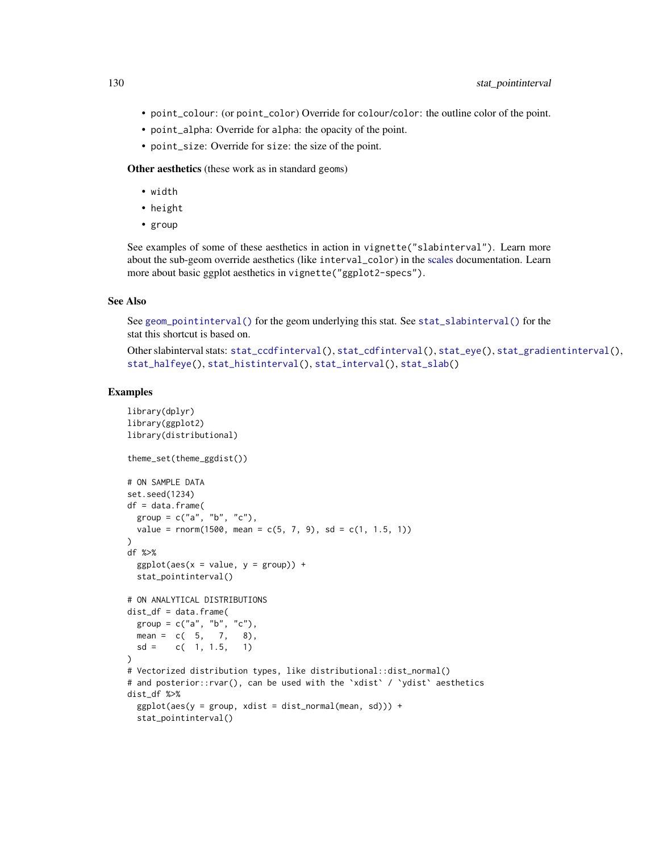- point\_colour: (or point\_color) Override for colour/color: the outline color of the point.
- point\_alpha: Override for alpha: the opacity of the point.
- point\_size: Override for size: the size of the point.

Other aesthetics (these work as in standard geoms)

- width
- height
- group

See examples of some of these aesthetics in action in vignette("slabinterval"). Learn more about the sub-geom override aesthetics (like interval\_color) in the [scales](#page-57-0) documentation. Learn more about basic ggplot aesthetics in vignette("ggplot2-specs").

#### See Also

See [geom\\_pointinterval\(\)](#page-27-0) for the geom underlying this stat. See [stat\\_slabinterval\(\)](#page-141-0) for the stat this shortcut is based on.

Other slabinterval stats: [stat\\_ccdfinterval\(](#page-64-0)), [stat\\_cdfinterval\(](#page-72-0)), [stat\\_eye\(](#page-81-0)), [stat\\_gradientinterval\(](#page-89-0)), [stat\\_halfeye\(](#page-97-0)), [stat\\_histinterval\(](#page-105-0)), [stat\\_interval\(](#page-114-0)), [stat\\_slab\(](#page-134-0))

## Examples

```
library(dplyr)
library(ggplot2)
library(distributional)
theme_set(theme_ggdist())
# ON SAMPLE DATA
set.seed(1234)
df = data.frame(group = c("a", "b", "c"),value = rnorm(1500, mean = c(5, 7, 9), sd = c(1, 1.5, 1)))
df %>%
 ggplot(aes(x = value, y = group)) +stat_pointinterval()
# ON ANALYTICAL DISTRIBUTIONS
dist_d f = data frame(group = c("a", "b", "c"),
 mean = c(5, 7, 8),sd = c(1, 1.5, 1))
# Vectorized distribution types, like distributional::dist_normal()
# and posterior::rvar(), can be used with the 'xdist' / 'ydist' aesthetics
dist_df %>%
 ggplot(aes(y = group, xdist = dist\_normal(mean, sd))) +stat_pointinterval()
```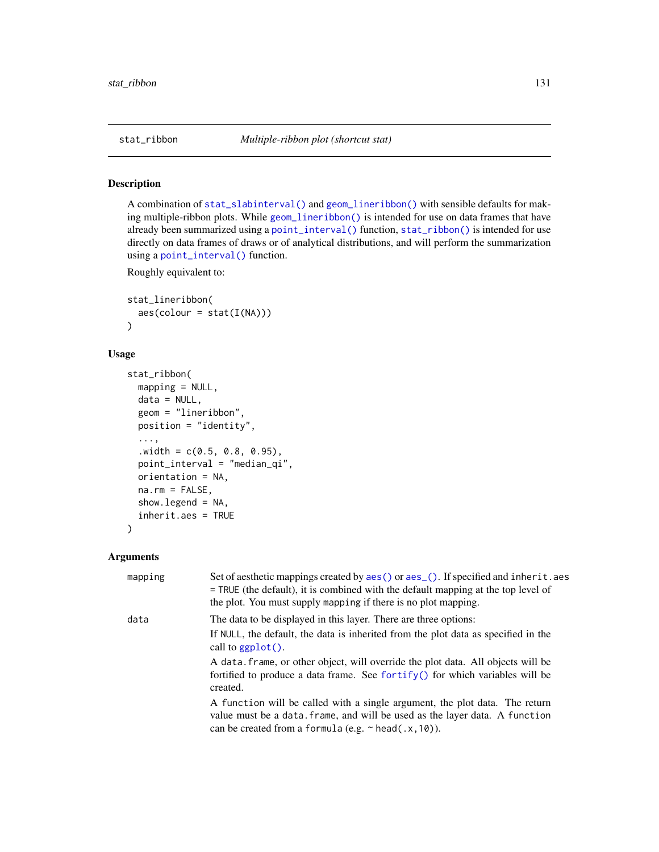<span id="page-130-0"></span>

# Description

A combination of [stat\\_slabinterval\(\)](#page-141-0) and [geom\\_lineribbon\(\)](#page-24-0) with sensible defaults for making multiple-ribbon plots. While [geom\\_lineribbon\(\)](#page-24-0) is intended for use on data frames that have already been summarized using a [point\\_interval\(\)](#page-50-0) function, [stat\\_ribbon\(\)](#page-130-0) is intended for use directly on data frames of draws or of analytical distributions, and will perform the summarization using a [point\\_interval\(\)](#page-50-0) function.

Roughly equivalent to:

```
stat_lineribbon(
   \text{aes}(\text{colour} = \text{stat}(I(\text{NA}))))
```
# Usage

```
stat_ribbon(
  mapping = NULL,
  data = NULL,geom = "lineribbon",
  position = "identity",
  ...,
  .width = c(0.5, 0.8, 0.95),point_interval = "median_qi",
  orientation = NA,
  na.rm = FALSE,
  show.legend = NA,
  inherit.aes = TRUE
)
```
# Arguments

| mapping | Set of aesthetic mappings created by aes () or aes (). If specified and inherit. aes<br>$=$ TRUE (the default), it is combined with the default mapping at the top level of<br>the plot. You must supply mapping if there is no plot mapping. |
|---------|-----------------------------------------------------------------------------------------------------------------------------------------------------------------------------------------------------------------------------------------------|
| data    | The data to be displayed in this layer. There are three options:                                                                                                                                                                              |
|         | If NULL, the default, the data is inherited from the plot data as specified in the<br>call to $ggplot()$ .                                                                                                                                    |
|         | A data, frame, or other object, will override the plot data. All objects will be<br>fortified to produce a data frame. See for $\text{trify}()$ for which variables will be<br>created.                                                       |
|         | A function will be called with a single argument, the plot data. The return<br>value must be a data. frame, and will be used as the layer data. A function<br>can be created from a formula (e.g. $\sim$ head(.x, 10)).                       |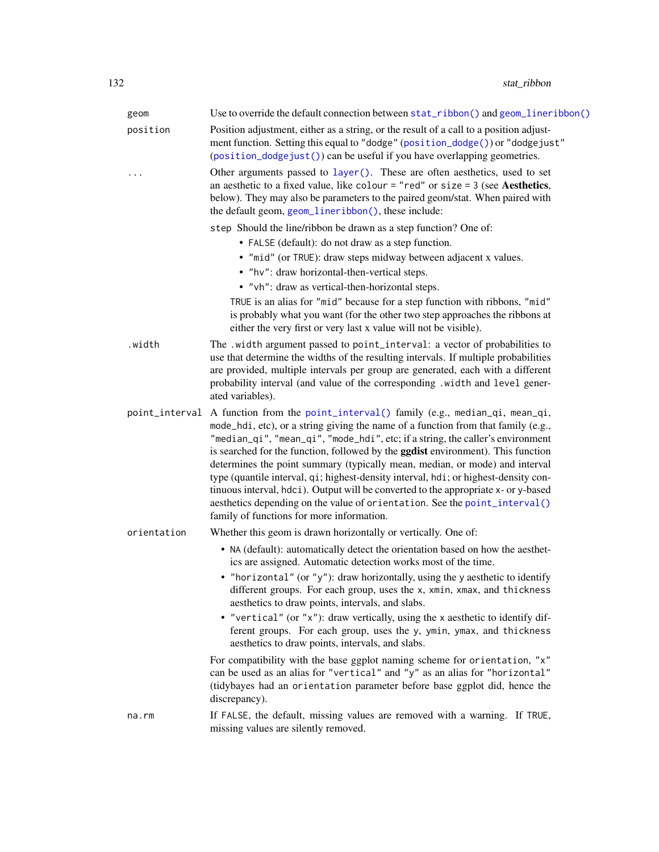| geom           | Use to override the default connection between stat_ribbon() and geom_lineribbon()                                                                                                                                                                                                                                                                                                                                                                                                                                                                                                                                                                                                                                              |
|----------------|---------------------------------------------------------------------------------------------------------------------------------------------------------------------------------------------------------------------------------------------------------------------------------------------------------------------------------------------------------------------------------------------------------------------------------------------------------------------------------------------------------------------------------------------------------------------------------------------------------------------------------------------------------------------------------------------------------------------------------|
| position       | Position adjustment, either as a string, or the result of a call to a position adjust-<br>ment function. Setting this equal to "dodge" (position_dodge()) or "dodgejust"<br>(position_dodgejust()) can be useful if you have overlapping geometries.                                                                                                                                                                                                                                                                                                                                                                                                                                                                            |
|                | Other arguments passed to layer(). These are often aesthetics, used to set<br>an aesthetic to a fixed value, like colour = "red" or size = $3$ (see Aesthetics,<br>below). They may also be parameters to the paired geom/stat. When paired with<br>the default geom, geom_lineribbon(), these include:                                                                                                                                                                                                                                                                                                                                                                                                                         |
|                | step Should the line/ribbon be drawn as a step function? One of:                                                                                                                                                                                                                                                                                                                                                                                                                                                                                                                                                                                                                                                                |
|                | • FALSE (default): do not draw as a step function.                                                                                                                                                                                                                                                                                                                                                                                                                                                                                                                                                                                                                                                                              |
|                | • "mid" (or TRUE): draw steps midway between adjacent x values.                                                                                                                                                                                                                                                                                                                                                                                                                                                                                                                                                                                                                                                                 |
|                | • "hv": draw horizontal-then-vertical steps.                                                                                                                                                                                                                                                                                                                                                                                                                                                                                                                                                                                                                                                                                    |
|                | • "vh": draw as vertical-then-horizontal steps.                                                                                                                                                                                                                                                                                                                                                                                                                                                                                                                                                                                                                                                                                 |
|                | TRUE is an alias for "mid" because for a step function with ribbons, "mid"<br>is probably what you want (for the other two step approaches the ribbons at<br>either the very first or very last x value will not be visible).                                                                                                                                                                                                                                                                                                                                                                                                                                                                                                   |
| .width         | The .width argument passed to point_interval: a vector of probabilities to<br>use that determine the widths of the resulting intervals. If multiple probabilities<br>are provided, multiple intervals per group are generated, each with a different<br>probability interval (and value of the corresponding .width and level gener-<br>ated variables).                                                                                                                                                                                                                                                                                                                                                                        |
| point_interval | A function from the point_interval() family (e.g., median_qi, mean_qi,<br>mode_hdi, etc), or a string giving the name of a function from that family (e.g.,<br>"median_qi", "mean_qi", "mode_hdi", etc; if a string, the caller's environment<br>is searched for the function, followed by the <b>ggdist</b> environment). This function<br>determines the point summary (typically mean, median, or mode) and interval<br>type (quantile interval, qi; highest-density interval, hdi; or highest-density con-<br>tinuous interval, hdci). Output will be converted to the appropriate x- or y-based<br>aesthetics depending on the value of orientation. See the point_interval()<br>family of functions for more information. |
| orientation    | Whether this geom is drawn horizontally or vertically. One of:                                                                                                                                                                                                                                                                                                                                                                                                                                                                                                                                                                                                                                                                  |
|                | • NA (default): automatically detect the orientation based on how the aesthet-<br>ics are assigned. Automatic detection works most of the time.                                                                                                                                                                                                                                                                                                                                                                                                                                                                                                                                                                                 |
|                | • "horizontal" (or "y"): draw horizontally, using the y aesthetic to identify<br>different groups. For each group, uses the x, xmin, xmax, and thickness<br>aesthetics to draw points, intervals, and slabs.                                                                                                                                                                                                                                                                                                                                                                                                                                                                                                                    |
|                | • "vertical" (or "x"): draw vertically, using the x aesthetic to identify dif-<br>ferent groups. For each group, uses the y, ymin, ymax, and thickness<br>aesthetics to draw points, intervals, and slabs.                                                                                                                                                                                                                                                                                                                                                                                                                                                                                                                      |
|                | For compatibility with the base ggplot naming scheme for orientation, "x"<br>can be used as an alias for "vertical" and "y" as an alias for "horizontal"<br>(tidybayes had an orientation parameter before base ggplot did, hence the<br>discrepancy).                                                                                                                                                                                                                                                                                                                                                                                                                                                                          |
| na.rm          | If FALSE, the default, missing values are removed with a warning. If TRUE,<br>missing values are silently removed.                                                                                                                                                                                                                                                                                                                                                                                                                                                                                                                                                                                                              |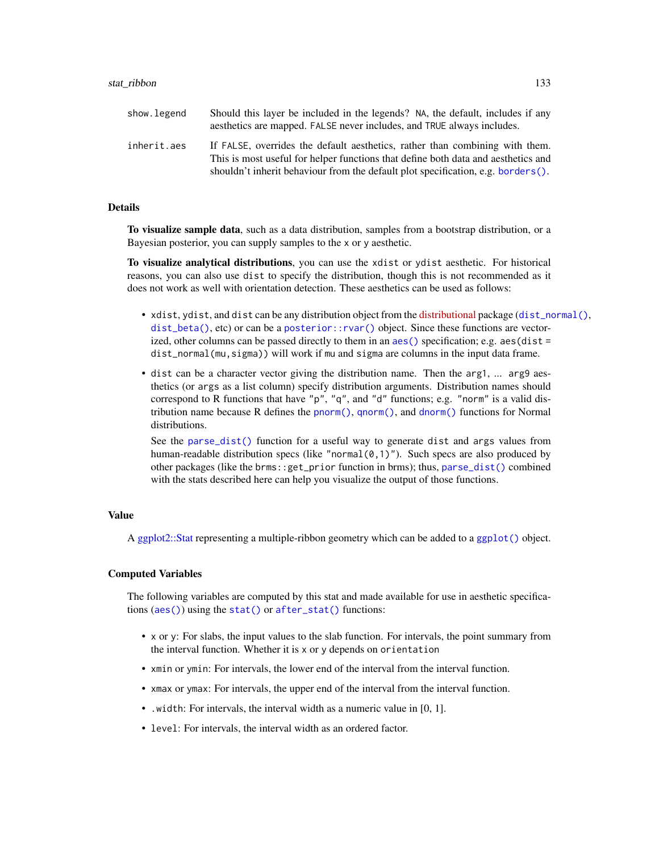| show.legend | Should this layer be included in the legends? NA, the default, includes if any<br>aesthetics are mapped. FALSE never includes, and TRUE always includes.                                                                                              |
|-------------|-------------------------------------------------------------------------------------------------------------------------------------------------------------------------------------------------------------------------------------------------------|
| inherit.aes | If FALSE, overrides the default aesthetics, rather than combining with them.<br>This is most useful for helper functions that define both data and aesthetics and<br>shouldn't inherit behaviour from the default plot specification, e.g. borders(). |

#### Details

To visualize sample data, such as a data distribution, samples from a bootstrap distribution, or a Bayesian posterior, you can supply samples to the x or y aesthetic.

To visualize analytical distributions, you can use the xdist or ydist aesthetic. For historical reasons, you can also use dist to specify the distribution, though this is not recommended as it does not work as well with orientation detection. These aesthetics can be used as follows:

- xdist, ydist, and dist can be any distribution object from the [distributional](https://pkg.mitchelloharawild.com/distributional/) package ([dist\\_normal\(\)](#page-0-0), [dist\\_beta\(\)](#page-0-0), etc) or can be a [posterior::rvar\(\)](#page-0-0) object. Since these functions are vectorized, other columns can be passed directly to them in an [aes\(\)](#page-0-0) specification; e.g. aes(dist = dist\_normal(mu,sigma)) will work if mu and sigma are columns in the input data frame.
- dist can be a character vector giving the distribution name. Then the arg1, ... arg9 aesthetics (or args as a list column) specify distribution arguments. Distribution names should correspond to R functions that have "p", "q", and "d" functions; e.g. "norm" is a valid distribution name because R defines the [pnorm\(\)](#page-0-0), [qnorm\(\)](#page-0-0), and [dnorm\(\)](#page-0-0) functions for Normal distributions.

See the [parse\\_dist\(\)](#page-48-0) function for a useful way to generate dist and args values from human-readable distribution specs (like "normal $(0,1)$ "). Such specs are also produced by other packages (like the brms::get\_prior function in brms); thus, [parse\\_dist\(\)](#page-48-0) combined with the stats described here can help you visualize the output of those functions.

# Value

A [ggplot2::Stat](#page-0-0) representing a multiple-ribbon geometry which can be added to a [ggplot\(\)](#page-0-0) object.

# Computed Variables

The following variables are computed by this stat and made available for use in aesthetic specifications ([aes\(\)](#page-0-0)) using the [stat\(\)](#page-0-0) or [after\\_stat\(\)](#page-0-0) functions:

- x or y: For slabs, the input values to the slab function. For intervals, the point summary from the interval function. Whether it is x or y depends on orientation
- xmin or ymin: For intervals, the lower end of the interval from the interval function.
- xmax or ymax: For intervals, the upper end of the interval from the interval function.
- .width: For intervals, the interval width as a numeric value in [0, 1].
- level: For intervals, the interval width as an ordered factor.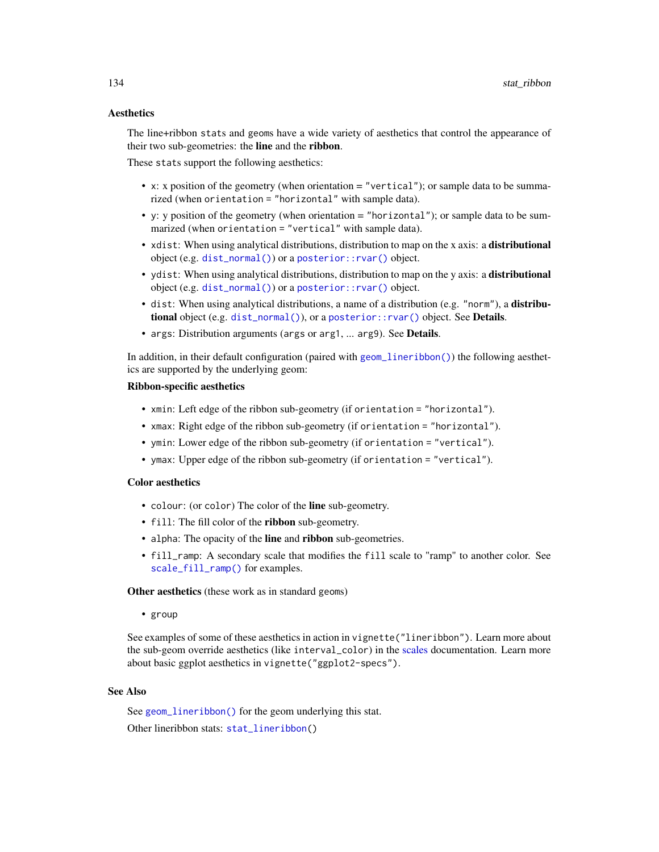# **Aesthetics**

The line+ribbon stats and geoms have a wide variety of aesthetics that control the appearance of their two sub-geometries: the line and the ribbon.

These stats support the following aesthetics:

- x: x position of the geometry (when orientation = "vertical"); or sample data to be summarized (when orientation = "horizontal" with sample data).
- y: y position of the geometry (when orientation  $=$  "horizontal"); or sample data to be summarized (when orientation = "vertical" with sample data).
- xdist: When using analytical distributions, distribution to map on the x axis: a distributional object (e.g. [dist\\_normal\(\)](#page-0-0)) or a [posterior::rvar\(\)](#page-0-0) object.
- ydist: When using analytical distributions, distribution to map on the y axis: a distributional object (e.g. [dist\\_normal\(\)](#page-0-0)) or a [posterior::rvar\(\)](#page-0-0) object.
- dist: When using analytical distributions, a name of a distribution (e.g. "norm"), a distributional object (e.g. [dist\\_normal\(\)](#page-0-0)), or a [posterior::rvar\(\)](#page-0-0) object. See Details.
- args: Distribution arguments (args or arg1, ... arg9). See Details.

In addition, in their default configuration (paired with [geom\\_lineribbon\(\)](#page-24-0)) the following aesthetics are supported by the underlying geom:

## Ribbon-specific aesthetics

- xmin: Left edge of the ribbon sub-geometry (if orientation = "horizontal").
- xmax: Right edge of the ribbon sub-geometry (if orientation = "horizontal").
- ymin: Lower edge of the ribbon sub-geometry (if orientation = "vertical").
- ymax: Upper edge of the ribbon sub-geometry (if orientation = "vertical").

## Color aesthetics

- colour: (or color) The color of the line sub-geometry.
- fill: The fill color of the **ribbon** sub-geometry.
- alpha: The opacity of the line and ribbon sub-geometries.
- fill\_ramp: A secondary scale that modifies the fill scale to "ramp" to another color. See [scale\\_fill\\_ramp\(\)](#page-62-1) for examples.

Other aesthetics (these work as in standard geoms)

• group

See examples of some of these aesthetics in action in vignette("lineribbon"). Learn more about the sub-geom override aesthetics (like interval\_color) in the [scales](#page-57-0) documentation. Learn more about basic ggplot aesthetics in vignette("ggplot2-specs").

# See Also

See [geom\\_lineribbon\(\)](#page-24-0) for the geom underlying this stat. Other lineribbon stats: [stat\\_lineribbon\(](#page-119-0))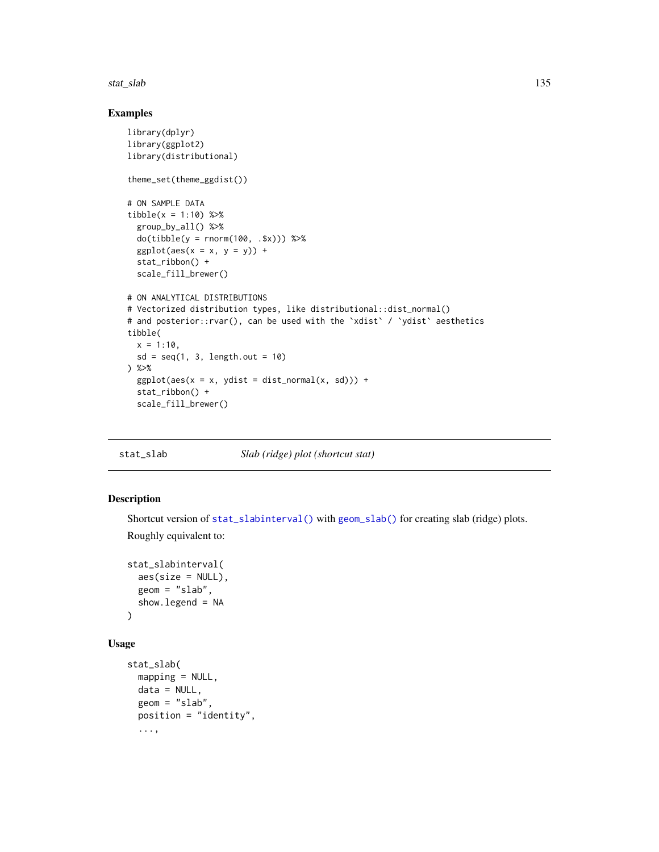#### stat\_slab 135

# Examples

```
library(dplyr)
library(ggplot2)
library(distributional)
theme_set(theme_ggdist())
# ON SAMPLE DATA
tibble(x = 1:10) %group_by_all() %>%
  do(tibble(y = rnorm(100, .$x))) %>%
  ggplot(aes(x = x, y = y)) +stat_ribbon() +
  scale_fill_brewer()
# ON ANALYTICAL DISTRIBUTIONS
# Vectorized distribution types, like distributional::dist_normal()
# and posterior::rvar(), can be used with the 'xdist' / 'ydist' aesthetics
tibble(
  x = 1:10,
  sd = seq(1, 3, length.out = 10)) %>%
  ggplot(aes(x = x, ydist = dist\_normal(x, sd))) +stat_ribbon() +
  scale_fill_brewer()
```
<span id="page-134-0"></span>stat\_slab *Slab (ridge) plot (shortcut stat)*

## Description

Shortcut version of [stat\\_slabinterval\(\)](#page-141-0) with [geom\\_slab\(\)](#page-32-0) for creating slab (ridge) plots. Roughly equivalent to:

```
stat_slabinterval(
  aes(size = NULL),
 geom = "slab",show.legend = NA
)
```
# Usage

```
stat_slab(
 mapping = NULL,
  data = NULL,
  geom = "slab",position = "identity",
  ...,
```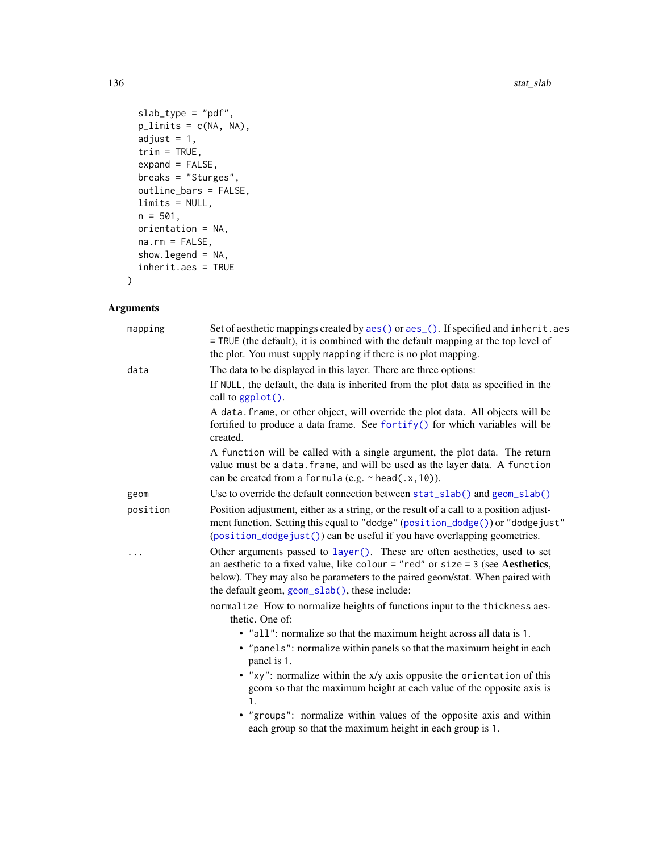```
slab_type = "pdf",
plimits = c(NA, NA),
adjust = 1,trim = TRUE,expand = FALSE,
breaks = "Sturges",
outline_bars = FALSE,
limits = NULL,
n = 501,orientation = NA,
na.rm = FALSE,
show.legend = NA,
inherit.aes = TRUE
```
# Arguments

)

| mapping  | Set of aesthetic mappings created by aes() or aes_(). If specified and inherit.aes<br>= TRUE (the default), it is combined with the default mapping at the top level of<br>the plot. You must supply mapping if there is no plot mapping.                                                                                                                      |
|----------|----------------------------------------------------------------------------------------------------------------------------------------------------------------------------------------------------------------------------------------------------------------------------------------------------------------------------------------------------------------|
| data     | The data to be displayed in this layer. There are three options:<br>If NULL, the default, the data is inherited from the plot data as specified in the<br>call to $ggplot()$ .<br>A data. frame, or other object, will override the plot data. All objects will be<br>fortified to produce a data frame. See fortify() for which variables will be<br>created. |
|          | A function will be called with a single argument, the plot data. The return<br>value must be a data. frame, and will be used as the layer data. A function<br>can be created from a formula (e.g. $\sim$ head(.x, 10)).                                                                                                                                        |
| geom     | Use to override the default connection between stat_slab() and geom_slab()                                                                                                                                                                                                                                                                                     |
| position | Position adjustment, either as a string, or the result of a call to a position adjust-<br>ment function. Setting this equal to "dodge" (position_dodge()) or "dodgejust"<br>(position_dodgejust()) can be useful if you have overlapping geometries.                                                                                                           |
| .        | Other arguments passed to layer(). These are often aesthetics, used to set<br>an aesthetic to a fixed value, like colour = "red" or size = $3$ (see Aesthetics,<br>below). They may also be parameters to the paired geom/stat. When paired with<br>the default geom, geom_slab(), these include:                                                              |
|          | normalize How to normalize heights of functions input to the thickness aes-<br>thetic. One of:                                                                                                                                                                                                                                                                 |
|          | • "all": normalize so that the maximum height across all data is 1.<br>• "panels": normalize within panels so that the maximum height in each<br>panel is 1.                                                                                                                                                                                                   |
|          | • "xy": normalize within the x/y axis opposite the orientation of this<br>geom so that the maximum height at each value of the opposite axis is<br>$\mathbf{1}$ .                                                                                                                                                                                              |
|          | • "groups": normalize within values of the opposite axis and within<br>each group so that the maximum height in each group is 1.                                                                                                                                                                                                                               |
|          |                                                                                                                                                                                                                                                                                                                                                                |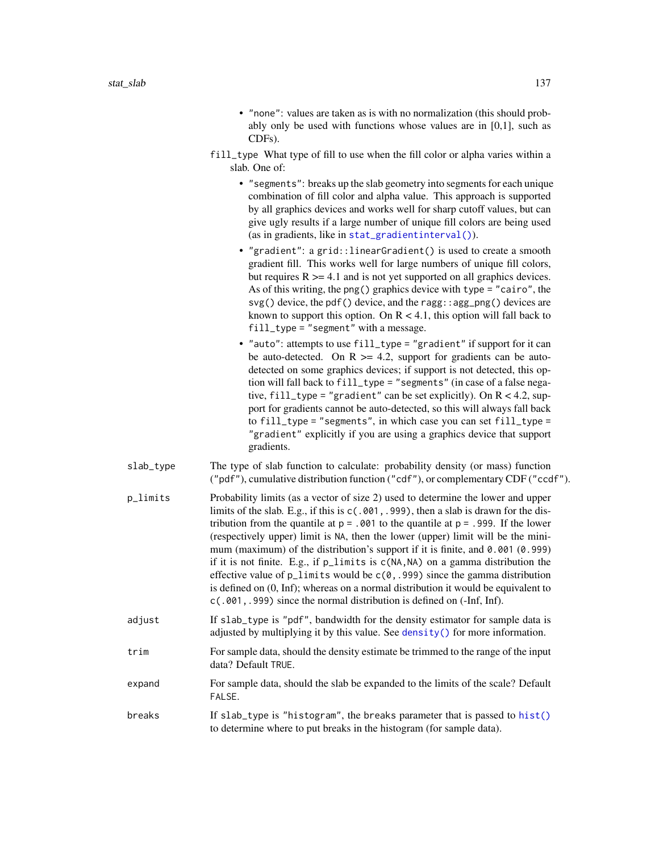- "none": values are taken as is with no normalization (this should probably only be used with functions whose values are in [0,1], such as CDFs).
- fill\_type What type of fill to use when the fill color or alpha varies within a slab. One of:
	- "segments": breaks up the slab geometry into segments for each unique combination of fill color and alpha value. This approach is supported by all graphics devices and works well for sharp cutoff values, but can give ugly results if a large number of unique fill colors are being used (as in gradients, like in [stat\\_gradientinterval\(\)](#page-89-0)).
	- "gradient": a grid::linearGradient() is used to create a smooth gradient fill. This works well for large numbers of unique fill colors, but requires  $R \geq 4.1$  and is not yet supported on all graphics devices. As of this writing, the png() graphics device with type = "cairo", the svg() device, the pdf() device, and the ragg::agg\_png() devices are known to support this option. On  $R < 4.1$ , this option will fall back to fill\_type = "segment" with a message.
	- "auto": attempts to use fill\_type = "gradient" if support for it can be auto-detected. On  $R \ge 4.2$ , support for gradients can be autodetected on some graphics devices; if support is not detected, this option will fall back to fill\_type = "segments" (in case of a false negative, fill\_type = "gradient" can be set explicitly). On R < 4.2, support for gradients cannot be auto-detected, so this will always fall back to fill\_type = "segments", in which case you can set fill\_type = "gradient" explicitly if you are using a graphics device that support gradients.
- slab\_type The type of slab function to calculate: probability density (or mass) function ("pdf"), cumulative distribution function ("cdf"), or complementary CDF ("ccdf").
- p\_limits Probability limits (as a vector of size 2) used to determine the lower and upper limits of the slab. E.g., if this is  $c(.001, .999)$ , then a slab is drawn for the distribution from the quantile at  $p = 0.001$  to the quantile at  $p = 0.999$ . If the lower (respectively upper) limit is NA, then the lower (upper) limit will be the minimum (maximum) of the distribution's support if it is finite, and 0.001 (0.999) if it is not finite. E.g., if p\_limits is c(NA,NA) on a gamma distribution the effective value of  $p$ <sup>limits</sup> would be  $c(0, .999)$  since the gamma distribution is defined on (0, Inf); whereas on a normal distribution it would be equivalent to c(.001,.999) since the normal distribution is defined on (-Inf, Inf).
- adjust If slab\_type is "pdf", bandwidth for the density estimator for sample data is adjusted by multiplying it by this value. See [density\(\)](#page-0-0) for more information.
- trim For sample data, should the density estimate be trimmed to the range of the input data? Default TRUE.
- expand For sample data, should the slab be expanded to the limits of the scale? Default FALSE.
- breaks If slab\_type is "histogram", the breaks parameter that is passed to [hist\(\)](#page-0-0) to determine where to put breaks in the histogram (for sample data).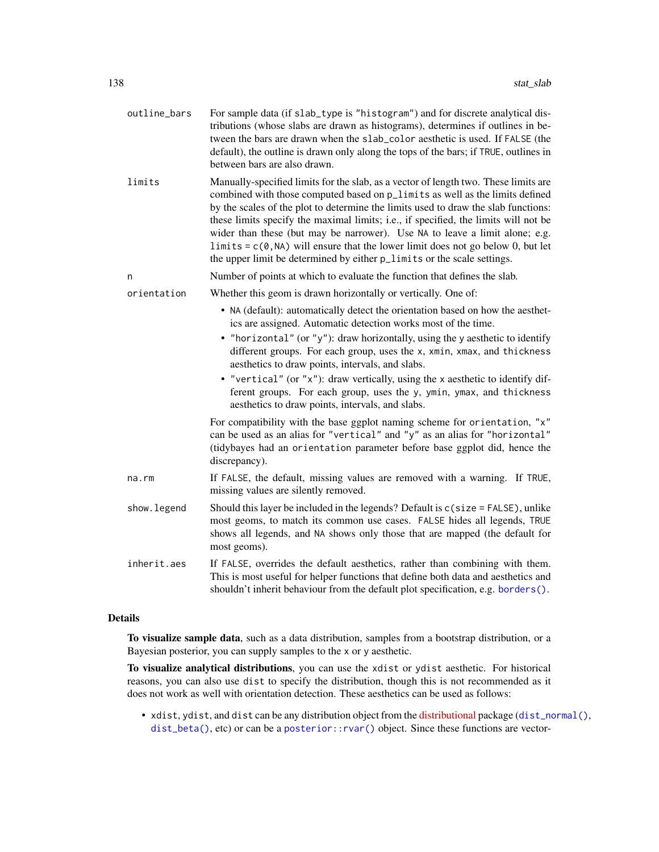| outline_bars | For sample data (if slab_type is "histogram") and for discrete analytical dis-<br>tributions (whose slabs are drawn as histograms), determines if outlines in be-<br>tween the bars are drawn when the slab_color aesthetic is used. If FALSE (the<br>default), the outline is drawn only along the tops of the bars; if TRUE, outlines in<br>between bars are also drawn.                                                                                                                                                                                                                             |
|--------------|--------------------------------------------------------------------------------------------------------------------------------------------------------------------------------------------------------------------------------------------------------------------------------------------------------------------------------------------------------------------------------------------------------------------------------------------------------------------------------------------------------------------------------------------------------------------------------------------------------|
| limits       | Manually-specified limits for the slab, as a vector of length two. These limits are<br>combined with those computed based on p_limits as well as the limits defined<br>by the scales of the plot to determine the limits used to draw the slab functions:<br>these limits specify the maximal limits; i.e., if specified, the limits will not be<br>wider than these (but may be narrower). Use NA to leave a limit alone; e.g.<br>$\text{limits} = c(0, NA)$ will ensure that the lower limit does not go below 0, but let<br>the upper limit be determined by either p_limits or the scale settings. |
| n            | Number of points at which to evaluate the function that defines the slab.                                                                                                                                                                                                                                                                                                                                                                                                                                                                                                                              |
| orientation  | Whether this geom is drawn horizontally or vertically. One of:                                                                                                                                                                                                                                                                                                                                                                                                                                                                                                                                         |
|              | • NA (default): automatically detect the orientation based on how the aesthet-<br>ics are assigned. Automatic detection works most of the time.<br>• "horizontal" (or "y"): draw horizontally, using the y aesthetic to identify<br>different groups. For each group, uses the x, xmin, xmax, and thickness<br>aesthetics to draw points, intervals, and slabs.<br>• "vertical" (or "x"): draw vertically, using the x aesthetic to identify dif-<br>ferent groups. For each group, uses the y, ymin, ymax, and thickness<br>aesthetics to draw points, intervals, and slabs.                          |
|              | For compatibility with the base ggplot naming scheme for orientation, "x"<br>can be used as an alias for "vertical" and "y" as an alias for "horizontal"<br>(tidybayes had an orientation parameter before base ggplot did, hence the<br>discrepancy).                                                                                                                                                                                                                                                                                                                                                 |
| na.rm        | If FALSE, the default, missing values are removed with a warning. If TRUE,<br>missing values are silently removed.                                                                                                                                                                                                                                                                                                                                                                                                                                                                                     |
| show.legend  | Should this layer be included in the legends? Default is $c$ (size = FALSE), unlike<br>most geoms, to match its common use cases. FALSE hides all legends, TRUE<br>shows all legends, and NA shows only those that are mapped (the default for<br>most geoms).                                                                                                                                                                                                                                                                                                                                         |
| inherit.aes  | If FALSE, overrides the default aesthetics, rather than combining with them.<br>This is most useful for helper functions that define both data and aesthetics and<br>shouldn't inherit behaviour from the default plot specification, e.g. borders().                                                                                                                                                                                                                                                                                                                                                  |

# Details

To visualize sample data, such as a data distribution, samples from a bootstrap distribution, or a Bayesian posterior, you can supply samples to the x or y aesthetic.

To visualize analytical distributions, you can use the xdist or ydist aesthetic. For historical reasons, you can also use dist to specify the distribution, though this is not recommended as it does not work as well with orientation detection. These aesthetics can be used as follows:

• xdist, ydist, and dist can be any distribution object from the [distributional](https://pkg.mitchelloharawild.com/distributional/) package ([dist\\_normal\(\)](#page-0-0), [dist\\_beta\(\)](#page-0-0), etc) or can be a [posterior::rvar\(\)](#page-0-0) object. Since these functions are vector-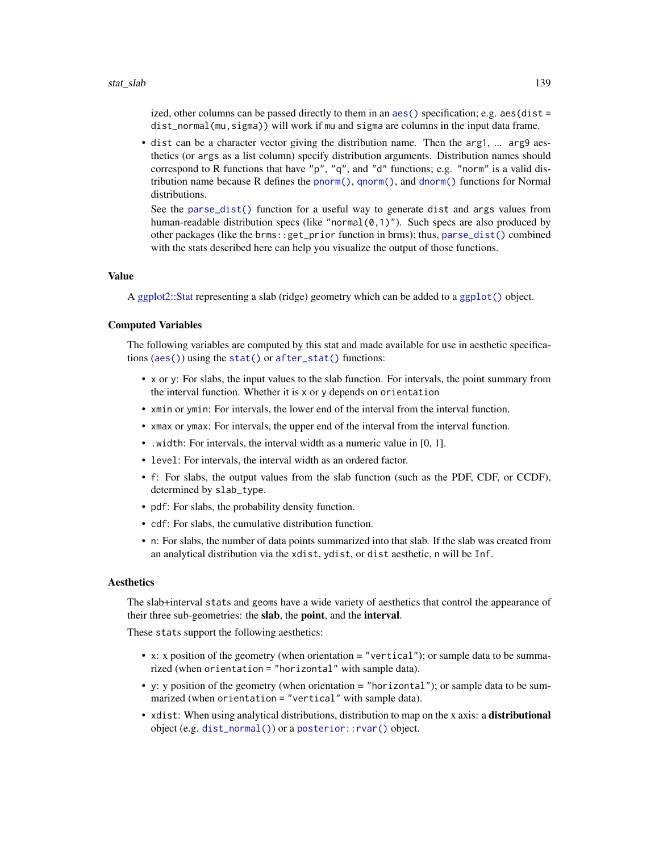ized, other columns can be passed directly to them in an aes () specification; e.g.  $a$ es(dist = dist\_normal(mu,sigma)) will work if mu and sigma are columns in the input data frame.

• dist can be a character vector giving the distribution name. Then the arg1, ... arg9 aesthetics (or args as a list column) specify distribution arguments. Distribution names should correspond to R functions that have "p", "q", and "d" functions; e.g. "norm" is a valid distribution name because R defines the [pnorm\(\)](#page-0-0), [qnorm\(\)](#page-0-0), and [dnorm\(\)](#page-0-0) functions for Normal distributions.

See the [parse\\_dist\(\)](#page-48-0) function for a useful way to generate dist and args values from human-readable distribution specs (like "normal $(0,1)$ "). Such specs are also produced by other packages (like the brms::get\_prior function in brms); thus, [parse\\_dist\(\)](#page-48-0) combined with the stats described here can help you visualize the output of those functions.

## Value

A [ggplot2::Stat](#page-0-0) representing a slab (ridge) geometry which can be added to a [ggplot\(\)](#page-0-0) object.

# Computed Variables

The following variables are computed by this stat and made available for use in aesthetic specifications ([aes\(\)](#page-0-0)) using the [stat\(\)](#page-0-0) or [after\\_stat\(\)](#page-0-0) functions:

- x or y: For slabs, the input values to the slab function. For intervals, the point summary from the interval function. Whether it is x or y depends on orientation
- xmin or ymin: For intervals, the lower end of the interval from the interval function.
- xmax or ymax: For intervals, the upper end of the interval from the interval function.
- .width: For intervals, the interval width as a numeric value in [0, 1].
- level: For intervals, the interval width as an ordered factor.
- f: For slabs, the output values from the slab function (such as the PDF, CDF, or CCDF), determined by slab\_type.
- pdf: For slabs, the probability density function.
- cdf: For slabs, the cumulative distribution function.
- n: For slabs, the number of data points summarized into that slab. If the slab was created from an analytical distribution via the xdist, ydist, or dist aesthetic, n will be Inf.

#### Aesthetics

The slab+interval stats and geoms have a wide variety of aesthetics that control the appearance of their three sub-geometries: the slab, the point, and the interval.

These stats support the following aesthetics:

- x: x position of the geometry (when orientation = "vertical"); or sample data to be summarized (when orientation = "horizontal" with sample data).
- y: y position of the geometry (when orientation = "horizontal"); or sample data to be summarized (when orientation = "vertical" with sample data).
- xdist: When using analytical distributions, distribution to map on the x axis: a distributional object (e.g. [dist\\_normal\(\)](#page-0-0)) or a [posterior::rvar\(\)](#page-0-0) object.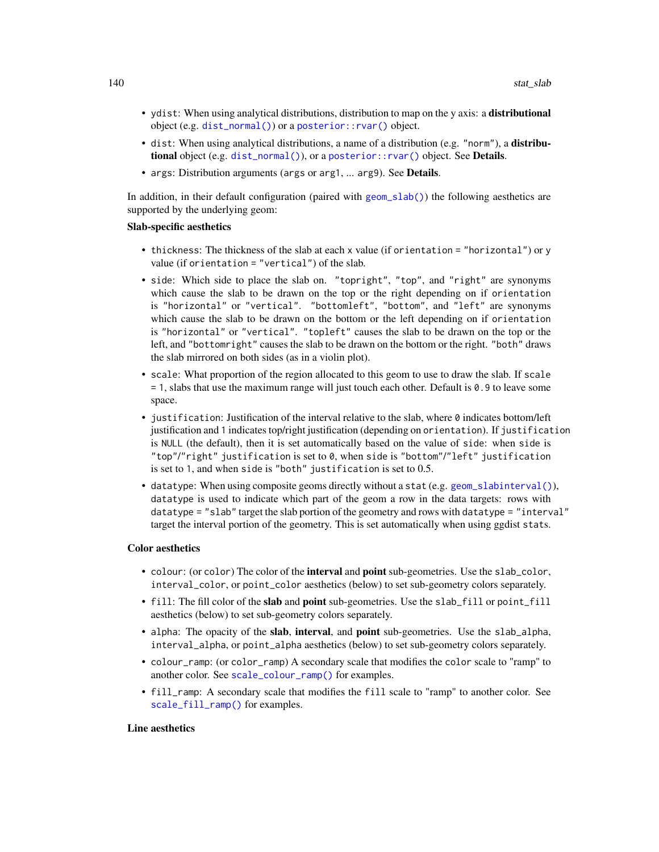- ydist: When using analytical distributions, distribution to map on the y axis: a distributional object (e.g. [dist\\_normal\(\)](#page-0-0)) or a [posterior::rvar\(\)](#page-0-0) object.
- dist: When using analytical distributions, a name of a distribution (e.g. "norm"), a distributional object (e.g. [dist\\_normal\(\)](#page-0-0)), or a [posterior::rvar\(\)](#page-0-0) object. See Details.
- args: Distribution arguments (args or arg1, ... arg9). See **Details**.

In addition, in their default configuration (paired with [geom\\_slab\(\)](#page-32-0)) the following aesthetics are supported by the underlying geom:

#### Slab-specific aesthetics

- thickness: The thickness of the slab at each x value (if orientation = "horizontal") or y value (if orientation = "vertical") of the slab.
- side: Which side to place the slab on. "topright", "top", and "right" are synonyms which cause the slab to be drawn on the top or the right depending on if orientation is "horizontal" or "vertical". "bottomleft", "bottom", and "left" are synonyms which cause the slab to be drawn on the bottom or the left depending on if orientation is "horizontal" or "vertical". "topleft" causes the slab to be drawn on the top or the left, and "bottomright" causes the slab to be drawn on the bottom or the right. "both" draws the slab mirrored on both sides (as in a violin plot).
- scale: What proportion of the region allocated to this geom to use to draw the slab. If scale = 1, slabs that use the maximum range will just touch each other. Default is 0.9 to leave some space.
- $\bullet$  justification: Justification of the interval relative to the slab, where  $\emptyset$  indicates bottom/left justification and 1 indicates top/right justification (depending on orientation). If justification is NULL (the default), then it is set automatically based on the value of side: when side is "top"/"right" justification is set to 0, when side is "bottom"/"left" justification is set to 1, and when side is "both" justification is set to 0.5.
- datatype: When using composite geoms directly without a stat (e.g. [geom\\_slabinterval\(\)](#page-37-0)), datatype is used to indicate which part of the geom a row in the data targets: rows with datatype = "slab" target the slab portion of the geometry and rows with datatype = "interval" target the interval portion of the geometry. This is set automatically when using ggdist stats.

## Color aesthetics

- colour: (or color) The color of the **interval** and **point** sub-geometries. Use the slab<sub>color</sub>, interval\_color, or point\_color aesthetics (below) to set sub-geometry colors separately.
- fill: The fill color of the **slab** and **point** sub-geometries. Use the slab fill or point fill aesthetics (below) to set sub-geometry colors separately.
- alpha: The opacity of the slab, interval, and point sub-geometries. Use the slab\_alpha, interval\_alpha, or point\_alpha aesthetics (below) to set sub-geometry colors separately.
- colour\_ramp: (or color\_ramp) A secondary scale that modifies the color scale to "ramp" to another color. See [scale\\_colour\\_ramp\(\)](#page-62-0) for examples.
- fill\_ramp: A secondary scale that modifies the fill scale to "ramp" to another color. See [scale\\_fill\\_ramp\(\)](#page-62-1) for examples.

# Line aesthetics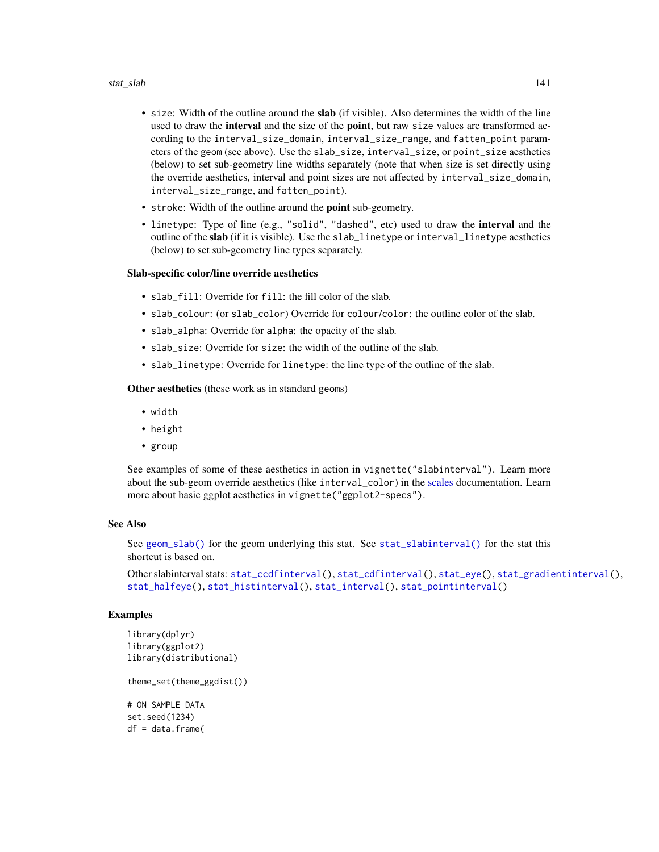## stat\_slab 141

- size: Width of the outline around the slab (if visible). Also determines the width of the line used to draw the **interval** and the size of the **point**, but raw size values are transformed according to the interval\_size\_domain, interval\_size\_range, and fatten\_point parameters of the geom (see above). Use the slab\_size, interval\_size, or point\_size aesthetics (below) to set sub-geometry line widths separately (note that when size is set directly using the override aesthetics, interval and point sizes are not affected by interval\_size\_domain, interval\_size\_range, and fatten\_point).
- stroke: Width of the outline around the point sub-geometry.
- linetype: Type of line (e.g., "solid", "dashed", etc) used to draw the **interval** and the outline of the slab (if it is visible). Use the slab\_linetype or interval\_linetype aesthetics (below) to set sub-geometry line types separately.

## Slab-specific color/line override aesthetics

- slab\_fill: Override for fill: the fill color of the slab.
- slab\_colour: (or slab\_color) Override for colour/color: the outline color of the slab.
- slab\_alpha: Override for alpha: the opacity of the slab.
- slab\_size: Override for size: the width of the outline of the slab.
- slab\_linetype: Override for linetype: the line type of the outline of the slab.

Other aesthetics (these work as in standard geoms)

- width
- height
- group

See examples of some of these aesthetics in action in vignette("slabinterval"). Learn more about the sub-geom override aesthetics (like interval\_color) in the [scales](#page-57-0) documentation. Learn more about basic ggplot aesthetics in vignette("ggplot2-specs").

## See Also

See [geom\\_slab\(\)](#page-32-0) for the geom underlying this stat. See [stat\\_slabinterval\(\)](#page-141-0) for the stat this shortcut is based on.

Other slabinterval stats: [stat\\_ccdfinterval\(](#page-64-0)), [stat\\_cdfinterval\(](#page-72-0)), [stat\\_eye\(](#page-81-0)), [stat\\_gradientinterval\(](#page-89-0)), [stat\\_halfeye\(](#page-97-0)), [stat\\_histinterval\(](#page-105-0)), [stat\\_interval\(](#page-114-0)), [stat\\_pointinterval\(](#page-124-0))

## Examples

```
library(dplyr)
library(ggplot2)
library(distributional)
theme_set(theme_ggdist())
# ON SAMPLE DATA
set.seed(1234)
df = data.frame(
```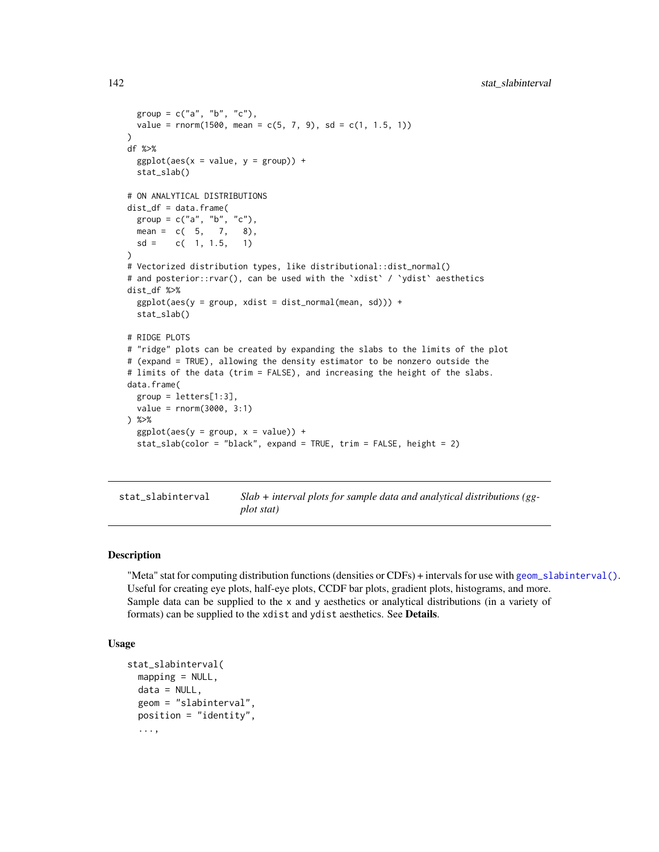```
group = c("a", "b", "c"),
  value = rnorm(1500, mean = c(5, 7, 9), sd = c(1, 1.5, 1))
)
df %>%
  ggplot(aes(x = value, y = group)) +stat_slab()
# ON ANALYTICAL DISTRIBUTIONS
dist_d f = data. frame(
  group = c("a", "b", "c"),
  mean = c(5, 7, 8),sd = c(1, 1.5, 1))
# Vectorized distribution types, like distributional::dist_normal()
# and posterior::rvar(), can be used with the 'xdist' / 'ydist' aesthetics
dist_df %>%
  ggplot(aes(y = group, xdist = dist\_normal(mean, sd))) +stat_slab()
# RIDGE PLOTS
# "ridge" plots can be created by expanding the slabs to the limits of the plot
# (expand = TRUE), allowing the density estimator to be nonzero outside the
# limits of the data (trim = FALSE), and increasing the height of the slabs.
data.frame(
  group = letters[1:3],value = rnorm(3000, 3:1)
) %>%
  ggplot(aes(y = group, x = value)) +stat_slab(color = "black", expand = TRUE, trim = FALSE, height = 2)
```
<span id="page-141-0"></span>stat\_slabinterval *Slab + interval plots for sample data and analytical distributions (ggplot stat)*

## Description

"Meta" stat for computing distribution functions (densities or CDFs) + intervals for use with [geom\\_slabinterval\(\)](#page-37-0). Useful for creating eye plots, half-eye plots, CCDF bar plots, gradient plots, histograms, and more. Sample data can be supplied to the x and y aesthetics or analytical distributions (in a variety of formats) can be supplied to the xdist and ydist aesthetics. See Details.

## Usage

```
stat_slabinterval(
 mapping = NULL,
  data = NULL,geom = "slabinterval",
  position = "identity",
  ...,
```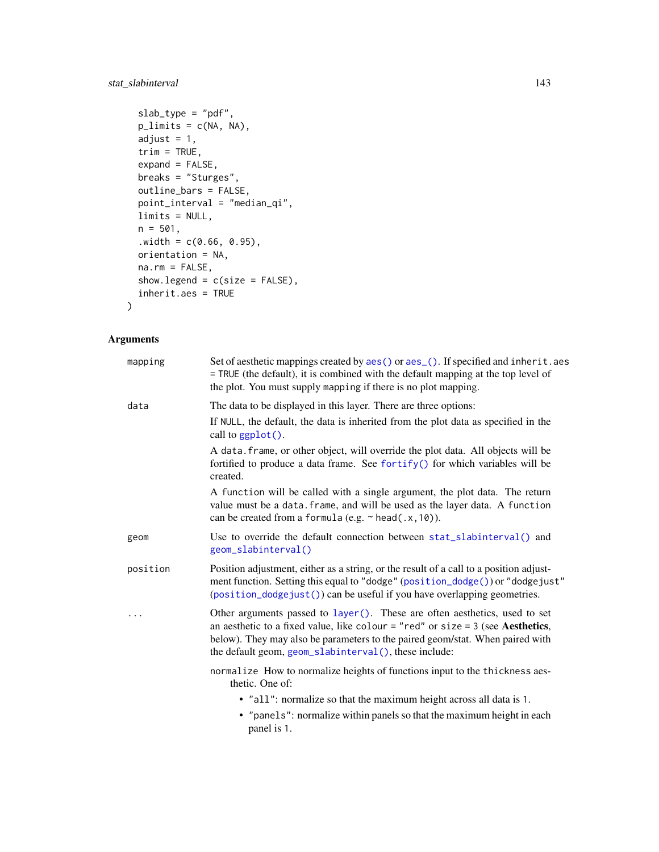# stat\_slabinterval 143

```
slab_{\text{type}} = "pdf",
p_limits = c(NA, NA),
adjust = 1,
trim = TRUE,expand = FALSE,
breaks = "Sturges",
outline_bars = FALSE,
point_interval = "median_qi",
limits = NULL,
n = 501,.width = c(0.66, 0.95),orientation = NA,
na.rm = FALSE,
show.legend = c(size = FALSE),
inherit.aes = TRUE
```
# Arguments

 $\mathcal{L}$ 

| mapping  | Set of aesthetic mappings created by aes () or aes (). If specified and inherit. aes<br>= TRUE (the default), it is combined with the default mapping at the top level of<br>the plot. You must supply mapping if there is no plot mapping.                                                               |
|----------|-----------------------------------------------------------------------------------------------------------------------------------------------------------------------------------------------------------------------------------------------------------------------------------------------------------|
| data     | The data to be displayed in this layer. There are three options:                                                                                                                                                                                                                                          |
|          | If NULL, the default, the data is inherited from the plot data as specified in the<br>call to ggplot().                                                                                                                                                                                                   |
|          | A data. frame, or other object, will override the plot data. All objects will be<br>fortified to produce a data frame. See fortify() for which variables will be<br>created.                                                                                                                              |
|          | A function will be called with a single argument, the plot data. The return<br>value must be a data. frame, and will be used as the layer data. A function<br>can be created from a formula (e.g. $\sim$ head(.x, 10)).                                                                                   |
| geom     | Use to override the default connection between stat_slabinterval() and<br>geom_slabinterval()                                                                                                                                                                                                             |
| position | Position adjustment, either as a string, or the result of a call to a position adjust-<br>ment function. Setting this equal to "dodge" (position_dodge()) or "dodgejust"<br>(position_dodgejust()) can be useful if you have overlapping geometries.                                                      |
| .        | Other arguments passed to layer(). These are often aesthetics, used to set<br>an aesthetic to a fixed value, like colour = "red" or size = $3$ (see Aesthetics,<br>below). They may also be parameters to the paired geom/stat. When paired with<br>the default geom, geom_slabinterval(), these include: |
|          | normalize How to normalize heights of functions input to the thickness aes-<br>thetic. One of:                                                                                                                                                                                                            |
|          | • "all": normalize so that the maximum height across all data is 1.                                                                                                                                                                                                                                       |
|          | • "panels": normalize within panels so that the maximum height in each<br>panel is 1.                                                                                                                                                                                                                     |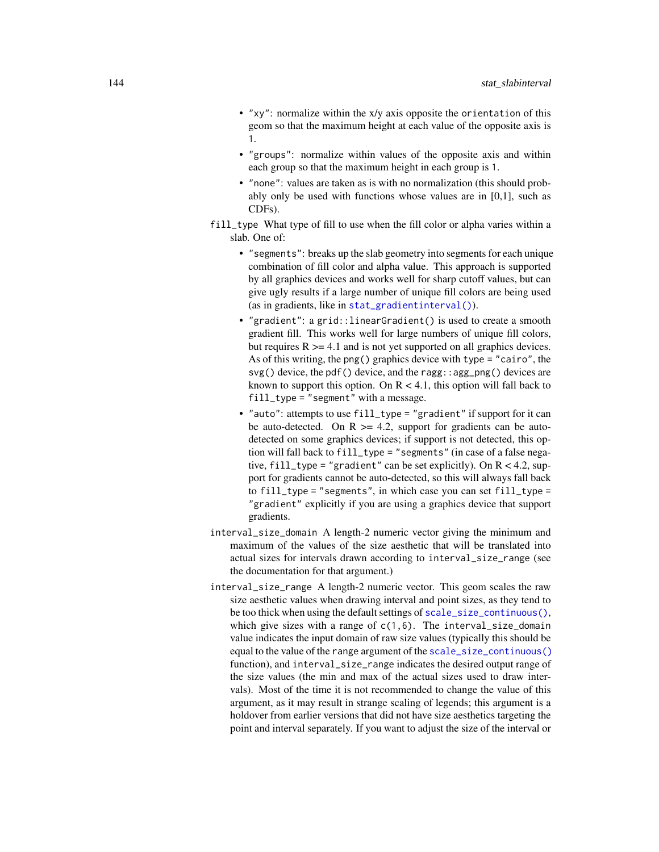- "xy": normalize within the x/y axis opposite the orientation of this geom so that the maximum height at each value of the opposite axis is 1.
- "groups": normalize within values of the opposite axis and within each group so that the maximum height in each group is 1.
- "none": values are taken as is with no normalization (this should probably only be used with functions whose values are in [0,1], such as CDFs).
- fill\_type What type of fill to use when the fill color or alpha varies within a slab. One of:
	- "segments": breaks up the slab geometry into segments for each unique combination of fill color and alpha value. This approach is supported by all graphics devices and works well for sharp cutoff values, but can give ugly results if a large number of unique fill colors are being used (as in gradients, like in [stat\\_gradientinterval\(\)](#page-89-0)).
	- "gradient": a grid::linearGradient() is used to create a smooth gradient fill. This works well for large numbers of unique fill colors, but requires  $R \geq 4.1$  and is not yet supported on all graphics devices. As of this writing, the png() graphics device with type = "cairo", the svg() device, the pdf() device, and the ragg: : agg\_png() devices are known to support this option. On  $R < 4.1$ , this option will fall back to fill\_type = "segment" with a message.
	- "auto": attempts to use fill\_type = "gradient" if support for it can be auto-detected. On  $R \geq 4.2$ , support for gradients can be autodetected on some graphics devices; if support is not detected, this option will fall back to fill\_type = "segments" (in case of a false negative, fill\_type = "gradient" can be set explicitly). On  $R < 4.2$ , support for gradients cannot be auto-detected, so this will always fall back to fill\_type = "segments", in which case you can set fill\_type = "gradient" explicitly if you are using a graphics device that support gradients.
- interval\_size\_domain A length-2 numeric vector giving the minimum and maximum of the values of the size aesthetic that will be translated into actual sizes for intervals drawn according to interval\_size\_range (see the documentation for that argument.)
- interval\_size\_range A length-2 numeric vector. This geom scales the raw size aesthetic values when drawing interval and point sizes, as they tend to be too thick when using the default settings of [scale\\_size\\_continuous\(\)](#page-0-0), which give sizes with a range of  $c(1,6)$ . The interval\_size\_domain value indicates the input domain of raw size values (typically this should be equal to the value of the range argument of the [scale\\_size\\_continuous\(\)](#page-0-0) function), and interval\_size\_range indicates the desired output range of the size values (the min and max of the actual sizes used to draw intervals). Most of the time it is not recommended to change the value of this argument, as it may result in strange scaling of legends; this argument is a holdover from earlier versions that did not have size aesthetics targeting the point and interval separately. If you want to adjust the size of the interval or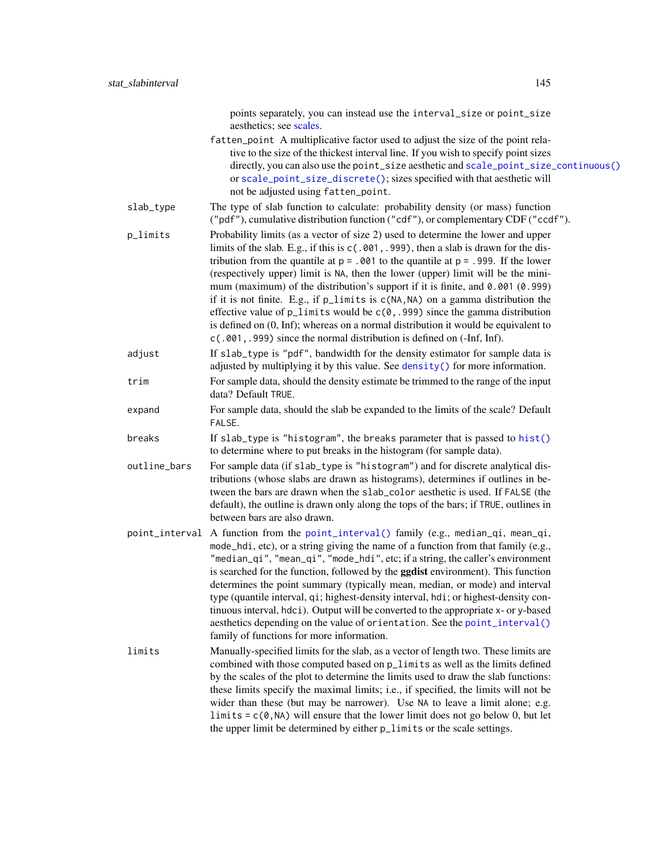- <span id="page-144-0"></span>fatten\_point A multiplicative factor used to adjust the size of the point relative to the size of the thickest interval line. If you wish to specify point sizes directly, you can also use the point\_size aesthetic and [scale\\_point\\_size\\_continuous\(\)](#page-57-1) or [scale\\_point\\_size\\_discrete\(\)](#page-57-1); sizes specified with that aesthetic will not be adjusted using fatten\_point.
- slab\_type The type of slab function to calculate: probability density (or mass) function ("pdf"), cumulative distribution function ("cdf"), or complementary CDF ("ccdf").
- p\_limits Probability limits (as a vector of size 2) used to determine the lower and upper limits of the slab. E.g., if this is c(.001,.999), then a slab is drawn for the distribution from the quantile at  $p = 0.001$  to the quantile at  $p = 0.999$ . If the lower (respectively upper) limit is NA, then the lower (upper) limit will be the minimum (maximum) of the distribution's support if it is finite, and 0.001 (0.999) if it is not finite. E.g., if p\_limits is c(NA,NA) on a gamma distribution the effective value of  $p$ <sup>limits</sup> would be  $c(0, .999)$  since the gamma distribution is defined on (0, Inf); whereas on a normal distribution it would be equivalent to c(.001,.999) since the normal distribution is defined on (-Inf, Inf).
- adjust If slab\_type is "pdf", bandwidth for the density estimator for sample data is adjusted by multiplying it by this value. See [density\(\)](#page-0-0) for more information.
- trim For sample data, should the density estimate be trimmed to the range of the input data? Default TRUE.
- expand For sample data, should the slab be expanded to the limits of the scale? Default FALSE.
- breaks If slab\_type is "histogram", the breaks parameter that is passed to [hist\(\)](#page-0-0) to determine where to put breaks in the histogram (for sample data).
- outline\_bars For sample data (if slab\_type is "histogram") and for discrete analytical distributions (whose slabs are drawn as histograms), determines if outlines in between the bars are drawn when the slab\_color aesthetic is used. If FALSE (the default), the outline is drawn only along the tops of the bars; if TRUE, outlines in between bars are also drawn.
- point\_interval A function from the [point\\_interval\(\)](#page-50-0) family (e.g., median\_qi, mean\_qi, mode\_hdi, etc), or a string giving the name of a function from that family (e.g., "median\_qi", "mean\_qi", "mode\_hdi", etc; if a string, the caller's environment is searched for the function, followed by the **ggdist** environment). This function determines the point summary (typically mean, median, or mode) and interval type (quantile interval, qi; highest-density interval, hdi; or highest-density continuous interval, hdci). Output will be converted to the appropriate x- or y-based aesthetics depending on the value of orientation. See the [point\\_interval\(\)](#page-50-0) family of functions for more information.
- limits Manually-specified limits for the slab, as a vector of length two. These limits are combined with those computed based on p\_limits as well as the limits defined by the scales of the plot to determine the limits used to draw the slab functions: these limits specify the maximal limits; i.e., if specified, the limits will not be wider than these (but may be narrower). Use NA to leave a limit alone; e.g. limits =  $c(\theta, NA)$  will ensure that the lower limit does not go below 0, but let the upper limit be determined by either p\_limits or the scale settings.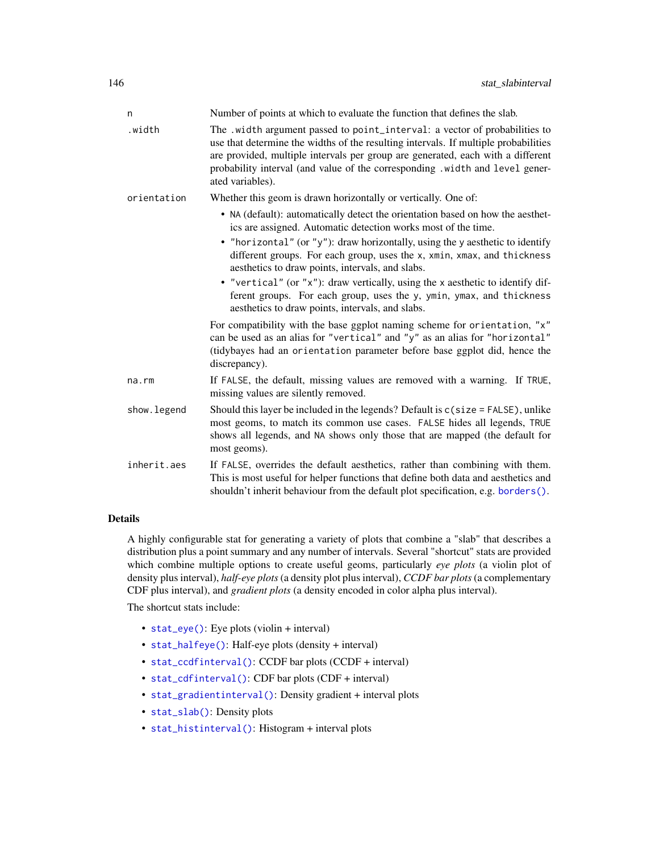<span id="page-145-0"></span>

| n           | Number of points at which to evaluate the function that defines the slab.                                                                                                                                                                                                                                                                                |
|-------------|----------------------------------------------------------------------------------------------------------------------------------------------------------------------------------------------------------------------------------------------------------------------------------------------------------------------------------------------------------|
| .width      | The .width argument passed to point_interval: a vector of probabilities to<br>use that determine the widths of the resulting intervals. If multiple probabilities<br>are provided, multiple intervals per group are generated, each with a different<br>probability interval (and value of the corresponding .width and level gener-<br>ated variables). |
| orientation | Whether this geom is drawn horizontally or vertically. One of:                                                                                                                                                                                                                                                                                           |
|             | • NA (default): automatically detect the orientation based on how the aesthet-<br>ics are assigned. Automatic detection works most of the time.                                                                                                                                                                                                          |
|             | • "horizontal" (or "y"): draw horizontally, using the y aesthetic to identify<br>different groups. For each group, uses the x, xmin, xmax, and thickness<br>aesthetics to draw points, intervals, and slabs.                                                                                                                                             |
|             | • "vertical" (or "x"): draw vertically, using the x aesthetic to identify dif-<br>ferent groups. For each group, uses the y, ymin, ymax, and thickness<br>aesthetics to draw points, intervals, and slabs.                                                                                                                                               |
|             | For compatibility with the base ggplot naming scheme for orientation, "x"<br>can be used as an alias for "vertical" and "y" as an alias for "horizontal"<br>(tidybayes had an orientation parameter before base ggplot did, hence the<br>discrepancy).                                                                                                   |
| na.rm       | If FALSE, the default, missing values are removed with a warning. If TRUE,<br>missing values are silently removed.                                                                                                                                                                                                                                       |
| show.legend | Should this layer be included in the legends? Default is $c$ (size = FALSE), unlike<br>most geoms, to match its common use cases. FALSE hides all legends, TRUE<br>shows all legends, and NA shows only those that are mapped (the default for<br>most geoms).                                                                                           |
| inherit.aes | If FALSE, overrides the default aesthetics, rather than combining with them.<br>This is most useful for helper functions that define both data and aesthetics and<br>shouldn't inherit behaviour from the default plot specification, e.g. borders().                                                                                                    |

#### Details

A highly configurable stat for generating a variety of plots that combine a "slab" that describes a distribution plus a point summary and any number of intervals. Several "shortcut" stats are provided which combine multiple options to create useful geoms, particularly *eye plots* (a violin plot of density plus interval), *half-eye plots*(a density plot plus interval), *CCDF bar plots*(a complementary CDF plus interval), and *gradient plots* (a density encoded in color alpha plus interval).

The shortcut stats include:

- [stat\\_eye\(\)](#page-81-0): Eye plots (violin + interval)
- [stat\\_halfeye\(\)](#page-97-0): Half-eye plots (density + interval)
- [stat\\_ccdfinterval\(\)](#page-64-0): CCDF bar plots (CCDF + interval)
- [stat\\_cdfinterval\(\)](#page-72-0): CDF bar plots (CDF + interval)
- [stat\\_gradientinterval\(\)](#page-89-0): Density gradient + interval plots
- [stat\\_slab\(\)](#page-134-0): Density plots
- [stat\\_histinterval\(\)](#page-105-0): Histogram + interval plots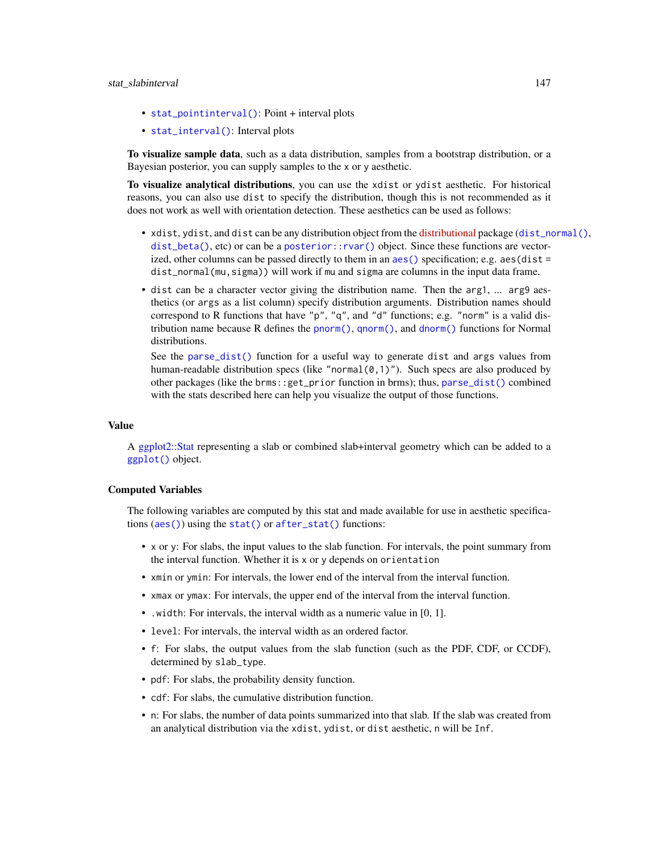- <span id="page-146-0"></span>• [stat\\_pointinterval\(\)](#page-124-0): Point + interval plots
- [stat\\_interval\(\)](#page-114-0): Interval plots

To visualize sample data, such as a data distribution, samples from a bootstrap distribution, or a Bayesian posterior, you can supply samples to the x or y aesthetic.

To visualize analytical distributions, you can use the xdist or ydist aesthetic. For historical reasons, you can also use dist to specify the distribution, though this is not recommended as it does not work as well with orientation detection. These aesthetics can be used as follows:

- xdist, ydist, and dist can be any distribution object from the [distributional](https://pkg.mitchelloharawild.com/distributional/) package ([dist\\_normal\(\)](#page-0-0), [dist\\_beta\(\)](#page-0-0), etc) or can be a [posterior::rvar\(\)](#page-0-0) object. Since these functions are vectorized, other columns can be passed directly to them in an  $aes()$  specification; e.g.  $aes(dist =$ dist\_normal(mu,sigma)) will work if mu and sigma are columns in the input data frame.
- dist can be a character vector giving the distribution name. Then the arg1, ... arg9 aesthetics (or args as a list column) specify distribution arguments. Distribution names should correspond to R functions that have "p", "q", and "d" functions; e.g. "norm" is a valid distribution name because R defines the [pnorm\(\)](#page-0-0), [qnorm\(\)](#page-0-0), and [dnorm\(\)](#page-0-0) functions for Normal distributions.

See the [parse\\_dist\(\)](#page-48-0) function for a useful way to generate dist and args values from human-readable distribution specs (like "normal $(0,1)$ "). Such specs are also produced by other packages (like the brms::get\_prior function in brms); thus, [parse\\_dist\(\)](#page-48-0) combined with the stats described here can help you visualize the output of those functions.

## Value

A [ggplot2::Stat](#page-0-0) representing a slab or combined slab+interval geometry which can be added to a [ggplot\(\)](#page-0-0) object.

### Computed Variables

The following variables are computed by this stat and made available for use in aesthetic specifications ([aes\(\)](#page-0-0)) using the [stat\(\)](#page-0-0) or [after\\_stat\(\)](#page-0-0) functions:

- x or y: For slabs, the input values to the slab function. For intervals, the point summary from the interval function. Whether it is x or y depends on orientation
- xmin or ymin: For intervals, the lower end of the interval from the interval function.
- xmax or ymax: For intervals, the upper end of the interval from the interval function.
- .width: For intervals, the interval width as a numeric value in [0, 1].
- level: For intervals, the interval width as an ordered factor.
- f: For slabs, the output values from the slab function (such as the PDF, CDF, or CCDF), determined by slab\_type.
- pdf: For slabs, the probability density function.
- cdf: For slabs, the cumulative distribution function.
- n: For slabs, the number of data points summarized into that slab. If the slab was created from an analytical distribution via the xdist, ydist, or dist aesthetic, n will be Inf.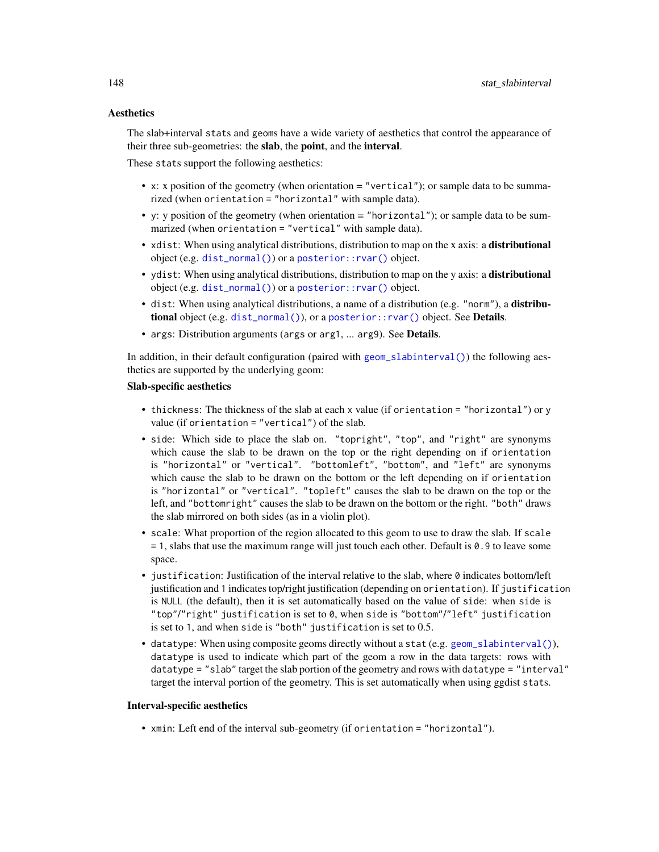# <span id="page-147-0"></span>**Aesthetics**

The slab+interval stats and geoms have a wide variety of aesthetics that control the appearance of their three sub-geometries: the slab, the point, and the interval.

These stats support the following aesthetics:

- x: x position of the geometry (when orientation = "vertical"); or sample data to be summarized (when orientation = "horizontal" with sample data).
- y: y position of the geometry (when orientation  $=$  "horizontal"); or sample data to be summarized (when orientation = "vertical" with sample data).
- xdist: When using analytical distributions, distribution to map on the x axis: a distributional object (e.g. [dist\\_normal\(\)](#page-0-0)) or a [posterior::rvar\(\)](#page-0-0) object.
- ydist: When using analytical distributions, distribution to map on the y axis: a distributional object (e.g. [dist\\_normal\(\)](#page-0-0)) or a [posterior::rvar\(\)](#page-0-0) object.
- dist: When using analytical distributions, a name of a distribution (e.g. "norm"), a distributional object (e.g. [dist\\_normal\(\)](#page-0-0)), or a [posterior::rvar\(\)](#page-0-0) object. See Details.
- args: Distribution arguments (args or arg1, ... arg9). See Details.

In addition, in their default configuration (paired with [geom\\_slabinterval\(\)](#page-37-0)) the following aesthetics are supported by the underlying geom:

#### Slab-specific aesthetics

- thickness: The thickness of the slab at each x value (if orientation = "horizontal") or y value (if orientation = "vertical") of the slab.
- side: Which side to place the slab on. "topright", "top", and "right" are synonyms which cause the slab to be drawn on the top or the right depending on if orientation is "horizontal" or "vertical". "bottomleft", "bottom", and "left" are synonyms which cause the slab to be drawn on the bottom or the left depending on if orientation is "horizontal" or "vertical". "topleft" causes the slab to be drawn on the top or the left, and "bottomright" causes the slab to be drawn on the bottom or the right. "both" draws the slab mirrored on both sides (as in a violin plot).
- scale: What proportion of the region allocated to this geom to use to draw the slab. If scale = 1, slabs that use the maximum range will just touch each other. Default is 0.9 to leave some space.
- $\bullet$  justification: Justification of the interval relative to the slab, where  $\emptyset$  indicates bottom/left justification and 1 indicates top/right justification (depending on orientation). If justification is NULL (the default), then it is set automatically based on the value of side: when side is "top"/"right" justification is set to 0, when side is "bottom"/"left" justification is set to 1, and when side is "both" justification is set to 0.5.
- datatype: When using composite geoms directly without a stat (e.g. [geom\\_slabinterval\(\)](#page-37-0)), datatype is used to indicate which part of the geom a row in the data targets: rows with datatype = "slab" target the slab portion of the geometry and rows with datatype = "interval" target the interval portion of the geometry. This is set automatically when using ggdist stats.

#### Interval-specific aesthetics

• xmin: Left end of the interval sub-geometry (if orientation = "horizontal").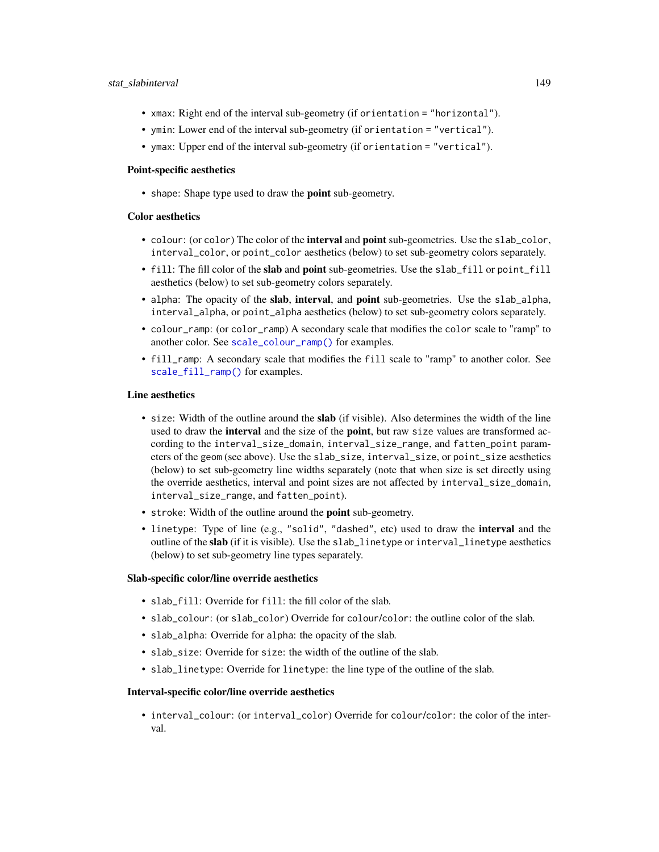- <span id="page-148-0"></span>• xmax: Right end of the interval sub-geometry (if orientation = "horizontal").
- ymin: Lower end of the interval sub-geometry (if orientation = "vertical").
- ymax: Upper end of the interval sub-geometry (if orientation = "vertical").

#### Point-specific aesthetics

• shape: Shape type used to draw the point sub-geometry.

#### Color aesthetics

- colour: (or color) The color of the interval and point sub-geometries. Use the slab\_color, interval\_color, or point\_color aesthetics (below) to set sub-geometry colors separately.
- fill: The fill color of the slab and point sub-geometries. Use the slab\_fill or point\_fill aesthetics (below) to set sub-geometry colors separately.
- alpha: The opacity of the slab, interval, and point sub-geometries. Use the slab\_alpha, interval\_alpha, or point\_alpha aesthetics (below) to set sub-geometry colors separately.
- colour\_ramp: (or color\_ramp) A secondary scale that modifies the color scale to "ramp" to another color. See [scale\\_colour\\_ramp\(\)](#page-62-0) for examples.
- fill\_ramp: A secondary scale that modifies the fill scale to "ramp" to another color. See [scale\\_fill\\_ramp\(\)](#page-62-1) for examples.

#### Line aesthetics

- size: Width of the outline around the slab (if visible). Also determines the width of the line used to draw the **interval** and the size of the **point**, but raw size values are transformed according to the interval\_size\_domain, interval\_size\_range, and fatten\_point parameters of the geom (see above). Use the slab\_size, interval\_size, or point\_size aesthetics (below) to set sub-geometry line widths separately (note that when size is set directly using the override aesthetics, interval and point sizes are not affected by interval\_size\_domain, interval\_size\_range, and fatten\_point).
- stroke: Width of the outline around the point sub-geometry.
- linetype: Type of line (e.g., "solid", "dashed", etc) used to draw the interval and the outline of the slab (if it is visible). Use the slab\_linetype or interval\_linetype aesthetics (below) to set sub-geometry line types separately.

# Slab-specific color/line override aesthetics

- slab\_fill: Override for fill: the fill color of the slab.
- slab\_colour: (or slab\_color) Override for colour/color: the outline color of the slab.
- slab\_alpha: Override for alpha: the opacity of the slab.
- slab\_size: Override for size: the width of the outline of the slab.
- slab\_linetype: Override for linetype: the line type of the outline of the slab.

#### Interval-specific color/line override aesthetics

• interval\_colour: (or interval\_color) Override for colour/color: the color of the interval.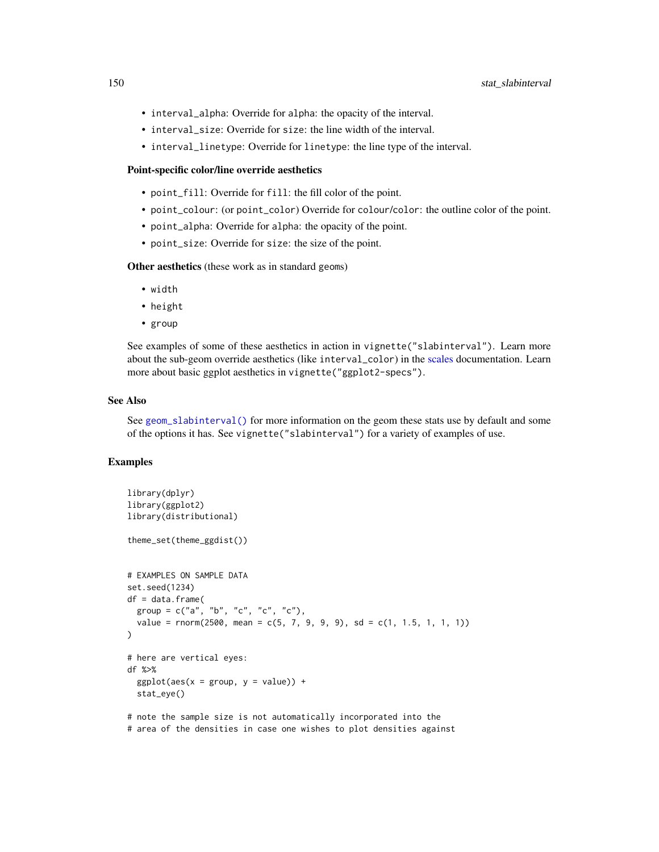- <span id="page-149-0"></span>• interval\_alpha: Override for alpha: the opacity of the interval.
- interval\_size: Override for size: the line width of the interval.
- interval\_linetype: Override for linetype: the line type of the interval.

#### Point-specific color/line override aesthetics

- point\_fill: Override for fill: the fill color of the point.
- point\_colour: (or point\_color) Override for colour/color: the outline color of the point.
- point\_alpha: Override for alpha: the opacity of the point.
- point\_size: Override for size: the size of the point.

Other aesthetics (these work as in standard geoms)

- width
- height
- group

See examples of some of these aesthetics in action in vignette("slabinterval"). Learn more about the sub-geom override aesthetics (like interval\_color) in the [scales](#page-57-0) documentation. Learn more about basic ggplot aesthetics in vignette("ggplot2-specs").

#### See Also

See [geom\\_slabinterval\(\)](#page-37-0) for more information on the geom these stats use by default and some of the options it has. See vignette("slabinterval") for a variety of examples of use.

### Examples

```
library(dplyr)
library(ggplot2)
library(distributional)
theme_set(theme_ggdist())
# EXAMPLES ON SAMPLE DATA
set.seed(1234)
df = data.frame(
 group = c("a", "b", "c", "c", "c"),value = rnorm(2500, mean = c(5, 7, 9, 9, 9), sd = c(1, 1.5, 1, 1, 1))
\mathcal{L}# here are vertical eyes:
df %>%
 ggplot(aes(x = group, y = value)) +stat_eye()
# note the sample size is not automatically incorporated into the
# area of the densities in case one wishes to plot densities against
```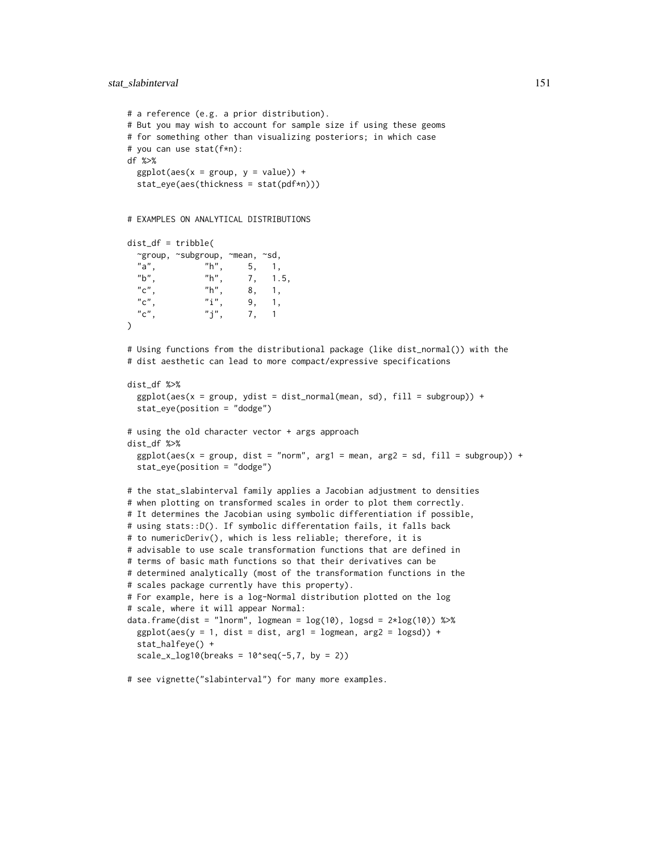# stat\_slabinterval 151

```
# a reference (e.g. a prior distribution).
# But you may wish to account for sample size if using these geoms
# for something other than visualizing posteriors; in which case
# you can use stat(f*n):
df %>%
  ggplot(aes(x = group, y = value)) +stat_eye(aes(thickness = stat(pdf*n)))
# EXAMPLES ON ANALYTICAL DISTRIBUTIONS
dist_df = tribble(
  ~group, ~subgroup, ~mean, ~sd,
  "a", "h", 5, 1,
  "b", \frac{m}{2}"h", 7, 1.5,
  {}^{n}C^{n}, {}^{n}h^{n}, 8, 1,<br>{}^{n}C^{n}, {}^{n}i^{n}, 9, 1,
                       9, 1,"c", \t"j", \t7, \t1)
# Using functions from the distributional package (like dist_normal()) with the
# dist aesthetic can lead to more compact/expressive specifications
dist_df %>%
  ggplot(aes(x = group, ydist = dist\_normal(mean, sd), fill = subgroup)) +stat_eye(position = "dodge")
# using the old character vector + args approach
dist_df %>%
  ggplot(aes(x = group, dist = "norm", arg1 = mean, arg2 = sd, fill = subgroup)) +stat_eye(position = "dodge")
# the stat_slabinterval family applies a Jacobian adjustment to densities
# when plotting on transformed scales in order to plot them correctly.
# It determines the Jacobian using symbolic differentiation if possible,
# using stats::D(). If symbolic differentation fails, it falls back
# to numericDeriv(), which is less reliable; therefore, it is
# advisable to use scale transformation functions that are defined in
# terms of basic math functions so that their derivatives can be
# determined analytically (most of the transformation functions in the
# scales package currently have this property).
# For example, here is a log-Normal distribution plotted on the log
# scale, where it will appear Normal:
data.frame(dist = "lnorm", logmean = log(10), logsd = 2*log(10)) %>%
  ggplot(aes(y = 1, dist = dist, arg1 = logmean, arg2 = logsd)) +stat_halfeye() +
  scale_x_log10(breaks = 10'seq(-5,7, by = 2))
```
# see vignette("slabinterval") for many more examples.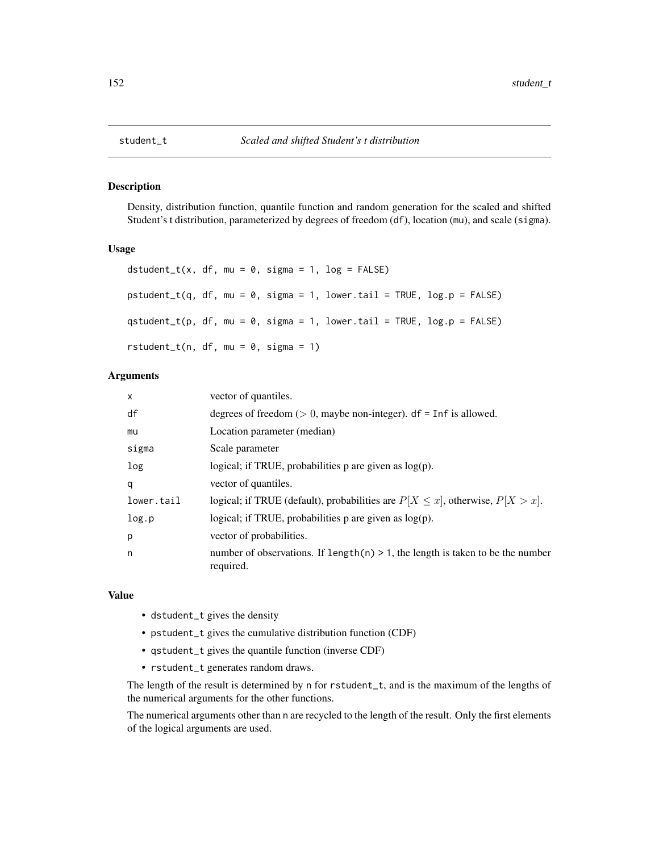#### Description

Density, distribution function, quantile function and random generation for the scaled and shifted Student's t distribution, parameterized by degrees of freedom (df), location (mu), and scale (sigma).

### Usage

```
dstudent_t(x, df, mu = 0, sigma = 1, log = FALSE)
pstudent_t(q, df, mu = 0, sigma = 1, lower.tail = TRUE, log.p = FALSE)qstudent_t(p, df, mu = 0, sigma = 1, lower.tail = TRUE, log.p = FALSE)
rstudent_t(n, df, mu = 0, sigma = 1)
```
### Arguments

| $\times$   | vector of quantiles.                                                                            |
|------------|-------------------------------------------------------------------------------------------------|
| df         | degrees of freedom ( $> 0$ , maybe non-integer). df = Inf is allowed.                           |
| mu         | Location parameter (median)                                                                     |
| sigma      | Scale parameter                                                                                 |
| log        | logical; if TRUE, probabilities $p$ are given as $log(p)$ .                                     |
| q          | vector of quantiles.                                                                            |
| lower.tail | logical; if TRUE (default), probabilities are $P[X \le x]$ , otherwise, $P[X > x]$ .            |
| log.p      | logical; if TRUE, probabilities $p$ are given as $log(p)$ .                                     |
| p          | vector of probabilities.                                                                        |
| n          | number of observations. If length $(n) > 1$ , the length is taken to be the number<br>required. |

#### Value

- dstudent\_t gives the density
- pstudent\_t gives the cumulative distribution function (CDF)
- qstudent\_t gives the quantile function (inverse CDF)
- rstudent\_t generates random draws.

The length of the result is determined by n for rstudent\_t, and is the maximum of the lengths of the numerical arguments for the other functions.

The numerical arguments other than n are recycled to the length of the result. Only the first elements of the logical arguments are used.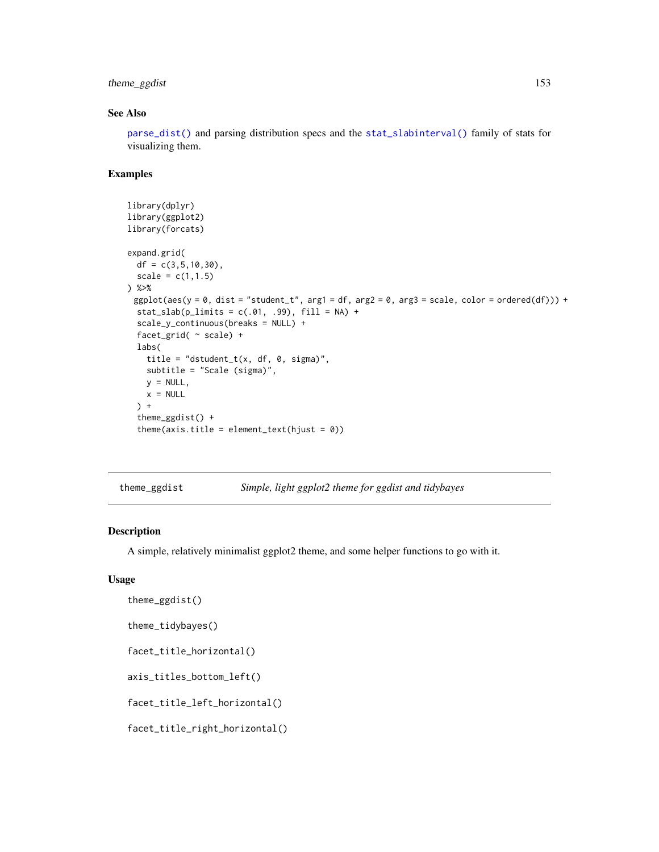# <span id="page-152-2"></span>theme\_ggdist 153

# See Also

[parse\\_dist\(\)](#page-48-0) and parsing distribution specs and the [stat\\_slabinterval\(\)](#page-141-0) family of stats for visualizing them.

#### Examples

```
library(dplyr)
library(ggplot2)
library(forcats)
expand.grid(
  df = c(3, 5, 10, 30),
  scale = c(1, 1.5)) %>%
 ggplot(aes(y = 0, dist = "student_t", arg1 = df, arg2 = 0, arg3 = scale, color = ordered(df))) +stat\_slab(p\_limits = c(.01, .99), fill = NA) +scale_y_continuous(breaks = NULL) +
  facet_grid( ~ scale) +
  labs(
    title = "dstudent_t(x, df, \theta, sigma)",
    subtitle = "Scale (sigma)",
    y = NULL,x = NULL) +theme_ggdist() +
  theme(axis.title = element_text(hjust = 0))
```
<span id="page-152-0"></span>theme\_ggdist *Simple, light ggplot2 theme for ggdist and tidybayes*

# <span id="page-152-1"></span>Description

A simple, relatively minimalist ggplot2 theme, and some helper functions to go with it.

#### Usage

```
theme_ggdist()
```

```
theme_tidybayes()
```
facet\_title\_horizontal()

axis\_titles\_bottom\_left()

facet\_title\_left\_horizontal()

facet\_title\_right\_horizontal()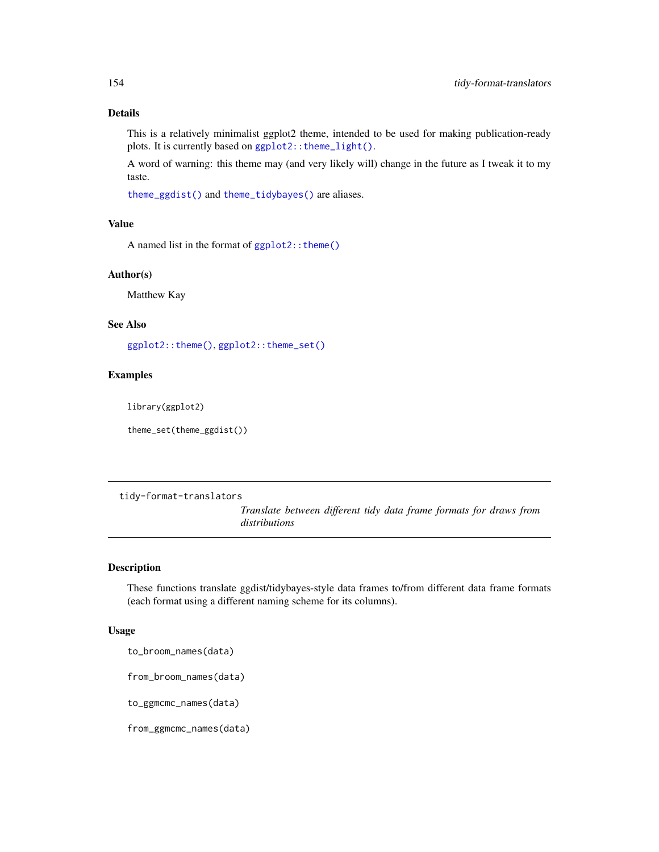# <span id="page-153-1"></span>Details

This is a relatively minimalist ggplot2 theme, intended to be used for making publication-ready plots. It is currently based on ggplot2:: theme\_light().

A word of warning: this theme may (and very likely will) change in the future as I tweak it to my taste.

[theme\\_ggdist\(\)](#page-152-0) and [theme\\_tidybayes\(\)](#page-152-1) are aliases.

# Value

A named list in the format of [ggplot2::theme\(\)](#page-0-0)

#### Author(s)

Matthew Kay

# See Also

[ggplot2::theme\(\)](#page-0-0), [ggplot2::theme\\_set\(\)](#page-0-0)

#### Examples

library(ggplot2)

theme\_set(theme\_ggdist())

tidy-format-translators

*Translate between different tidy data frame formats for draws from distributions*

# <span id="page-153-0"></span>Description

These functions translate ggdist/tidybayes-style data frames to/from different data frame formats (each format using a different naming scheme for its columns).

#### Usage

to\_broom\_names(data)

from\_broom\_names(data)

to\_ggmcmc\_names(data)

from\_ggmcmc\_names(data)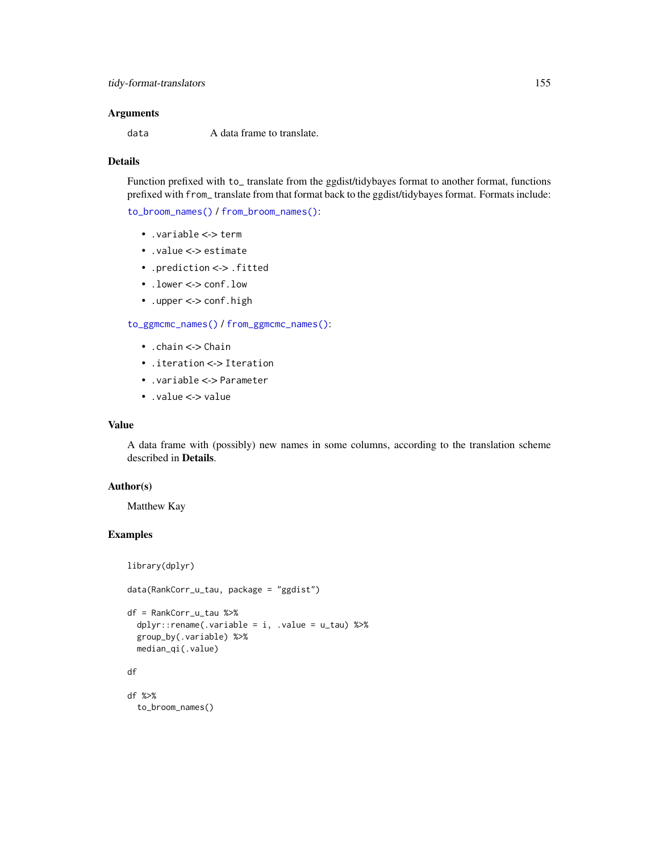# <span id="page-154-0"></span>Arguments

data A data frame to translate.

# Details

Function prefixed with to\_ translate from the ggdist/tidybayes format to another format, functions prefixed with from\_ translate from that format back to the ggdist/tidybayes format. Formats include:

[to\\_broom\\_names\(\)](#page-153-0) / [from\\_broom\\_names\(\)](#page-153-0):

- .variable <-> term
- .value <-> estimate
- .prediction <-> .fitted
- .lower <-> conf.low
- .upper <-> conf.high

[to\\_ggmcmc\\_names\(\)](#page-153-0) / [from\\_ggmcmc\\_names\(\)](#page-153-0):

- .chain <-> Chain
- .iteration <-> Iteration
- .variable <-> Parameter
- .value <-> value

### Value

A data frame with (possibly) new names in some columns, according to the translation scheme described in Details.

# Author(s)

Matthew Kay

# Examples

```
library(dplyr)
data(RankCorr_u_tau, package = "ggdist")
df = RankCorr_u_tau %>%
  dplyr::rename( .variable = i, .value = u_t) %>%
  group_by(.variable) %>%
  median_qi(.value)
df
df %>%
  to_broom_names()
```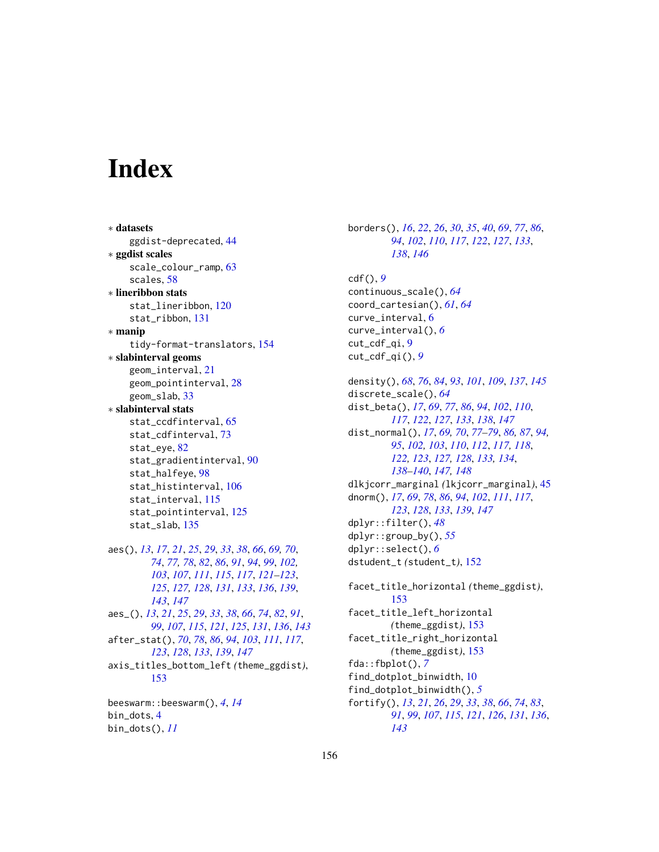# **Index**

∗ datasets ggdist-deprecated, [44](#page-43-0) ∗ ggdist scales scale\_colour\_ramp, [63](#page-62-2) scales, [58](#page-57-2) ∗ lineribbon stats stat\_lineribbon, [120](#page-119-0) stat\_ribbon, [131](#page-130-0) ∗ manip tidy-format-translators, [154](#page-153-1) ∗ slabinterval geoms geom\_interval, [21](#page-20-0) geom\_pointinterval, [28](#page-27-0) geom\_slab, [33](#page-32-0) ∗ slabinterval stats stat\_ccdfinterval, [65](#page-64-1) stat\_cdfinterval, [73](#page-72-1) stat\_eye, [82](#page-81-1) stat\_gradientinterval, [90](#page-89-1) stat\_halfeye, [98](#page-97-1) stat\_histinterval, [106](#page-105-1) stat\_interval, [115](#page-114-1) stat\_pointinterval, [125](#page-124-1) stat\_slab, [135](#page-134-1) aes(), *[13](#page-12-0)*, *[17](#page-16-0)*, *[21](#page-20-0)*, *[25](#page-24-0)*, *[29](#page-28-0)*, *[33](#page-32-0)*, *[38](#page-37-1)*, *[66](#page-65-0)*, *[69,](#page-68-0) [70](#page-69-0)*, *[74](#page-73-0)*, *[77,](#page-76-0) [78](#page-77-0)*, *[82](#page-81-1)*, *[86](#page-85-0)*, *[91](#page-90-0)*, *[94](#page-93-0)*, *[99](#page-98-0)*, *[102,](#page-101-0) [103](#page-102-0)*, *[107](#page-106-0)*, *[111](#page-110-0)*, *[115](#page-114-1)*, *[117](#page-116-0)*, *[121–](#page-120-0)[123](#page-122-0)*, *[125](#page-124-1)*, *[127,](#page-126-0) [128](#page-127-0)*, *[131](#page-130-0)*, *[133](#page-132-0)*, *[136](#page-135-0)*, *[139](#page-138-0)*, *[143](#page-142-0)*, *[147](#page-146-0)* aes\_(), *[13](#page-12-0)*, *[21](#page-20-0)*, *[25](#page-24-0)*, *[29](#page-28-0)*, *[33](#page-32-0)*, *[38](#page-37-1)*, *[66](#page-65-0)*, *[74](#page-73-0)*, *[82](#page-81-1)*, *[91](#page-90-0)*, *[99](#page-98-0)*, *[107](#page-106-0)*, *[115](#page-114-1)*, *[121](#page-120-0)*, *[125](#page-124-1)*, *[131](#page-130-0)*, *[136](#page-135-0)*, *[143](#page-142-0)* after\_stat(), *[70](#page-69-0)*, *[78](#page-77-0)*, *[86](#page-85-0)*, *[94](#page-93-0)*, *[103](#page-102-0)*, *[111](#page-110-0)*, *[117](#page-116-0)*, *[123](#page-122-0)*, *[128](#page-127-0)*, *[133](#page-132-0)*, *[139](#page-138-0)*, *[147](#page-146-0)* axis\_titles\_bottom\_left *(*theme\_ggdist*)*, [153](#page-152-2) beeswarm::beeswarm(), *[4](#page-3-0)*, *[14](#page-13-0)*

bin\_dots, [4](#page-3-0) bin\_dots(), *[11](#page-10-0)* borders(), *[16](#page-15-0)*, *[22](#page-21-0)*, *[26](#page-25-0)*, *[30](#page-29-0)*, *[35](#page-34-0)*, *[40](#page-39-0)*, *[69](#page-68-0)*, *[77](#page-76-0)*, *[86](#page-85-0)*, *[94](#page-93-0)*, *[102](#page-101-0)*, *[110](#page-109-0)*, *[117](#page-116-0)*, *[122](#page-121-0)*, *[127](#page-126-0)*, *[133](#page-132-0)*, *[138](#page-137-0)*, *[146](#page-145-0)* cdf(), *[9](#page-8-0)* continuous\_scale(), *[64](#page-63-0)* coord\_cartesian(), *[61](#page-60-0)*, *[64](#page-63-0)* curve\_interval, [6](#page-5-0) curve\_interval(), *[6](#page-5-0)* cut\_cdf\_qi, [9](#page-8-0) cut\_cdf\_qi(), *[9](#page-8-0)* density(), *[68](#page-67-0)*, *[76](#page-75-0)*, *[84](#page-83-0)*, *[93](#page-92-0)*, *[101](#page-100-0)*, *[109](#page-108-0)*, *[137](#page-136-0)*, *[145](#page-144-0)* discrete\_scale(), *[64](#page-63-0)* dist\_beta(), *[17](#page-16-0)*, *[69](#page-68-0)*, *[77](#page-76-0)*, *[86](#page-85-0)*, *[94](#page-93-0)*, *[102](#page-101-0)*, *[110](#page-109-0)*, *[117](#page-116-0)*, *[122](#page-121-0)*, *[127](#page-126-0)*, *[133](#page-132-0)*, *[138](#page-137-0)*, *[147](#page-146-0)* dist\_normal(), *[17](#page-16-0)*, *[69,](#page-68-0) [70](#page-69-0)*, *[77](#page-76-0)[–79](#page-78-0)*, *[86,](#page-85-0) [87](#page-86-0)*, *[94,](#page-93-0) [95](#page-94-0)*, *[102,](#page-101-0) [103](#page-102-0)*, *[110](#page-109-0)*, *[112](#page-111-0)*, *[117,](#page-116-0) [118](#page-117-0)*, *[122,](#page-121-0) [123](#page-122-0)*, *[127,](#page-126-0) [128](#page-127-0)*, *[133,](#page-132-0) [134](#page-133-0)*, *[138](#page-137-0)[–140](#page-139-0)*, *[147,](#page-146-0) [148](#page-147-0)* dlkjcorr\_marginal *(*lkjcorr\_marginal*)*, [45](#page-44-0) dnorm(), *[17](#page-16-0)*, *[69](#page-68-0)*, *[78](#page-77-0)*, *[86](#page-85-0)*, *[94](#page-93-0)*, *[102](#page-101-0)*, *[111](#page-110-0)*, *[117](#page-116-0)*, *[123](#page-122-0)*, *[128](#page-127-0)*, *[133](#page-132-0)*, *[139](#page-138-0)*, *[147](#page-146-0)* dplyr::filter(), *[48](#page-47-0)* dplyr::group\_by(), *[55](#page-54-0)* dplyr::select(), *[6](#page-5-0)* dstudent\_t *(*student\_t*)*, [152](#page-151-0) facet\_title\_horizontal *(*theme\_ggdist*)*, [153](#page-152-2) facet\_title\_left\_horizontal *(*theme\_ggdist*)*, [153](#page-152-2) facet\_title\_right\_horizontal *(*theme\_ggdist*)*, [153](#page-152-2) fda::fbplot(), *[7](#page-6-0)* find\_dotplot\_binwidth, [10](#page-9-0) find\_dotplot\_binwidth(), *[5](#page-4-0)* fortify(), *[13](#page-12-0)*, *[21](#page-20-0)*, *[26](#page-25-0)*, *[29](#page-28-0)*, *[33](#page-32-0)*, *[38](#page-37-1)*, *[66](#page-65-0)*, *[74](#page-73-0)*, *[83](#page-82-0)*, *[91](#page-90-0)*, *[99](#page-98-0)*, *[107](#page-106-0)*, *[115](#page-114-1)*, *[121](#page-120-0)*, *[126](#page-125-0)*, *[131](#page-130-0)*, *[136](#page-135-0)*, *[143](#page-142-0)*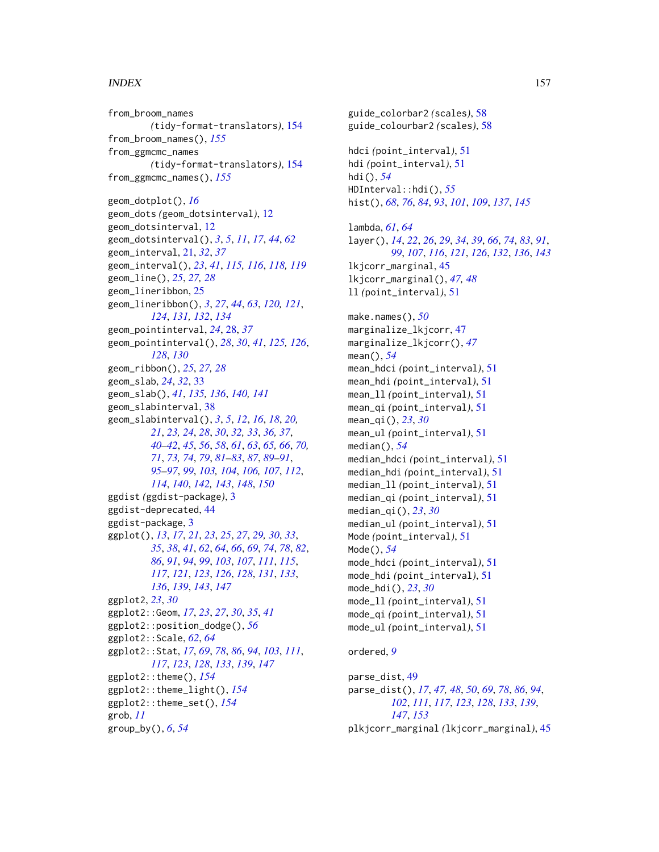# INDEX  $157$

from\_broom\_names *(*tidy-format-translators*)*, [154](#page-153-1) from\_broom\_names(), *[155](#page-154-0)* from\_ggmcmc\_names *(*tidy-format-translators*)*, [154](#page-153-1) from\_ggmcmc\_names(), *[155](#page-154-0)*

geom\_dotplot(), *[16](#page-15-0)* geom\_dots *(*geom\_dotsinterval*)*, [12](#page-11-0) geom\_dotsinterval, [12](#page-11-0) geom\_dotsinterval(), *[3](#page-2-0)*, *[5](#page-4-0)*, *[11](#page-10-0)*, *[17](#page-16-0)*, *[44](#page-43-0)*, *[62](#page-61-0)* geom\_interval, [21,](#page-20-0) *[32](#page-31-0)*, *[37](#page-36-0)* geom\_interval(), *[23](#page-22-0)*, *[41](#page-40-0)*, *[115,](#page-114-1) [116](#page-115-0)*, *[118,](#page-117-0) [119](#page-118-0)* geom\_line(), *[25](#page-24-0)*, *[27,](#page-26-0) [28](#page-27-0)* geom\_lineribbon, [25](#page-24-0) geom\_lineribbon(), *[3](#page-2-0)*, *[27](#page-26-0)*, *[44](#page-43-0)*, *[63](#page-62-2)*, *[120,](#page-119-0) [121](#page-120-0)*, *[124](#page-123-0)*, *[131,](#page-130-0) [132](#page-131-0)*, *[134](#page-133-0)* geom\_pointinterval, *[24](#page-23-0)*, [28,](#page-27-0) *[37](#page-36-0)* geom\_pointinterval(), *[28](#page-27-0)*, *[30](#page-29-0)*, *[41](#page-40-0)*, *[125,](#page-124-1) [126](#page-125-0)*, *[128](#page-127-0)*, *[130](#page-129-0)* geom\_ribbon(), *[25](#page-24-0)*, *[27,](#page-26-0) [28](#page-27-0)* geom\_slab, *[24](#page-23-0)*, *[32](#page-31-0)*, [33](#page-32-0) geom\_slab(), *[41](#page-40-0)*, *[135,](#page-134-1) [136](#page-135-0)*, *[140,](#page-139-0) [141](#page-140-0)* geom\_slabinterval, [38](#page-37-1) geom\_slabinterval(), *[3](#page-2-0)*, *[5](#page-4-0)*, *[12](#page-11-0)*, *[16](#page-15-0)*, *[18](#page-17-0)*, *[20,](#page-19-0) [21](#page-20-0)*, *[23,](#page-22-0) [24](#page-23-0)*, *[28](#page-27-0)*, *[30](#page-29-0)*, *[32,](#page-31-0) [33](#page-32-0)*, *[36,](#page-35-0) [37](#page-36-0)*, *[40](#page-39-0)[–42](#page-41-0)*, *[45](#page-44-0)*, *[56](#page-55-0)*, *[58](#page-57-2)*, *[61](#page-60-0)*, *[63](#page-62-2)*, *[65,](#page-64-1) [66](#page-65-0)*, *[70,](#page-69-0) [71](#page-70-0)*, *[73,](#page-72-1) [74](#page-73-0)*, *[79](#page-78-0)*, *[81–](#page-80-0)[83](#page-82-0)*, *[87](#page-86-0)*, *[89–](#page-88-0)[91](#page-90-0)*, *[95](#page-94-0)[–97](#page-96-0)*, *[99](#page-98-0)*, *[103,](#page-102-0) [104](#page-103-0)*, *[106,](#page-105-1) [107](#page-106-0)*, *[112](#page-111-0)*, *[114](#page-113-0)*, *[140](#page-139-0)*, *[142,](#page-141-1) [143](#page-142-0)*, *[148](#page-147-0)*, *[150](#page-149-0)* ggdist *(*ggdist-package*)*, [3](#page-2-0) ggdist-deprecated, [44](#page-43-0) ggdist-package, [3](#page-2-0) ggplot(), *[13](#page-12-0)*, *[17](#page-16-0)*, *[21](#page-20-0)*, *[23](#page-22-0)*, *[25](#page-24-0)*, *[27](#page-26-0)*, *[29,](#page-28-0) [30](#page-29-0)*, *[33](#page-32-0)*, *[35](#page-34-0)*, *[38](#page-37-1)*, *[41](#page-40-0)*, *[62](#page-61-0)*, *[64](#page-63-0)*, *[66](#page-65-0)*, *[69](#page-68-0)*, *[74](#page-73-0)*, *[78](#page-77-0)*, *[82](#page-81-1)*, *[86](#page-85-0)*, *[91](#page-90-0)*, *[94](#page-93-0)*, *[99](#page-98-0)*, *[103](#page-102-0)*, *[107](#page-106-0)*, *[111](#page-110-0)*, *[115](#page-114-1)*, *[117](#page-116-0)*, *[121](#page-120-0)*, *[123](#page-122-0)*, *[126](#page-125-0)*, *[128](#page-127-0)*, *[131](#page-130-0)*, *[133](#page-132-0)*, *[136](#page-135-0)*, *[139](#page-138-0)*, *[143](#page-142-0)*, *[147](#page-146-0)* ggplot2, *[23](#page-22-0)*, *[30](#page-29-0)* ggplot2::Geom, *[17](#page-16-0)*, *[23](#page-22-0)*, *[27](#page-26-0)*, *[30](#page-29-0)*, *[35](#page-34-0)*, *[41](#page-40-0)* ggplot2::position\_dodge(), *[56](#page-55-0)* ggplot2::Scale, *[62](#page-61-0)*, *[64](#page-63-0)* ggplot2::Stat, *[17](#page-16-0)*, *[69](#page-68-0)*, *[78](#page-77-0)*, *[86](#page-85-0)*, *[94](#page-93-0)*, *[103](#page-102-0)*, *[111](#page-110-0)*, *[117](#page-116-0)*, *[123](#page-122-0)*, *[128](#page-127-0)*, *[133](#page-132-0)*, *[139](#page-138-0)*, *[147](#page-146-0)* ggplot2::theme(), *[154](#page-153-1)* ggplot2::theme\_light(), *[154](#page-153-1)* ggplot2::theme\_set(), *[154](#page-153-1)* grob, *[11](#page-10-0)* group\_by(), *[6](#page-5-0)*, *[54](#page-53-0)*

guide\_colourbar2 *(*scales*)*, [58](#page-57-2) hdci *(*point\_interval*)*, [51](#page-50-1) hdi *(*point\_interval*)*, [51](#page-50-1) hdi(), *[54](#page-53-0)* HDInterval::hdi(), *[55](#page-54-0)* hist(), *[68](#page-67-0)*, *[76](#page-75-0)*, *[84](#page-83-0)*, *[93](#page-92-0)*, *[101](#page-100-0)*, *[109](#page-108-0)*, *[137](#page-136-0)*, *[145](#page-144-0)* lambda, *[61](#page-60-0)*, *[64](#page-63-0)* layer(), *[14](#page-13-0)*, *[22](#page-21-0)*, *[26](#page-25-0)*, *[29](#page-28-0)*, *[34](#page-33-0)*, *[39](#page-38-0)*, *[66](#page-65-0)*, *[74](#page-73-0)*, *[83](#page-82-0)*, *[91](#page-90-0)*, *[99](#page-98-0)*, *[107](#page-106-0)*, *[116](#page-115-0)*, *[121](#page-120-0)*, *[126](#page-125-0)*, *[132](#page-131-0)*, *[136](#page-135-0)*, *[143](#page-142-0)* lkjcorr\_marginal, [45](#page-44-0) lkjcorr\_marginal(), *[47,](#page-46-0) [48](#page-47-0)* ll *(*point\_interval*)*, [51](#page-50-1) make.names(), *[50](#page-49-0)* marginalize\_lkjcorr, [47](#page-46-0) marginalize\_lkjcorr(), *[47](#page-46-0)* mean(), *[54](#page-53-0)* mean\_hdci *(*point\_interval*)*, [51](#page-50-1) mean\_hdi *(*point\_interval*)*, [51](#page-50-1) mean\_ll *(*point\_interval*)*, [51](#page-50-1) mean\_qi *(*point\_interval*)*, [51](#page-50-1) mean\_qi(), *[23](#page-22-0)*, *[30](#page-29-0)* mean\_ul *(*point\_interval*)*, [51](#page-50-1) median(), *[54](#page-53-0)* median\_hdci *(*point\_interval*)*, [51](#page-50-1) median\_hdi *(*point\_interval*)*, [51](#page-50-1) median\_ll *(*point\_interval*)*, [51](#page-50-1) median\_qi *(*point\_interval*)*, [51](#page-50-1) median\_qi(), *[23](#page-22-0)*, *[30](#page-29-0)* median\_ul *(*point\_interval*)*, [51](#page-50-1) Mode *(*point\_interval*)*, [51](#page-50-1) Mode(), *[54](#page-53-0)* mode\_hdci *(*point\_interval*)*, [51](#page-50-1) mode\_hdi *(*point\_interval*)*, [51](#page-50-1) mode\_hdi(), *[23](#page-22-0)*, *[30](#page-29-0)* mode\_ll *(*point\_interval*)*, [51](#page-50-1) mode\_qi *(*point\_interval*)*, [51](#page-50-1) mode\_ul *(*point\_interval*)*, [51](#page-50-1) ordered, *[9](#page-8-0)* parse\_dist, [49](#page-48-1) parse\_dist(), *[17](#page-16-0)*, *[47,](#page-46-0) [48](#page-47-0)*, *[50](#page-49-0)*, *[69](#page-68-0)*, *[78](#page-77-0)*, *[86](#page-85-0)*, *[94](#page-93-0)*,

guide\_colorbar2 *(*scales*)*, [58](#page-57-2)

*[102](#page-101-0)*, *[111](#page-110-0)*, *[117](#page-116-0)*, *[123](#page-122-0)*, *[128](#page-127-0)*, *[133](#page-132-0)*, *[139](#page-138-0)*, *[147](#page-146-0)*, *[153](#page-152-2)* plkjcorr\_marginal *(*lkjcorr\_marginal*)*, [45](#page-44-0)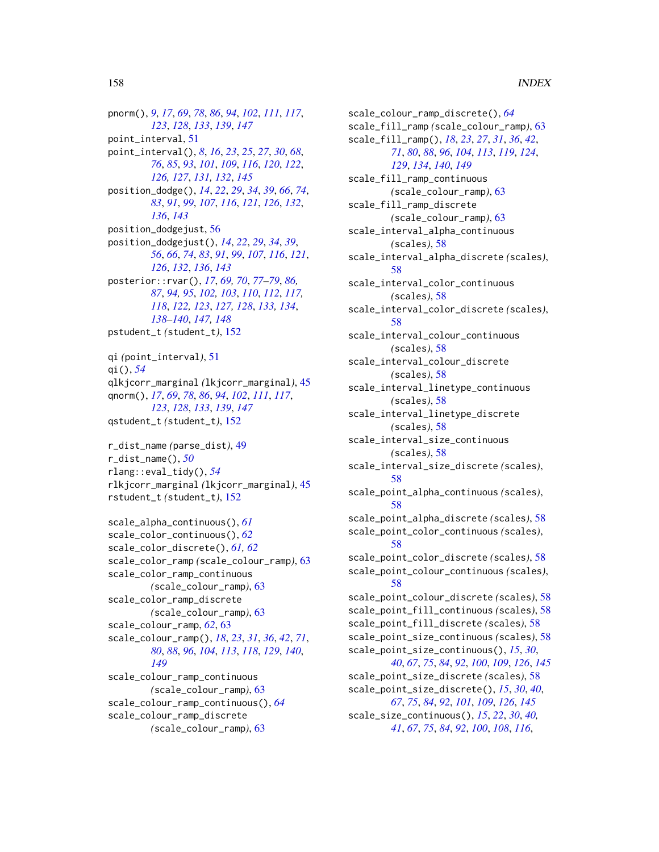pnorm(), *[9](#page-8-0)*, *[17](#page-16-0)*, *[69](#page-68-0)*, *[78](#page-77-0)*, *[86](#page-85-0)*, *[94](#page-93-0)*, *[102](#page-101-0)*, *[111](#page-110-0)*, *[117](#page-116-0)*, *[123](#page-122-0)*, *[128](#page-127-0)*, *[133](#page-132-0)*, *[139](#page-138-0)*, *[147](#page-146-0)* point\_interval, [51](#page-50-1) point\_interval(), *[8](#page-7-0)*, *[16](#page-15-0)*, *[23](#page-22-0)*, *[25](#page-24-0)*, *[27](#page-26-0)*, *[30](#page-29-0)*, *[68](#page-67-0)*, *[76](#page-75-0)*, *[85](#page-84-0)*, *[93](#page-92-0)*, *[101](#page-100-0)*, *[109](#page-108-0)*, *[116](#page-115-0)*, *[120](#page-119-0)*, *[122](#page-121-0)*, *[126,](#page-125-0) [127](#page-126-0)*, *[131,](#page-130-0) [132](#page-131-0)*, *[145](#page-144-0)* position\_dodge(), *[14](#page-13-0)*, *[22](#page-21-0)*, *[29](#page-28-0)*, *[34](#page-33-0)*, *[39](#page-38-0)*, *[66](#page-65-0)*, *[74](#page-73-0)*, *[83](#page-82-0)*, *[91](#page-90-0)*, *[99](#page-98-0)*, *[107](#page-106-0)*, *[116](#page-115-0)*, *[121](#page-120-0)*, *[126](#page-125-0)*, *[132](#page-131-0)*, *[136](#page-135-0)*, *[143](#page-142-0)* position\_dodgejust, [56](#page-55-0) position\_dodgejust(), *[14](#page-13-0)*, *[22](#page-21-0)*, *[29](#page-28-0)*, *[34](#page-33-0)*, *[39](#page-38-0)*, *[56](#page-55-0)*, *[66](#page-65-0)*, *[74](#page-73-0)*, *[83](#page-82-0)*, *[91](#page-90-0)*, *[99](#page-98-0)*, *[107](#page-106-0)*, *[116](#page-115-0)*, *[121](#page-120-0)*, *[126](#page-125-0)*, *[132](#page-131-0)*, *[136](#page-135-0)*, *[143](#page-142-0)* posterior::rvar(), *[17](#page-16-0)*, *[69,](#page-68-0) [70](#page-69-0)*, *[77–](#page-76-0)[79](#page-78-0)*, *[86,](#page-85-0) [87](#page-86-0)*, *[94,](#page-93-0) [95](#page-94-0)*, *[102,](#page-101-0) [103](#page-102-0)*, *[110](#page-109-0)*, *[112](#page-111-0)*, *[117,](#page-116-0) [118](#page-117-0)*, *[122,](#page-121-0) [123](#page-122-0)*, *[127,](#page-126-0) [128](#page-127-0)*, *[133,](#page-132-0) [134](#page-133-0)*, *[138](#page-137-0)[–140](#page-139-0)*, *[147,](#page-146-0) [148](#page-147-0)* pstudent\_t *(*student\_t*)*, [152](#page-151-0) qi *(*point\_interval*)*, [51](#page-50-1) qi(), *[54](#page-53-0)* qlkjcorr\_marginal *(*lkjcorr\_marginal*)*, [45](#page-44-0) qnorm(), *[17](#page-16-0)*, *[69](#page-68-0)*, *[78](#page-77-0)*, *[86](#page-85-0)*, *[94](#page-93-0)*, *[102](#page-101-0)*, *[111](#page-110-0)*, *[117](#page-116-0)*, *[123](#page-122-0)*, *[128](#page-127-0)*, *[133](#page-132-0)*, *[139](#page-138-0)*, *[147](#page-146-0)* qstudent\_t *(*student\_t*)*, [152](#page-151-0) r\_dist\_name *(*parse\_dist*)*, [49](#page-48-1) r\_dist\_name(), *[50](#page-49-0)* rlang::eval\_tidy(), *[54](#page-53-0)* rlkjcorr\_marginal *(*lkjcorr\_marginal*)*, [45](#page-44-0) rstudent\_t *(*student\_t*)*, [152](#page-151-0) scale\_alpha\_continuous(), *[61](#page-60-0)* scale\_color\_continuous(), *[62](#page-61-0)* scale\_color\_discrete(), *[61,](#page-60-0) [62](#page-61-0)* scale\_color\_ramp *(*scale\_colour\_ramp*)*, [63](#page-62-2) scale\_color\_ramp\_continuous *(*scale\_colour\_ramp*)*, [63](#page-62-2) scale\_color\_ramp\_discrete

*(*scale\_colour\_ramp*)*, [63](#page-62-2) scale\_colour\_ramp, *[62](#page-61-0)*, [63](#page-62-2) scale\_colour\_ramp(), *[18](#page-17-0)*, *[23](#page-22-0)*, *[31](#page-30-0)*, *[36](#page-35-0)*, *[42](#page-41-0)*, *[71](#page-70-0)*, *[80](#page-79-0)*, *[88](#page-87-0)*, *[96](#page-95-0)*, *[104](#page-103-0)*, *[113](#page-112-0)*, *[118](#page-117-0)*, *[129](#page-128-0)*, *[140](#page-139-0)*, *[149](#page-148-0)* scale\_colour\_ramp\_continuous *(*scale\_colour\_ramp*)*, [63](#page-62-2) scale\_colour\_ramp\_continuous(), *[64](#page-63-0)*

scale\_colour\_ramp\_discrete *(*scale\_colour\_ramp*)*, [63](#page-62-2)

scale\_colour\_ramp\_discrete(), *[64](#page-63-0)* scale\_fill\_ramp *(*scale\_colour\_ramp*)*, [63](#page-62-2) scale\_fill\_ramp(), *[18](#page-17-0)*, *[23](#page-22-0)*, *[27](#page-26-0)*, *[31](#page-30-0)*, *[36](#page-35-0)*, *[42](#page-41-0)*, *[71](#page-70-0)*, *[80](#page-79-0)*, *[88](#page-87-0)*, *[96](#page-95-0)*, *[104](#page-103-0)*, *[113](#page-112-0)*, *[119](#page-118-0)*, *[124](#page-123-0)*, *[129](#page-128-0)*, *[134](#page-133-0)*, *[140](#page-139-0)*, *[149](#page-148-0)* scale\_fill\_ramp\_continuous *(*scale\_colour\_ramp*)*, [63](#page-62-2) scale\_fill\_ramp\_discrete *(*scale\_colour\_ramp*)*, [63](#page-62-2) scale\_interval\_alpha\_continuous *(*scales*)*, [58](#page-57-2) scale\_interval\_alpha\_discrete *(*scales*)*, [58](#page-57-2) scale\_interval\_color\_continuous *(*scales*)*, [58](#page-57-2) scale\_interval\_color\_discrete *(*scales*)*, [58](#page-57-2) scale\_interval\_colour\_continuous *(*scales*)*, [58](#page-57-2) scale\_interval\_colour\_discrete *(*scales*)*, [58](#page-57-2) scale\_interval\_linetype\_continuous *(*scales*)*, [58](#page-57-2) scale\_interval\_linetype\_discrete *(*scales*)*, [58](#page-57-2) scale\_interval\_size\_continuous *(*scales*)*, [58](#page-57-2) scale\_interval\_size\_discrete *(*scales*)*, [58](#page-57-2) scale\_point\_alpha\_continuous *(*scales*)*, [58](#page-57-2) scale\_point\_alpha\_discrete *(*scales*)*, [58](#page-57-2) scale\_point\_color\_continuous *(*scales*)*, [58](#page-57-2) scale\_point\_color\_discrete *(*scales*)*, [58](#page-57-2) scale\_point\_colour\_continuous *(*scales*)*, [58](#page-57-2) scale\_point\_colour\_discrete *(*scales*)*, [58](#page-57-2) scale\_point\_fill\_continuous *(*scales*)*, [58](#page-57-2) scale\_point\_fill\_discrete *(*scales*)*, [58](#page-57-2) scale\_point\_size\_continuous *(*scales*)*, [58](#page-57-2) scale\_point\_size\_continuous(), *[15](#page-14-0)*, *[30](#page-29-0)*, *[40](#page-39-0)*, *[67](#page-66-0)*, *[75](#page-74-0)*, *[84](#page-83-0)*, *[92](#page-91-0)*, *[100](#page-99-0)*, *[109](#page-108-0)*, *[126](#page-125-0)*, *[145](#page-144-0)* scale\_point\_size\_discrete *(*scales*)*, [58](#page-57-2) scale\_point\_size\_discrete(), *[15](#page-14-0)*, *[30](#page-29-0)*, *[40](#page-39-0)*, *[67](#page-66-0)*, *[75](#page-74-0)*, *[84](#page-83-0)*, *[92](#page-91-0)*, *[101](#page-100-0)*, *[109](#page-108-0)*, *[126](#page-125-0)*, *[145](#page-144-0)* scale\_size\_continuous(), *[15](#page-14-0)*, *[22](#page-21-0)*, *[30](#page-29-0)*, *[40,](#page-39-0) [41](#page-40-0)*, *[67](#page-66-0)*, *[75](#page-74-0)*, *[84](#page-83-0)*, *[92](#page-91-0)*, *[100](#page-99-0)*, *[108](#page-107-0)*, *[116](#page-115-0)*,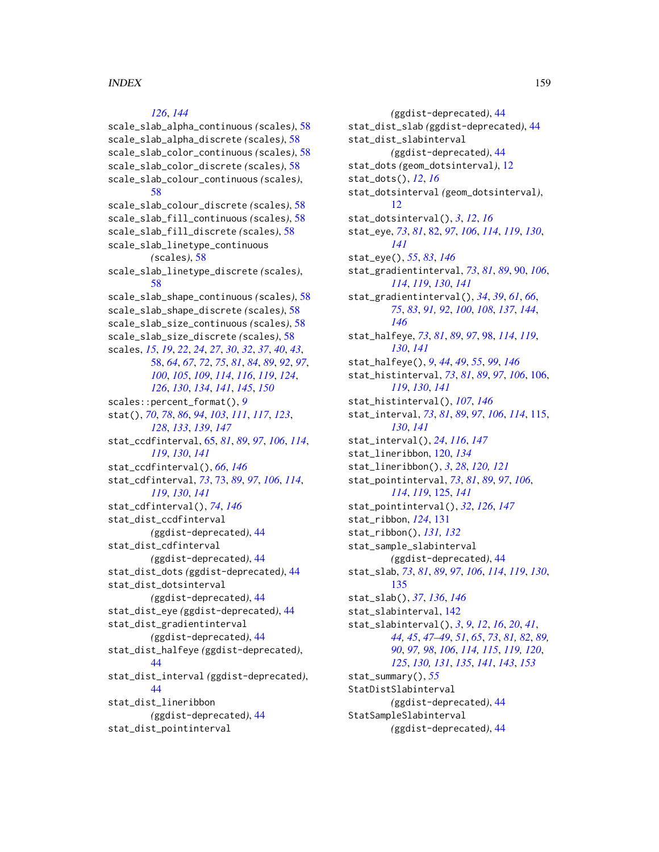# *[126](#page-125-0)*, *[144](#page-143-0)*

scale\_slab\_alpha\_continuous *(*scales*)*, [58](#page-57-2) scale\_slab\_alpha\_discrete *(*scales*)*, [58](#page-57-2) scale\_slab\_color\_continuous *(*scales*)*, [58](#page-57-2) scale\_slab\_color\_discrete *(*scales*)*, [58](#page-57-2) scale\_slab\_colour\_continuous *(*scales*)*, [58](#page-57-2) scale\_slab\_colour\_discrete *(*scales*)*, [58](#page-57-2) scale\_slab\_fill\_continuous *(*scales*)*, [58](#page-57-2) scale\_slab\_fill\_discrete *(*scales*)*, [58](#page-57-2) scale\_slab\_linetype\_continuous *(*scales*)*, [58](#page-57-2) scale\_slab\_linetype\_discrete *(*scales*)*, [58](#page-57-2) scale\_slab\_shape\_continuous *(*scales*)*, [58](#page-57-2) scale\_slab\_shape\_discrete *(*scales*)*, [58](#page-57-2) scale\_slab\_size\_continuous *(*scales*)*, [58](#page-57-2) scale\_slab\_size\_discrete *(*scales*)*, [58](#page-57-2) scales, *[15](#page-14-0)*, *[19](#page-18-0)*, *[22](#page-21-0)*, *[24](#page-23-0)*, *[27](#page-26-0)*, *[30](#page-29-0)*, *[32](#page-31-0)*, *[37](#page-36-0)*, *[40](#page-39-0)*, *[43](#page-42-0)*, [58,](#page-57-2) *[64](#page-63-0)*, *[67](#page-66-0)*, *[72](#page-71-0)*, *[75](#page-74-0)*, *[81](#page-80-0)*, *[84](#page-83-0)*, *[89](#page-88-0)*, *[92](#page-91-0)*, *[97](#page-96-0)*, *[100](#page-99-0)*, *[105](#page-104-0)*, *[109](#page-108-0)*, *[114](#page-113-0)*, *[116](#page-115-0)*, *[119](#page-118-0)*, *[124](#page-123-0)*, *[126](#page-125-0)*, *[130](#page-129-0)*, *[134](#page-133-0)*, *[141](#page-140-0)*, *[145](#page-144-0)*, *[150](#page-149-0)* scales::percent\_format(), *[9](#page-8-0)* stat(), *[70](#page-69-0)*, *[78](#page-77-0)*, *[86](#page-85-0)*, *[94](#page-93-0)*, *[103](#page-102-0)*, *[111](#page-110-0)*, *[117](#page-116-0)*, *[123](#page-122-0)*, *[128](#page-127-0)*, *[133](#page-132-0)*, *[139](#page-138-0)*, *[147](#page-146-0)* stat\_ccdfinterval, [65,](#page-64-1) *[81](#page-80-0)*, *[89](#page-88-0)*, *[97](#page-96-0)*, *[106](#page-105-1)*, *[114](#page-113-0)*, *[119](#page-118-0)*, *[130](#page-129-0)*, *[141](#page-140-0)* stat\_ccdfinterval(), *[66](#page-65-0)*, *[146](#page-145-0)* stat\_cdfinterval, *[73](#page-72-1)*, [73,](#page-72-1) *[89](#page-88-0)*, *[97](#page-96-0)*, *[106](#page-105-1)*, *[114](#page-113-0)*, *[119](#page-118-0)*, *[130](#page-129-0)*, *[141](#page-140-0)* stat\_cdfinterval(), *[74](#page-73-0)*, *[146](#page-145-0)* stat\_dist\_ccdfinterval *(*ggdist-deprecated*)*, [44](#page-43-0) stat\_dist\_cdfinterval *(*ggdist-deprecated*)*, [44](#page-43-0) stat\_dist\_dots *(*ggdist-deprecated*)*, [44](#page-43-0) stat\_dist\_dotsinterval *(*ggdist-deprecated*)*, [44](#page-43-0) stat\_dist\_eye *(*ggdist-deprecated*)*, [44](#page-43-0) stat\_dist\_gradientinterval *(*ggdist-deprecated*)*, [44](#page-43-0) stat\_dist\_halfeye *(*ggdist-deprecated*)*, [44](#page-43-0) stat\_dist\_interval *(*ggdist-deprecated*)*, [44](#page-43-0) stat\_dist\_lineribbon *(*ggdist-deprecated*)*, [44](#page-43-0) stat\_dist\_pointinterval

*(*ggdist-deprecated*)*, [44](#page-43-0) stat\_dist\_slab *(*ggdist-deprecated*)*, [44](#page-43-0) stat\_dist\_slabinterval *(*ggdist-deprecated*)*, [44](#page-43-0) stat\_dots *(*geom\_dotsinterval*)*, [12](#page-11-0) stat\_dots(), *[12](#page-11-0)*, *[16](#page-15-0)* stat\_dotsinterval *(*geom\_dotsinterval*)*, [12](#page-11-0) stat\_dotsinterval(), *[3](#page-2-0)*, *[12](#page-11-0)*, *[16](#page-15-0)* stat\_eye, *[73](#page-72-1)*, *[81](#page-80-0)*, [82,](#page-81-1) *[97](#page-96-0)*, *[106](#page-105-1)*, *[114](#page-113-0)*, *[119](#page-118-0)*, *[130](#page-129-0)*, *[141](#page-140-0)* stat\_eye(), *[55](#page-54-0)*, *[83](#page-82-0)*, *[146](#page-145-0)* stat\_gradientinterval, *[73](#page-72-1)*, *[81](#page-80-0)*, *[89](#page-88-0)*, [90,](#page-89-1) *[106](#page-105-1)*, *[114](#page-113-0)*, *[119](#page-118-0)*, *[130](#page-129-0)*, *[141](#page-140-0)* stat\_gradientinterval(), *[34](#page-33-0)*, *[39](#page-38-0)*, *[61](#page-60-0)*, *[66](#page-65-0)*, *[75](#page-74-0)*, *[83](#page-82-0)*, *[91,](#page-90-0) [92](#page-91-0)*, *[100](#page-99-0)*, *[108](#page-107-0)*, *[137](#page-136-0)*, *[144](#page-143-0)*, *[146](#page-145-0)* stat\_halfeye, *[73](#page-72-1)*, *[81](#page-80-0)*, *[89](#page-88-0)*, *[97](#page-96-0)*, [98,](#page-97-1) *[114](#page-113-0)*, *[119](#page-118-0)*, *[130](#page-129-0)*, *[141](#page-140-0)* stat\_halfeye(), *[9](#page-8-0)*, *[44](#page-43-0)*, *[49](#page-48-1)*, *[55](#page-54-0)*, *[99](#page-98-0)*, *[146](#page-145-0)* stat\_histinterval, *[73](#page-72-1)*, *[81](#page-80-0)*, *[89](#page-88-0)*, *[97](#page-96-0)*, *[106](#page-105-1)*, [106,](#page-105-1) *[119](#page-118-0)*, *[130](#page-129-0)*, *[141](#page-140-0)* stat\_histinterval(), *[107](#page-106-0)*, *[146](#page-145-0)* stat\_interval, *[73](#page-72-1)*, *[81](#page-80-0)*, *[89](#page-88-0)*, *[97](#page-96-0)*, *[106](#page-105-1)*, *[114](#page-113-0)*, [115,](#page-114-1) *[130](#page-129-0)*, *[141](#page-140-0)* stat\_interval(), *[24](#page-23-0)*, *[116](#page-115-0)*, *[147](#page-146-0)* stat\_lineribbon, [120,](#page-119-0) *[134](#page-133-0)* stat\_lineribbon(), *[3](#page-2-0)*, *[28](#page-27-0)*, *[120,](#page-119-0) [121](#page-120-0)* stat\_pointinterval, *[73](#page-72-1)*, *[81](#page-80-0)*, *[89](#page-88-0)*, *[97](#page-96-0)*, *[106](#page-105-1)*, *[114](#page-113-0)*, *[119](#page-118-0)*, [125,](#page-124-1) *[141](#page-140-0)* stat\_pointinterval(), *[32](#page-31-0)*, *[126](#page-125-0)*, *[147](#page-146-0)* stat\_ribbon, *[124](#page-123-0)*, [131](#page-130-0) stat\_ribbon(), *[131,](#page-130-0) [132](#page-131-0)* stat\_sample\_slabinterval *(*ggdist-deprecated*)*, [44](#page-43-0) stat\_slab, *[73](#page-72-1)*, *[81](#page-80-0)*, *[89](#page-88-0)*, *[97](#page-96-0)*, *[106](#page-105-1)*, *[114](#page-113-0)*, *[119](#page-118-0)*, *[130](#page-129-0)*, [135](#page-134-1) stat\_slab(), *[37](#page-36-0)*, *[136](#page-135-0)*, *[146](#page-145-0)* stat\_slabinterval, [142](#page-141-1) stat\_slabinterval(), *[3](#page-2-0)*, *[9](#page-8-0)*, *[12](#page-11-0)*, *[16](#page-15-0)*, *[20](#page-19-0)*, *[41](#page-40-0)*, *[44,](#page-43-0) [45](#page-44-0)*, *[47](#page-46-0)[–49](#page-48-1)*, *[51](#page-50-1)*, *[65](#page-64-1)*, *[73](#page-72-1)*, *[81,](#page-80-0) [82](#page-81-1)*, *[89,](#page-88-0) [90](#page-89-1)*, *[97,](#page-96-0) [98](#page-97-1)*, *[106](#page-105-1)*, *[114,](#page-113-0) [115](#page-114-1)*, *[119,](#page-118-0) [120](#page-119-0)*, *[125](#page-124-1)*, *[130,](#page-129-0) [131](#page-130-0)*, *[135](#page-134-1)*, *[141](#page-140-0)*, *[143](#page-142-0)*, *[153](#page-152-2)* stat\_summary(), *[55](#page-54-0)* StatDistSlabinterval *(*ggdist-deprecated*)*, [44](#page-43-0) StatSampleSlabinterval *(*ggdist-deprecated*)*, [44](#page-43-0)